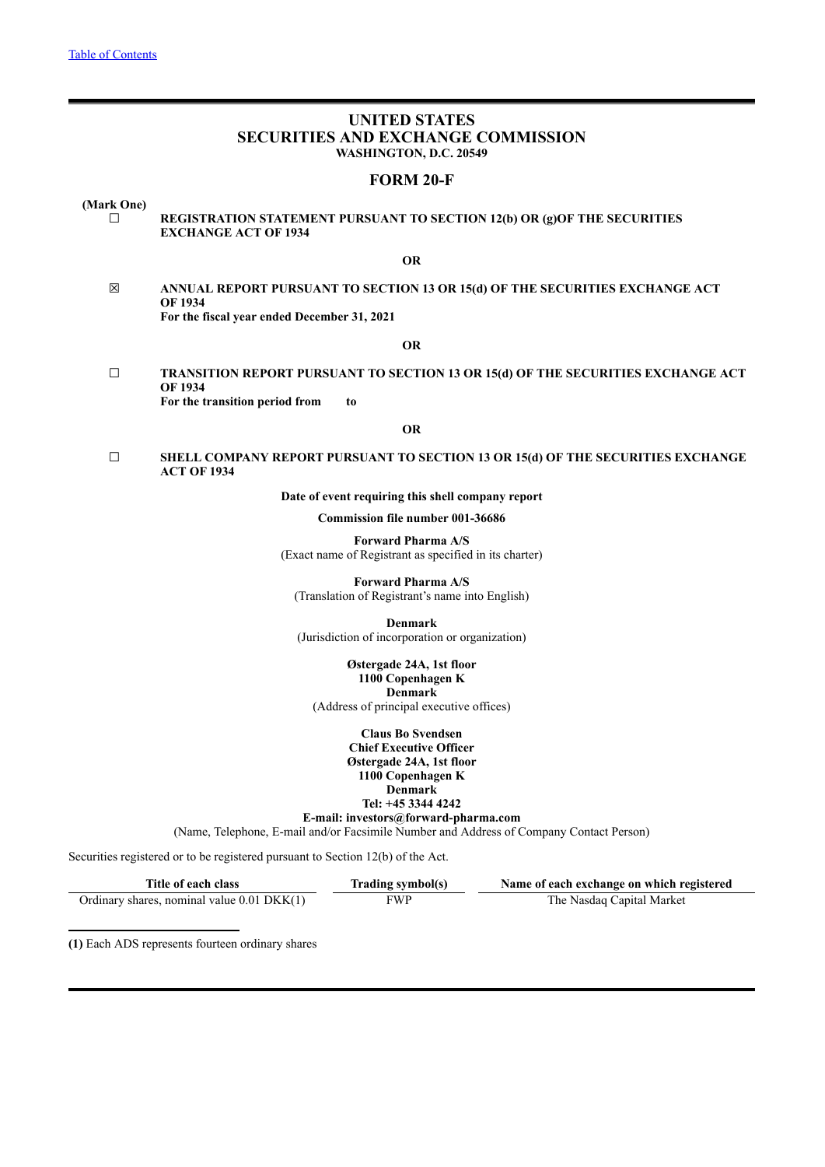# **UNITED STATES SECURITIES AND EXCHANGE COMMISSION WASHINGTON, D.C. 20549**

# **FORM 20-F**

**(Mark One)**

☐ **REGISTRATION STATEMENT PURSUANT TO SECTION 12(b) OR (g)OF THE SECURITIES EXCHANGE ACT OF 1934**

**OR**

☒ **ANNUAL REPORT PURSUANT TO SECTION 13 OR 15(d) OF THE SECURITIES EXCHANGE ACT OF 1934 For the fiscal year ended December 31, 2021**

**OR**

☐ **TRANSITION REPORT PURSUANT TO SECTION 13 OR 15(d) OF THE SECURITIES EXCHANGE ACT OF 1934 For the transition period from to**

**OR**

☐ **SHELL COMPANY REPORT PURSUANT TO SECTION 13 OR 15(d) OF THE SECURITIES EXCHANGE ACT OF 1934**

**Date of event requiring this shell company report**

**Commission file number 001-36686**

**Forward Pharma A/S** (Exact name of Registrant as specified in its charter)

**Forward Pharma A/S** (Translation of Registrant's name into English)

**Denmark** (Jurisdiction of incorporation or organization)

> **Østergade 24A, 1st floor 1100 Copenhagen K Denmark**

(Address of principal executive offices)

**Claus Bo Svendsen Chief Executive Officer Østergade 24A, 1st floor 1100 Copenhagen K Denmark Tel: +45 3344 4242 E-mail: investors@forward-pharma.com**

(Name, Telephone, E-mail and/or Facsimile Number and Address of Company Contact Person)

Securities registered or to be registered pursuant to Section 12(b) of the Act.

| Title of each class                        | Trading symbol(s) | Name of each exchange on which registered |  |
|--------------------------------------------|-------------------|-------------------------------------------|--|
| Ordinary shares, nominal value 0.01 DKK(1) | FWP               | The Nasdaq Capital Market                 |  |

**(1)** Each ADS represents fourteen ordinary shares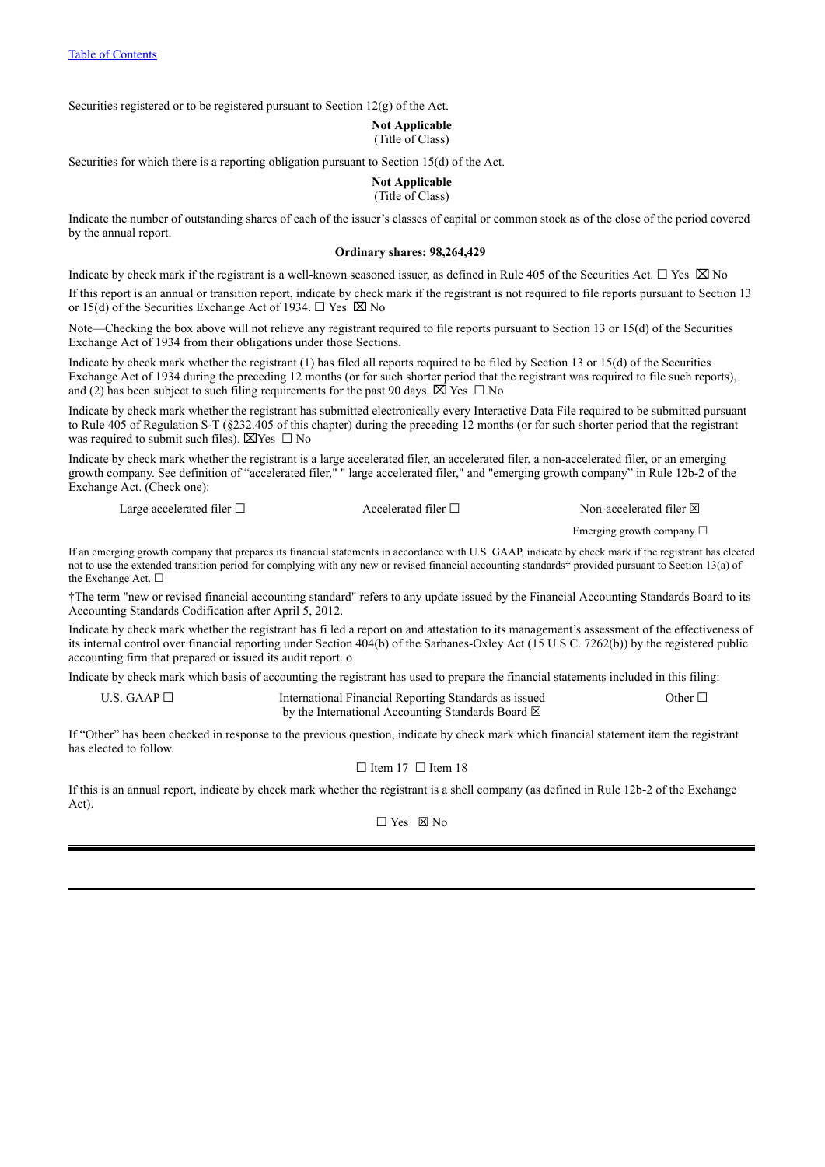Securities registered or to be registered pursuant to Section 12(g) of the Act.

#### **Not Applicable** (Title of Class)

Securities for which there is a reporting obligation pursuant to Section 15(d) of the Act.

# **Not Applicable**

(Title of Class)

Indicate the number of outstanding shares of each of the issuer's classes of capital or common stock as of the close of the period covered by the annual report.

# **Ordinary shares: 98,264,429**

Indicate by check mark if the registrant is a well-known seasoned issuer, as defined in Rule 405 of the Securities Act.  $\Box$  Yes  $\boxtimes$  No If this report is an annual or transition report, indicate by check mark if the registrant is not required to file reports pursuant to Section 13 or 15(d) of the Securities Exchange Act of 1934.  $\Box$  Yes  $\boxtimes$  No

Note—Checking the box above will not relieve any registrant required to file reports pursuant to Section 13 or 15(d) of the Securities Exchange Act of 1934 from their obligations under those Sections.

Indicate by check mark whether the registrant (1) has filed all reports required to be filed by Section 13 or 15(d) of the Securities Exchange Act of 1934 during the preceding 12 months (or for such shorter period that the registrant was required to file such reports), and (2) has been subject to such filing requirements for the past 90 days.  $\boxtimes$  Yes  $\Box$  No

Indicate by check mark whether the registrant has submitted electronically every Interactive Data File required to be submitted pursuant to Rule 405 of Regulation S-T (§232.405 of this chapter) during the preceding 12 months (or for such shorter period that the registrant was required to submit such files).  $\boxtimes$  Yes  $\Box$  No

Indicate by check mark whether the registrant is a large accelerated filer, an accelerated filer, a non-accelerated filer, or an emerging growth company. See definition of "accelerated filer," " large accelerated filer," and "emerging growth company" in Rule 12b-2 of the Exchange Act. (Check one):

Large accelerated filer □ Accelerated filer □ Non-accelerated filer ⊠

Emerging growth company  $\Box$ 

If an emerging growth company that prepares its financial statements in accordance with U.S. GAAP, indicate by check mark if the registrant has elected not to use the extended transition period for complying with any new or revised financial accounting standards† provided pursuant to Section 13(a) of the Exchange Act. □

†The term "new or revised financial accounting standard" refers to any update issued by the Financial Accounting Standards Board to its Accounting Standards Codification after April 5, 2012.

Indicate by check mark whether the registrant has fi led a report on and attestation to its management's assessment of the effectiveness of its internal control over financial reporting under Section 404(b) of the Sarbanes-Oxley Act (15 U.S.C. 7262(b)) by the registered public accounting firm that prepared or issued its audit report. o

Indicate by check mark which basis of accounting the registrant has used to prepare the financial statements included in this filing:

U.S. GAAP □ International Financial Reporting Standards as issued by the International Accounting Standards Board  $\boxtimes$ Other  $\Box$ 

If "Other" has been checked in response to the previous question, indicate by check mark which financial statement item the registrant has elected to follow.

 $\Box$  Item 17  $\Box$  Item 18

If this is an annual report, indicate by check mark whether the registrant is a shell company (as defined in Rule 12b-2 of the Exchange Act).

☐ Yes ☒ No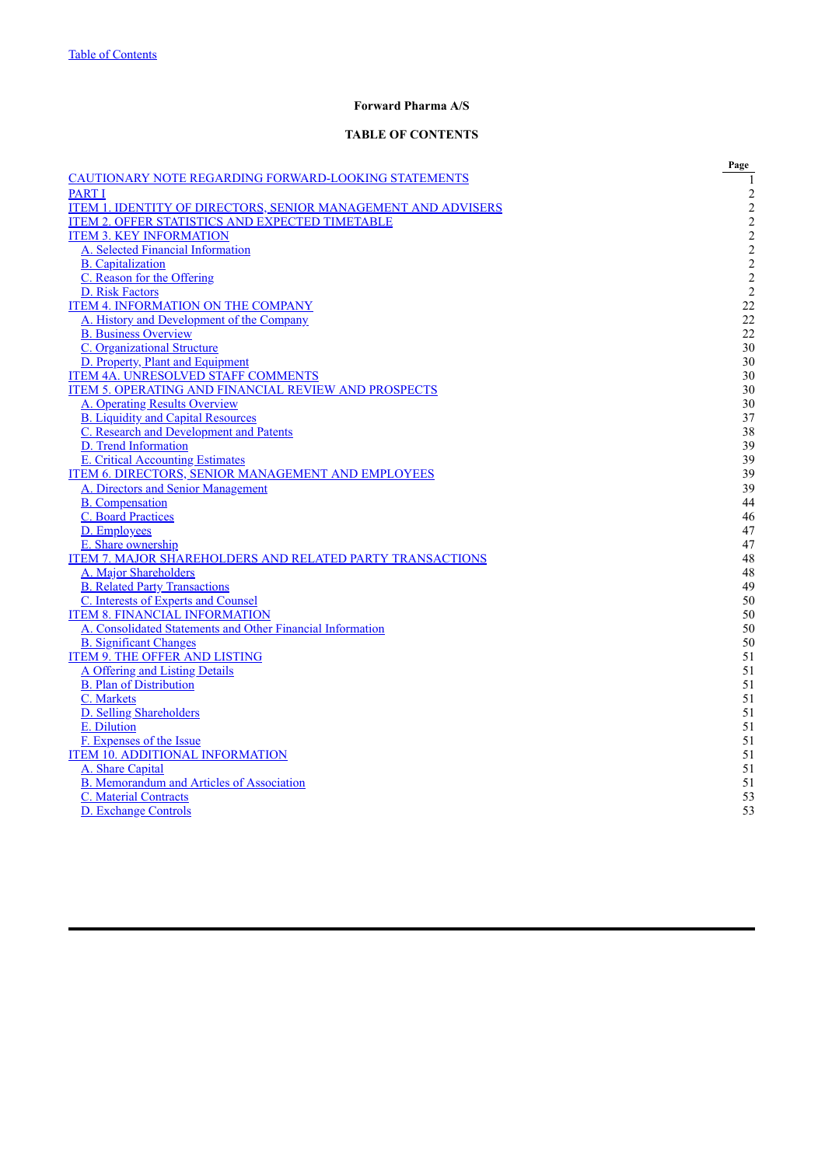# **Forward Pharma A/S**

# **TABLE OF CONTENTS**

<span id="page-2-0"></span>

|                                                                      | Page                                       |
|----------------------------------------------------------------------|--------------------------------------------|
| <b>CAUTIONARY NOTE REGARDING FORWARD-LOOKING STATEMENTS</b>          | 1                                          |
| <b>PART I</b>                                                        | $\overline{c}$                             |
| <b>ITEM 1. IDENTITY OF DIRECTORS, SENIOR MANAGEMENT AND ADVISERS</b> | $\overline{2}$                             |
| <b>ITEM 2. OFFER STATISTICS AND EXPECTED TIMETABLE</b>               |                                            |
| <b>ITEM 3. KEY INFORMATION</b>                                       | $\begin{array}{c} 2 \\ 2 \\ 2 \end{array}$ |
| A. Selected Financial Information                                    |                                            |
| <b>B.</b> Capitalization                                             | $\overline{c}$                             |
| C. Reason for the Offering                                           | $\overline{c}$                             |
| <b>D. Risk Factors</b>                                               | $\overline{2}$                             |
| <b>ITEM 4. INFORMATION ON THE COMPANY</b>                            | 22                                         |
| A. History and Development of the Company                            | 22                                         |
| <b>B.</b> Business Overview                                          | $22\,$                                     |
| C. Organizational Structure                                          | 30                                         |
| D. Property, Plant and Equipment                                     | $30\,$                                     |
| <b>ITEM 4A. UNRESOLVED STAFF COMMENTS</b>                            | 30                                         |
| <b>ITEM 5. OPERATING AND FINANCIAL REVIEW AND PROSPECTS</b>          | 30                                         |
| A. Operating Results Overview                                        | 30                                         |
| <b>B.</b> Liquidity and Capital Resources                            | 37                                         |
| C. Research and Development and Patents                              | 38                                         |
| D. Trend Information                                                 | 39                                         |
| <b>E. Critical Accounting Estimates</b>                              | 39                                         |
| <b>ITEM 6. DIRECTORS, SENIOR MANAGEMENT AND EMPLOYEES</b>            | 39                                         |
| A. Directors and Senior Management                                   | 39                                         |
| <b>B.</b> Compensation                                               | 44                                         |
| C. Board Practices                                                   | 46                                         |
| D. Employees                                                         | 47                                         |
| E. Share ownership                                                   | 47                                         |
| <b>ITEM 7. MAJOR SHAREHOLDERS AND RELATED PARTY TRANSACTIONS</b>     | 48                                         |
| A. Major Shareholders                                                | 48                                         |
| <b>B.</b> Related Party Transactions                                 | 49                                         |
| C. Interests of Experts and Counsel                                  | 50                                         |
| <b>ITEM 8. FINANCIAL INFORMATION</b>                                 | 50                                         |
| A. Consolidated Statements and Other Financial Information           | 50                                         |
| <b>B.</b> Significant Changes                                        | 50                                         |
| <b>ITEM 9. THE OFFER AND LISTING</b>                                 | 51                                         |
| A Offering and Listing Details                                       | 51                                         |
| <b>B.</b> Plan of Distribution                                       | 51                                         |
| C. Markets                                                           | 51                                         |
| D. Selling Shareholders                                              | 51                                         |
| E. Dilution                                                          | 51                                         |
| F. Expenses of the Issue                                             | 51                                         |
| <b>ITEM 10. ADDITIONAL INFORMATION</b>                               | 51                                         |
| A. Share Capital                                                     | 51                                         |
| <b>B. Memorandum and Articles of Association</b>                     | 51                                         |
| C. Material Contracts                                                | 53                                         |
| D. Exchange Controls                                                 | 53                                         |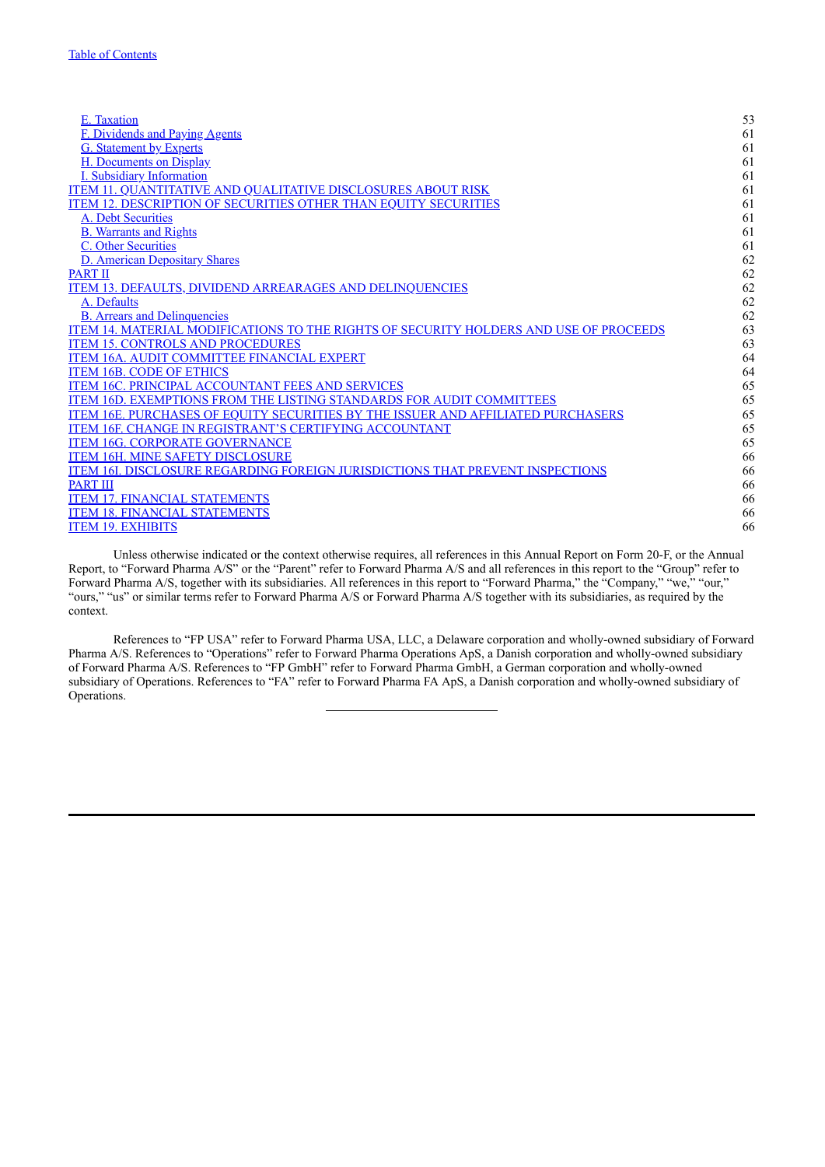| E. Taxation                                                                                  | 53 |
|----------------------------------------------------------------------------------------------|----|
| F. Dividends and Paying Agents                                                               | 61 |
| <b>G.</b> Statement by Experts                                                               | 61 |
| H. Documents on Display                                                                      | 61 |
| <b>I. Subsidiary Information</b>                                                             | 61 |
| <b>ITEM 11. QUANTITATIVE AND QUALITATIVE DISCLOSURES ABOUT RISK</b>                          | 61 |
| <b>ITEM 12. DESCRIPTION OF SECURITIES OTHER THAN EQUITY SECURITIES</b>                       | 61 |
| <b>A. Debt Securities</b>                                                                    | 61 |
| <b>B.</b> Warrants and Rights                                                                | 61 |
| C. Other Securities                                                                          | 61 |
| D. American Depositary Shares                                                                | 62 |
| <b>PART II</b>                                                                               | 62 |
| <u>ITEM 13. DEFAULTS, DIVIDEND ARREARAGES AND DELINQUENCIES</u>                              | 62 |
| A. Defaults                                                                                  | 62 |
| <b>B.</b> Arrears and Delinquencies                                                          | 62 |
| <b>ITEM 14. MATERIAL MODIFICATIONS TO THE RIGHTS OF SECURITY HOLDERS AND USE OF PROCEEDS</b> | 63 |
| <b>ITEM 15. CONTROLS AND PROCEDURES</b>                                                      | 63 |
| <b>ITEM 16A. AUDIT COMMITTEE FINANCIAL EXPERT</b>                                            | 64 |
| <b>ITEM 16B. CODE OF ETHICS</b>                                                              | 64 |
| <b>ITEM 16C, PRINCIPAL ACCOUNTANT FEES AND SERVICES</b>                                      | 65 |
| <b>ITEM 16D. EXEMPTIONS FROM THE LISTING STANDARDS FOR AUDIT COMMITTEES</b>                  | 65 |
| <b>ITEM 16E. PURCHASES OF EQUITY SECURITIES BY THE ISSUER AND AFFILIATED PURCHASERS</b>      | 65 |
| <b>ITEM 16F. CHANGE IN REGISTRANT'S CERTIFYING ACCOUNTANT</b>                                | 65 |
| <b>ITEM 16G. CORPORATE GOVERNANCE</b>                                                        | 65 |
| <b>ITEM 16H. MINE SAFETY DISCLOSURE</b>                                                      | 66 |
| <b>ITEM 161. DISCLOSURE REGARDING FOREIGN JURISDICTIONS THAT PREVENT INSPECTIONS</b>         | 66 |
| <b>PART III</b>                                                                              | 66 |
| <b>ITEM 17. FINANCIAL STATEMENTS</b>                                                         | 66 |
| <b>ITEM 18. FINANCIAL STATEMENTS</b>                                                         | 66 |
| <b>ITEM 19. EXHIBITS</b>                                                                     | 66 |
|                                                                                              |    |

Unless otherwise indicated or the context otherwise requires, all references in this Annual Report on Form 20-F, or the Annual Report, to "Forward Pharma A/S" or the "Parent" refer to Forward Pharma A/S and all references in this report to the "Group" refer to Forward Pharma A/S, together with its subsidiaries. All references in this report to "Forward Pharma," the "Company," "we," "our," "ours," "us" or similar terms refer to Forward Pharma A/S or Forward Pharma A/S together with its subsidiaries, as required by the context.

References to "FP USA" refer to Forward Pharma USA, LLC, a Delaware corporation and wholly-owned subsidiary of Forward Pharma A/S. References to "Operations" refer to Forward Pharma Operations ApS, a Danish corporation and wholly-owned subsidiary of Forward Pharma A/S. References to "FP GmbH" refer to Forward Pharma GmbH, a German corporation and wholly-owned subsidiary of Operations. References to "FA" refer to Forward Pharma FA ApS, a Danish corporation and wholly-owned subsidiary of Operations.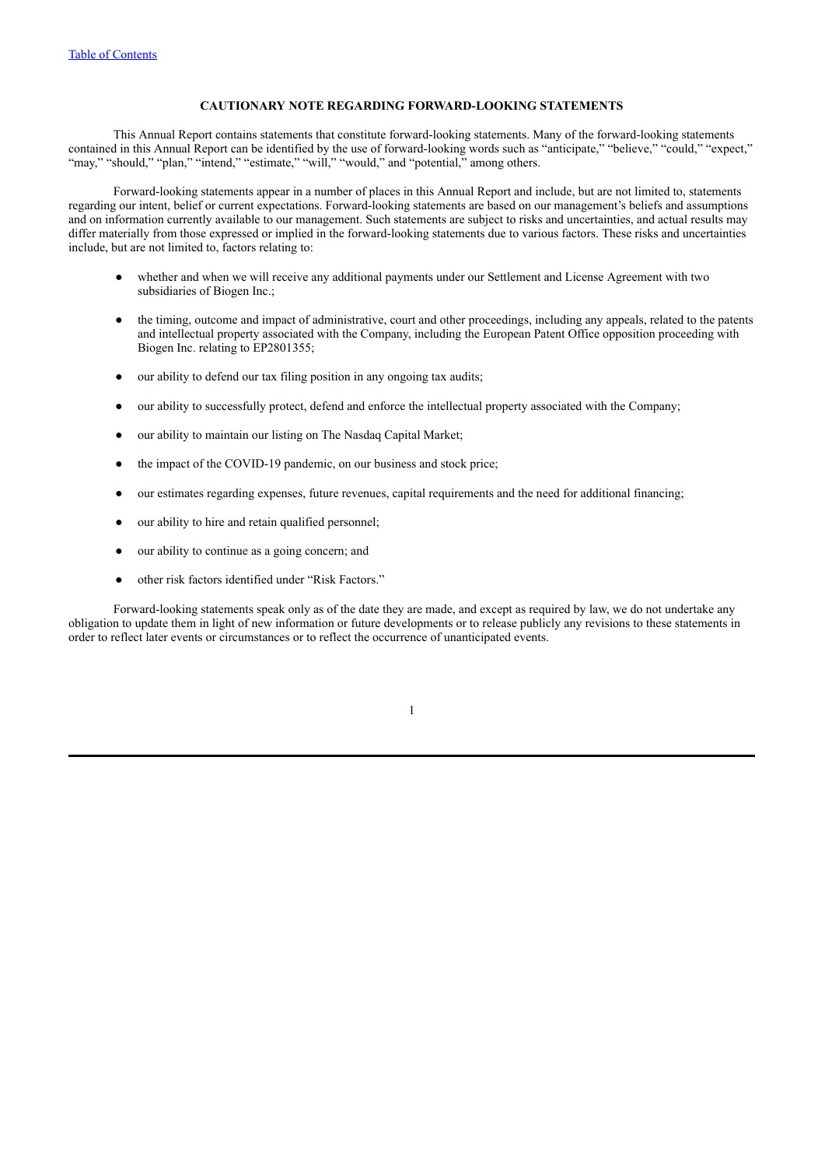## **CAUTIONARY NOTE REGARDING FORWARD-LOOKING STATEMENTS**

<span id="page-4-0"></span>This Annual Report contains statements that constitute forward-looking statements. Many of the forward-looking statements contained in this Annual Report can be identified by the use of forward-looking words such as "anticipate," "believe," "could," "expect," "may," "should," "plan," "intend," "estimate," "will," "would," and "potential," among others.

Forward-looking statements appear in a number of places in this Annual Report and include, but are not limited to, statements regarding our intent, belief or current expectations. Forward-looking statements are based on our management's beliefs and assumptions and on information currently available to our management. Such statements are subject to risks and uncertainties, and actual results may differ materially from those expressed or implied in the forward-looking statements due to various factors. These risks and uncertainties include, but are not limited to, factors relating to:

- whether and when we will receive any additional payments under our Settlement and License Agreement with two subsidiaries of Biogen Inc.;
- the timing, outcome and impact of administrative, court and other proceedings, including any appeals, related to the patents and intellectual property associated with the Company, including the European Patent Office opposition proceeding with Biogen Inc. relating to EP2801355;
- our ability to defend our tax filing position in any ongoing tax audits;
- our ability to successfully protect, defend and enforce the intellectual property associated with the Company;
- our ability to maintain our listing on The Nasdaq Capital Market;
- the impact of the COVID-19 pandemic, on our business and stock price;
- our estimates regarding expenses, future revenues, capital requirements and the need for additional financing;
- our ability to hire and retain qualified personnel;
- our ability to continue as a going concern; and
- other risk factors identified under "Risk Factors."

Forward-looking statements speak only as of the date they are made, and except as required by law, we do not undertake any obligation to update them in light of new information or future developments or to release publicly any revisions to these statements in order to reflect later events or circumstances or to reflect the occurrence of unanticipated events.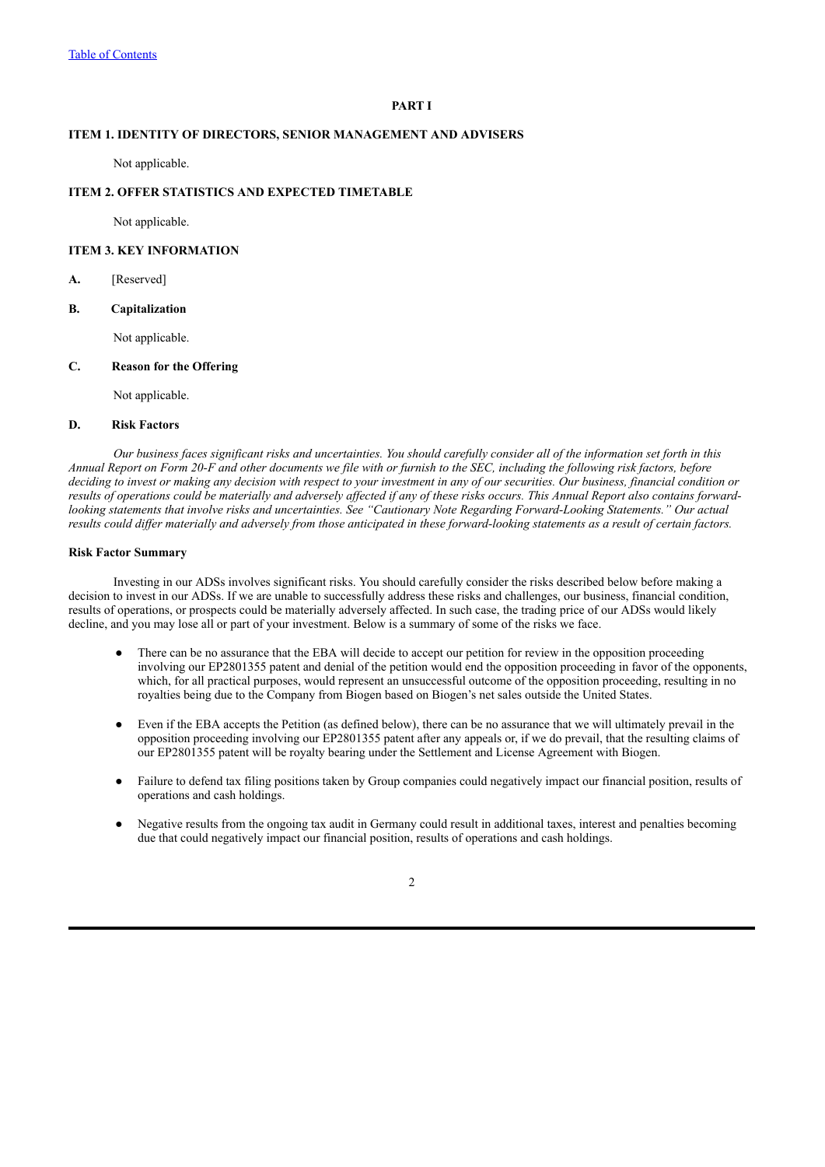# **PART I**

# <span id="page-5-1"></span><span id="page-5-0"></span>**ITEM 1. IDENTITY OF DIRECTORS, SENIOR MANAGEMENT AND ADVISERS**

Not applicable.

# <span id="page-5-2"></span>**ITEM 2. OFFER STATISTICS AND EXPECTED TIMETABLE**

Not applicable.

# <span id="page-5-3"></span>**ITEM 3. KEY INFORMATION**

<span id="page-5-4"></span>**A.** [Reserved]

# <span id="page-5-5"></span>**B. Capitalization**

Not applicable.

# <span id="page-5-6"></span>**C. Reason for the Offering**

Not applicable.

# <span id="page-5-7"></span>**D. Risk Factors**

Our business faces significant risks and uncertainties. You should carefully consider all of the information set forth in this Annual Report on Form 20-F and other documents we file with or furnish to the SEC, including the following risk factors, before deciding to invest or making any decision with respect to your investment in any of our securities. Our business, financial condition or results of operations could be materially and adversely affected if any of these risks occurs. This Annual Report also contains forwardlooking statements that involve risks and uncertainties. See "Cautionary Note Regarding Forward-Looking Statements." Our actual results could differ materially and adversely from those anticipated in these forward-looking statements as a result of certain factors.

## **Risk Factor Summary**

Investing in our ADSs involves significant risks. You should carefully consider the risks described below before making a decision to invest in our ADSs. If we are unable to successfully address these risks and challenges, our business, financial condition, results of operations, or prospects could be materially adversely affected. In such case, the trading price of our ADSs would likely decline, and you may lose all or part of your investment. Below is a summary of some of the risks we face.

- There can be no assurance that the EBA will decide to accept our petition for review in the opposition proceeding involving our EP2801355 patent and denial of the petition would end the opposition proceeding in favor of the opponents, which, for all practical purposes, would represent an unsuccessful outcome of the opposition proceeding, resulting in no royalties being due to the Company from Biogen based on Biogen's net sales outside the United States.
- Even if the EBA accepts the Petition (as defined below), there can be no assurance that we will ultimately prevail in the opposition proceeding involving our EP2801355 patent after any appeals or, if we do prevail, that the resulting claims of our EP2801355 patent will be royalty bearing under the Settlement and License Agreement with Biogen.
- Failure to defend tax filing positions taken by Group companies could negatively impact our financial position, results of operations and cash holdings.
- Negative results from the ongoing tax audit in Germany could result in additional taxes, interest and penalties becoming due that could negatively impact our financial position, results of operations and cash holdings.

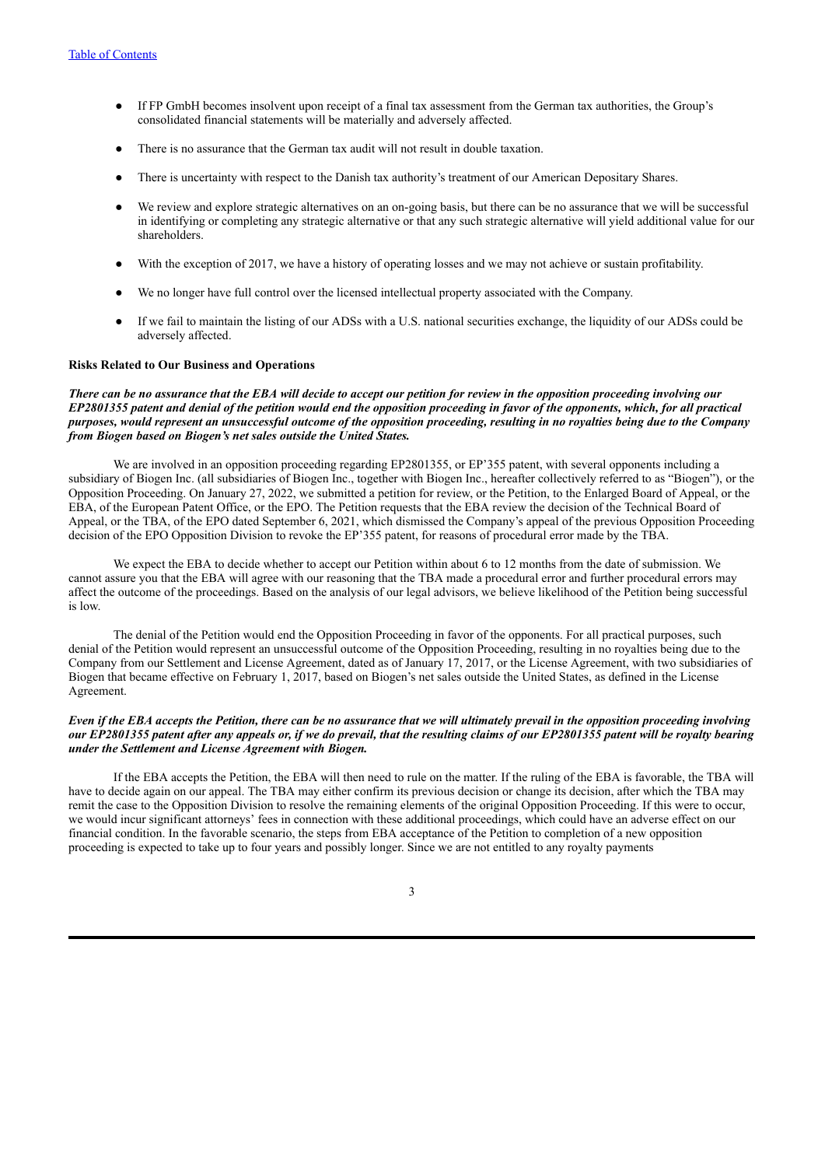- If FP GmbH becomes insolvent upon receipt of a final tax assessment from the German tax authorities, the Group's consolidated financial statements will be materially and adversely affected.
- There is no assurance that the German tax audit will not result in double taxation.
- There is uncertainty with respect to the Danish tax authority's treatment of our American Depositary Shares.
- We review and explore strategic alternatives on an on-going basis, but there can be no assurance that we will be successful in identifying or completing any strategic alternative or that any such strategic alternative will yield additional value for our shareholders.
- With the exception of 2017, we have a history of operating losses and we may not achieve or sustain profitability.
- We no longer have full control over the licensed intellectual property associated with the Company.
- If we fail to maintain the listing of our ADSs with a U.S. national securities exchange, the liquidity of our ADSs could be adversely affected.

#### **Risks Related to Our Business and Operations**

There can be no assurance that the EBA will decide to accept our petition for review in the opposition proceeding involving our EP2801355 patent and denial of the petition would end the opposition proceeding in favor of the opponents, which, for all practical purposes, would represent an unsuccessful outcome of the opposition proceeding, resulting in no royalties being due to the Company *from Biogen based on Biogen's net sales outside the United States.*

We are involved in an opposition proceeding regarding EP2801355, or EP'355 patent, with several opponents including a subsidiary of Biogen Inc. (all subsidiaries of Biogen Inc., together with Biogen Inc., hereafter collectively referred to as "Biogen"), or the Opposition Proceeding. On January 27, 2022, we submitted a petition for review, or the Petition, to the Enlarged Board of Appeal, or the EBA, of the European Patent Office, or the EPO. The Petition requests that the EBA review the decision of the Technical Board of Appeal, or the TBA, of the EPO dated September 6, 2021, which dismissed the Company's appeal of the previous Opposition Proceeding decision of the EPO Opposition Division to revoke the EP'355 patent, for reasons of procedural error made by the TBA.

We expect the EBA to decide whether to accept our Petition within about 6 to 12 months from the date of submission. We cannot assure you that the EBA will agree with our reasoning that the TBA made a procedural error and further procedural errors may affect the outcome of the proceedings. Based on the analysis of our legal advisors, we believe likelihood of the Petition being successful is low.

The denial of the Petition would end the Opposition Proceeding in favor of the opponents. For all practical purposes, such denial of the Petition would represent an unsuccessful outcome of the Opposition Proceeding, resulting in no royalties being due to the Company from our Settlement and License Agreement, dated as of January 17, 2017, or the License Agreement, with two subsidiaries of Biogen that became effective on February 1, 2017, based on Biogen's net sales outside the United States, as defined in the License Agreement.

#### Even if the EBA accepts the Petition, there can be no assurance that we will ultimately prevail in the opposition proceeding involving our EP2801355 patent after any appeals or, if we do prevail, that the resulting claims of our EP2801355 patent will be royalty bearing *under the Settlement and License Agreement with Biogen.*

If the EBA accepts the Petition, the EBA will then need to rule on the matter. If the ruling of the EBA is favorable, the TBA will have to decide again on our appeal. The TBA may either confirm its previous decision or change its decision, after which the TBA may remit the case to the Opposition Division to resolve the remaining elements of the original Opposition Proceeding. If this were to occur, we would incur significant attorneys' fees in connection with these additional proceedings, which could have an adverse effect on our financial condition. In the favorable scenario, the steps from EBA acceptance of the Petition to completion of a new opposition proceeding is expected to take up to four years and possibly longer. Since we are not entitled to any royalty payments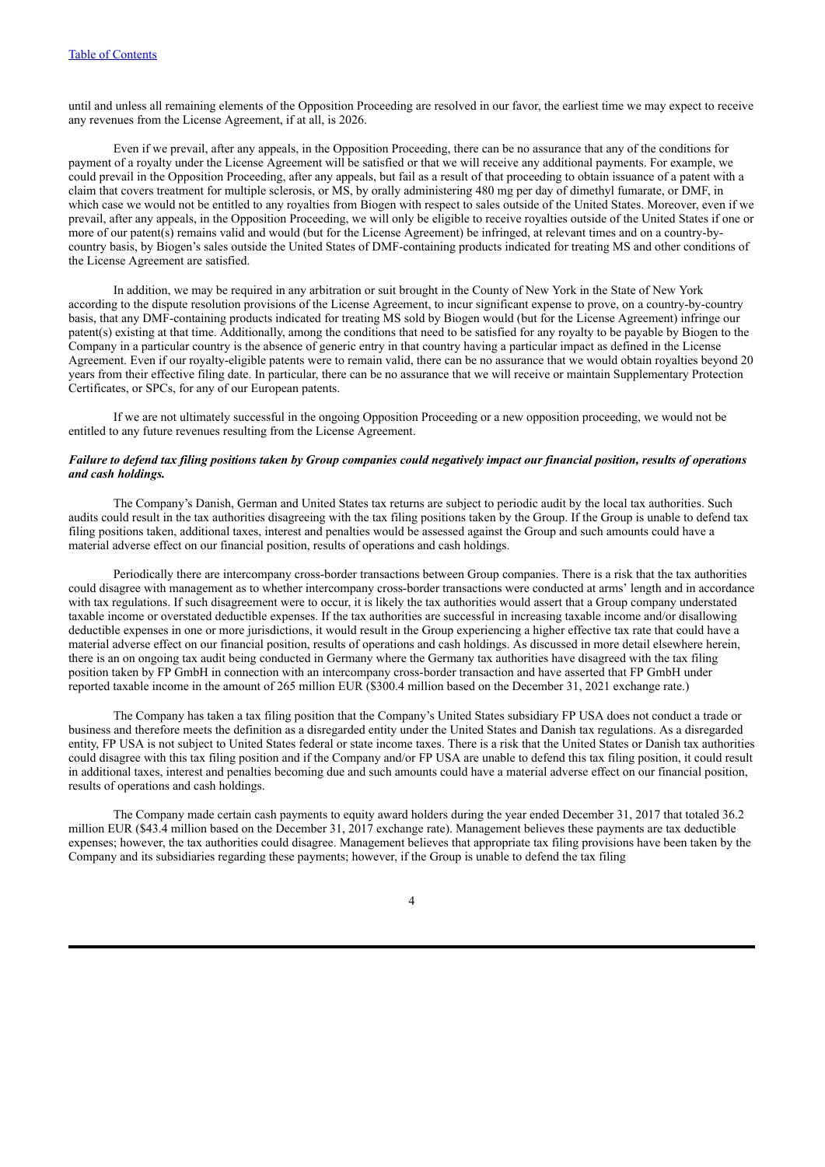until and unless all remaining elements of the Opposition Proceeding are resolved in our favor, the earliest time we may expect to receive any revenues from the License Agreement, if at all, is 2026.

Even if we prevail, after any appeals, in the Opposition Proceeding, there can be no assurance that any of the conditions for payment of a royalty under the License Agreement will be satisfied or that we will receive any additional payments. For example, we could prevail in the Opposition Proceeding, after any appeals, but fail as a result of that proceeding to obtain issuance of a patent with a claim that covers treatment for multiple sclerosis, or MS, by orally administering 480 mg per day of dimethyl fumarate, or DMF, in which case we would not be entitled to any royalties from Biogen with respect to sales outside of the United States. Moreover, even if we prevail, after any appeals, in the Opposition Proceeding, we will only be eligible to receive royalties outside of the United States if one or more of our patent(s) remains valid and would (but for the License Agreement) be infringed, at relevant times and on a country-bycountry basis, by Biogen's sales outside the United States of DMF-containing products indicated for treating MS and other conditions of the License Agreement are satisfied.

In addition, we may be required in any arbitration or suit brought in the County of New York in the State of New York according to the dispute resolution provisions of the License Agreement, to incur significant expense to prove, on a country-by-country basis, that any DMF-containing products indicated for treating MS sold by Biogen would (but for the License Agreement) infringe our patent(s) existing at that time. Additionally, among the conditions that need to be satisfied for any royalty to be payable by Biogen to the Company in a particular country is the absence of generic entry in that country having a particular impact as defined in the License Agreement. Even if our royalty-eligible patents were to remain valid, there can be no assurance that we would obtain royalties beyond 20 years from their effective filing date. In particular, there can be no assurance that we will receive or maintain Supplementary Protection Certificates, or SPCs, for any of our European patents.

If we are not ultimately successful in the ongoing Opposition Proceeding or a new opposition proceeding, we would not be entitled to any future revenues resulting from the License Agreement.

### Failure to defend tax filing positions taken by Group companies could negatively impact our financial position, results of operations *and cash holdings.*

The Company's Danish, German and United States tax returns are subject to periodic audit by the local tax authorities. Such audits could result in the tax authorities disagreeing with the tax filing positions taken by the Group. If the Group is unable to defend tax filing positions taken, additional taxes, interest and penalties would be assessed against the Group and such amounts could have a material adverse effect on our financial position, results of operations and cash holdings.

Periodically there are intercompany cross-border transactions between Group companies. There is a risk that the tax authorities could disagree with management as to whether intercompany cross-border transactions were conducted at arms' length and in accordance with tax regulations. If such disagreement were to occur, it is likely the tax authorities would assert that a Group company understated taxable income or overstated deductible expenses. If the tax authorities are successful in increasing taxable income and/or disallowing deductible expenses in one or more jurisdictions, it would result in the Group experiencing a higher effective tax rate that could have a material adverse effect on our financial position, results of operations and cash holdings. As discussed in more detail elsewhere herein, there is an on ongoing tax audit being conducted in Germany where the Germany tax authorities have disagreed with the tax filing position taken by FP GmbH in connection with an intercompany cross-border transaction and have asserted that FP GmbH under reported taxable income in the amount of 265 million EUR (\$300.4 million based on the December 31, 2021 exchange rate.)

The Company has taken a tax filing position that the Company's United States subsidiary FP USA does not conduct a trade or business and therefore meets the definition as a disregarded entity under the United States and Danish tax regulations. As a disregarded entity, FP USA is not subject to United States federal or state income taxes. There is a risk that the United States or Danish tax authorities could disagree with this tax filing position and if the Company and/or FP USA are unable to defend this tax filing position, it could result in additional taxes, interest and penalties becoming due and such amounts could have a material adverse effect on our financial position, results of operations and cash holdings.

The Company made certain cash payments to equity award holders during the year ended December 31, 2017 that totaled 36.2 million EUR (\$43.4 million based on the December 31, 2017 exchange rate). Management believes these payments are tax deductible expenses; however, the tax authorities could disagree. Management believes that appropriate tax filing provisions have been taken by the Company and its subsidiaries regarding these payments; however, if the Group is unable to defend the tax filing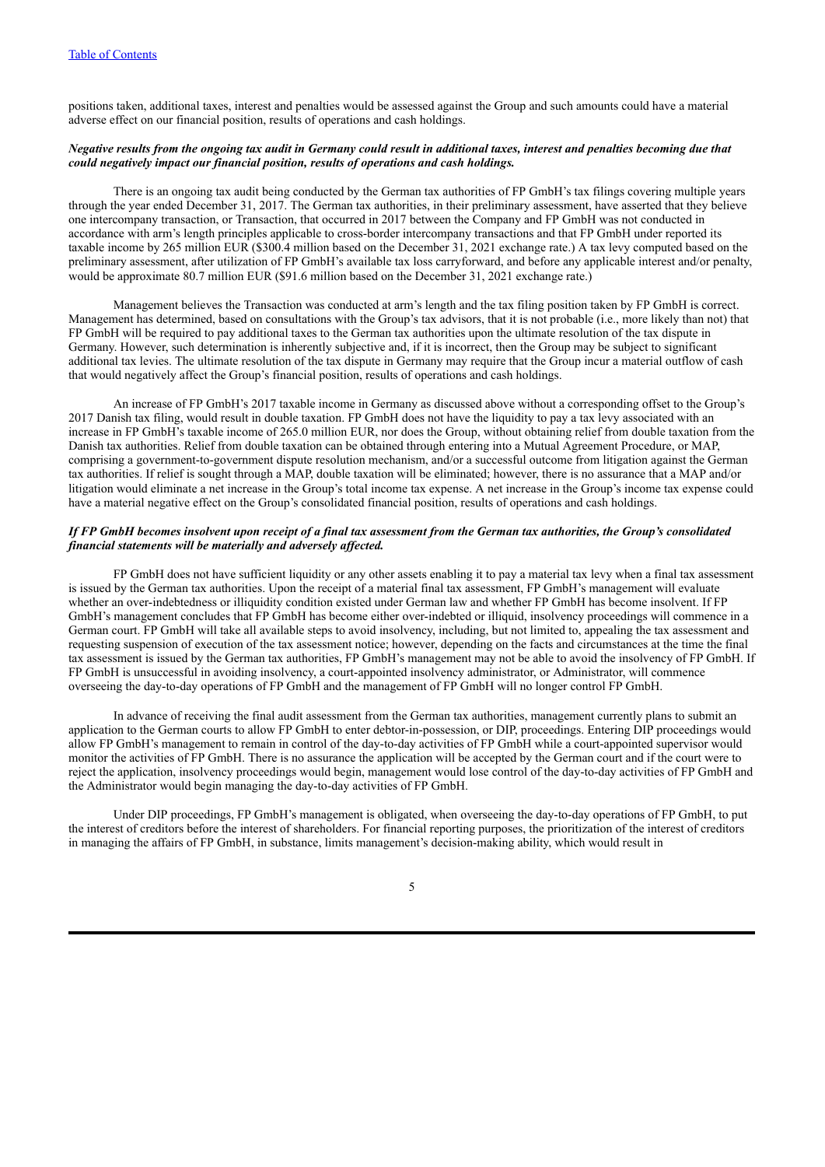positions taken, additional taxes, interest and penalties would be assessed against the Group and such amounts could have a material adverse effect on our financial position, results of operations and cash holdings.

## Negative results from the ongoing tax audit in Germany could result in additional taxes, interest and penalties becoming due that *could negatively impact our financial position, results of operations and cash holdings.*

There is an ongoing tax audit being conducted by the German tax authorities of FP GmbH's tax filings covering multiple years through the year ended December 31, 2017. The German tax authorities, in their preliminary assessment, have asserted that they believe one intercompany transaction, or Transaction, that occurred in 2017 between the Company and FP GmbH was not conducted in accordance with arm's length principles applicable to cross-border intercompany transactions and that FP GmbH under reported its taxable income by 265 million EUR (\$300.4 million based on the December 31, 2021 exchange rate.) A tax levy computed based on the preliminary assessment, after utilization of FP GmbH's available tax loss carryforward, and before any applicable interest and/or penalty, would be approximate 80.7 million EUR (\$91.6 million based on the December 31, 2021 exchange rate.)

Management believes the Transaction was conducted at arm's length and the tax filing position taken by FP GmbH is correct. Management has determined, based on consultations with the Group's tax advisors, that it is not probable (i.e., more likely than not) that FP GmbH will be required to pay additional taxes to the German tax authorities upon the ultimate resolution of the tax dispute in Germany. However, such determination is inherently subjective and, if it is incorrect, then the Group may be subject to significant additional tax levies. The ultimate resolution of the tax dispute in Germany may require that the Group incur a material outflow of cash that would negatively affect the Group's financial position, results of operations and cash holdings.

An increase of FP GmbH's 2017 taxable income in Germany as discussed above without a corresponding offset to the Group's 2017 Danish tax filing, would result in double taxation. FP GmbH does not have the liquidity to pay a tax levy associated with an increase in FP GmbH's taxable income of 265.0 million EUR, nor does the Group, without obtaining relief from double taxation from the Danish tax authorities. Relief from double taxation can be obtained through entering into a Mutual Agreement Procedure, or MAP, comprising a government-to-government dispute resolution mechanism, and/or a successful outcome from litigation against the German tax authorities. If relief is sought through a MAP, double taxation will be eliminated; however, there is no assurance that a MAP and/or litigation would eliminate a net increase in the Group's total income tax expense. A net increase in the Group's income tax expense could have a material negative effect on the Group's consolidated financial position, results of operations and cash holdings.

#### If FP GmbH becomes insolvent upon receipt of a final tax assessment from the German tax authorities, the Group's consolidated *financial statements will be materially and adversely af ected.*

FP GmbH does not have sufficient liquidity or any other assets enabling it to pay a material tax levy when a final tax assessment is issued by the German tax authorities. Upon the receipt of a material final tax assessment, FP GmbH's management will evaluate whether an over-indebtedness or illiquidity condition existed under German law and whether FP GmbH has become insolvent. If FP GmbH's management concludes that FP GmbH has become either over-indebted or illiquid, insolvency proceedings will commence in a German court. FP GmbH will take all available steps to avoid insolvency, including, but not limited to, appealing the tax assessment and requesting suspension of execution of the tax assessment notice; however, depending on the facts and circumstances at the time the final tax assessment is issued by the German tax authorities, FP GmbH's management may not be able to avoid the insolvency of FP GmbH. If FP GmbH is unsuccessful in avoiding insolvency, a court-appointed insolvency administrator, or Administrator, will commence overseeing the day-to-day operations of FP GmbH and the management of FP GmbH will no longer control FP GmbH.

In advance of receiving the final audit assessment from the German tax authorities, management currently plans to submit an application to the German courts to allow FP GmbH to enter debtor-in-possession, or DIP, proceedings. Entering DIP proceedings would allow FP GmbH's management to remain in control of the day-to-day activities of FP GmbH while a court-appointed supervisor would monitor the activities of FP GmbH. There is no assurance the application will be accepted by the German court and if the court were to reject the application, insolvency proceedings would begin, management would lose control of the day-to-day activities of FP GmbH and the Administrator would begin managing the day-to-day activities of FP GmbH.

Under DIP proceedings, FP GmbH's management is obligated, when overseeing the day-to-day operations of FP GmbH, to put the interest of creditors before the interest of shareholders. For financial reporting purposes, the prioritization of the interest of creditors in managing the affairs of FP GmbH, in substance, limits management's decision-making ability, which would result in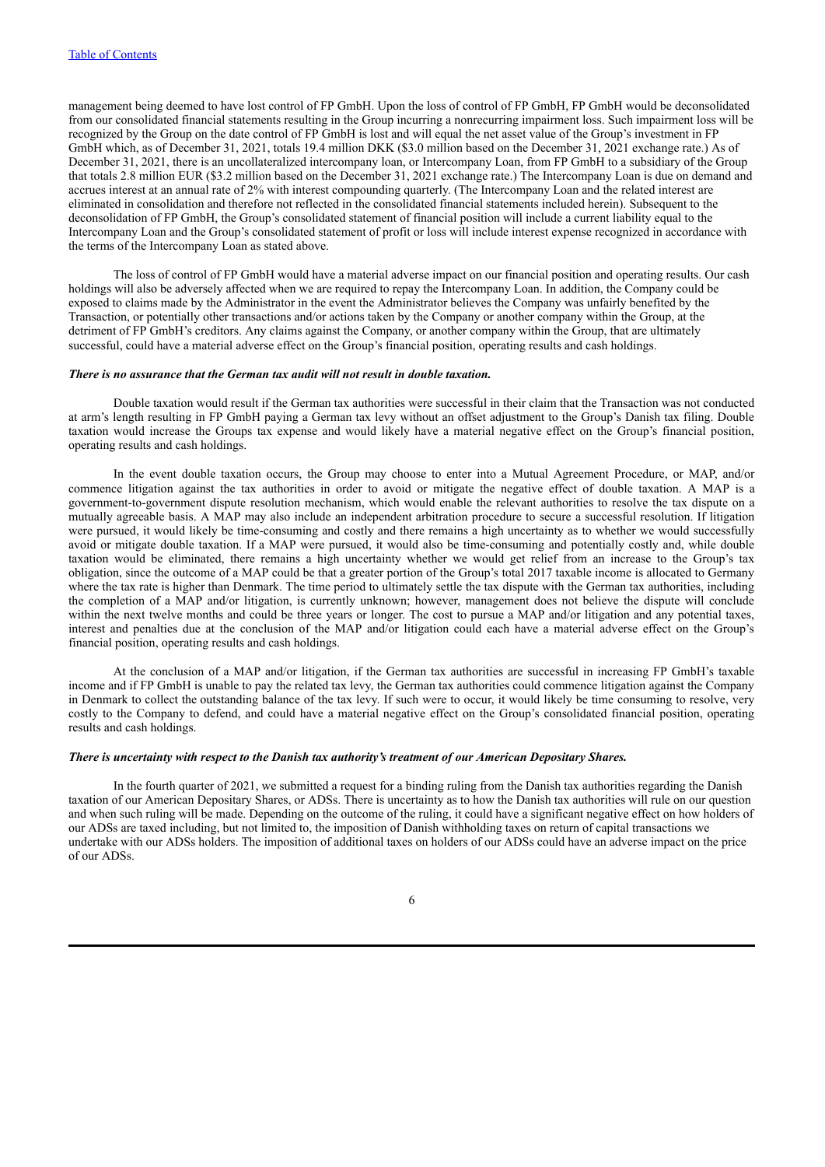management being deemed to have lost control of FP GmbH. Upon the loss of control of FP GmbH, FP GmbH would be deconsolidated from our consolidated financial statements resulting in the Group incurring a nonrecurring impairment loss. Such impairment loss will be recognized by the Group on the date control of FP GmbH is lost and will equal the net asset value of the Group's investment in FP GmbH which, as of December 31, 2021, totals 19.4 million DKK (\$3.0 million based on the December 31, 2021 exchange rate.) As of December 31, 2021, there is an uncollateralized intercompany loan, or Intercompany Loan, from FP GmbH to a subsidiary of the Group that totals 2.8 million EUR (\$3.2 million based on the December 31, 2021 exchange rate.) The Intercompany Loan is due on demand and accrues interest at an annual rate of 2% with interest compounding quarterly. (The Intercompany Loan and the related interest are eliminated in consolidation and therefore not reflected in the consolidated financial statements included herein). Subsequent to the deconsolidation of FP GmbH, the Group's consolidated statement of financial position will include a current liability equal to the Intercompany Loan and the Group's consolidated statement of profit or loss will include interest expense recognized in accordance with the terms of the Intercompany Loan as stated above.

The loss of control of FP GmbH would have a material adverse impact on our financial position and operating results. Our cash holdings will also be adversely affected when we are required to repay the Intercompany Loan. In addition, the Company could be exposed to claims made by the Administrator in the event the Administrator believes the Company was unfairly benefited by the Transaction, or potentially other transactions and/or actions taken by the Company or another company within the Group, at the detriment of FP GmbH's creditors. Any claims against the Company, or another company within the Group, that are ultimately successful, could have a material adverse effect on the Group's financial position, operating results and cash holdings.

#### *There is no assurance that the German tax audit will not result in double taxation.*

Double taxation would result if the German tax authorities were successful in their claim that the Transaction was not conducted at arm's length resulting in FP GmbH paying a German tax levy without an offset adjustment to the Group's Danish tax filing. Double taxation would increase the Groups tax expense and would likely have a material negative effect on the Group's financial position, operating results and cash holdings.

In the event double taxation occurs, the Group may choose to enter into a Mutual Agreement Procedure, or MAP, and/or commence litigation against the tax authorities in order to avoid or mitigate the negative effect of double taxation. A MAP is a government-to-government dispute resolution mechanism, which would enable the relevant authorities to resolve the tax dispute on a mutually agreeable basis. A MAP may also include an independent arbitration procedure to secure a successful resolution. If litigation were pursued, it would likely be time-consuming and costly and there remains a high uncertainty as to whether we would successfully avoid or mitigate double taxation. If a MAP were pursued, it would also be time-consuming and potentially costly and, while double taxation would be eliminated, there remains a high uncertainty whether we would get relief from an increase to the Group's tax obligation, since the outcome of a MAP could be that a greater portion of the Group's total 2017 taxable income is allocated to Germany where the tax rate is higher than Denmark. The time period to ultimately settle the tax dispute with the German tax authorities, including the completion of a MAP and/or litigation, is currently unknown; however, management does not believe the dispute will conclude within the next twelve months and could be three years or longer. The cost to pursue a MAP and/or litigation and any potential taxes, interest and penalties due at the conclusion of the MAP and/or litigation could each have a material adverse effect on the Group's financial position, operating results and cash holdings.

At the conclusion of a MAP and/or litigation, if the German tax authorities are successful in increasing FP GmbH's taxable income and if FP GmbH is unable to pay the related tax levy, the German tax authorities could commence litigation against the Company in Denmark to collect the outstanding balance of the tax levy. If such were to occur, it would likely be time consuming to resolve, very costly to the Company to defend, and could have a material negative effect on the Group's consolidated financial position, operating results and cash holdings.

#### *There is uncertainty with respect to the Danish tax authority's treatment of our American Depositary Shares.*

In the fourth quarter of 2021, we submitted a request for a binding ruling from the Danish tax authorities regarding the Danish taxation of our American Depositary Shares, or ADSs. There is uncertainty as to how the Danish tax authorities will rule on our question and when such ruling will be made. Depending on the outcome of the ruling, it could have a significant negative effect on how holders of our ADSs are taxed including, but not limited to, the imposition of Danish withholding taxes on return of capital transactions we undertake with our ADSs holders. The imposition of additional taxes on holders of our ADSs could have an adverse impact on the price of our ADSs.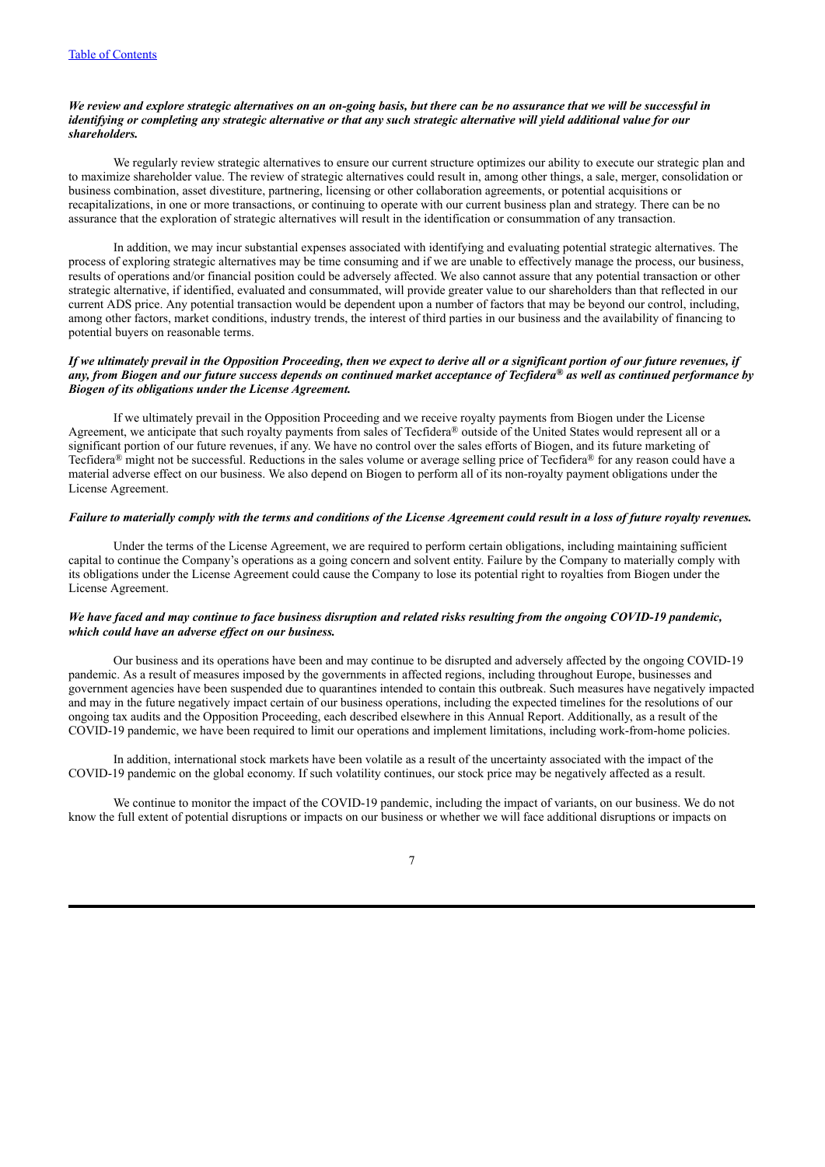## We review and explore strategic alternatives on an on-going basis, but there can be no assurance that we will be successful in identifying or completing any strategic alternative or that any such strategic alternative will yield additional value for our *shareholders.*

We regularly review strategic alternatives to ensure our current structure optimizes our ability to execute our strategic plan and to maximize shareholder value. The review of strategic alternatives could result in, among other things, a sale, merger, consolidation or business combination, asset divestiture, partnering, licensing or other collaboration agreements, or potential acquisitions or recapitalizations, in one or more transactions, or continuing to operate with our current business plan and strategy. There can be no assurance that the exploration of strategic alternatives will result in the identification or consummation of any transaction.

In addition, we may incur substantial expenses associated with identifying and evaluating potential strategic alternatives. The process of exploring strategic alternatives may be time consuming and if we are unable to effectively manage the process, our business, results of operations and/or financial position could be adversely affected. We also cannot assure that any potential transaction or other strategic alternative, if identified, evaluated and consummated, will provide greater value to our shareholders than that reflected in our current ADS price. Any potential transaction would be dependent upon a number of factors that may be beyond our control, including, among other factors, market conditions, industry trends, the interest of third parties in our business and the availability of financing to potential buyers on reasonable terms.

#### If we ultimately prevail in the Opposition Proceeding, then we expect to derive all or a significant portion of our future revenues, if any, from Biogen and our future success depends on continued market acceptance of Tecfidera® as well as continued performance by *Biogen of its obligations under the License Agreement.*

If we ultimately prevail in the Opposition Proceeding and we receive royalty payments from Biogen under the License Agreement, we anticipate that such royalty payments from sales of Tecfidera® outside of the United States would represent all or a significant portion of our future revenues, if any. We have no control over the sales efforts of Biogen, and its future marketing of Tecfidera<sup>®</sup> might not be successful. Reductions in the sales volume or average selling price of Tecfidera<sup>®</sup> for any reason could have a material adverse effect on our business. We also depend on Biogen to perform all of its non-royalty payment obligations under the License Agreement.

# Failure to materially comply with the terms and conditions of the License Agreement could result in a loss of future royalty revenues.

Under the terms of the License Agreement, we are required to perform certain obligations, including maintaining sufficient capital to continue the Company's operations as a going concern and solvent entity. Failure by the Company to materially comply with its obligations under the License Agreement could cause the Company to lose its potential right to royalties from Biogen under the License Agreement.

# We have faced and may continue to face business disruption and related risks resulting from the ongoing COVID-19 pandemic, *which could have an adverse ef ect on our business.*

Our business and its operations have been and may continue to be disrupted and adversely affected by the ongoing COVID-19 pandemic. As a result of measures imposed by the governments in affected regions, including throughout Europe, businesses and government agencies have been suspended due to quarantines intended to contain this outbreak. Such measures have negatively impacted and may in the future negatively impact certain of our business operations, including the expected timelines for the resolutions of our ongoing tax audits and the Opposition Proceeding, each described elsewhere in this Annual Report. Additionally, as a result of the COVID-19 pandemic, we have been required to limit our operations and implement limitations, including work-from-home policies.

In addition, international stock markets have been volatile as a result of the uncertainty associated with the impact of the COVID-19 pandemic on the global economy. If such volatility continues, our stock price may be negatively affected as a result.

We continue to monitor the impact of the COVID-19 pandemic, including the impact of variants, on our business. We do not know the full extent of potential disruptions or impacts on our business or whether we will face additional disruptions or impacts on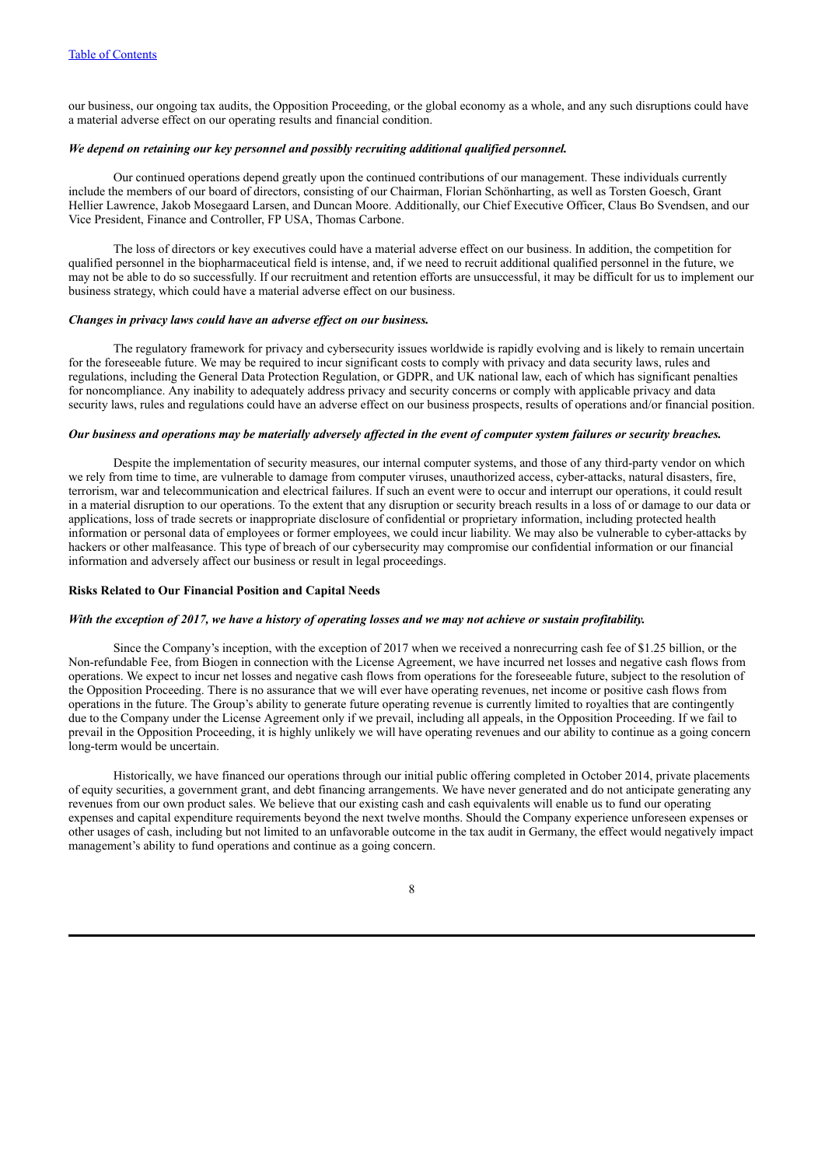our business, our ongoing tax audits, the Opposition Proceeding, or the global economy as a whole, and any such disruptions could have a material adverse effect on our operating results and financial condition.

## *We depend on retaining our key personnel and possibly recruiting additional qualified personnel.*

Our continued operations depend greatly upon the continued contributions of our management. These individuals currently include the members of our board of directors, consisting of our Chairman, Florian Schönharting, as well as Torsten Goesch, Grant Hellier Lawrence, Jakob Mosegaard Larsen, and Duncan Moore. Additionally, our Chief Executive Officer, Claus Bo Svendsen, and our Vice President, Finance and Controller, FP USA, Thomas Carbone.

The loss of directors or key executives could have a material adverse effect on our business. In addition, the competition for qualified personnel in the biopharmaceutical field is intense, and, if we need to recruit additional qualified personnel in the future, we may not be able to do so successfully. If our recruitment and retention efforts are unsuccessful, it may be difficult for us to implement our business strategy, which could have a material adverse effect on our business.

## *Changes in privacy laws could have an adverse ef ect on our business.*

The regulatory framework for privacy and cybersecurity issues worldwide is rapidly evolving and is likely to remain uncertain for the foreseeable future. We may be required to incur significant costs to comply with privacy and data security laws, rules and regulations, including the General Data Protection Regulation, or GDPR, and UK national law, each of which has significant penalties for noncompliance. Any inability to adequately address privacy and security concerns or comply with applicable privacy and data security laws, rules and regulations could have an adverse effect on our business prospects, results of operations and/or financial position.

## Our business and operations may be materially adversely affected in the event of computer system failures or security breaches.

Despite the implementation of security measures, our internal computer systems, and those of any third-party vendor on which we rely from time to time, are vulnerable to damage from computer viruses, unauthorized access, cyber-attacks, natural disasters, fire, terrorism, war and telecommunication and electrical failures. If such an event were to occur and interrupt our operations, it could result in a material disruption to our operations. To the extent that any disruption or security breach results in a loss of or damage to our data or applications, loss of trade secrets or inappropriate disclosure of confidential or proprietary information, including protected health information or personal data of employees or former employees, we could incur liability. We may also be vulnerable to cyber-attacks by hackers or other malfeasance. This type of breach of our cybersecurity may compromise our confidential information or our financial information and adversely affect our business or result in legal proceedings.

#### **Risks Related to Our Financial Position and Capital Needs**

#### With the exception of 2017, we have a history of operating losses and we may not achieve or sustain profitability.

Since the Company's inception, with the exception of 2017 when we received a nonrecurring cash fee of \$1.25 billion, or the Non-refundable Fee, from Biogen in connection with the License Agreement, we have incurred net losses and negative cash flows from operations. We expect to incur net losses and negative cash flows from operations for the foreseeable future, subject to the resolution of the Opposition Proceeding. There is no assurance that we will ever have operating revenues, net income or positive cash flows from operations in the future. The Group's ability to generate future operating revenue is currently limited to royalties that are contingently due to the Company under the License Agreement only if we prevail, including all appeals, in the Opposition Proceeding. If we fail to prevail in the Opposition Proceeding, it is highly unlikely we will have operating revenues and our ability to continue as a going concern long-term would be uncertain.

Historically, we have financed our operations through our initial public offering completed in October 2014, private placements of equity securities, a government grant, and debt financing arrangements. We have never generated and do not anticipate generating any revenues from our own product sales. We believe that our existing cash and cash equivalents will enable us to fund our operating expenses and capital expenditure requirements beyond the next twelve months. Should the Company experience unforeseen expenses or other usages of cash, including but not limited to an unfavorable outcome in the tax audit in Germany, the effect would negatively impact management's ability to fund operations and continue as a going concern.

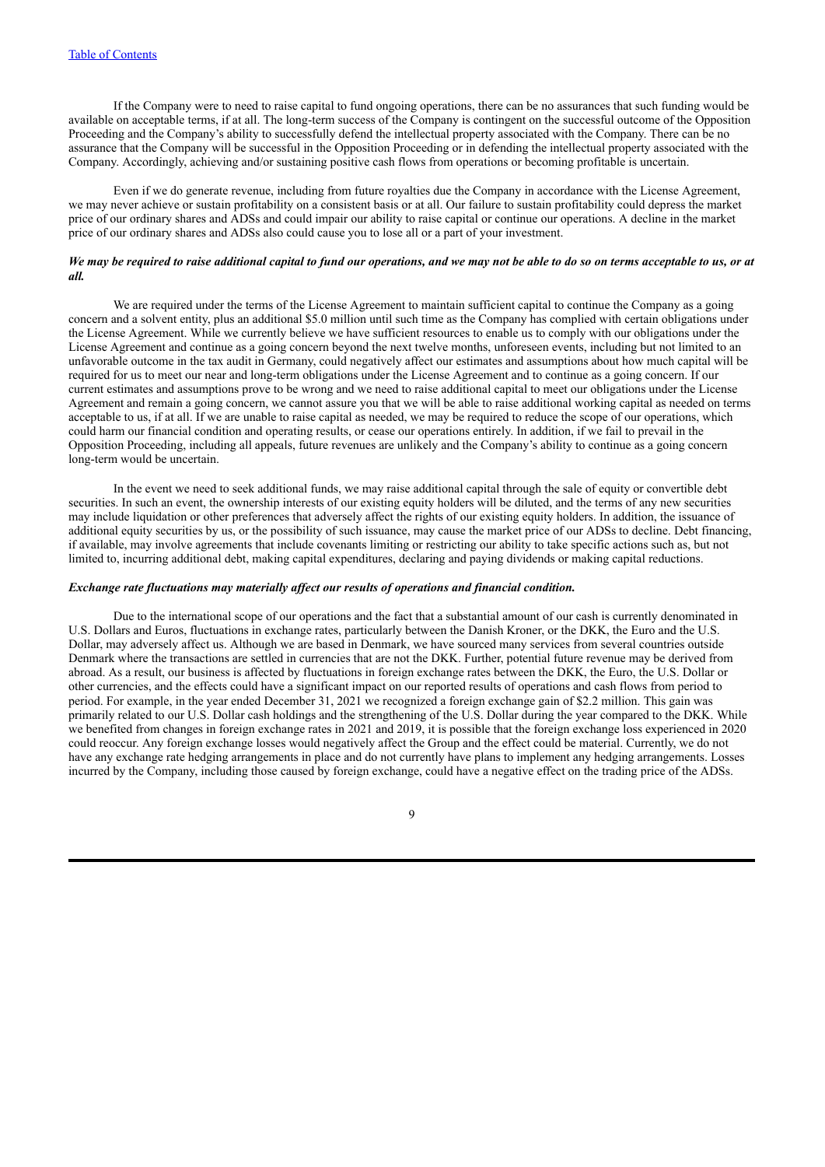If the Company were to need to raise capital to fund ongoing operations, there can be no assurances that such funding would be available on acceptable terms, if at all. The long-term success of the Company is contingent on the successful outcome of the Opposition Proceeding and the Company's ability to successfully defend the intellectual property associated with the Company. There can be no assurance that the Company will be successful in the Opposition Proceeding or in defending the intellectual property associated with the Company. Accordingly, achieving and/or sustaining positive cash flows from operations or becoming profitable is uncertain.

Even if we do generate revenue, including from future royalties due the Company in accordance with the License Agreement, we may never achieve or sustain profitability on a consistent basis or at all. Our failure to sustain profitability could depress the market price of our ordinary shares and ADSs and could impair our ability to raise capital or continue our operations. A decline in the market price of our ordinary shares and ADSs also could cause you to lose all or a part of your investment.

## We may be required to raise additional capital to fund our operations, and we may not be able to do so on terms acceptable to us, or at *all.*

We are required under the terms of the License Agreement to maintain sufficient capital to continue the Company as a going concern and a solvent entity, plus an additional \$5.0 million until such time as the Company has complied with certain obligations under the License Agreement. While we currently believe we have sufficient resources to enable us to comply with our obligations under the License Agreement and continue as a going concern beyond the next twelve months, unforeseen events, including but not limited to an unfavorable outcome in the tax audit in Germany, could negatively affect our estimates and assumptions about how much capital will be required for us to meet our near and long-term obligations under the License Agreement and to continue as a going concern. If our current estimates and assumptions prove to be wrong and we need to raise additional capital to meet our obligations under the License Agreement and remain a going concern, we cannot assure you that we will be able to raise additional working capital as needed on terms acceptable to us, if at all. If we are unable to raise capital as needed, we may be required to reduce the scope of our operations, which could harm our financial condition and operating results, or cease our operations entirely. In addition, if we fail to prevail in the Opposition Proceeding, including all appeals, future revenues are unlikely and the Company's ability to continue as a going concern long-term would be uncertain.

In the event we need to seek additional funds, we may raise additional capital through the sale of equity or convertible debt securities. In such an event, the ownership interests of our existing equity holders will be diluted, and the terms of any new securities may include liquidation or other preferences that adversely affect the rights of our existing equity holders. In addition, the issuance of additional equity securities by us, or the possibility of such issuance, may cause the market price of our ADSs to decline. Debt financing, if available, may involve agreements that include covenants limiting or restricting our ability to take specific actions such as, but not limited to, incurring additional debt, making capital expenditures, declaring and paying dividends or making capital reductions.

#### *Exchange rate fluctuations may materially af ect our results of operations and financial condition.*

Due to the international scope of our operations and the fact that a substantial amount of our cash is currently denominated in U.S. Dollars and Euros, fluctuations in exchange rates, particularly between the Danish Kroner, or the DKK, the Euro and the U.S. Dollar, may adversely affect us. Although we are based in Denmark, we have sourced many services from several countries outside Denmark where the transactions are settled in currencies that are not the DKK. Further, potential future revenue may be derived from abroad. As a result, our business is affected by fluctuations in foreign exchange rates between the DKK, the Euro, the U.S. Dollar or other currencies, and the effects could have a significant impact on our reported results of operations and cash flows from period to period. For example, in the year ended December 31, 2021 we recognized a foreign exchange gain of \$2.2 million. This gain was primarily related to our U.S. Dollar cash holdings and the strengthening of the U.S. Dollar during the year compared to the DKK. While we benefited from changes in foreign exchange rates in 2021 and 2019, it is possible that the foreign exchange loss experienced in 2020 could reoccur. Any foreign exchange losses would negatively affect the Group and the effect could be material. Currently, we do not have any exchange rate hedging arrangements in place and do not currently have plans to implement any hedging arrangements. Losses incurred by the Company, including those caused by foreign exchange, could have a negative effect on the trading price of the ADSs.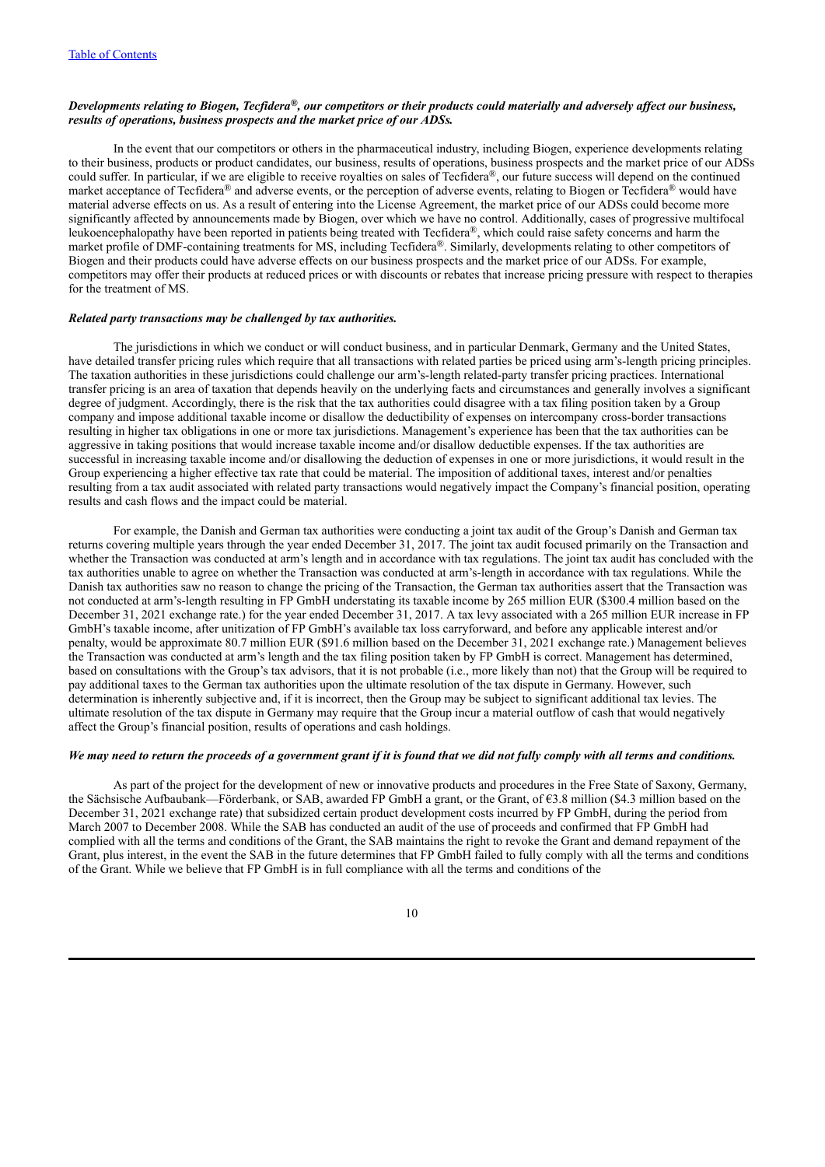# Developments relating to Biogen, Tecfidera®, our competitors or their products could materially and adversely affect our business, *results of operations, business prospects and the market price of our ADSs.*

In the event that our competitors or others in the pharmaceutical industry, including Biogen, experience developments relating to their business, products or product candidates, our business, results of operations, business prospects and the market price of our ADSs could suffer. In particular, if we are eligible to receive royalties on sales of Tecfidera®, our future success will depend on the continued market acceptance of Tecfidera® and adverse events, or the perception of adverse events, relating to Biogen or Tecfidera® would have material adverse effects on us. As a result of entering into the License Agreement, the market price of our ADSs could become more significantly affected by announcements made by Biogen, over which we have no control. Additionally, cases of progressive multifocal leukoencephalopathy have been reported in patients being treated with Tecfidera®, which could raise safety concerns and harm the market profile of DMF-containing treatments for MS, including Tecfidera®. Similarly, developments relating to other competitors of Biogen and their products could have adverse effects on our business prospects and the market price of our ADSs. For example, competitors may offer their products at reduced prices or with discounts or rebates that increase pricing pressure with respect to therapies for the treatment of MS.

#### *Related party transactions may be challenged by tax authorities.*

The jurisdictions in which we conduct or will conduct business, and in particular Denmark, Germany and the United States, have detailed transfer pricing rules which require that all transactions with related parties be priced using arm's-length pricing principles. The taxation authorities in these jurisdictions could challenge our arm's-length related-party transfer pricing practices. International transfer pricing is an area of taxation that depends heavily on the underlying facts and circumstances and generally involves a significant degree of judgment. Accordingly, there is the risk that the tax authorities could disagree with a tax filing position taken by a Group company and impose additional taxable income or disallow the deductibility of expenses on intercompany cross-border transactions resulting in higher tax obligations in one or more tax jurisdictions. Management's experience has been that the tax authorities can be aggressive in taking positions that would increase taxable income and/or disallow deductible expenses. If the tax authorities are successful in increasing taxable income and/or disallowing the deduction of expenses in one or more jurisdictions, it would result in the Group experiencing a higher effective tax rate that could be material. The imposition of additional taxes, interest and/or penalties resulting from a tax audit associated with related party transactions would negatively impact the Company's financial position, operating results and cash flows and the impact could be material.

For example, the Danish and German tax authorities were conducting a joint tax audit of the Group's Danish and German tax returns covering multiple years through the year ended December 31, 2017. The joint tax audit focused primarily on the Transaction and whether the Transaction was conducted at arm's length and in accordance with tax regulations. The joint tax audit has concluded with the tax authorities unable to agree on whether the Transaction was conducted at arm's-length in accordance with tax regulations. While the Danish tax authorities saw no reason to change the pricing of the Transaction, the German tax authorities assert that the Transaction was not conducted at arm's-length resulting in FP GmbH understating its taxable income by 265 million EUR (\$300.4 million based on the December 31, 2021 exchange rate.) for the year ended December 31, 2017. A tax levy associated with a 265 million EUR increase in FP GmbH's taxable income, after unitization of FP GmbH's available tax loss carryforward, and before any applicable interest and/or penalty, would be approximate 80.7 million EUR (\$91.6 million based on the December 31, 2021 exchange rate.) Management believes the Transaction was conducted at arm's length and the tax filing position taken by FP GmbH is correct. Management has determined, based on consultations with the Group's tax advisors, that it is not probable (i.e., more likely than not) that the Group will be required to pay additional taxes to the German tax authorities upon the ultimate resolution of the tax dispute in Germany. However, such determination is inherently subjective and, if it is incorrect, then the Group may be subject to significant additional tax levies. The ultimate resolution of the tax dispute in Germany may require that the Group incur a material outflow of cash that would negatively affect the Group's financial position, results of operations and cash holdings.

# We may need to return the proceeds of a government grant if it is found that we did not fully comply with all terms and conditions.

As part of the project for the development of new or innovative products and procedures in the Free State of Saxony, Germany, the Sächsische Aufbaubank—Förderbank, or SAB, awarded FP GmbH a grant, or the Grant, of €3.8 million (\$4.3 million based on the December 31, 2021 exchange rate) that subsidized certain product development costs incurred by FP GmbH, during the period from March 2007 to December 2008. While the SAB has conducted an audit of the use of proceeds and confirmed that FP GmbH had complied with all the terms and conditions of the Grant, the SAB maintains the right to revoke the Grant and demand repayment of the Grant, plus interest, in the event the SAB in the future determines that FP GmbH failed to fully comply with all the terms and conditions of the Grant. While we believe that FP GmbH is in full compliance with all the terms and conditions of the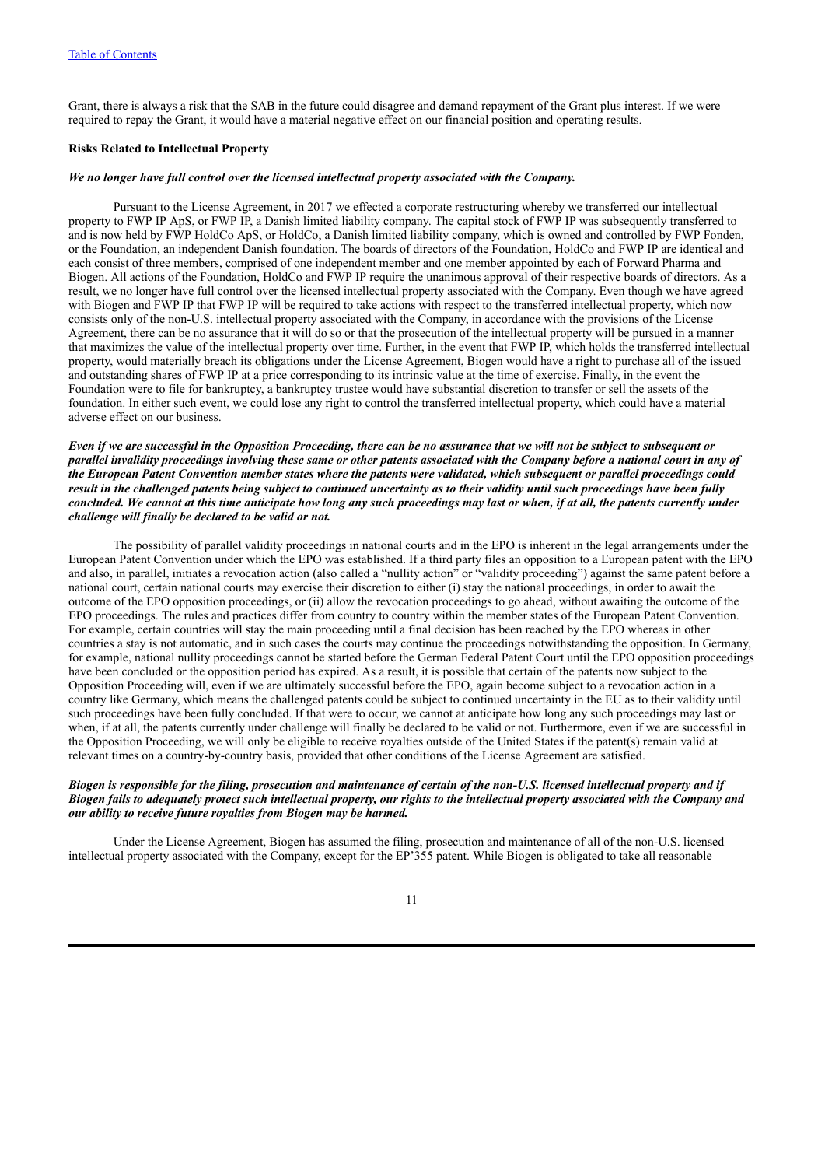Grant, there is always a risk that the SAB in the future could disagree and demand repayment of the Grant plus interest. If we were required to repay the Grant, it would have a material negative effect on our financial position and operating results.

# **Risks Related to Intellectual Property**

#### *We no longer have full control over the licensed intellectual property associated with the Company.*

Pursuant to the License Agreement, in 2017 we effected a corporate restructuring whereby we transferred our intellectual property to FWP IP ApS, or FWP IP, a Danish limited liability company. The capital stock of FWP IP was subsequently transferred to and is now held by FWP HoldCo ApS, or HoldCo, a Danish limited liability company, which is owned and controlled by FWP Fonden, or the Foundation, an independent Danish foundation. The boards of directors of the Foundation, HoldCo and FWP IP are identical and each consist of three members, comprised of one independent member and one member appointed by each of Forward Pharma and Biogen. All actions of the Foundation, HoldCo and FWP IP require the unanimous approval of their respective boards of directors. As a result, we no longer have full control over the licensed intellectual property associated with the Company. Even though we have agreed with Biogen and FWP IP that FWP IP will be required to take actions with respect to the transferred intellectual property, which now consists only of the non-U.S. intellectual property associated with the Company, in accordance with the provisions of the License Agreement, there can be no assurance that it will do so or that the prosecution of the intellectual property will be pursued in a manner that maximizes the value of the intellectual property over time. Further, in the event that FWP IP, which holds the transferred intellectual property, would materially breach its obligations under the License Agreement, Biogen would have a right to purchase all of the issued and outstanding shares of FWP IP at a price corresponding to its intrinsic value at the time of exercise. Finally, in the event the Foundation were to file for bankruptcy, a bankruptcy trustee would have substantial discretion to transfer or sell the assets of the foundation. In either such event, we could lose any right to control the transferred intellectual property, which could have a material adverse effect on our business.

Even if we are successful in the Opposition Proceeding, there can be no assurance that we will not be subject to subsequent or parallel invalidity proceedings involving these same or other patents associated with the Company before a national court in any of the European Patent Convention member states where the patents were validated, which subsequent or parallel proceedings could result in the challenged patents being subject to continued uncertainty as to their validity until such proceedings have been fully concluded. We cannot at this time anticipate how long any such proceedings may last or when, if at all, the patents currently under *challenge will finally be declared to be valid or not.*

The possibility of parallel validity proceedings in national courts and in the EPO is inherent in the legal arrangements under the European Patent Convention under which the EPO was established. If a third party files an opposition to a European patent with the EPO and also, in parallel, initiates a revocation action (also called a "nullity action" or "validity proceeding") against the same patent before a national court, certain national courts may exercise their discretion to either (i) stay the national proceedings, in order to await the outcome of the EPO opposition proceedings, or (ii) allow the revocation proceedings to go ahead, without awaiting the outcome of the EPO proceedings. The rules and practices differ from country to country within the member states of the European Patent Convention. For example, certain countries will stay the main proceeding until a final decision has been reached by the EPO whereas in other countries a stay is not automatic, and in such cases the courts may continue the proceedings notwithstanding the opposition. In Germany, for example, national nullity proceedings cannot be started before the German Federal Patent Court until the EPO opposition proceedings have been concluded or the opposition period has expired. As a result, it is possible that certain of the patents now subject to the Opposition Proceeding will, even if we are ultimately successful before the EPO, again become subject to a revocation action in a country like Germany, which means the challenged patents could be subject to continued uncertainty in the EU as to their validity until such proceedings have been fully concluded. If that were to occur, we cannot at anticipate how long any such proceedings may last or when, if at all, the patents currently under challenge will finally be declared to be valid or not. Furthermore, even if we are successful in the Opposition Proceeding, we will only be eligible to receive royalties outside of the United States if the patent(s) remain valid at relevant times on a country-by-country basis, provided that other conditions of the License Agreement are satisfied.

### Biogen is responsible for the filing, prosecution and maintenance of certain of the non-U.S. licensed intellectual property and if Biogen fails to adequately protect such intellectual property, our rights to the intellectual property associated with the Company and *our ability to receive future royalties from Biogen may be harmed.*

Under the License Agreement, Biogen has assumed the filing, prosecution and maintenance of all of the non-U.S. licensed intellectual property associated with the Company, except for the EP'355 patent. While Biogen is obligated to take all reasonable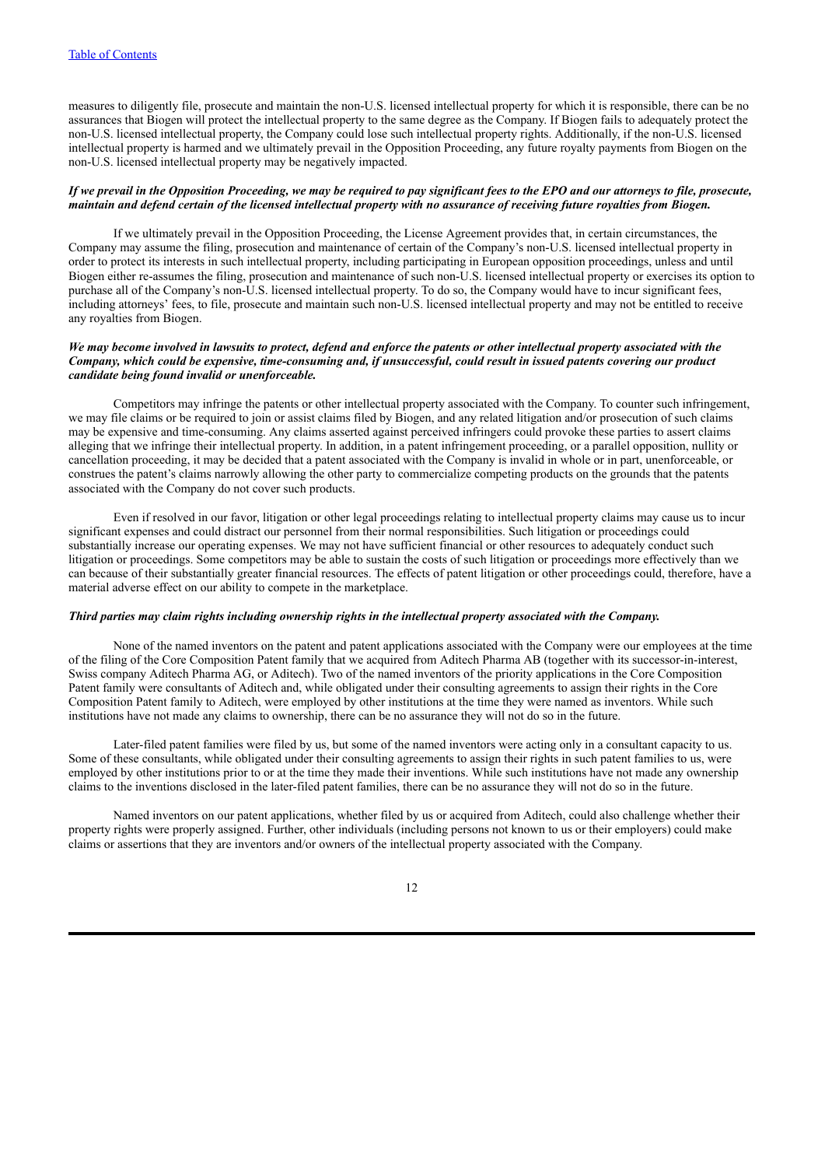measures to diligently file, prosecute and maintain the non-U.S. licensed intellectual property for which it is responsible, there can be no assurances that Biogen will protect the intellectual property to the same degree as the Company. If Biogen fails to adequately protect the non-U.S. licensed intellectual property, the Company could lose such intellectual property rights. Additionally, if the non-U.S. licensed intellectual property is harmed and we ultimately prevail in the Opposition Proceeding, any future royalty payments from Biogen on the non-U.S. licensed intellectual property may be negatively impacted.

## If we prevail in the Opposition Proceeding, we may be required to pay significant fees to the EPO and our attorneys to file, prosecute, maintain and defend certain of the licensed intellectual property with no assurance of receiving future royalties from Biogen.

If we ultimately prevail in the Opposition Proceeding, the License Agreement provides that, in certain circumstances, the Company may assume the filing, prosecution and maintenance of certain of the Company's non-U.S. licensed intellectual property in order to protect its interests in such intellectual property, including participating in European opposition proceedings, unless and until Biogen either re-assumes the filing, prosecution and maintenance of such non-U.S. licensed intellectual property or exercises its option to purchase all of the Company's non-U.S. licensed intellectual property. To do so, the Company would have to incur significant fees, including attorneys' fees, to file, prosecute and maintain such non-U.S. licensed intellectual property and may not be entitled to receive any royalties from Biogen.

### We may become involved in lawsuits to protect, defend and enforce the patents or other intellectual property associated with the Company, which could be expensive, time-consuming and, if unsuccessful, could result in issued patents covering our product *candidate being found invalid or unenforceable.*

Competitors may infringe the patents or other intellectual property associated with the Company. To counter such infringement, we may file claims or be required to join or assist claims filed by Biogen, and any related litigation and/or prosecution of such claims may be expensive and time-consuming. Any claims asserted against perceived infringers could provoke these parties to assert claims alleging that we infringe their intellectual property. In addition, in a patent infringement proceeding, or a parallel opposition, nullity or cancellation proceeding, it may be decided that a patent associated with the Company is invalid in whole or in part, unenforceable, or construes the patent's claims narrowly allowing the other party to commercialize competing products on the grounds that the patents associated with the Company do not cover such products.

Even if resolved in our favor, litigation or other legal proceedings relating to intellectual property claims may cause us to incur significant expenses and could distract our personnel from their normal responsibilities. Such litigation or proceedings could substantially increase our operating expenses. We may not have sufficient financial or other resources to adequately conduct such litigation or proceedings. Some competitors may be able to sustain the costs of such litigation or proceedings more effectively than we can because of their substantially greater financial resources. The effects of patent litigation or other proceedings could, therefore, have a material adverse effect on our ability to compete in the marketplace.

#### Third parties may claim rights including ownership rights in the intellectual property associated with the Company.

None of the named inventors on the patent and patent applications associated with the Company were our employees at the time of the filing of the Core Composition Patent family that we acquired from Aditech Pharma AB (together with its successor-in-interest, Swiss company Aditech Pharma AG, or Aditech). Two of the named inventors of the priority applications in the Core Composition Patent family were consultants of Aditech and, while obligated under their consulting agreements to assign their rights in the Core Composition Patent family to Aditech, were employed by other institutions at the time they were named as inventors. While such institutions have not made any claims to ownership, there can be no assurance they will not do so in the future.

Later-filed patent families were filed by us, but some of the named inventors were acting only in a consultant capacity to us. Some of these consultants, while obligated under their consulting agreements to assign their rights in such patent families to us, were employed by other institutions prior to or at the time they made their inventions. While such institutions have not made any ownership claims to the inventions disclosed in the later-filed patent families, there can be no assurance they will not do so in the future.

Named inventors on our patent applications, whether filed by us or acquired from Aditech, could also challenge whether their property rights were properly assigned. Further, other individuals (including persons not known to us or their employers) could make claims or assertions that they are inventors and/or owners of the intellectual property associated with the Company.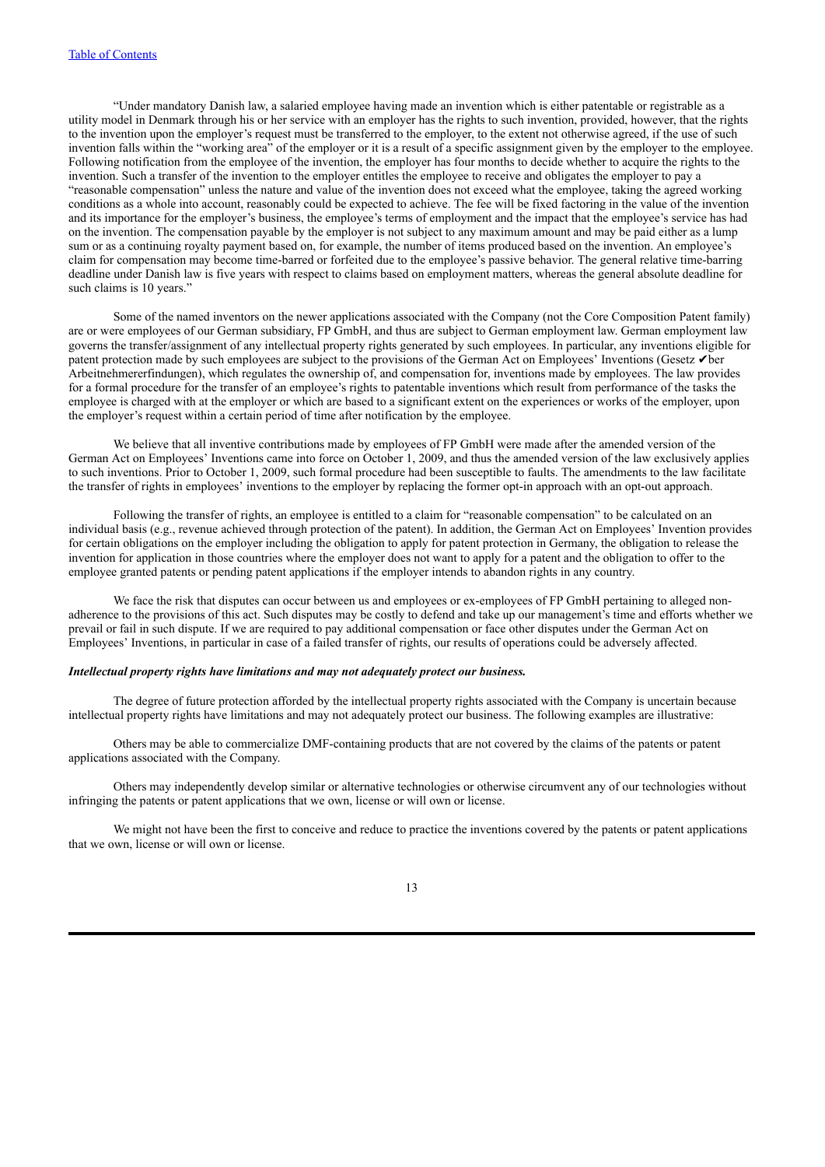"Under mandatory Danish law, a salaried employee having made an invention which is either patentable or registrable as a utility model in Denmark through his or her service with an employer has the rights to such invention, provided, however, that the rights to the invention upon the employer's request must be transferred to the employer, to the extent not otherwise agreed, if the use of such invention falls within the "working area" of the employer or it is a result of a specific assignment given by the employer to the employee. Following notification from the employee of the invention, the employer has four months to decide whether to acquire the rights to the invention. Such a transfer of the invention to the employer entitles the employee to receive and obligates the employer to pay a "reasonable compensation" unless the nature and value of the invention does not exceed what the employee, taking the agreed working conditions as a whole into account, reasonably could be expected to achieve. The fee will be fixed factoring in the value of the invention and its importance for the employer's business, the employee's terms of employment and the impact that the employee's service has had on the invention. The compensation payable by the employer is not subject to any maximum amount and may be paid either as a lump sum or as a continuing royalty payment based on, for example, the number of items produced based on the invention. An employee's claim for compensation may become time-barred or forfeited due to the employee's passive behavior. The general relative time-barring deadline under Danish law is five years with respect to claims based on employment matters, whereas the general absolute deadline for such claims is 10 years."

Some of the named inventors on the newer applications associated with the Company (not the Core Composition Patent family) are or were employees of our German subsidiary, FP GmbH, and thus are subject to German employment law. German employment law governs the transfer/assignment of any intellectual property rights generated by such employees. In particular, any inventions eligible for patent protection made by such employees are subject to the provisions of the German Act on Employees' Inventions (Gesetz ✔ber Arbeitnehmererfindungen), which regulates the ownership of, and compensation for, inventions made by employees. The law provides for a formal procedure for the transfer of an employee's rights to patentable inventions which result from performance of the tasks the employee is charged with at the employer or which are based to a significant extent on the experiences or works of the employer, upon the employer's request within a certain period of time after notification by the employee.

We believe that all inventive contributions made by employees of FP GmbH were made after the amended version of the German Act on Employees' Inventions came into force on October 1, 2009, and thus the amended version of the law exclusively applies to such inventions. Prior to October 1, 2009, such formal procedure had been susceptible to faults. The amendments to the law facilitate the transfer of rights in employees' inventions to the employer by replacing the former opt-in approach with an opt-out approach.

Following the transfer of rights, an employee is entitled to a claim for "reasonable compensation" to be calculated on an individual basis (e.g., revenue achieved through protection of the patent). In addition, the German Act on Employees' Invention provides for certain obligations on the employer including the obligation to apply for patent protection in Germany, the obligation to release the invention for application in those countries where the employer does not want to apply for a patent and the obligation to offer to the employee granted patents or pending patent applications if the employer intends to abandon rights in any country.

We face the risk that disputes can occur between us and employees or ex-employees of FP GmbH pertaining to alleged nonadherence to the provisions of this act. Such disputes may be costly to defend and take up our management's time and efforts whether we prevail or fail in such dispute. If we are required to pay additional compensation or face other disputes under the German Act on Employees' Inventions, in particular in case of a failed transfer of rights, our results of operations could be adversely affected.

#### *Intellectual property rights have limitations and may not adequately protect our business.*

The degree of future protection afforded by the intellectual property rights associated with the Company is uncertain because intellectual property rights have limitations and may not adequately protect our business. The following examples are illustrative:

Others may be able to commercialize DMF-containing products that are not covered by the claims of the patents or patent applications associated with the Company.

Others may independently develop similar or alternative technologies or otherwise circumvent any of our technologies without infringing the patents or patent applications that we own, license or will own or license.

We might not have been the first to conceive and reduce to practice the inventions covered by the patents or patent applications that we own, license or will own or license.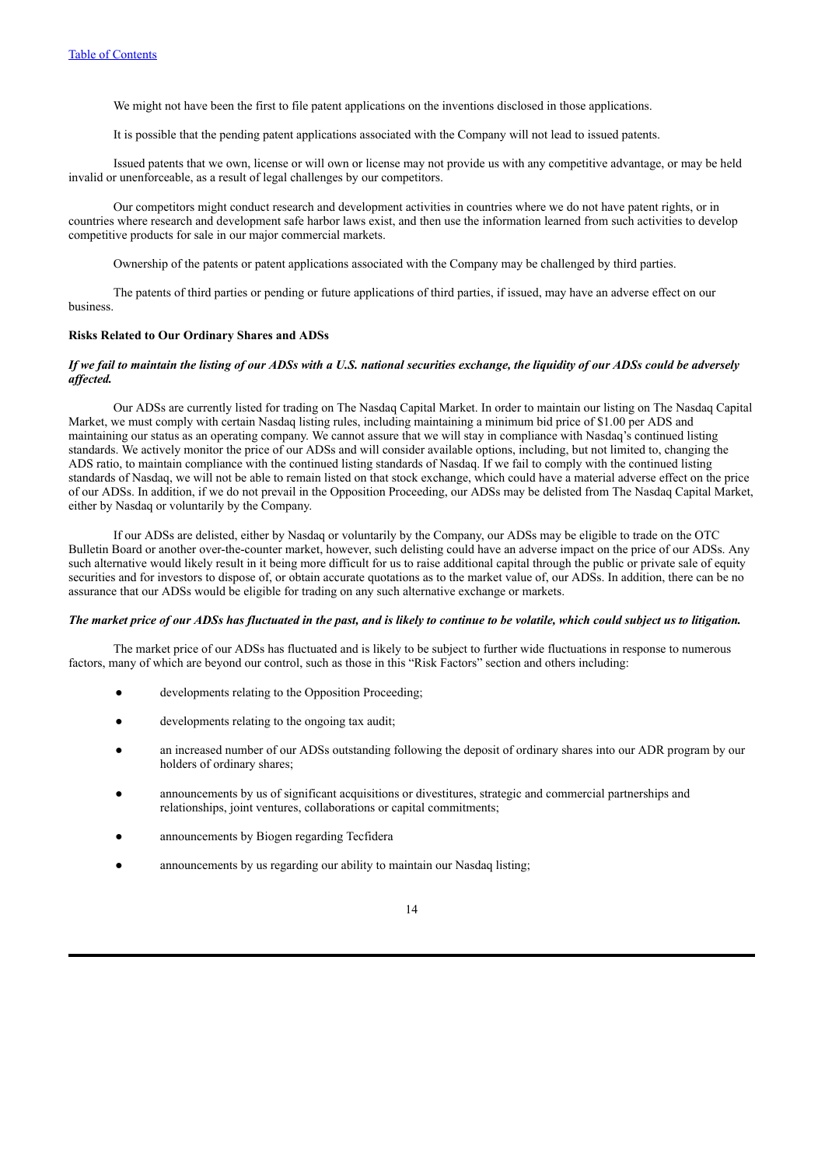We might not have been the first to file patent applications on the inventions disclosed in those applications.

It is possible that the pending patent applications associated with the Company will not lead to issued patents.

Issued patents that we own, license or will own or license may not provide us with any competitive advantage, or may be held invalid or unenforceable, as a result of legal challenges by our competitors.

Our competitors might conduct research and development activities in countries where we do not have patent rights, or in countries where research and development safe harbor laws exist, and then use the information learned from such activities to develop competitive products for sale in our major commercial markets.

Ownership of the patents or patent applications associated with the Company may be challenged by third parties.

The patents of third parties or pending or future applications of third parties, if issued, may have an adverse effect on our business.

## **Risks Related to Our Ordinary Shares and ADSs**

## If we fail to maintain the listing of our ADSs with a U.S. national securities exchange, the liquidity of our ADSs could be adversely *af ected.*

Our ADSs are currently listed for trading on The Nasdaq Capital Market. In order to maintain our listing on The Nasdaq Capital Market, we must comply with certain Nasdaq listing rules, including maintaining a minimum bid price of \$1.00 per ADS and maintaining our status as an operating company. We cannot assure that we will stay in compliance with Nasdaq's continued listing standards. We actively monitor the price of our ADSs and will consider available options, including, but not limited to, changing the ADS ratio, to maintain compliance with the continued listing standards of Nasdaq. If we fail to comply with the continued listing standards of Nasdaq, we will not be able to remain listed on that stock exchange, which could have a material adverse effect on the price of our ADSs. In addition, if we do not prevail in the Opposition Proceeding, our ADSs may be delisted from The Nasdaq Capital Market, either by Nasdaq or voluntarily by the Company.

If our ADSs are delisted, either by Nasdaq or voluntarily by the Company, our ADSs may be eligible to trade on the OTC Bulletin Board or another over-the-counter market, however, such delisting could have an adverse impact on the price of our ADSs. Any such alternative would likely result in it being more difficult for us to raise additional capital through the public or private sale of equity securities and for investors to dispose of, or obtain accurate quotations as to the market value of, our ADSs. In addition, there can be no assurance that our ADSs would be eligible for trading on any such alternative exchange or markets.

#### The market price of our ADSs has fluctuated in the past, and is likely to continue to be volatile, which could subject us to litigation.

The market price of our ADSs has fluctuated and is likely to be subject to further wide fluctuations in response to numerous factors, many of which are beyond our control, such as those in this "Risk Factors" section and others including:

- developments relating to the Opposition Proceeding;
- developments relating to the ongoing tax audit;
- an increased number of our ADSs outstanding following the deposit of ordinary shares into our ADR program by our holders of ordinary shares;
- announcements by us of significant acquisitions or divestitures, strategic and commercial partnerships and relationships, joint ventures, collaborations or capital commitments;
- announcements by Biogen regarding Tecfidera
- announcements by us regarding our ability to maintain our Nasdaq listing;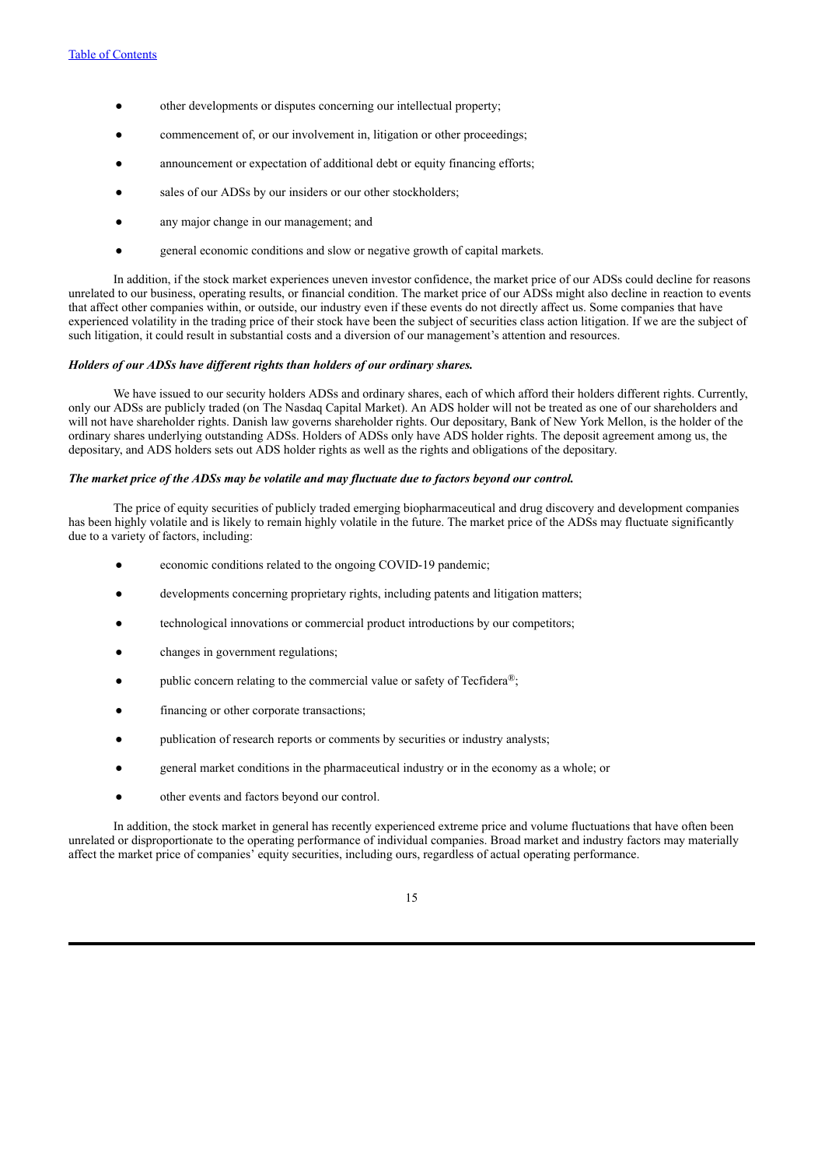- other developments or disputes concerning our intellectual property;
- commencement of, or our involvement in, litigation or other proceedings;
- announcement or expectation of additional debt or equity financing efforts;
- sales of our ADSs by our insiders or our other stockholders;
- any major change in our management; and
- general economic conditions and slow or negative growth of capital markets.

In addition, if the stock market experiences uneven investor confidence, the market price of our ADSs could decline for reasons unrelated to our business, operating results, or financial condition. The market price of our ADSs might also decline in reaction to events that affect other companies within, or outside, our industry even if these events do not directly affect us. Some companies that have experienced volatility in the trading price of their stock have been the subject of securities class action litigation. If we are the subject of such litigation, it could result in substantial costs and a diversion of our management's attention and resources.

#### *Holders of our ADSs have dif erent rights than holders of our ordinary shares.*

We have issued to our security holders ADSs and ordinary shares, each of which afford their holders different rights. Currently, only our ADSs are publicly traded (on The Nasdaq Capital Market). An ADS holder will not be treated as one of our shareholders and will not have shareholder rights. Danish law governs shareholder rights. Our depositary, Bank of New York Mellon, is the holder of the ordinary shares underlying outstanding ADSs. Holders of ADSs only have ADS holder rights. The deposit agreement among us, the depositary, and ADS holders sets out ADS holder rights as well as the rights and obligations of the depositary.

#### *The market price of the ADSs may be volatile and may fluctuate due to factors beyond our control.*

The price of equity securities of publicly traded emerging biopharmaceutical and drug discovery and development companies has been highly volatile and is likely to remain highly volatile in the future. The market price of the ADSs may fluctuate significantly due to a variety of factors, including:

- economic conditions related to the ongoing COVID-19 pandemic;
- developments concerning proprietary rights, including patents and litigation matters;
- technological innovations or commercial product introductions by our competitors;
- changes in government regulations;
- public concern relating to the commercial value or safety of Tecfidera<sup>®</sup>;
- financing or other corporate transactions;
- publication of research reports or comments by securities or industry analysts;
- general market conditions in the pharmaceutical industry or in the economy as a whole; or
- other events and factors beyond our control.

In addition, the stock market in general has recently experienced extreme price and volume fluctuations that have often been unrelated or disproportionate to the operating performance of individual companies. Broad market and industry factors may materially affect the market price of companies' equity securities, including ours, regardless of actual operating performance.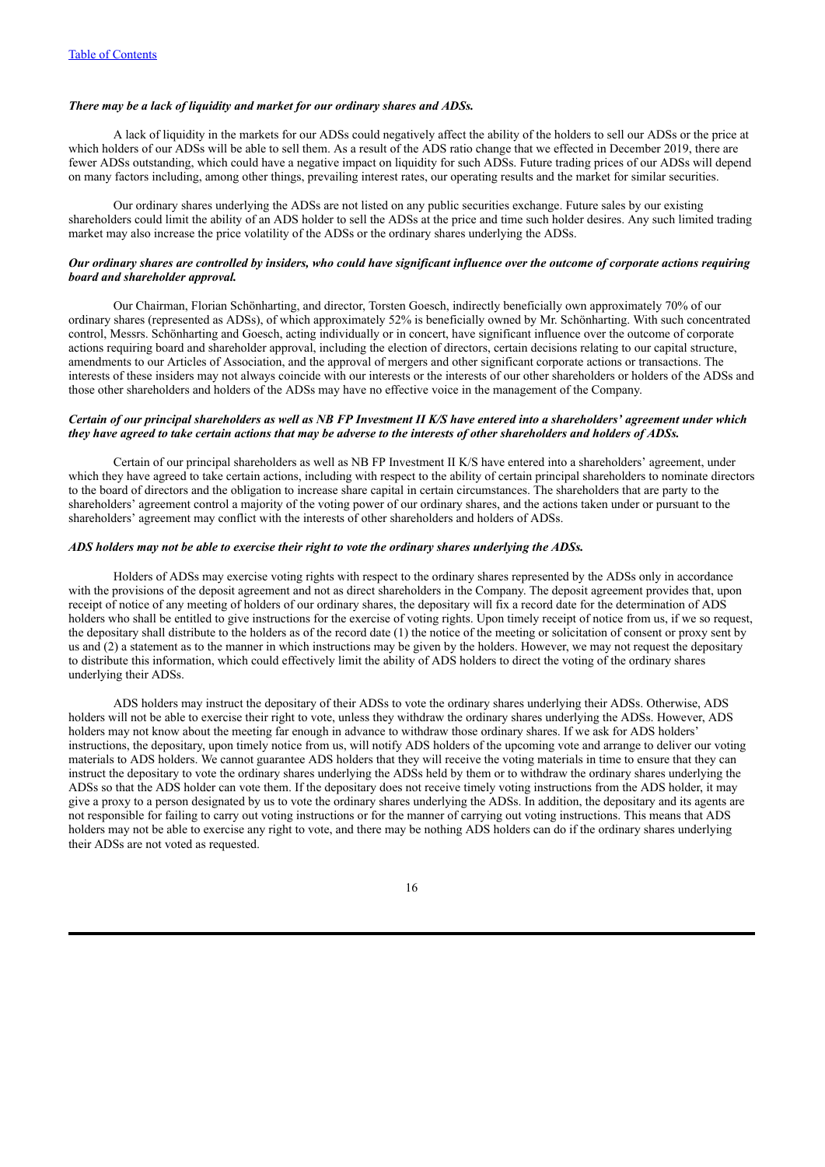# *There may be a lack of liquidity and market for our ordinary shares and ADSs.*

A lack of liquidity in the markets for our ADSs could negatively affect the ability of the holders to sell our ADSs or the price at which holders of our ADSs will be able to sell them. As a result of the ADS ratio change that we effected in December 2019, there are fewer ADSs outstanding, which could have a negative impact on liquidity for such ADSs. Future trading prices of our ADSs will depend on many factors including, among other things, prevailing interest rates, our operating results and the market for similar securities.

Our ordinary shares underlying the ADSs are not listed on any public securities exchange. Future sales by our existing shareholders could limit the ability of an ADS holder to sell the ADSs at the price and time such holder desires. Any such limited trading market may also increase the price volatility of the ADSs or the ordinary shares underlying the ADSs.

### Our ordinary shares are controlled by insiders, who could have significant influence over the outcome of corporate actions requiring *board and shareholder approval.*

Our Chairman, Florian Schönharting, and director, Torsten Goesch, indirectly beneficially own approximately 70% of our ordinary shares (represented as ADSs), of which approximately 52% is beneficially owned by Mr. Schönharting. With such concentrated control, Messrs. Schönharting and Goesch, acting individually or in concert, have significant influence over the outcome of corporate actions requiring board and shareholder approval, including the election of directors, certain decisions relating to our capital structure, amendments to our Articles of Association, and the approval of mergers and other significant corporate actions or transactions. The interests of these insiders may not always coincide with our interests or the interests of our other shareholders or holders of the ADSs and those other shareholders and holders of the ADSs may have no effective voice in the management of the Company.

## Certain of our principal shareholders as well as NB FP Investment II K/S have entered into a shareholders' agreement under which they have agreed to take certain actions that may be adverse to the interests of other shareholders and holders of ADSs.

Certain of our principal shareholders as well as NB FP Investment II K/S have entered into a shareholders' agreement, under which they have agreed to take certain actions, including with respect to the ability of certain principal shareholders to nominate directors to the board of directors and the obligation to increase share capital in certain circumstances. The shareholders that are party to the shareholders' agreement control a majority of the voting power of our ordinary shares, and the actions taken under or pursuant to the shareholders' agreement may conflict with the interests of other shareholders and holders of ADSs.

#### ADS holders may not be able to exercise their right to vote the ordinary shares underlying the ADSs.

Holders of ADSs may exercise voting rights with respect to the ordinary shares represented by the ADSs only in accordance with the provisions of the deposit agreement and not as direct shareholders in the Company. The deposit agreement provides that, upon receipt of notice of any meeting of holders of our ordinary shares, the depositary will fix a record date for the determination of ADS holders who shall be entitled to give instructions for the exercise of voting rights. Upon timely receipt of notice from us, if we so request, the depositary shall distribute to the holders as of the record date (1) the notice of the meeting or solicitation of consent or proxy sent by us and (2) a statement as to the manner in which instructions may be given by the holders. However, we may not request the depositary to distribute this information, which could effectively limit the ability of ADS holders to direct the voting of the ordinary shares underlying their ADSs.

ADS holders may instruct the depositary of their ADSs to vote the ordinary shares underlying their ADSs. Otherwise, ADS holders will not be able to exercise their right to vote, unless they withdraw the ordinary shares underlying the ADSs. However, ADS holders may not know about the meeting far enough in advance to withdraw those ordinary shares. If we ask for ADS holders' instructions, the depositary, upon timely notice from us, will notify ADS holders of the upcoming vote and arrange to deliver our voting materials to ADS holders. We cannot guarantee ADS holders that they will receive the voting materials in time to ensure that they can instruct the depositary to vote the ordinary shares underlying the ADSs held by them or to withdraw the ordinary shares underlying the ADSs so that the ADS holder can vote them. If the depositary does not receive timely voting instructions from the ADS holder, it may give a proxy to a person designated by us to vote the ordinary shares underlying the ADSs. In addition, the depositary and its agents are not responsible for failing to carry out voting instructions or for the manner of carrying out voting instructions. This means that ADS holders may not be able to exercise any right to vote, and there may be nothing ADS holders can do if the ordinary shares underlying their ADSs are not voted as requested.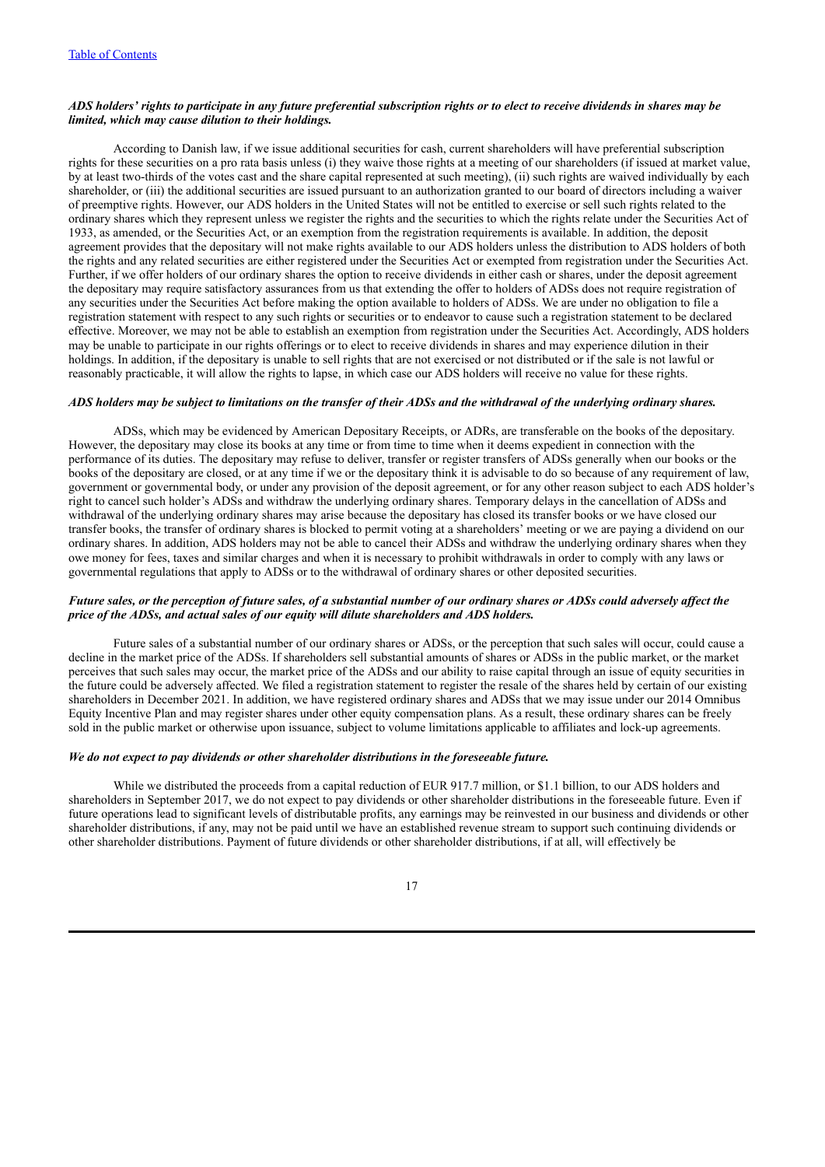## ADS holders' rights to participate in any future preferential subscription rights or to elect to receive dividends in shares may be *limited, which may cause dilution to their holdings.*

According to Danish law, if we issue additional securities for cash, current shareholders will have preferential subscription rights for these securities on a pro rata basis unless (i) they waive those rights at a meeting of our shareholders (if issued at market value, by at least two-thirds of the votes cast and the share capital represented at such meeting), (ii) such rights are waived individually by each shareholder, or (iii) the additional securities are issued pursuant to an authorization granted to our board of directors including a waiver of preemptive rights. However, our ADS holders in the United States will not be entitled to exercise or sell such rights related to the ordinary shares which they represent unless we register the rights and the securities to which the rights relate under the Securities Act of 1933, as amended, or the Securities Act, or an exemption from the registration requirements is available. In addition, the deposit agreement provides that the depositary will not make rights available to our ADS holders unless the distribution to ADS holders of both the rights and any related securities are either registered under the Securities Act or exempted from registration under the Securities Act. Further, if we offer holders of our ordinary shares the option to receive dividends in either cash or shares, under the deposit agreement the depositary may require satisfactory assurances from us that extending the offer to holders of ADSs does not require registration of any securities under the Securities Act before making the option available to holders of ADSs. We are under no obligation to file a registration statement with respect to any such rights or securities or to endeavor to cause such a registration statement to be declared effective. Moreover, we may not be able to establish an exemption from registration under the Securities Act. Accordingly, ADS holders may be unable to participate in our rights offerings or to elect to receive dividends in shares and may experience dilution in their holdings. In addition, if the depositary is unable to sell rights that are not exercised or not distributed or if the sale is not lawful or reasonably practicable, it will allow the rights to lapse, in which case our ADS holders will receive no value for these rights.

# ADS holders may be subject to limitations on the transfer of their ADSs and the withdrawal of the underlying ordinary shares.

ADSs, which may be evidenced by American Depositary Receipts, or ADRs, are transferable on the books of the depositary. However, the depositary may close its books at any time or from time to time when it deems expedient in connection with the performance of its duties. The depositary may refuse to deliver, transfer or register transfers of ADSs generally when our books or the books of the depositary are closed, or at any time if we or the depositary think it is advisable to do so because of any requirement of law, government or governmental body, or under any provision of the deposit agreement, or for any other reason subject to each ADS holder's right to cancel such holder's ADSs and withdraw the underlying ordinary shares. Temporary delays in the cancellation of ADSs and withdrawal of the underlying ordinary shares may arise because the depositary has closed its transfer books or we have closed our transfer books, the transfer of ordinary shares is blocked to permit voting at a shareholders' meeting or we are paying a dividend on our ordinary shares. In addition, ADS holders may not be able to cancel their ADSs and withdraw the underlying ordinary shares when they owe money for fees, taxes and similar charges and when it is necessary to prohibit withdrawals in order to comply with any laws or governmental regulations that apply to ADSs or to the withdrawal of ordinary shares or other deposited securities.

### Future sales, or the perception of future sales, of a substantial number of our ordinary shares or ADSs could adversely affect the *price of the ADSs, and actual sales of our equity will dilute shareholders and ADS holders.*

Future sales of a substantial number of our ordinary shares or ADSs, or the perception that such sales will occur, could cause a decline in the market price of the ADSs. If shareholders sell substantial amounts of shares or ADSs in the public market, or the market perceives that such sales may occur, the market price of the ADSs and our ability to raise capital through an issue of equity securities in the future could be adversely affected. We filed a registration statement to register the resale of the shares held by certain of our existing shareholders in December 2021. In addition, we have registered ordinary shares and ADSs that we may issue under our 2014 Omnibus Equity Incentive Plan and may register shares under other equity compensation plans. As a result, these ordinary shares can be freely sold in the public market or otherwise upon issuance, subject to volume limitations applicable to affiliates and lock-up agreements.

## *We do not expect to pay dividends or other shareholder distributions in the foreseeable future.*

While we distributed the proceeds from a capital reduction of EUR 917.7 million, or \$1.1 billion, to our ADS holders and shareholders in September 2017, we do not expect to pay dividends or other shareholder distributions in the foreseeable future. Even if future operations lead to significant levels of distributable profits, any earnings may be reinvested in our business and dividends or other shareholder distributions, if any, may not be paid until we have an established revenue stream to support such continuing dividends or other shareholder distributions. Payment of future dividends or other shareholder distributions, if at all, will effectively be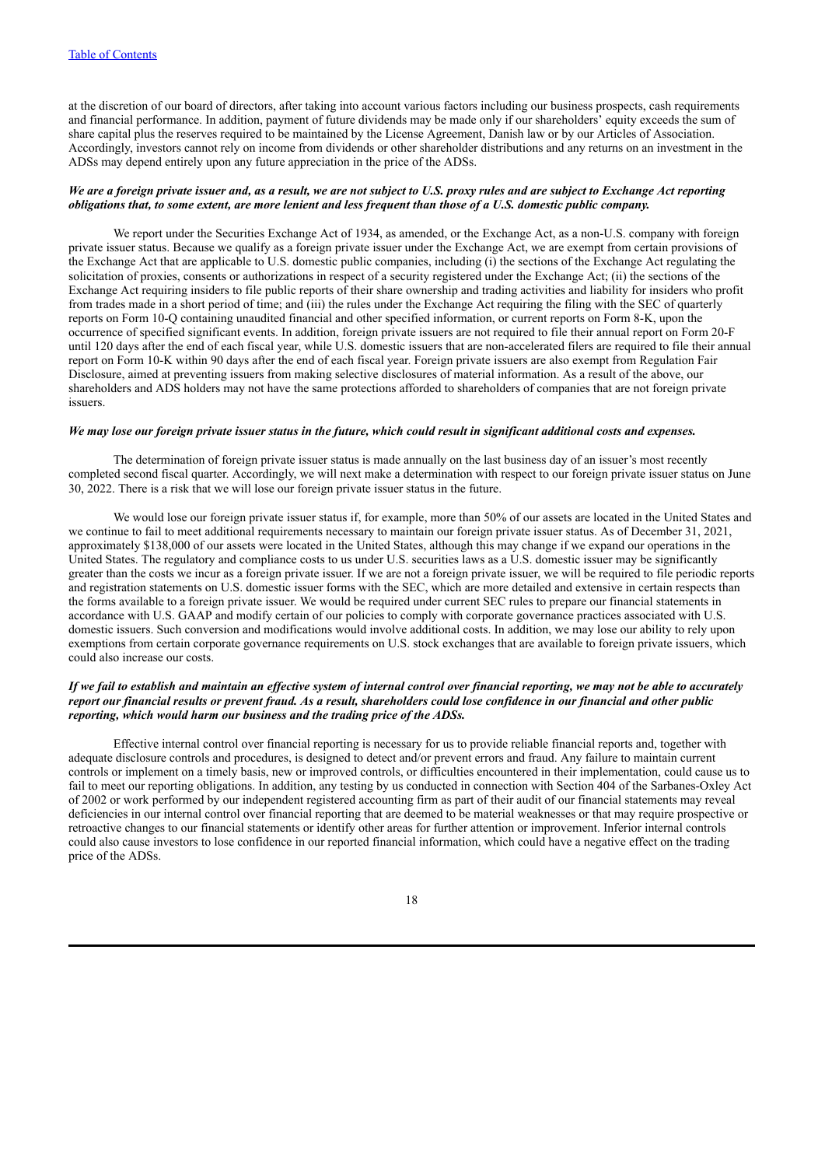at the discretion of our board of directors, after taking into account various factors including our business prospects, cash requirements and financial performance. In addition, payment of future dividends may be made only if our shareholders' equity exceeds the sum of share capital plus the reserves required to be maintained by the License Agreement, Danish law or by our Articles of Association. Accordingly, investors cannot rely on income from dividends or other shareholder distributions and any returns on an investment in the ADSs may depend entirely upon any future appreciation in the price of the ADSs.

#### We are a foreign private issuer and, as a result, we are not subject to U.S. proxy rules and are subject to Exchange Act reporting obligations that, to some extent, are more lenient and less frequent than those of a U.S. domestic public company.

We report under the Securities Exchange Act of 1934, as amended, or the Exchange Act, as a non-U.S. company with foreign private issuer status. Because we qualify as a foreign private issuer under the Exchange Act, we are exempt from certain provisions of the Exchange Act that are applicable to U.S. domestic public companies, including (i) the sections of the Exchange Act regulating the solicitation of proxies, consents or authorizations in respect of a security registered under the Exchange Act; (ii) the sections of the Exchange Act requiring insiders to file public reports of their share ownership and trading activities and liability for insiders who profit from trades made in a short period of time; and (iii) the rules under the Exchange Act requiring the filing with the SEC of quarterly reports on Form 10-Q containing unaudited financial and other specified information, or current reports on Form 8-K, upon the occurrence of specified significant events. In addition, foreign private issuers are not required to file their annual report on Form 20-F until 120 days after the end of each fiscal year, while U.S. domestic issuers that are non-accelerated filers are required to file their annual report on Form 10-K within 90 days after the end of each fiscal year. Foreign private issuers are also exempt from Regulation Fair Disclosure, aimed at preventing issuers from making selective disclosures of material information. As a result of the above, our shareholders and ADS holders may not have the same protections afforded to shareholders of companies that are not foreign private **issuers** 

#### We may lose our foreign private issuer status in the future, which could result in significant additional costs and expenses.

The determination of foreign private issuer status is made annually on the last business day of an issuer's most recently completed second fiscal quarter. Accordingly, we will next make a determination with respect to our foreign private issuer status on June 30, 2022. There is a risk that we will lose our foreign private issuer status in the future.

We would lose our foreign private issuer status if, for example, more than 50% of our assets are located in the United States and we continue to fail to meet additional requirements necessary to maintain our foreign private issuer status. As of December 31, 2021, approximately \$138,000 of our assets were located in the United States, although this may change if we expand our operations in the United States. The regulatory and compliance costs to us under U.S. securities laws as a U.S. domestic issuer may be significantly greater than the costs we incur as a foreign private issuer. If we are not a foreign private issuer, we will be required to file periodic reports and registration statements on U.S. domestic issuer forms with the SEC, which are more detailed and extensive in certain respects than the forms available to a foreign private issuer. We would be required under current SEC rules to prepare our financial statements in accordance with U.S. GAAP and modify certain of our policies to comply with corporate governance practices associated with U.S. domestic issuers. Such conversion and modifications would involve additional costs. In addition, we may lose our ability to rely upon exemptions from certain corporate governance requirements on U.S. stock exchanges that are available to foreign private issuers, which could also increase our costs.

#### If we fail to establish and maintain an effective system of internal control over financial reporting, we may not be able to accurately report our financial results or prevent fraud. As a result, shareholders could lose confidence in our financial and other public *reporting, which would harm our business and the trading price of the ADSs.*

Effective internal control over financial reporting is necessary for us to provide reliable financial reports and, together with adequate disclosure controls and procedures, is designed to detect and/or prevent errors and fraud. Any failure to maintain current controls or implement on a timely basis, new or improved controls, or difficulties encountered in their implementation, could cause us to fail to meet our reporting obligations. In addition, any testing by us conducted in connection with Section 404 of the Sarbanes-Oxley Act of 2002 or work performed by our independent registered accounting firm as part of their audit of our financial statements may reveal deficiencies in our internal control over financial reporting that are deemed to be material weaknesses or that may require prospective or retroactive changes to our financial statements or identify other areas for further attention or improvement. Inferior internal controls could also cause investors to lose confidence in our reported financial information, which could have a negative effect on the trading price of the ADSs.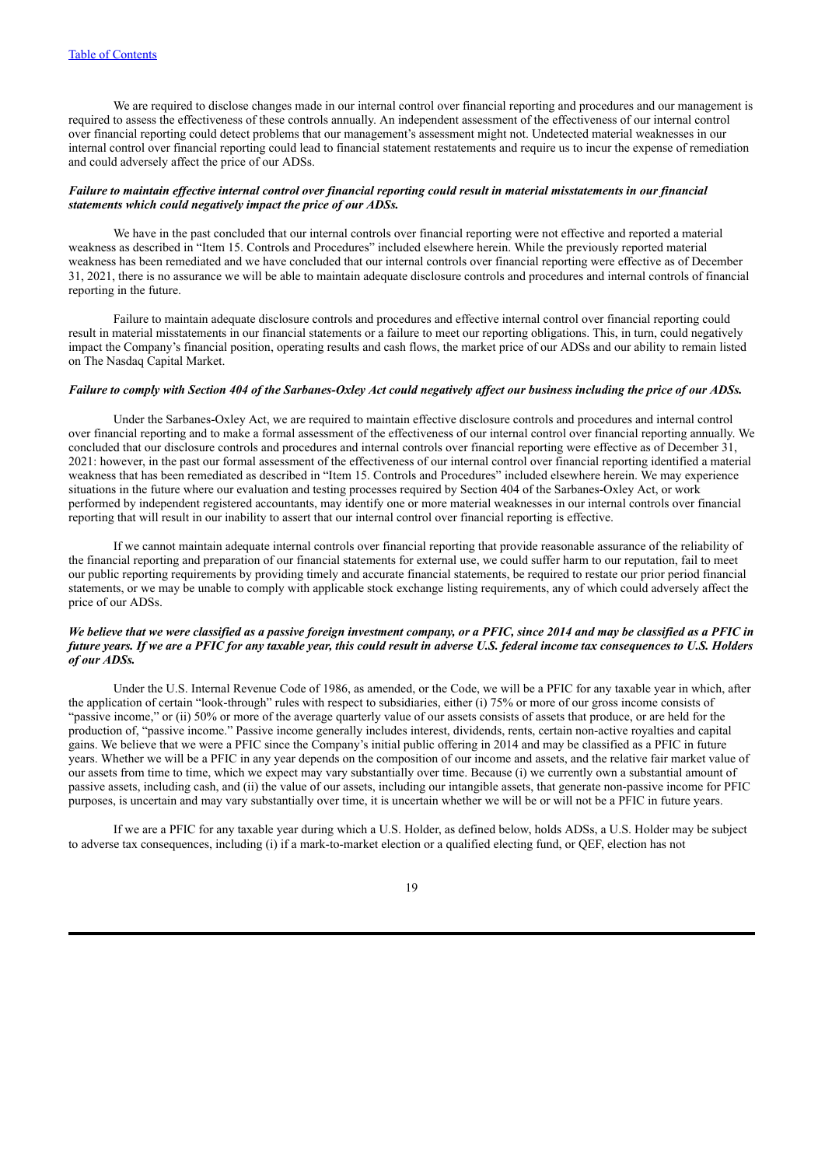We are required to disclose changes made in our internal control over financial reporting and procedures and our management is required to assess the effectiveness of these controls annually. An independent assessment of the effectiveness of our internal control over financial reporting could detect problems that our management's assessment might not. Undetected material weaknesses in our internal control over financial reporting could lead to financial statement restatements and require us to incur the expense of remediation and could adversely affect the price of our ADSs.

#### Failure to maintain effective internal control over financial reporting could result in material misstatements in our financial *statements which could negatively impact the price of our ADSs.*

We have in the past concluded that our internal controls over financial reporting were not effective and reported a material weakness as described in "Item 15. Controls and Procedures" included elsewhere herein. While the previously reported material weakness has been remediated and we have concluded that our internal controls over financial reporting were effective as of December 31, 2021, there is no assurance we will be able to maintain adequate disclosure controls and procedures and internal controls of financial reporting in the future.

Failure to maintain adequate disclosure controls and procedures and effective internal control over financial reporting could result in material misstatements in our financial statements or a failure to meet our reporting obligations. This, in turn, could negatively impact the Company's financial position, operating results and cash flows, the market price of our ADSs and our ability to remain listed on The Nasdaq Capital Market.

#### Failure to comply with Section 404 of the Sarbanes-Oxley Act could negatively affect our business including the price of our ADSs.

Under the Sarbanes-Oxley Act, we are required to maintain effective disclosure controls and procedures and internal control over financial reporting and to make a formal assessment of the effectiveness of our internal control over financial reporting annually. We concluded that our disclosure controls and procedures and internal controls over financial reporting were effective as of December 31, 2021: however, in the past our formal assessment of the effectiveness of our internal control over financial reporting identified a material weakness that has been remediated as described in "Item 15. Controls and Procedures" included elsewhere herein. We may experience situations in the future where our evaluation and testing processes required by Section 404 of the Sarbanes-Oxley Act, or work performed by independent registered accountants, may identify one or more material weaknesses in our internal controls over financial reporting that will result in our inability to assert that our internal control over financial reporting is effective.

If we cannot maintain adequate internal controls over financial reporting that provide reasonable assurance of the reliability of the financial reporting and preparation of our financial statements for external use, we could suffer harm to our reputation, fail to meet our public reporting requirements by providing timely and accurate financial statements, be required to restate our prior period financial statements, or we may be unable to comply with applicable stock exchange listing requirements, any of which could adversely affect the price of our ADSs.

## We believe that we were classified as a passive foreign investment company, or a PFIC, since 2014 and may be classified as a PFIC in future years. If we are a PFIC for any taxable year, this could result in adverse U.S. federal income tax consequences to U.S. Holders *of our ADSs.*

Under the U.S. Internal Revenue Code of 1986, as amended, or the Code, we will be a PFIC for any taxable year in which, after the application of certain "look-through" rules with respect to subsidiaries, either (i) 75% or more of our gross income consists of "passive income," or (ii) 50% or more of the average quarterly value of our assets consists of assets that produce, or are held for the production of, "passive income." Passive income generally includes interest, dividends, rents, certain non-active royalties and capital gains. We believe that we were a PFIC since the Company's initial public offering in 2014 and may be classified as a PFIC in future years. Whether we will be a PFIC in any year depends on the composition of our income and assets, and the relative fair market value of our assets from time to time, which we expect may vary substantially over time. Because (i) we currently own a substantial amount of passive assets, including cash, and (ii) the value of our assets, including our intangible assets, that generate non-passive income for PFIC purposes, is uncertain and may vary substantially over time, it is uncertain whether we will be or will not be a PFIC in future years.

If we are a PFIC for any taxable year during which a U.S. Holder, as defined below, holds ADSs, a U.S. Holder may be subject to adverse tax consequences, including (i) if a mark-to-market election or a qualified electing fund, or QEF, election has not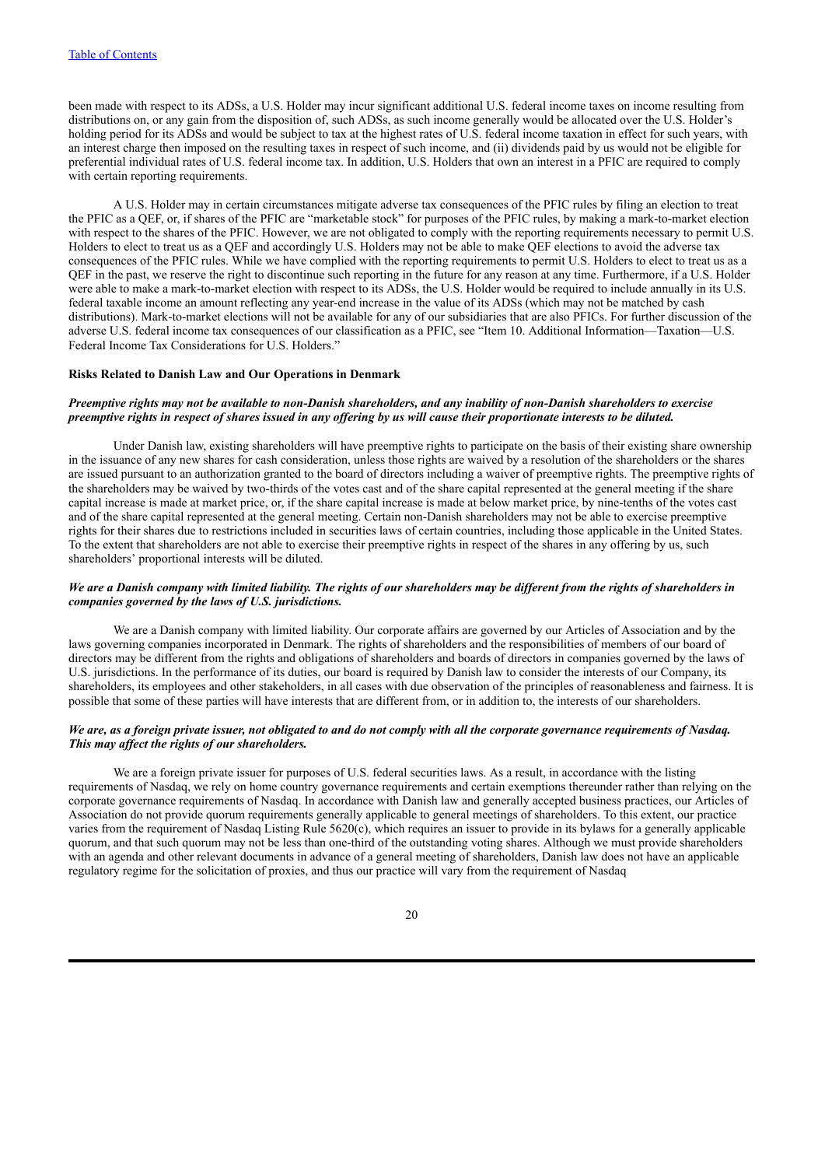been made with respect to its ADSs, a U.S. Holder may incur significant additional U.S. federal income taxes on income resulting from distributions on, or any gain from the disposition of, such ADSs, as such income generally would be allocated over the U.S. Holder's holding period for its ADSs and would be subject to tax at the highest rates of U.S. federal income taxation in effect for such years, with an interest charge then imposed on the resulting taxes in respect of such income, and (ii) dividends paid by us would not be eligible for preferential individual rates of U.S. federal income tax. In addition, U.S. Holders that own an interest in a PFIC are required to comply with certain reporting requirements.

A U.S. Holder may in certain circumstances mitigate adverse tax consequences of the PFIC rules by filing an election to treat the PFIC as a QEF, or, if shares of the PFIC are "marketable stock" for purposes of the PFIC rules, by making a mark-to-market election with respect to the shares of the PFIC. However, we are not obligated to comply with the reporting requirements necessary to permit U.S. Holders to elect to treat us as a QEF and accordingly U.S. Holders may not be able to make QEF elections to avoid the adverse tax consequences of the PFIC rules. While we have complied with the reporting requirements to permit U.S. Holders to elect to treat us as a QEF in the past, we reserve the right to discontinue such reporting in the future for any reason at any time. Furthermore, if a U.S. Holder were able to make a mark-to-market election with respect to its ADSs, the U.S. Holder would be required to include annually in its U.S. federal taxable income an amount reflecting any year-end increase in the value of its ADSs (which may not be matched by cash distributions). Mark-to-market elections will not be available for any of our subsidiaries that are also PFICs. For further discussion of the adverse U.S. federal income tax consequences of our classification as a PFIC, see "Item 10. Additional Information—Taxation—U.S. Federal Income Tax Considerations for U.S. Holders."

#### **Risks Related to Danish Law and Our Operations in Denmark**

#### Preemptive rights may not be available to non-Danish shareholders, and any inability of non-Danish shareholders to exercise preemptive rights in respect of shares issued in any offering by us will cause their proportionate interests to be diluted.

Under Danish law, existing shareholders will have preemptive rights to participate on the basis of their existing share ownership in the issuance of any new shares for cash consideration, unless those rights are waived by a resolution of the shareholders or the shares are issued pursuant to an authorization granted to the board of directors including a waiver of preemptive rights. The preemptive rights of the shareholders may be waived by two-thirds of the votes cast and of the share capital represented at the general meeting if the share capital increase is made at market price, or, if the share capital increase is made at below market price, by nine-tenths of the votes cast and of the share capital represented at the general meeting. Certain non-Danish shareholders may not be able to exercise preemptive rights for their shares due to restrictions included in securities laws of certain countries, including those applicable in the United States. To the extent that shareholders are not able to exercise their preemptive rights in respect of the shares in any offering by us, such shareholders' proportional interests will be diluted.

## We are a Danish company with limited liability. The rights of our shareholders may be different from the rights of shareholders in *companies governed by the laws of U.S. jurisdictions.*

We are a Danish company with limited liability. Our corporate affairs are governed by our Articles of Association and by the laws governing companies incorporated in Denmark. The rights of shareholders and the responsibilities of members of our board of directors may be different from the rights and obligations of shareholders and boards of directors in companies governed by the laws of U.S. jurisdictions. In the performance of its duties, our board is required by Danish law to consider the interests of our Company, its shareholders, its employees and other stakeholders, in all cases with due observation of the principles of reasonableness and fairness. It is possible that some of these parties will have interests that are different from, or in addition to, the interests of our shareholders.

### We are, as a foreign private issuer, not obligated to and do not comply with all the corporate governance requirements of Nasdaq. *This may af ect the rights of our shareholders.*

We are a foreign private issuer for purposes of U.S. federal securities laws. As a result, in accordance with the listing requirements of Nasdaq, we rely on home country governance requirements and certain exemptions thereunder rather than relying on the corporate governance requirements of Nasdaq. In accordance with Danish law and generally accepted business practices, our Articles of Association do not provide quorum requirements generally applicable to general meetings of shareholders. To this extent, our practice varies from the requirement of Nasdaq Listing Rule 5620(c), which requires an issuer to provide in its bylaws for a generally applicable quorum, and that such quorum may not be less than one-third of the outstanding voting shares. Although we must provide shareholders with an agenda and other relevant documents in advance of a general meeting of shareholders, Danish law does not have an applicable regulatory regime for the solicitation of proxies, and thus our practice will vary from the requirement of Nasdaq

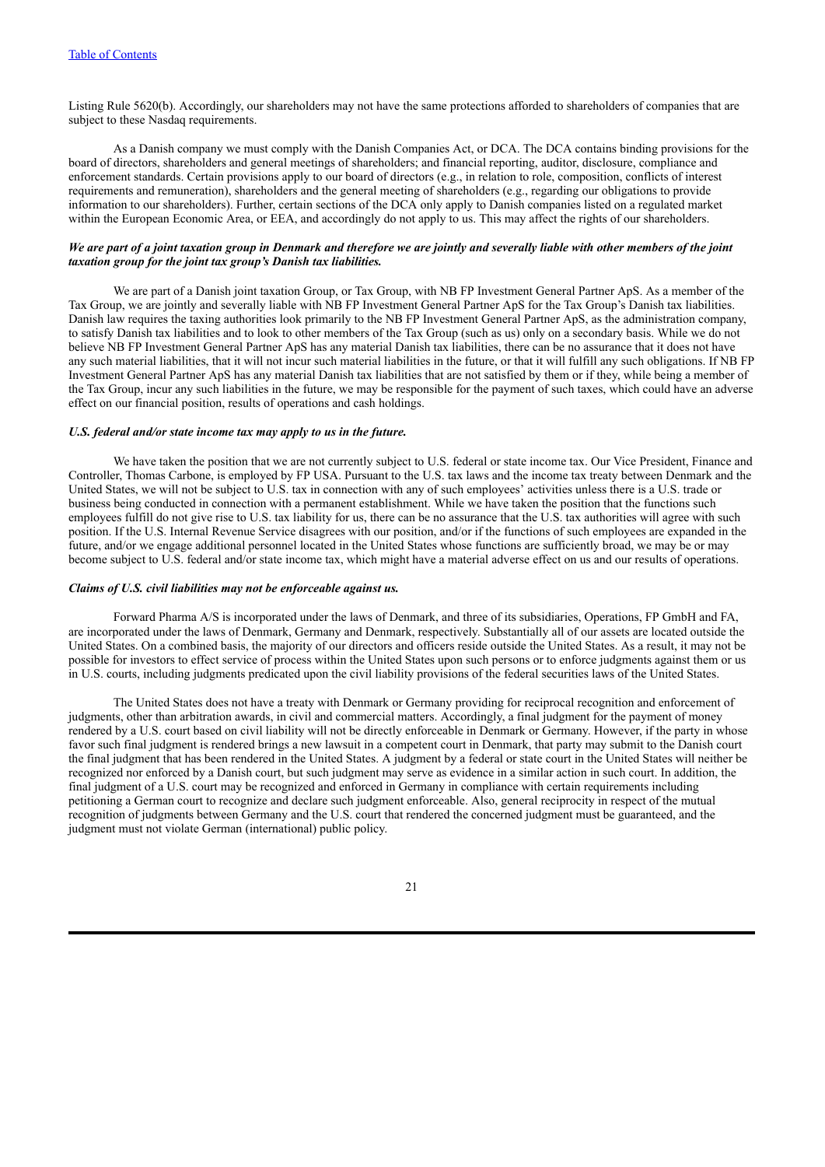Listing Rule 5620(b). Accordingly, our shareholders may not have the same protections afforded to shareholders of companies that are subject to these Nasdaq requirements.

As a Danish company we must comply with the Danish Companies Act, or DCA. The DCA contains binding provisions for the board of directors, shareholders and general meetings of shareholders; and financial reporting, auditor, disclosure, compliance and enforcement standards. Certain provisions apply to our board of directors (e.g., in relation to role, composition, conflicts of interest requirements and remuneration), shareholders and the general meeting of shareholders (e.g., regarding our obligations to provide information to our shareholders). Further, certain sections of the DCA only apply to Danish companies listed on a regulated market within the European Economic Area, or EEA, and accordingly do not apply to us. This may affect the rights of our shareholders.

#### We are part of a joint taxation group in Denmark and therefore we are jointly and severally liable with other members of the joint *taxation group for the joint tax group's Danish tax liabilities.*

We are part of a Danish joint taxation Group, or Tax Group, with NB FP Investment General Partner ApS. As a member of the Tax Group, we are jointly and severally liable with NB FP Investment General Partner ApS for the Tax Group's Danish tax liabilities. Danish law requires the taxing authorities look primarily to the NB FP Investment General Partner ApS, as the administration company, to satisfy Danish tax liabilities and to look to other members of the Tax Group (such as us) only on a secondary basis. While we do not believe NB FP Investment General Partner ApS has any material Danish tax liabilities, there can be no assurance that it does not have any such material liabilities, that it will not incur such material liabilities in the future, or that it will fulfill any such obligations. If NB FP Investment General Partner ApS has any material Danish tax liabilities that are not satisfied by them or if they, while being a member of the Tax Group, incur any such liabilities in the future, we may be responsible for the payment of such taxes, which could have an adverse effect on our financial position, results of operations and cash holdings.

#### *U.S. federal and/or state income tax may apply to us in the future.*

We have taken the position that we are not currently subject to U.S. federal or state income tax. Our Vice President, Finance and Controller, Thomas Carbone, is employed by FP USA. Pursuant to the U.S. tax laws and the income tax treaty between Denmark and the United States, we will not be subject to U.S. tax in connection with any of such employees' activities unless there is a U.S. trade or business being conducted in connection with a permanent establishment. While we have taken the position that the functions such employees fulfill do not give rise to U.S. tax liability for us, there can be no assurance that the U.S. tax authorities will agree with such position. If the U.S. Internal Revenue Service disagrees with our position, and/or if the functions of such employees are expanded in the future, and/or we engage additional personnel located in the United States whose functions are sufficiently broad, we may be or may become subject to U.S. federal and/or state income tax, which might have a material adverse effect on us and our results of operations.

#### *Claims of U.S. civil liabilities may not be enforceable against us.*

Forward Pharma A/S is incorporated under the laws of Denmark, and three of its subsidiaries, Operations, FP GmbH and FA, are incorporated under the laws of Denmark, Germany and Denmark, respectively. Substantially all of our assets are located outside the United States. On a combined basis, the majority of our directors and officers reside outside the United States. As a result, it may not be possible for investors to effect service of process within the United States upon such persons or to enforce judgments against them or us in U.S. courts, including judgments predicated upon the civil liability provisions of the federal securities laws of the United States.

The United States does not have a treaty with Denmark or Germany providing for reciprocal recognition and enforcement of judgments, other than arbitration awards, in civil and commercial matters. Accordingly, a final judgment for the payment of money rendered by a U.S. court based on civil liability will not be directly enforceable in Denmark or Germany. However, if the party in whose favor such final judgment is rendered brings a new lawsuit in a competent court in Denmark, that party may submit to the Danish court the final judgment that has been rendered in the United States. A judgment by a federal or state court in the United States will neither be recognized nor enforced by a Danish court, but such judgment may serve as evidence in a similar action in such court. In addition, the final judgment of a U.S. court may be recognized and enforced in Germany in compliance with certain requirements including petitioning a German court to recognize and declare such judgment enforceable. Also, general reciprocity in respect of the mutual recognition of judgments between Germany and the U.S. court that rendered the concerned judgment must be guaranteed, and the judgment must not violate German (international) public policy.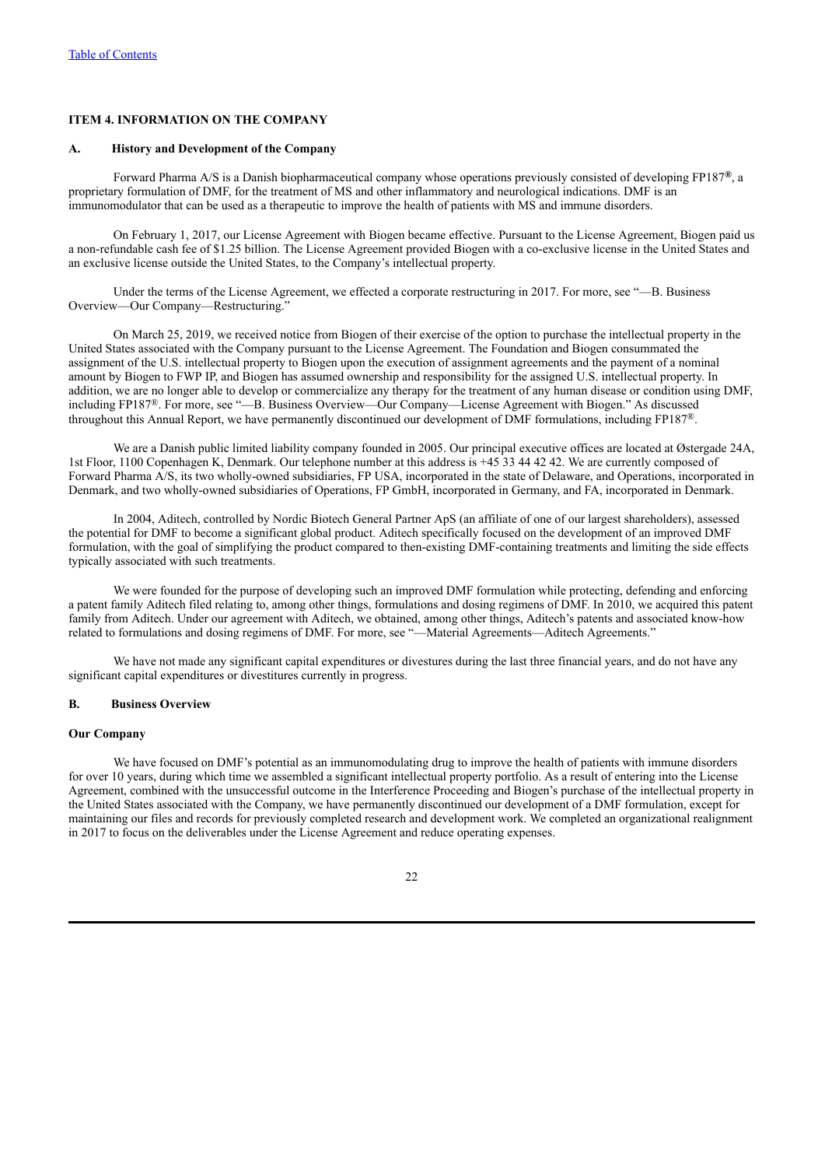## <span id="page-25-0"></span>**ITEM 4. INFORMATION ON THE COMPANY**

# <span id="page-25-1"></span>**A. History and Development of the Company**

Forward Pharma A/S is a Danish biopharmaceutical company whose operations previously consisted of developing FP187*®*, a proprietary formulation of DMF, for the treatment of MS and other inflammatory and neurological indications. DMF is an immunomodulator that can be used as a therapeutic to improve the health of patients with MS and immune disorders.

On February 1, 2017, our License Agreement with Biogen became effective. Pursuant to the License Agreement, Biogen paid us a non-refundable cash fee of \$1.25 billion. The License Agreement provided Biogen with a co-exclusive license in the United States and an exclusive license outside the United States, to the Company's intellectual property.

Under the terms of the License Agreement, we effected a corporate restructuring in 2017. For more, see "—B. Business Overview—Our Company—Restructuring."

On March 25, 2019, we received notice from Biogen of their exercise of the option to purchase the intellectual property in the United States associated with the Company pursuant to the License Agreement. The Foundation and Biogen consummated the assignment of the U.S. intellectual property to Biogen upon the execution of assignment agreements and the payment of a nominal amount by Biogen to FWP IP, and Biogen has assumed ownership and responsibility for the assigned U.S. intellectual property. In addition, we are no longer able to develop or commercialize any therapy for the treatment of any human disease or condition using DMF, including FP187®. For more, see "—B. Business Overview—Our Company—License Agreement with Biogen." As discussed throughout this Annual Report, we have permanently discontinued our development of DMF formulations, including FP187®.

We are a Danish public limited liability company founded in 2005. Our principal executive offices are located at Østergade 24A, 1st Floor, 1100 Copenhagen K, Denmark. Our telephone number at this address is +45 33 44 42 42. We are currently composed of Forward Pharma A/S, its two wholly-owned subsidiaries, FP USA, incorporated in the state of Delaware, and Operations, incorporated in Denmark, and two wholly-owned subsidiaries of Operations, FP GmbH, incorporated in Germany, and FA, incorporated in Denmark.

In 2004, Aditech, controlled by Nordic Biotech General Partner ApS (an affiliate of one of our largest shareholders), assessed the potential for DMF to become a significant global product. Aditech specifically focused on the development of an improved DMF formulation, with the goal of simplifying the product compared to then-existing DMF-containing treatments and limiting the side effects typically associated with such treatments.

We were founded for the purpose of developing such an improved DMF formulation while protecting, defending and enforcing a patent family Aditech filed relating to, among other things, formulations and dosing regimens of DMF. In 2010, we acquired this patent family from Aditech. Under our agreement with Aditech, we obtained, among other things, Aditech's patents and associated know-how related to formulations and dosing regimens of DMF. For more, see "—Material Agreements—Aditech Agreements."

We have not made any significant capital expenditures or divestures during the last three financial years, and do not have any significant capital expenditures or divestitures currently in progress.

#### <span id="page-25-2"></span>**B. Business Overview**

#### **Our Company**

We have focused on DMF's potential as an immunomodulating drug to improve the health of patients with immune disorders for over 10 years, during which time we assembled a significant intellectual property portfolio. As a result of entering into the License Agreement, combined with the unsuccessful outcome in the Interference Proceeding and Biogen's purchase of the intellectual property in the United States associated with the Company, we have permanently discontinued our development of a DMF formulation, except for maintaining our files and records for previously completed research and development work. We completed an organizational realignment in 2017 to focus on the deliverables under the License Agreement and reduce operating expenses.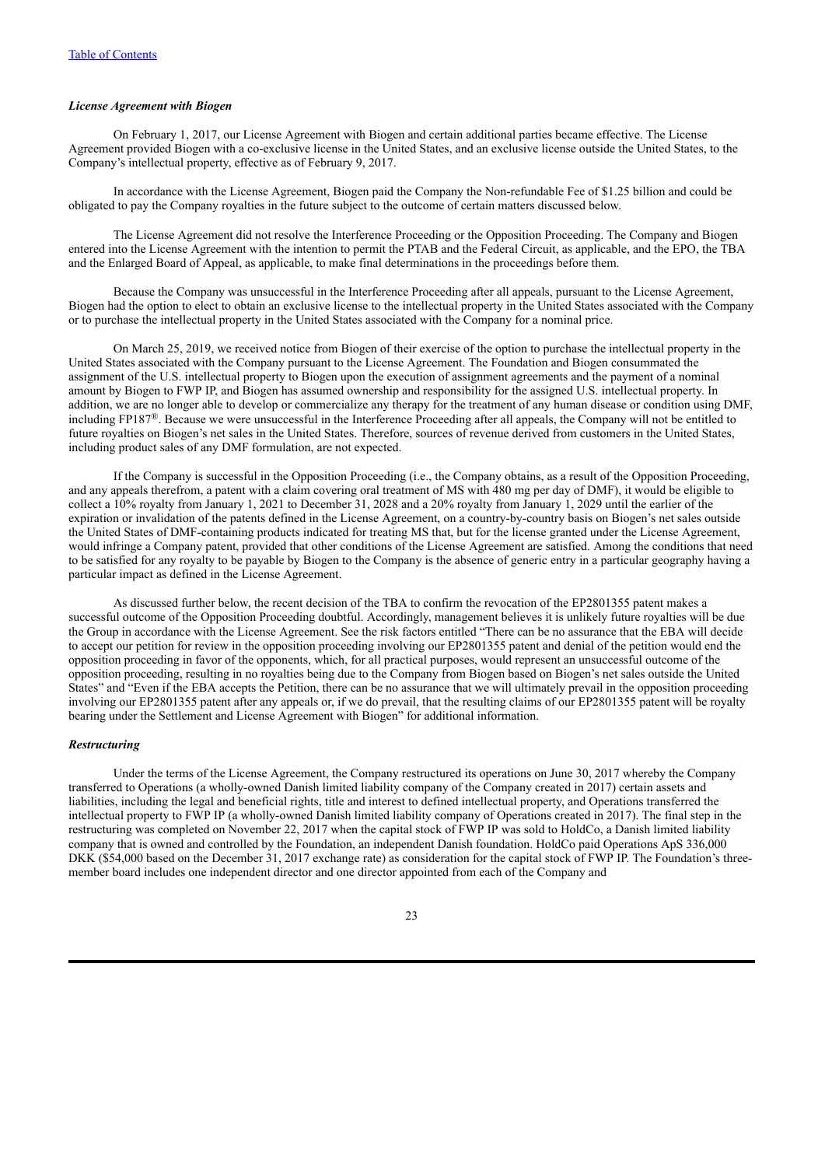#### *License Agreement with Biogen*

On February 1, 2017, our License Agreement with Biogen and certain additional parties became effective. The License Agreement provided Biogen with a co-exclusive license in the United States, and an exclusive license outside the United States, to the Company's intellectual property, effective as of February 9, 2017.

In accordance with the License Agreement, Biogen paid the Company the Non-refundable Fee of \$1.25 billion and could be obligated to pay the Company royalties in the future subject to the outcome of certain matters discussed below.

The License Agreement did not resolve the Interference Proceeding or the Opposition Proceeding. The Company and Biogen entered into the License Agreement with the intention to permit the PTAB and the Federal Circuit, as applicable, and the EPO, the TBA and the Enlarged Board of Appeal, as applicable, to make final determinations in the proceedings before them.

Because the Company was unsuccessful in the Interference Proceeding after all appeals, pursuant to the License Agreement, Biogen had the option to elect to obtain an exclusive license to the intellectual property in the United States associated with the Company or to purchase the intellectual property in the United States associated with the Company for a nominal price.

On March 25, 2019, we received notice from Biogen of their exercise of the option to purchase the intellectual property in the United States associated with the Company pursuant to the License Agreement. The Foundation and Biogen consummated the assignment of the U.S. intellectual property to Biogen upon the execution of assignment agreements and the payment of a nominal amount by Biogen to FWP IP, and Biogen has assumed ownership and responsibility for the assigned U.S. intellectual property. In addition, we are no longer able to develop or commercialize any therapy for the treatment of any human disease or condition using DMF, including FP187®. Because we were unsuccessful in the Interference Proceeding after all appeals, the Company will not be entitled to future royalties on Biogen's net sales in the United States. Therefore, sources of revenue derived from customers in the United States, including product sales of any DMF formulation, are not expected.

If the Company is successful in the Opposition Proceeding (i.e., the Company obtains, as a result of the Opposition Proceeding, and any appeals therefrom, a patent with a claim covering oral treatment of MS with 480 mg per day of DMF), it would be eligible to collect a 10% royalty from January 1, 2021 to December 31, 2028 and a 20% royalty from January 1, 2029 until the earlier of the expiration or invalidation of the patents defined in the License Agreement, on a country-by-country basis on Biogen's net sales outside the United States of DMF-containing products indicated for treating MS that, but for the license granted under the License Agreement, would infringe a Company patent, provided that other conditions of the License Agreement are satisfied. Among the conditions that need to be satisfied for any royalty to be payable by Biogen to the Company is the absence of generic entry in a particular geography having a particular impact as defined in the License Agreement.

As discussed further below, the recent decision of the TBA to confirm the revocation of the EP2801355 patent makes a successful outcome of the Opposition Proceeding doubtful. Accordingly, management believes it is unlikely future royalties will be due the Group in accordance with the License Agreement. See the risk factors entitled "There can be no assurance that the EBA will decide to accept our petition for review in the opposition proceeding involving our EP2801355 patent and denial of the petition would end the opposition proceeding in favor of the opponents, which, for all practical purposes, would represent an unsuccessful outcome of the opposition proceeding, resulting in no royalties being due to the Company from Biogen based on Biogen's net sales outside the United States" and "Even if the EBA accepts the Petition, there can be no assurance that we will ultimately prevail in the opposition proceeding involving our EP2801355 patent after any appeals or, if we do prevail, that the resulting claims of our EP2801355 patent will be royalty bearing under the Settlement and License Agreement with Biogen" for additional information.

#### *Restructuring*

Under the terms of the License Agreement, the Company restructured its operations on June 30, 2017 whereby the Company transferred to Operations (a wholly-owned Danish limited liability company of the Company created in 2017) certain assets and liabilities, including the legal and beneficial rights, title and interest to defined intellectual property, and Operations transferred the intellectual property to FWP IP (a wholly-owned Danish limited liability company of Operations created in 2017). The final step in the restructuring was completed on November 22, 2017 when the capital stock of FWP IP was sold to HoldCo, a Danish limited liability company that is owned and controlled by the Foundation, an independent Danish foundation. HoldCo paid Operations ApS 336,000 DKK (\$54,000 based on the December 31, 2017 exchange rate) as consideration for the capital stock of FWP IP. The Foundation's threemember board includes one independent director and one director appointed from each of the Company and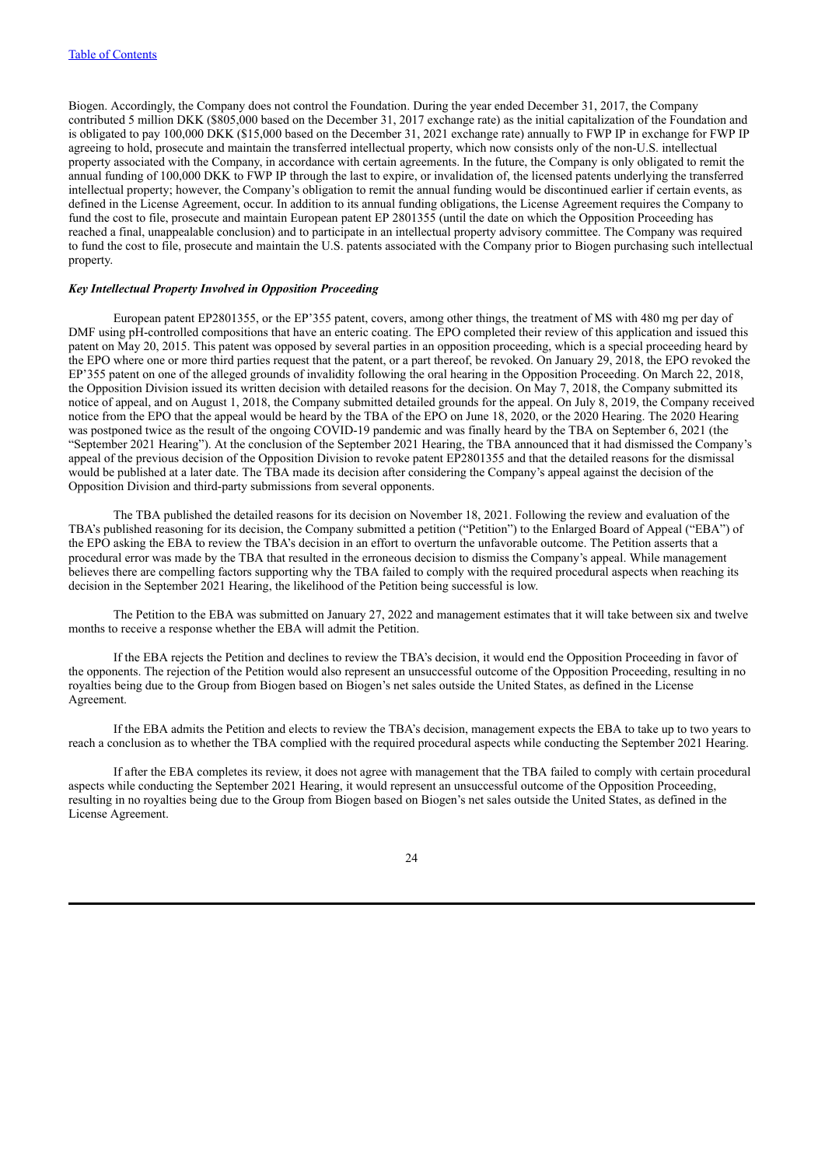Biogen. Accordingly, the Company does not control the Foundation. During the year ended December 31, 2017, the Company contributed 5 million DKK (\$805,000 based on the December 31, 2017 exchange rate) as the initial capitalization of the Foundation and is obligated to pay 100,000 DKK (\$15,000 based on the December 31, 2021 exchange rate) annually to FWP IP in exchange for FWP IP agreeing to hold, prosecute and maintain the transferred intellectual property, which now consists only of the non-U.S. intellectual property associated with the Company, in accordance with certain agreements. In the future, the Company is only obligated to remit the annual funding of 100,000 DKK to FWP IP through the last to expire, or invalidation of, the licensed patents underlying the transferred intellectual property; however, the Company's obligation to remit the annual funding would be discontinued earlier if certain events, as defined in the License Agreement, occur. In addition to its annual funding obligations, the License Agreement requires the Company to fund the cost to file, prosecute and maintain European patent EP 2801355 (until the date on which the Opposition Proceeding has reached a final, unappealable conclusion) and to participate in an intellectual property advisory committee. The Company was required to fund the cost to file, prosecute and maintain the U.S. patents associated with the Company prior to Biogen purchasing such intellectual property.

## *Key Intellectual Property Involved in Opposition Proceeding*

European patent EP2801355, or the EP'355 patent, covers, among other things, the treatment of MS with 480 mg per day of DMF using pH-controlled compositions that have an enteric coating. The EPO completed their review of this application and issued this patent on May 20, 2015. This patent was opposed by several parties in an opposition proceeding, which is a special proceeding heard by the EPO where one or more third parties request that the patent, or a part thereof, be revoked. On January 29, 2018, the EPO revoked the EP'355 patent on one of the alleged grounds of invalidity following the oral hearing in the Opposition Proceeding. On March 22, 2018, the Opposition Division issued its written decision with detailed reasons for the decision. On May 7, 2018, the Company submitted its notice of appeal, and on August 1, 2018, the Company submitted detailed grounds for the appeal. On July 8, 2019, the Company received notice from the EPO that the appeal would be heard by the TBA of the EPO on June 18, 2020, or the 2020 Hearing. The 2020 Hearing was postponed twice as the result of the ongoing COVID-19 pandemic and was finally heard by the TBA on September 6, 2021 (the "September 2021 Hearing"). At the conclusion of the September 2021 Hearing, the TBA announced that it had dismissed the Company's appeal of the previous decision of the Opposition Division to revoke patent EP2801355 and that the detailed reasons for the dismissal would be published at a later date. The TBA made its decision after considering the Company's appeal against the decision of the Opposition Division and third-party submissions from several opponents.

The TBA published the detailed reasons for its decision on November 18, 2021. Following the review and evaluation of the TBA's published reasoning for its decision, the Company submitted a petition ("Petition") to the Enlarged Board of Appeal ("EBA") of the EPO asking the EBA to review the TBA's decision in an effort to overturn the unfavorable outcome. The Petition asserts that a procedural error was made by the TBA that resulted in the erroneous decision to dismiss the Company's appeal. While management believes there are compelling factors supporting why the TBA failed to comply with the required procedural aspects when reaching its decision in the September 2021 Hearing, the likelihood of the Petition being successful is low.

The Petition to the EBA was submitted on January 27, 2022 and management estimates that it will take between six and twelve months to receive a response whether the EBA will admit the Petition.

If the EBA rejects the Petition and declines to review the TBA's decision, it would end the Opposition Proceeding in favor of the opponents. The rejection of the Petition would also represent an unsuccessful outcome of the Opposition Proceeding, resulting in no royalties being due to the Group from Biogen based on Biogen's net sales outside the United States, as defined in the License Agreement.

If the EBA admits the Petition and elects to review the TBA's decision, management expects the EBA to take up to two years to reach a conclusion as to whether the TBA complied with the required procedural aspects while conducting the September 2021 Hearing.

If after the EBA completes its review, it does not agree with management that the TBA failed to comply with certain procedural aspects while conducting the September 2021 Hearing, it would represent an unsuccessful outcome of the Opposition Proceeding, resulting in no royalties being due to the Group from Biogen based on Biogen's net sales outside the United States, as defined in the License Agreement.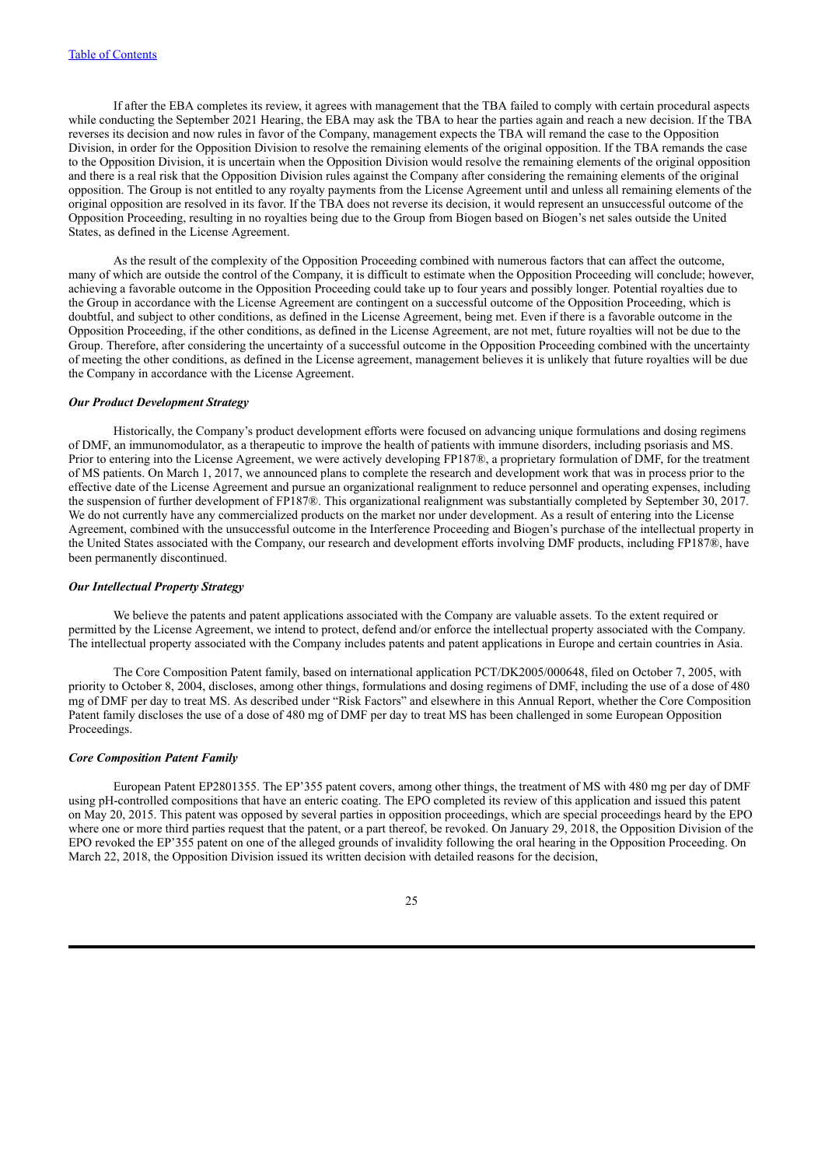If after the EBA completes its review, it agrees with management that the TBA failed to comply with certain procedural aspects while conducting the September 2021 Hearing, the EBA may ask the TBA to hear the parties again and reach a new decision. If the TBA reverses its decision and now rules in favor of the Company, management expects the TBA will remand the case to the Opposition Division, in order for the Opposition Division to resolve the remaining elements of the original opposition. If the TBA remands the case to the Opposition Division, it is uncertain when the Opposition Division would resolve the remaining elements of the original opposition and there is a real risk that the Opposition Division rules against the Company after considering the remaining elements of the original opposition. The Group is not entitled to any royalty payments from the License Agreement until and unless all remaining elements of the original opposition are resolved in its favor. If the TBA does not reverse its decision, it would represent an unsuccessful outcome of the Opposition Proceeding, resulting in no royalties being due to the Group from Biogen based on Biogen's net sales outside the United States, as defined in the License Agreement.

As the result of the complexity of the Opposition Proceeding combined with numerous factors that can affect the outcome, many of which are outside the control of the Company, it is difficult to estimate when the Opposition Proceeding will conclude; however, achieving a favorable outcome in the Opposition Proceeding could take up to four years and possibly longer. Potential royalties due to the Group in accordance with the License Agreement are contingent on a successful outcome of the Opposition Proceeding, which is doubtful, and subject to other conditions, as defined in the License Agreement, being met. Even if there is a favorable outcome in the Opposition Proceeding, if the other conditions, as defined in the License Agreement, are not met, future royalties will not be due to the Group. Therefore, after considering the uncertainty of a successful outcome in the Opposition Proceeding combined with the uncertainty of meeting the other conditions, as defined in the License agreement, management believes it is unlikely that future royalties will be due the Company in accordance with the License Agreement.

#### *Our Product Development Strategy*

Historically, the Company's product development efforts were focused on advancing unique formulations and dosing regimens of DMF, an immunomodulator, as a therapeutic to improve the health of patients with immune disorders, including psoriasis and MS. Prior to entering into the License Agreement, we were actively developing FP187®, a proprietary formulation of DMF, for the treatment of MS patients. On March 1, 2017, we announced plans to complete the research and development work that was in process prior to the effective date of the License Agreement and pursue an organizational realignment to reduce personnel and operating expenses, including the suspension of further development of FP187®. This organizational realignment was substantially completed by September 30, 2017. We do not currently have any commercialized products on the market nor under development. As a result of entering into the License Agreement, combined with the unsuccessful outcome in the Interference Proceeding and Biogen's purchase of the intellectual property in the United States associated with the Company, our research and development efforts involving DMF products, including FP187®, have been permanently discontinued.

#### *Our Intellectual Property Strategy*

We believe the patents and patent applications associated with the Company are valuable assets. To the extent required or permitted by the License Agreement, we intend to protect, defend and/or enforce the intellectual property associated with the Company. The intellectual property associated with the Company includes patents and patent applications in Europe and certain countries in Asia.

The Core Composition Patent family, based on international application PCT/DK2005/000648, filed on October 7, 2005, with priority to October 8, 2004, discloses, among other things, formulations and dosing regimens of DMF, including the use of a dose of 480 mg of DMF per day to treat MS. As described under "Risk Factors" and elsewhere in this Annual Report, whether the Core Composition Patent family discloses the use of a dose of 480 mg of DMF per day to treat MS has been challenged in some European Opposition Proceedings.

#### *Core Composition Patent Family*

European Patent EP2801355. The EP'355 patent covers, among other things, the treatment of MS with 480 mg per day of DMF using pH-controlled compositions that have an enteric coating. The EPO completed its review of this application and issued this patent on May 20, 2015. This patent was opposed by several parties in opposition proceedings, which are special proceedings heard by the EPO where one or more third parties request that the patent, or a part thereof, be revoked. On January 29, 2018, the Opposition Division of the EPO revoked the EP'355 patent on one of the alleged grounds of invalidity following the oral hearing in the Opposition Proceeding. On March 22, 2018, the Opposition Division issued its written decision with detailed reasons for the decision,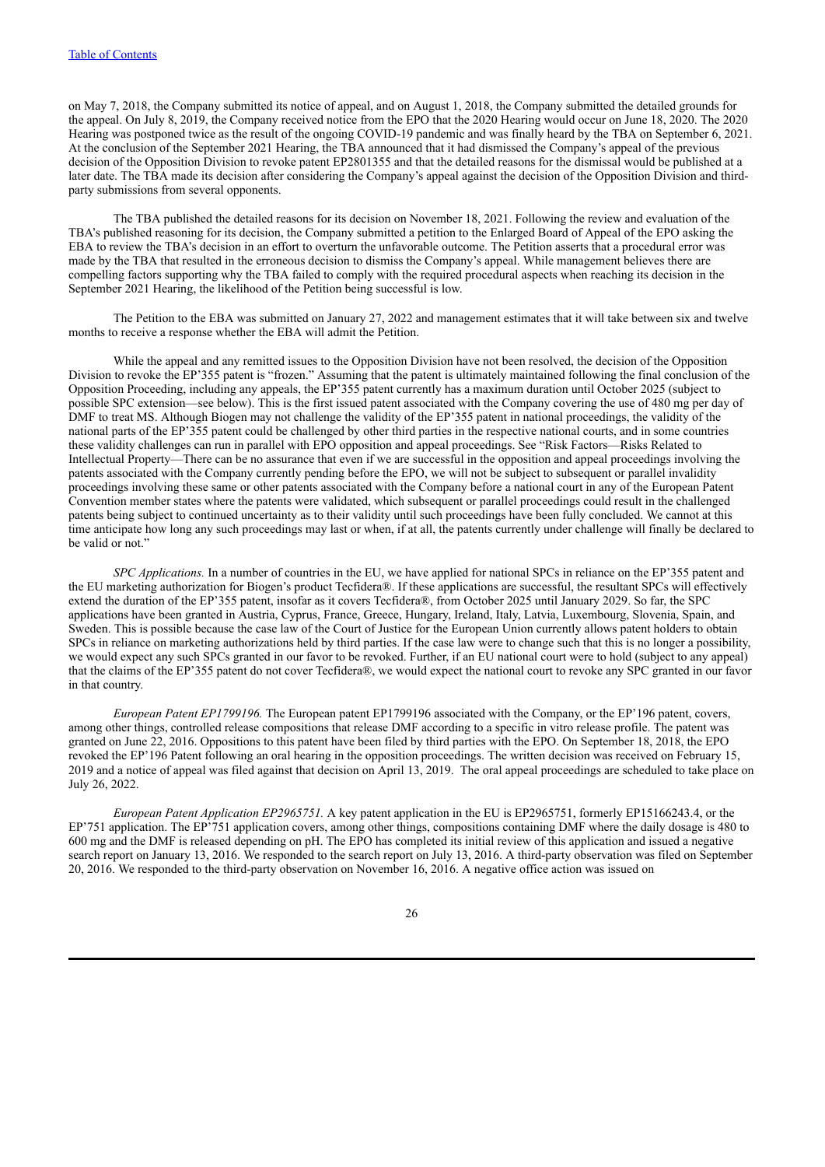on May 7, 2018, the Company submitted its notice of appeal, and on August 1, 2018, the Company submitted the detailed grounds for the appeal. On July 8, 2019, the Company received notice from the EPO that the 2020 Hearing would occur on June 18, 2020. The 2020 Hearing was postponed twice as the result of the ongoing COVID-19 pandemic and was finally heard by the TBA on September 6, 2021. At the conclusion of the September 2021 Hearing, the TBA announced that it had dismissed the Company's appeal of the previous decision of the Opposition Division to revoke patent EP2801355 and that the detailed reasons for the dismissal would be published at a later date. The TBA made its decision after considering the Company's appeal against the decision of the Opposition Division and thirdparty submissions from several opponents.

The TBA published the detailed reasons for its decision on November 18, 2021. Following the review and evaluation of the TBA's published reasoning for its decision, the Company submitted a petition to the Enlarged Board of Appeal of the EPO asking the EBA to review the TBA's decision in an effort to overturn the unfavorable outcome. The Petition asserts that a procedural error was made by the TBA that resulted in the erroneous decision to dismiss the Company's appeal. While management believes there are compelling factors supporting why the TBA failed to comply with the required procedural aspects when reaching its decision in the September 2021 Hearing, the likelihood of the Petition being successful is low.

The Petition to the EBA was submitted on January 27, 2022 and management estimates that it will take between six and twelve months to receive a response whether the EBA will admit the Petition.

While the appeal and any remitted issues to the Opposition Division have not been resolved, the decision of the Opposition Division to revoke the EP'355 patent is "frozen." Assuming that the patent is ultimately maintained following the final conclusion of the Opposition Proceeding, including any appeals, the EP'355 patent currently has a maximum duration until October 2025 (subject to possible SPC extension—see below). This is the first issued patent associated with the Company covering the use of 480 mg per day of DMF to treat MS. Although Biogen may not challenge the validity of the EP'355 patent in national proceedings, the validity of the national parts of the EP'355 patent could be challenged by other third parties in the respective national courts, and in some countries these validity challenges can run in parallel with EPO opposition and appeal proceedings. See "Risk Factors—Risks Related to Intellectual Property—There can be no assurance that even if we are successful in the opposition and appeal proceedings involving the patents associated with the Company currently pending before the EPO, we will not be subject to subsequent or parallel invalidity proceedings involving these same or other patents associated with the Company before a national court in any of the European Patent Convention member states where the patents were validated, which subsequent or parallel proceedings could result in the challenged patents being subject to continued uncertainty as to their validity until such proceedings have been fully concluded. We cannot at this time anticipate how long any such proceedings may last or when, if at all, the patents currently under challenge will finally be declared to be valid or not."

*SPC Applications.* In a number of countries in the EU, we have applied for national SPCs in reliance on the EP'355 patent and the EU marketing authorization for Biogen's product Tecfidera®. If these applications are successful, the resultant SPCs will effectively extend the duration of the EP'355 patent, insofar as it covers Tecfidera®, from October 2025 until January 2029. So far, the SPC applications have been granted in Austria, Cyprus, France, Greece, Hungary, Ireland, Italy, Latvia, Luxembourg, Slovenia, Spain, and Sweden. This is possible because the case law of the Court of Justice for the European Union currently allows patent holders to obtain SPCs in reliance on marketing authorizations held by third parties. If the case law were to change such that this is no longer a possibility, we would expect any such SPCs granted in our favor to be revoked. Further, if an EU national court were to hold (subject to any appeal) that the claims of the EP'355 patent do not cover Tecfidera®, we would expect the national court to revoke any SPC granted in our favor in that country.

*European Patent EP1799196.* The European patent EP1799196 associated with the Company, or the EP'196 patent, covers, among other things, controlled release compositions that release DMF according to a specific in vitro release profile. The patent was granted on June 22, 2016. Oppositions to this patent have been filed by third parties with the EPO. On September 18, 2018, the EPO revoked the EP'196 Patent following an oral hearing in the opposition proceedings. The written decision was received on February 15, 2019 and a notice of appeal was filed against that decision on April 13, 2019. The oral appeal proceedings are scheduled to take place on July 26, 2022.

*European Patent Application EP2965751.* A key patent application in the EU is EP2965751, formerly EP15166243.4, or the EP'751 application. The EP'751 application covers, among other things, compositions containing DMF where the daily dosage is 480 to 600 mg and the DMF is released depending on pH. The EPO has completed its initial review of this application and issued a negative search report on January 13, 2016. We responded to the search report on July 13, 2016. A third-party observation was filed on September 20, 2016. We responded to the third-party observation on November 16, 2016. A negative office action was issued on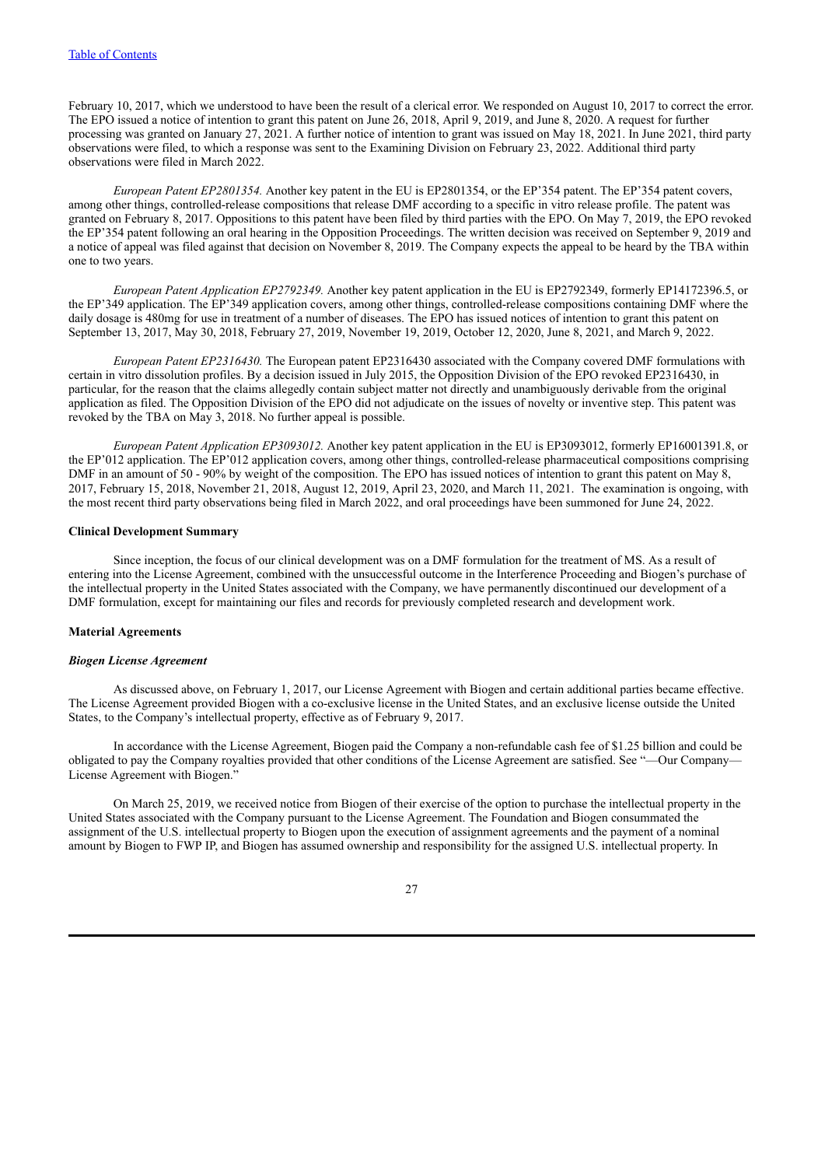February 10, 2017, which we understood to have been the result of a clerical error. We responded on August 10, 2017 to correct the error. The EPO issued a notice of intention to grant this patent on June 26, 2018, April 9, 2019, and June 8, 2020. A request for further processing was granted on January 27, 2021. A further notice of intention to grant was issued on May 18, 2021. In June 2021, third party observations were filed, to which a response was sent to the Examining Division on February 23, 2022. Additional third party observations were filed in March 2022.

*European Patent EP2801354.* Another key patent in the EU is EP2801354, or the EP'354 patent. The EP'354 patent covers, among other things, controlled-release compositions that release DMF according to a specific in vitro release profile. The patent was granted on February 8, 2017. Oppositions to this patent have been filed by third parties with the EPO. On May 7, 2019, the EPO revoked the EP'354 patent following an oral hearing in the Opposition Proceedings. The written decision was received on September 9, 2019 and a notice of appeal was filed against that decision on November 8, 2019. The Company expects the appeal to be heard by the TBA within one to two years.

*European Patent Application EP2792349.* Another key patent application in the EU is EP2792349, formerly EP14172396.5, or the EP'349 application. The EP'349 application covers, among other things, controlled-release compositions containing DMF where the daily dosage is 480mg for use in treatment of a number of diseases. The EPO has issued notices of intention to grant this patent on September 13, 2017, May 30, 2018, February 27, 2019, November 19, 2019, October 12, 2020, June 8, 2021, and March 9, 2022.

*European Patent EP2316430.* The European patent EP2316430 associated with the Company covered DMF formulations with certain in vitro dissolution profiles. By a decision issued in July 2015, the Opposition Division of the EPO revoked EP2316430, in particular, for the reason that the claims allegedly contain subject matter not directly and unambiguously derivable from the original application as filed. The Opposition Division of the EPO did not adjudicate on the issues of novelty or inventive step. This patent was revoked by the TBA on May 3, 2018. No further appeal is possible.

*European Patent Application EP3093012.* Another key patent application in the EU is EP3093012, formerly EP16001391.8, or the EP'012 application. The EP'012 application covers, among other things, controlled-release pharmaceutical compositions comprising DMF in an amount of 50 - 90% by weight of the composition. The EPO has issued notices of intention to grant this patent on May 8, 2017, February 15, 2018, November 21, 2018, August 12, 2019, April 23, 2020, and March 11, 2021. The examination is ongoing, with the most recent third party observations being filed in March 2022, and oral proceedings have been summoned for June 24, 2022.

#### **Clinical Development Summary**

Since inception, the focus of our clinical development was on a DMF formulation for the treatment of MS. As a result of entering into the License Agreement, combined with the unsuccessful outcome in the Interference Proceeding and Biogen's purchase of the intellectual property in the United States associated with the Company, we have permanently discontinued our development of a DMF formulation, except for maintaining our files and records for previously completed research and development work.

# **Material Agreements**

### *Biogen License Agreement*

As discussed above, on February 1, 2017, our License Agreement with Biogen and certain additional parties became effective. The License Agreement provided Biogen with a co-exclusive license in the United States, and an exclusive license outside the United States, to the Company's intellectual property, effective as of February 9, 2017.

In accordance with the License Agreement, Biogen paid the Company a non-refundable cash fee of \$1.25 billion and could be obligated to pay the Company royalties provided that other conditions of the License Agreement are satisfied. See "—Our Company— License Agreement with Biogen."

On March 25, 2019, we received notice from Biogen of their exercise of the option to purchase the intellectual property in the United States associated with the Company pursuant to the License Agreement. The Foundation and Biogen consummated the assignment of the U.S. intellectual property to Biogen upon the execution of assignment agreements and the payment of a nominal amount by Biogen to FWP IP, and Biogen has assumed ownership and responsibility for the assigned U.S. intellectual property. In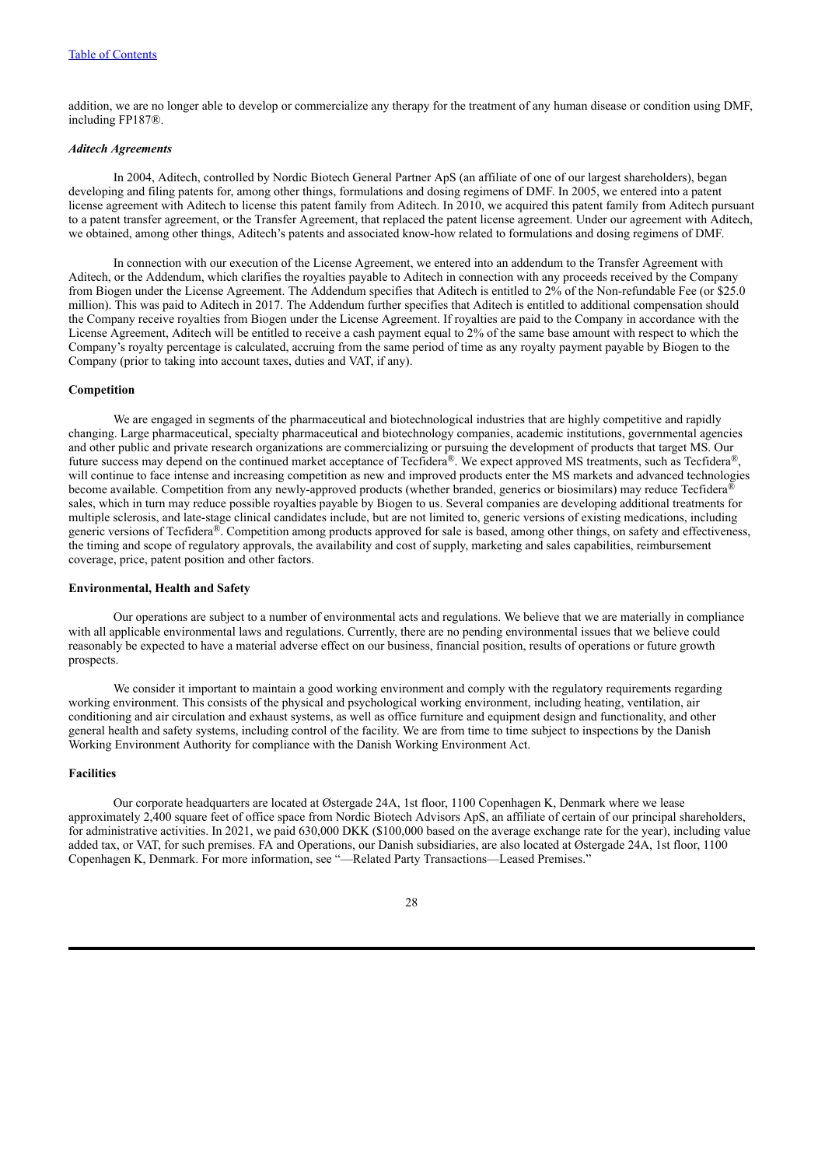addition, we are no longer able to develop or commercialize any therapy for the treatment of any human disease or condition using DMF, including FP187®.

## *Aditech Agreements*

In 2004, Aditech, controlled by Nordic Biotech General Partner ApS (an affiliate of one of our largest shareholders), began developing and filing patents for, among other things, formulations and dosing regimens of DMF. In 2005, we entered into a patent license agreement with Aditech to license this patent family from Aditech. In 2010, we acquired this patent family from Aditech pursuant to a patent transfer agreement, or the Transfer Agreement, that replaced the patent license agreement. Under our agreement with Aditech, we obtained, among other things, Aditech's patents and associated know-how related to formulations and dosing regimens of DMF.

In connection with our execution of the License Agreement, we entered into an addendum to the Transfer Agreement with Aditech, or the Addendum, which clarifies the royalties payable to Aditech in connection with any proceeds received by the Company from Biogen under the License Agreement. The Addendum specifies that Aditech is entitled to 2% of the Non-refundable Fee (or \$25.0 million). This was paid to Aditech in 2017. The Addendum further specifies that Aditech is entitled to additional compensation should the Company receive royalties from Biogen under the License Agreement. If royalties are paid to the Company in accordance with the License Agreement, Aditech will be entitled to receive a cash payment equal to 2% of the same base amount with respect to which the Company's royalty percentage is calculated, accruing from the same period of time as any royalty payment payable by Biogen to the Company (prior to taking into account taxes, duties and VAT, if any).

## **Competition**

We are engaged in segments of the pharmaceutical and biotechnological industries that are highly competitive and rapidly changing. Large pharmaceutical, specialty pharmaceutical and biotechnology companies, academic institutions, governmental agencies and other public and private research organizations are commercializing or pursuing the development of products that target MS. Our future success may depend on the continued market acceptance of Tecfidera®. We expect approved MS treatments, such as Tecfidera®, will continue to face intense and increasing competition as new and improved products enter the MS markets and advanced technologies become available. Competition from any newly-approved products (whether branded, generics or biosimilars) may reduce Tecfidera® sales, which in turn may reduce possible royalties payable by Biogen to us. Several companies are developing additional treatments for multiple sclerosis, and late-stage clinical candidates include, but are not limited to, generic versions of existing medications, including generic versions of Tecfidera®. Competition among products approved for sale is based, among other things, on safety and effectiveness, the timing and scope of regulatory approvals, the availability and cost of supply, marketing and sales capabilities, reimbursement coverage, price, patent position and other factors.

#### **Environmental, Health and Safety**

Our operations are subject to a number of environmental acts and regulations. We believe that we are materially in compliance with all applicable environmental laws and regulations. Currently, there are no pending environmental issues that we believe could reasonably be expected to have a material adverse effect on our business, financial position, results of operations or future growth prospects.

We consider it important to maintain a good working environment and comply with the regulatory requirements regarding working environment. This consists of the physical and psychological working environment, including heating, ventilation, air conditioning and air circulation and exhaust systems, as well as office furniture and equipment design and functionality, and other general health and safety systems, including control of the facility. We are from time to time subject to inspections by the Danish Working Environment Authority for compliance with the Danish Working Environment Act.

## **Facilities**

Our corporate headquarters are located at Østergade 24A, 1st floor, 1100 Copenhagen K, Denmark where we lease approximately 2,400 square feet of office space from Nordic Biotech Advisors ApS, an affiliate of certain of our principal shareholders, for administrative activities. In 2021, we paid 630,000 DKK (\$100,000 based on the average exchange rate for the year), including value added tax, or VAT, for such premises. FA and Operations, our Danish subsidiaries, are also located at Østergade 24A, 1st floor, 1100 Copenhagen K, Denmark. For more information, see "—Related Party Transactions—Leased Premises."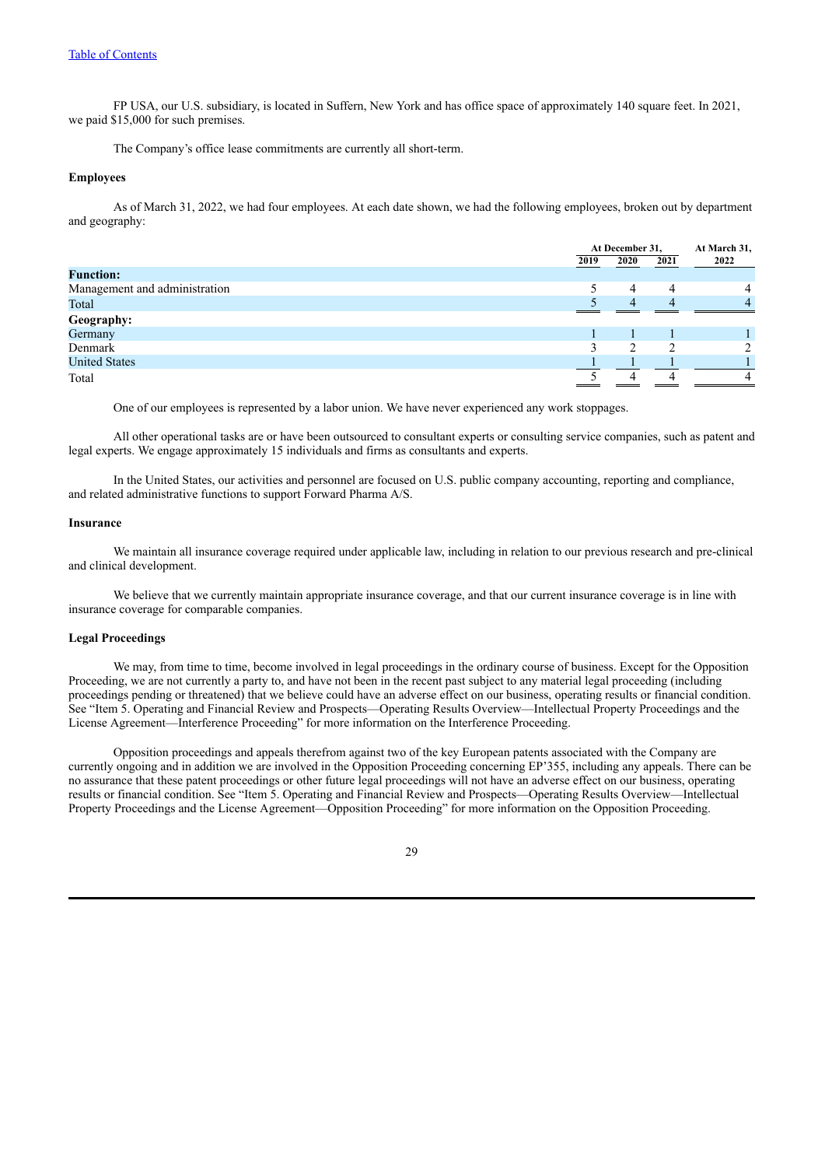FP USA, our U.S. subsidiary, is located in Suffern, New York and has office space of approximately 140 square feet. In 2021, we paid \$15,000 for such premises.

The Company's office lease commitments are currently all short-term.

# **Employees**

As of March 31, 2022, we had four employees. At each date shown, we had the following employees, broken out by department and geography:

|                               |      | At December 31, |      | At March 31,   |  |
|-------------------------------|------|-----------------|------|----------------|--|
|                               | 2019 | 2020            | 2021 | 2022           |  |
| <b>Function:</b>              |      |                 |      |                |  |
| Management and administration |      | 4               | 4    | $\overline{4}$ |  |
| Total                         |      | 4               |      | $\Delta$       |  |
| Geography:                    |      |                 |      |                |  |
| Germany                       |      |                 |      |                |  |
| Denmark                       |      | ◠               |      |                |  |
| <b>United States</b>          |      |                 |      |                |  |
| Total                         |      |                 |      |                |  |
|                               |      |                 |      |                |  |

One of our employees is represented by a labor union. We have never experienced any work stoppages.

All other operational tasks are or have been outsourced to consultant experts or consulting service companies, such as patent and legal experts. We engage approximately 15 individuals and firms as consultants and experts.

In the United States, our activities and personnel are focused on U.S. public company accounting, reporting and compliance, and related administrative functions to support Forward Pharma A/S.

## **Insurance**

We maintain all insurance coverage required under applicable law, including in relation to our previous research and pre-clinical and clinical development.

We believe that we currently maintain appropriate insurance coverage, and that our current insurance coverage is in line with insurance coverage for comparable companies.

# **Legal Proceedings**

We may, from time to time, become involved in legal proceedings in the ordinary course of business. Except for the Opposition Proceeding, we are not currently a party to, and have not been in the recent past subject to any material legal proceeding (including proceedings pending or threatened) that we believe could have an adverse effect on our business, operating results or financial condition. See "Item 5. Operating and Financial Review and Prospects—Operating Results Overview—Intellectual Property Proceedings and the License Agreement—Interference Proceeding" for more information on the Interference Proceeding.

Opposition proceedings and appeals therefrom against two of the key European patents associated with the Company are currently ongoing and in addition we are involved in the Opposition Proceeding concerning EP'355, including any appeals. There can be no assurance that these patent proceedings or other future legal proceedings will not have an adverse effect on our business, operating results or financial condition. See "Item 5. Operating and Financial Review and Prospects—Operating Results Overview—Intellectual Property Proceedings and the License Agreement—Opposition Proceeding" for more information on the Opposition Proceeding.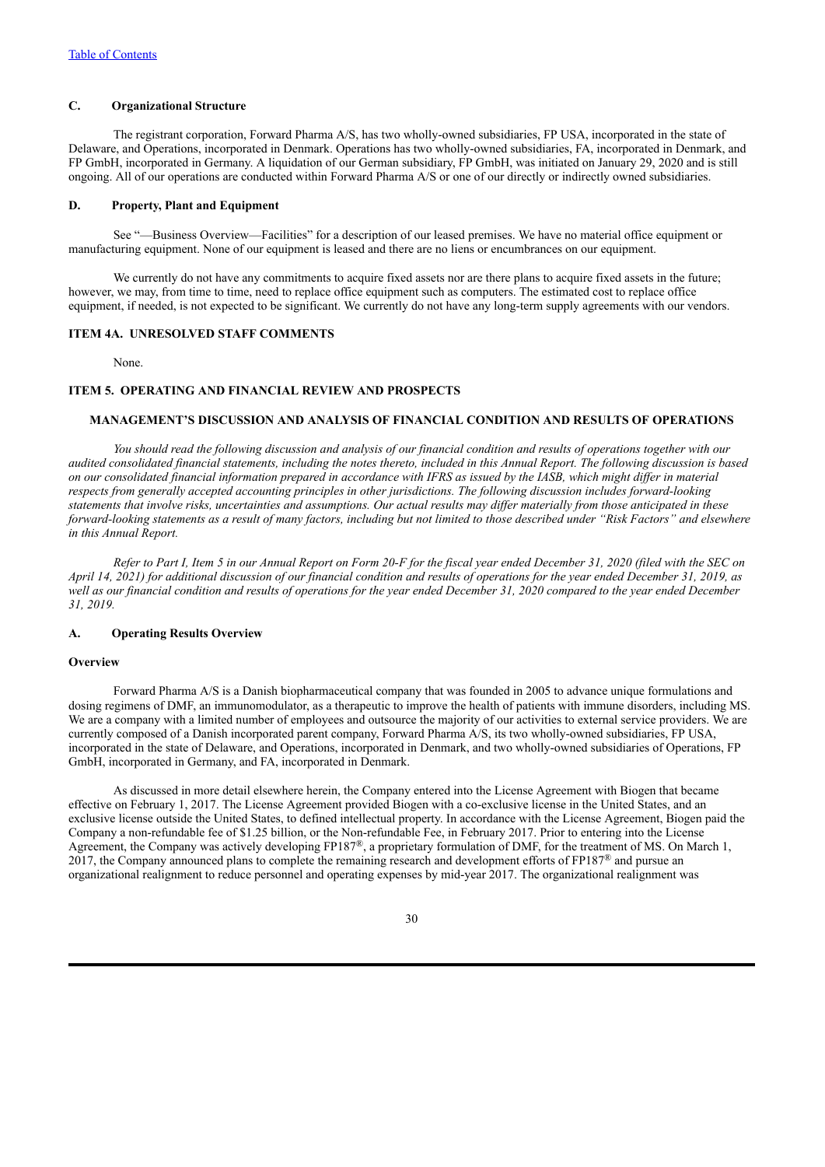## <span id="page-33-0"></span>**C. Organizational Structure**

The registrant corporation, Forward Pharma A/S, has two wholly-owned subsidiaries, FP USA, incorporated in the state of Delaware, and Operations, incorporated in Denmark. Operations has two wholly-owned subsidiaries, FA, incorporated in Denmark, and FP GmbH, incorporated in Germany. A liquidation of our German subsidiary, FP GmbH, was initiated on January 29, 2020 and is still ongoing. All of our operations are conducted within Forward Pharma A/S or one of our directly or indirectly owned subsidiaries.

#### <span id="page-33-1"></span>**D. Property, Plant and Equipment**

See "—Business Overview—Facilities" for a description of our leased premises. We have no material office equipment or manufacturing equipment. None of our equipment is leased and there are no liens or encumbrances on our equipment.

We currently do not have any commitments to acquire fixed assets nor are there plans to acquire fixed assets in the future; however, we may, from time to time, need to replace office equipment such as computers. The estimated cost to replace office equipment, if needed, is not expected to be significant. We currently do not have any long-term supply agreements with our vendors.

### <span id="page-33-2"></span>**ITEM 4A. UNRESOLVED STAFF COMMENTS**

None.

## <span id="page-33-3"></span>**ITEM 5. OPERATING AND FINANCIAL REVIEW AND PROSPECTS**

# **MANAGEMENT'S DISCUSSION AND ANALYSIS OF FINANCIAL CONDITION AND RESULTS OF OPERATIONS**

You should read the following discussion and analysis of our financial condition and results of operations together with our audited consolidated financial statements, including the notes thereto, included in this Annual Report. The following discussion is based on our consolidated financial information prepared in accordance with IFRS as issued by the IASB, which might differ in material respects from generally accepted accounting principles in other jurisdictions. The following discussion includes forward-looking statements that involve risks, uncertainties and assumptions. Our actual results may differ materially from those anticipated in these forward-looking statements as a result of many factors, including but not limited to those described under "Risk Factors" and elsewhere *in this Annual Report.*

Refer to Part I, Item 5 in our Annual Report on Form 20-F for the fiscal year ended December 31, 2020 (filed with the SEC on April 14, 2021) for additional discussion of our financial condition and results of operations for the year ended December 31, 2019, as well as our financial condition and results of operations for the year ended December 31, 2020 compared to the year ended December *31, 2019.*

#### <span id="page-33-4"></span>**A. Operating Results Overview**

#### **Overview**

Forward Pharma A/S is a Danish biopharmaceutical company that was founded in 2005 to advance unique formulations and dosing regimens of DMF, an immunomodulator, as a therapeutic to improve the health of patients with immune disorders, including MS. We are a company with a limited number of employees and outsource the majority of our activities to external service providers. We are currently composed of a Danish incorporated parent company, Forward Pharma A/S, its two wholly-owned subsidiaries, FP USA, incorporated in the state of Delaware, and Operations, incorporated in Denmark, and two wholly-owned subsidiaries of Operations, FP GmbH, incorporated in Germany, and FA, incorporated in Denmark.

As discussed in more detail elsewhere herein, the Company entered into the License Agreement with Biogen that became effective on February 1, 2017. The License Agreement provided Biogen with a co-exclusive license in the United States, and an exclusive license outside the United States, to defined intellectual property. In accordance with the License Agreement, Biogen paid the Company a non-refundable fee of \$1.25 billion, or the Non-refundable Fee, in February 2017. Prior to entering into the License Agreement, the Company was actively developing FP187®, a proprietary formulation of DMF, for the treatment of MS. On March 1, 2017, the Company announced plans to complete the remaining research and development efforts of FP187<sup>®</sup> and pursue an organizational realignment to reduce personnel and operating expenses by mid-year 2017. The organizational realignment was

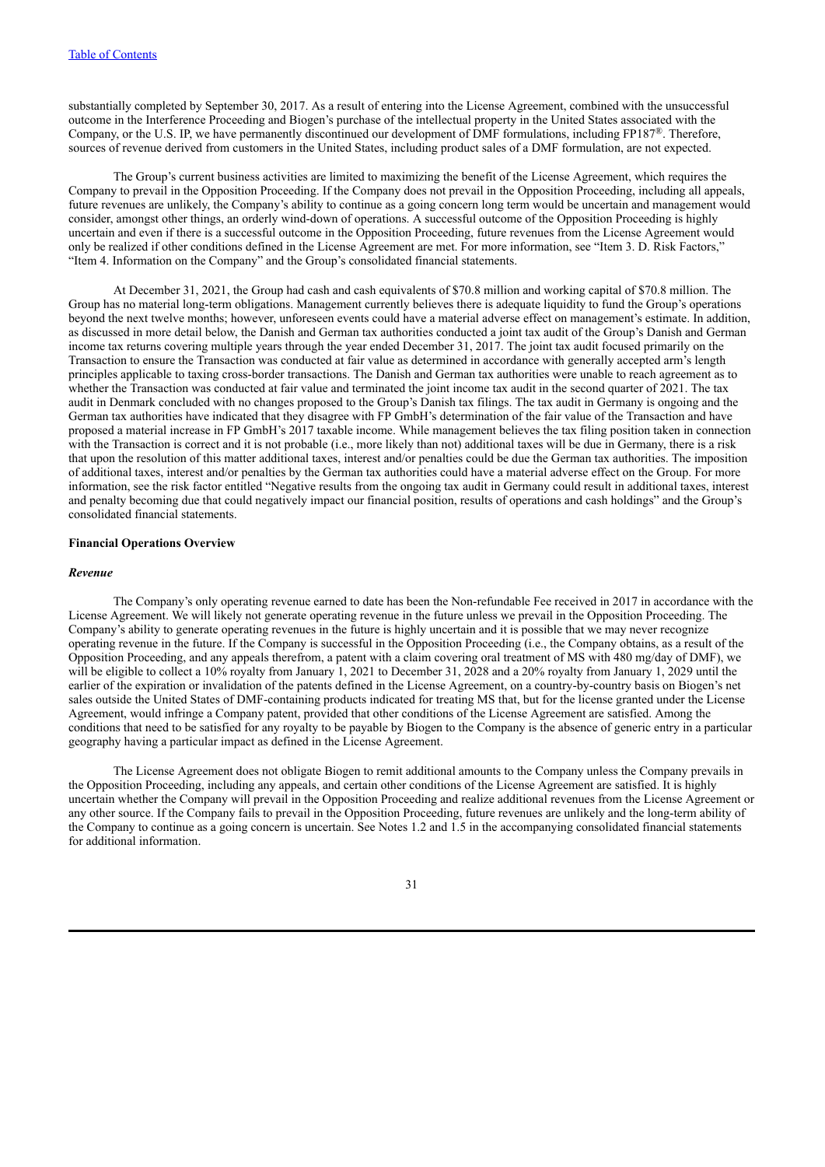substantially completed by September 30, 2017. As a result of entering into the License Agreement, combined with the unsuccessful outcome in the Interference Proceeding and Biogen's purchase of the intellectual property in the United States associated with the Company, or the U.S. IP, we have permanently discontinued our development of DMF formulations, including FP187®. Therefore, sources of revenue derived from customers in the United States, including product sales of a DMF formulation, are not expected.

The Group's current business activities are limited to maximizing the benefit of the License Agreement, which requires the Company to prevail in the Opposition Proceeding. If the Company does not prevail in the Opposition Proceeding, including all appeals, future revenues are unlikely, the Company's ability to continue as a going concern long term would be uncertain and management would consider, amongst other things, an orderly wind-down of operations. A successful outcome of the Opposition Proceeding is highly uncertain and even if there is a successful outcome in the Opposition Proceeding, future revenues from the License Agreement would only be realized if other conditions defined in the License Agreement are met. For more information, see "Item 3. D. Risk Factors," "Item 4. Information on the Company" and the Group's consolidated financial statements.

At December 31, 2021, the Group had cash and cash equivalents of \$70.8 million and working capital of \$70.8 million. The Group has no material long-term obligations. Management currently believes there is adequate liquidity to fund the Group's operations beyond the next twelve months; however, unforeseen events could have a material adverse effect on management's estimate. In addition, as discussed in more detail below, the Danish and German tax authorities conducted a joint tax audit of the Group's Danish and German income tax returns covering multiple years through the year ended December 31, 2017. The joint tax audit focused primarily on the Transaction to ensure the Transaction was conducted at fair value as determined in accordance with generally accepted arm's length principles applicable to taxing cross-border transactions. The Danish and German tax authorities were unable to reach agreement as to whether the Transaction was conducted at fair value and terminated the joint income tax audit in the second quarter of 2021. The tax audit in Denmark concluded with no changes proposed to the Group's Danish tax filings. The tax audit in Germany is ongoing and the German tax authorities have indicated that they disagree with FP GmbH's determination of the fair value of the Transaction and have proposed a material increase in FP GmbH's 2017 taxable income. While management believes the tax filing position taken in connection with the Transaction is correct and it is not probable (i.e., more likely than not) additional taxes will be due in Germany, there is a risk that upon the resolution of this matter additional taxes, interest and/or penalties could be due the German tax authorities. The imposition of additional taxes, interest and/or penalties by the German tax authorities could have a material adverse effect on the Group. For more information, see the risk factor entitled "Negative results from the ongoing tax audit in Germany could result in additional taxes, interest and penalty becoming due that could negatively impact our financial position, results of operations and cash holdings" and the Group's consolidated financial statements.

#### **Financial Operations Overview**

## *Revenue*

The Company's only operating revenue earned to date has been the Non-refundable Fee received in 2017 in accordance with the License Agreement. We will likely not generate operating revenue in the future unless we prevail in the Opposition Proceeding. The Company's ability to generate operating revenues in the future is highly uncertain and it is possible that we may never recognize operating revenue in the future. If the Company is successful in the Opposition Proceeding (i.e., the Company obtains, as a result of the Opposition Proceeding, and any appeals therefrom, a patent with a claim covering oral treatment of MS with 480 mg/day of DMF), we will be eligible to collect a 10% royalty from January 1, 2021 to December 31, 2028 and a 20% royalty from January 1, 2029 until the earlier of the expiration or invalidation of the patents defined in the License Agreement, on a country-by-country basis on Biogen's net sales outside the United States of DMF-containing products indicated for treating MS that, but for the license granted under the License Agreement, would infringe a Company patent, provided that other conditions of the License Agreement are satisfied. Among the conditions that need to be satisfied for any royalty to be payable by Biogen to the Company is the absence of generic entry in a particular geography having a particular impact as defined in the License Agreement.

The License Agreement does not obligate Biogen to remit additional amounts to the Company unless the Company prevails in the Opposition Proceeding, including any appeals, and certain other conditions of the License Agreement are satisfied. It is highly uncertain whether the Company will prevail in the Opposition Proceeding and realize additional revenues from the License Agreement or any other source. If the Company fails to prevail in the Opposition Proceeding, future revenues are unlikely and the long-term ability of the Company to continue as a going concern is uncertain. See Notes 1.2 and 1.5 in the accompanying consolidated financial statements for additional information.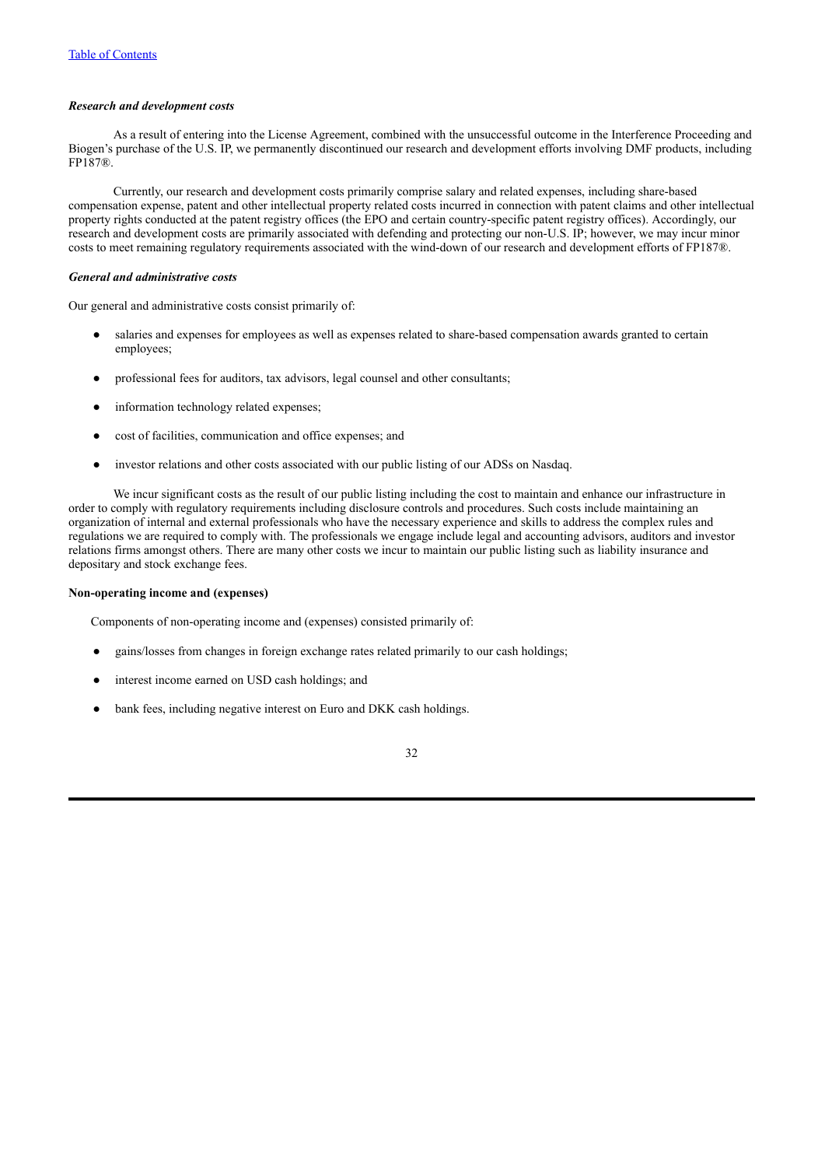# *Research and development costs*

As a result of entering into the License Agreement, combined with the unsuccessful outcome in the Interference Proceeding and Biogen's purchase of the U.S. IP, we permanently discontinued our research and development efforts involving DMF products, including FP187®.

Currently, our research and development costs primarily comprise salary and related expenses, including share-based compensation expense, patent and other intellectual property related costs incurred in connection with patent claims and other intellectual property rights conducted at the patent registry offices (the EPO and certain country-specific patent registry offices). Accordingly, our research and development costs are primarily associated with defending and protecting our non-U.S. IP; however, we may incur minor costs to meet remaining regulatory requirements associated with the wind-down of our research and development efforts of FP187®.

#### *General and administrative costs*

Our general and administrative costs consist primarily of:

- salaries and expenses for employees as well as expenses related to share-based compensation awards granted to certain employees;
- professional fees for auditors, tax advisors, legal counsel and other consultants;
- information technology related expenses;
- cost of facilities, communication and office expenses; and
- investor relations and other costs associated with our public listing of our ADSs on Nasdaq.

We incur significant costs as the result of our public listing including the cost to maintain and enhance our infrastructure in order to comply with regulatory requirements including disclosure controls and procedures. Such costs include maintaining an organization of internal and external professionals who have the necessary experience and skills to address the complex rules and regulations we are required to comply with. The professionals we engage include legal and accounting advisors, auditors and investor relations firms amongst others. There are many other costs we incur to maintain our public listing such as liability insurance and depositary and stock exchange fees.

#### **Non-operating income and (expenses)**

Components of non-operating income and (expenses) consisted primarily of:

- gains/losses from changes in foreign exchange rates related primarily to our cash holdings;
- interest income earned on USD cash holdings; and
- bank fees, including negative interest on Euro and DKK cash holdings.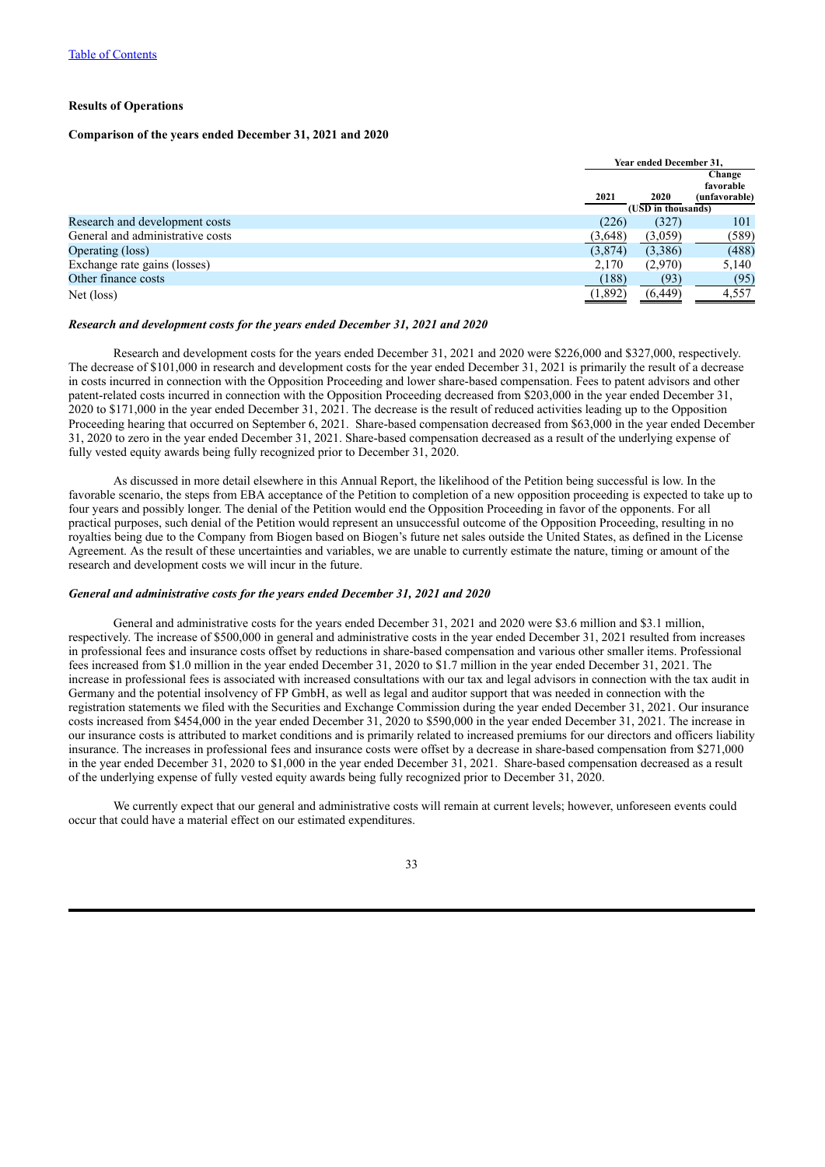### **Results of Operations**

#### **Comparison of the years ended December 31, 2021 and 2020**

|                                  |         | Year ended December 31,    |               |
|----------------------------------|---------|----------------------------|---------------|
|                                  | 2021    | Change<br>favorable        |               |
|                                  |         | 2020<br>(USD in thousands) | (unfavorable) |
| Research and development costs   | (226)   | (327)                      | 101           |
| General and administrative costs | (3,648) | (3,059)                    | (589)         |
| Operating (loss)                 | (3,874) | (3,386)                    | (488)         |
| Exchange rate gains (losses)     | 2,170   | (2,970)                    | 5,140         |
| Other finance costs              | (188)   | (93)                       | (95)          |
| Net (loss)                       | (1,892) | (6, 449)                   | 4,557         |

#### *Research and development costs for the years ended December 31, 2021 and 2020*

Research and development costs for the years ended December 31, 2021 and 2020 were \$226,000 and \$327,000, respectively. The decrease of \$101,000 in research and development costs for the year ended December 31, 2021 is primarily the result of a decrease in costs incurred in connection with the Opposition Proceeding and lower share-based compensation. Fees to patent advisors and other patent-related costs incurred in connection with the Opposition Proceeding decreased from \$203,000 in the year ended December 31, 2020 to \$171,000 in the year ended December 31, 2021. The decrease is the result of reduced activities leading up to the Opposition Proceeding hearing that occurred on September 6, 2021. Share-based compensation decreased from \$63,000 in the year ended December 31, 2020 to zero in the year ended December 31, 2021. Share-based compensation decreased as a result of the underlying expense of fully vested equity awards being fully recognized prior to December 31, 2020.

As discussed in more detail elsewhere in this Annual Report, the likelihood of the Petition being successful is low. In the favorable scenario, the steps from EBA acceptance of the Petition to completion of a new opposition proceeding is expected to take up to four years and possibly longer. The denial of the Petition would end the Opposition Proceeding in favor of the opponents. For all practical purposes, such denial of the Petition would represent an unsuccessful outcome of the Opposition Proceeding, resulting in no royalties being due to the Company from Biogen based on Biogen's future net sales outside the United States, as defined in the License Agreement. As the result of these uncertainties and variables, we are unable to currently estimate the nature, timing or amount of the research and development costs we will incur in the future.

#### *General and administrative costs for the years ended December 31, 2021 and 2020*

General and administrative costs for the years ended December 31, 2021 and 2020 were \$3.6 million and \$3.1 million, respectively. The increase of \$500,000 in general and administrative costs in the year ended December 31, 2021 resulted from increases in professional fees and insurance costs offset by reductions in share-based compensation and various other smaller items. Professional fees increased from \$1.0 million in the year ended December 31, 2020 to \$1.7 million in the year ended December 31, 2021. The increase in professional fees is associated with increased consultations with our tax and legal advisors in connection with the tax audit in Germany and the potential insolvency of FP GmbH, as well as legal and auditor support that was needed in connection with the registration statements we filed with the Securities and Exchange Commission during the year ended December 31, 2021. Our insurance costs increased from \$454,000 in the year ended December 31, 2020 to \$590,000 in the year ended December 31, 2021. The increase in our insurance costs is attributed to market conditions and is primarily related to increased premiums for our directors and officers liability insurance. The increases in professional fees and insurance costs were offset by a decrease in share-based compensation from \$271,000 in the year ended December 31, 2020 to \$1,000 in the year ended December 31, 2021. Share-based compensation decreased as a result of the underlying expense of fully vested equity awards being fully recognized prior to December 31, 2020.

We currently expect that our general and administrative costs will remain at current levels; however, unforeseen events could occur that could have a material effect on our estimated expenditures.

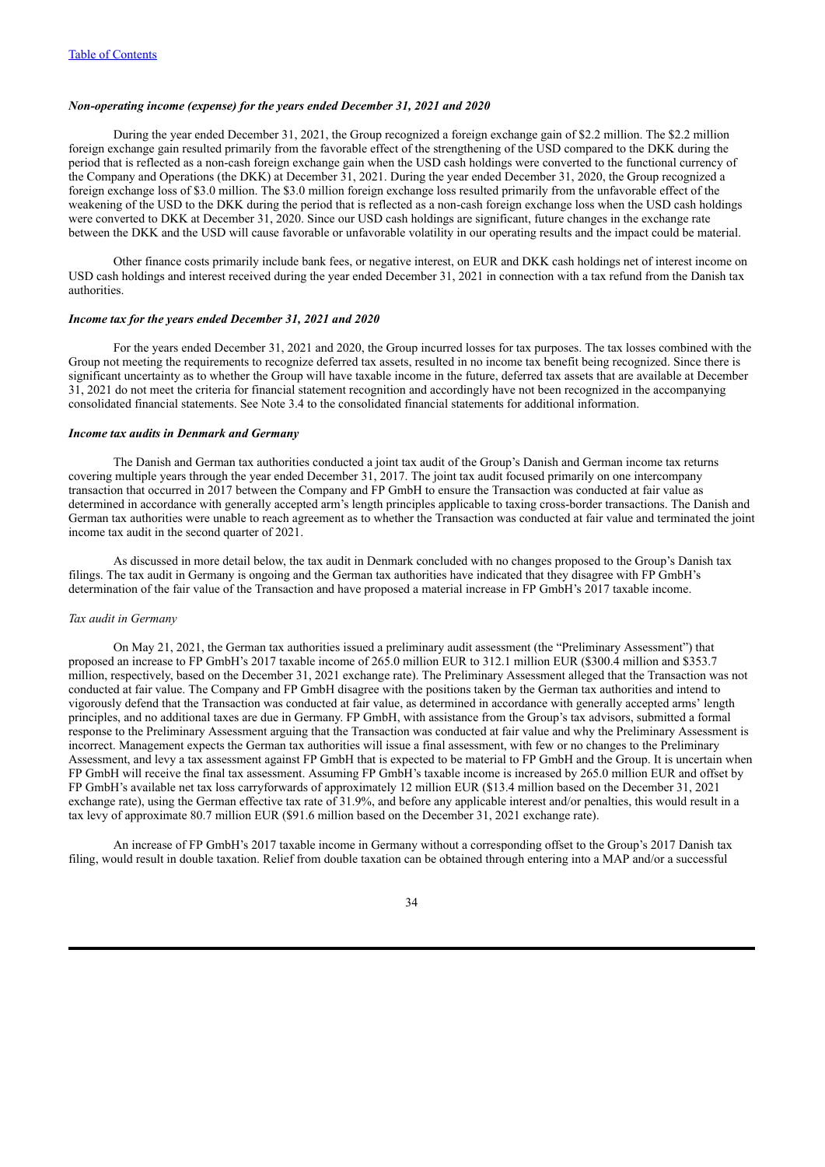## *Non-operating income (expense) for the years ended December 31, 2021 and 2020*

During the year ended December 31, 2021, the Group recognized a foreign exchange gain of \$2.2 million. The \$2.2 million foreign exchange gain resulted primarily from the favorable effect of the strengthening of the USD compared to the DKK during the period that is reflected as a non-cash foreign exchange gain when the USD cash holdings were converted to the functional currency of the Company and Operations (the DKK) at December 31, 2021. During the year ended December 31, 2020, the Group recognized a foreign exchange loss of \$3.0 million. The \$3.0 million foreign exchange loss resulted primarily from the unfavorable effect of the weakening of the USD to the DKK during the period that is reflected as a non-cash foreign exchange loss when the USD cash holdings were converted to DKK at December 31, 2020. Since our USD cash holdings are significant, future changes in the exchange rate between the DKK and the USD will cause favorable or unfavorable volatility in our operating results and the impact could be material.

Other finance costs primarily include bank fees, or negative interest, on EUR and DKK cash holdings net of interest income on USD cash holdings and interest received during the year ended December 31, 2021 in connection with a tax refund from the Danish tax authorities.

## *Income tax for the years ended December 31, 2021 and 2020*

For the years ended December 31, 2021 and 2020, the Group incurred losses for tax purposes. The tax losses combined with the Group not meeting the requirements to recognize deferred tax assets, resulted in no income tax benefit being recognized. Since there is significant uncertainty as to whether the Group will have taxable income in the future, deferred tax assets that are available at December 31, 2021 do not meet the criteria for financial statement recognition and accordingly have not been recognized in the accompanying consolidated financial statements. See Note 3.4 to the consolidated financial statements for additional information.

### *Income tax audits in Denmark and Germany*

The Danish and German tax authorities conducted a joint tax audit of the Group's Danish and German income tax returns covering multiple years through the year ended December 31, 2017. The joint tax audit focused primarily on one intercompany transaction that occurred in 2017 between the Company and FP GmbH to ensure the Transaction was conducted at fair value as determined in accordance with generally accepted arm's length principles applicable to taxing cross-border transactions. The Danish and German tax authorities were unable to reach agreement as to whether the Transaction was conducted at fair value and terminated the joint income tax audit in the second quarter of 2021.

As discussed in more detail below, the tax audit in Denmark concluded with no changes proposed to the Group's Danish tax filings. The tax audit in Germany is ongoing and the German tax authorities have indicated that they disagree with FP GmbH's determination of the fair value of the Transaction and have proposed a material increase in FP GmbH's 2017 taxable income.

#### *Tax audit in Germany*

On May 21, 2021, the German tax authorities issued a preliminary audit assessment (the "Preliminary Assessment") that proposed an increase to FP GmbH's 2017 taxable income of 265.0 million EUR to 312.1 million EUR (\$300.4 million and \$353.7 million, respectively, based on the December 31, 2021 exchange rate). The Preliminary Assessment alleged that the Transaction was not conducted at fair value. The Company and FP GmbH disagree with the positions taken by the German tax authorities and intend to vigorously defend that the Transaction was conducted at fair value, as determined in accordance with generally accepted arms' length principles, and no additional taxes are due in Germany. FP GmbH, with assistance from the Group's tax advisors, submitted a formal response to the Preliminary Assessment arguing that the Transaction was conducted at fair value and why the Preliminary Assessment is incorrect. Management expects the German tax authorities will issue a final assessment, with few or no changes to the Preliminary Assessment, and levy a tax assessment against FP GmbH that is expected to be material to FP GmbH and the Group. It is uncertain when FP GmbH will receive the final tax assessment. Assuming FP GmbH's taxable income is increased by 265.0 million EUR and offset by FP GmbH's available net tax loss carryforwards of approximately 12 million EUR (\$13.4 million based on the December 31, 2021 exchange rate), using the German effective tax rate of 31.9%, and before any applicable interest and/or penalties, this would result in a tax levy of approximate 80.7 million EUR (\$91.6 million based on the December 31, 2021 exchange rate).

An increase of FP GmbH's 2017 taxable income in Germany without a corresponding offset to the Group's 2017 Danish tax filing, would result in double taxation. Relief from double taxation can be obtained through entering into a MAP and/or a successful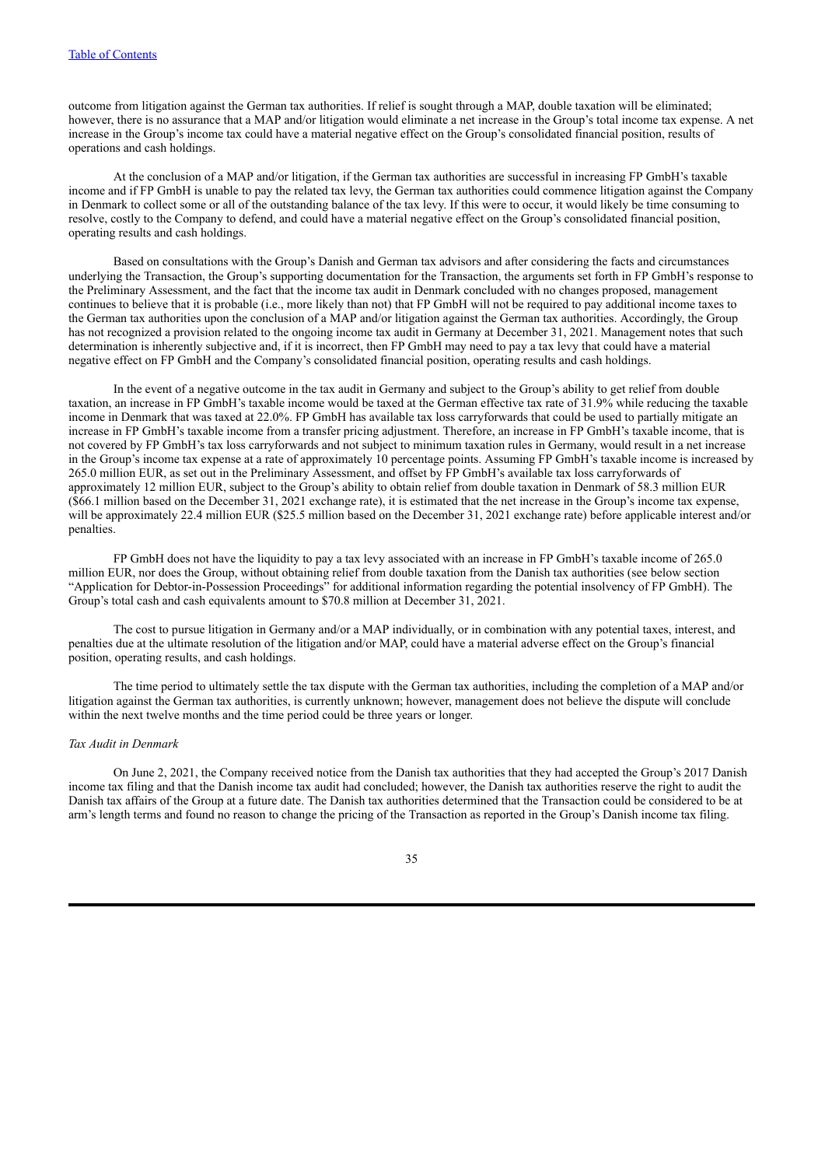outcome from litigation against the German tax authorities. If relief is sought through a MAP, double taxation will be eliminated; however, there is no assurance that a MAP and/or litigation would eliminate a net increase in the Group's total income tax expense. A net increase in the Group's income tax could have a material negative effect on the Group's consolidated financial position, results of operations and cash holdings.

At the conclusion of a MAP and/or litigation, if the German tax authorities are successful in increasing FP GmbH's taxable income and if FP GmbH is unable to pay the related tax levy, the German tax authorities could commence litigation against the Company in Denmark to collect some or all of the outstanding balance of the tax levy. If this were to occur, it would likely be time consuming to resolve, costly to the Company to defend, and could have a material negative effect on the Group's consolidated financial position, operating results and cash holdings.

Based on consultations with the Group's Danish and German tax advisors and after considering the facts and circumstances underlying the Transaction, the Group's supporting documentation for the Transaction, the arguments set forth in FP GmbH's response to the Preliminary Assessment, and the fact that the income tax audit in Denmark concluded with no changes proposed, management continues to believe that it is probable (i.e., more likely than not) that FP GmbH will not be required to pay additional income taxes to the German tax authorities upon the conclusion of a MAP and/or litigation against the German tax authorities. Accordingly, the Group has not recognized a provision related to the ongoing income tax audit in Germany at December 31, 2021. Management notes that such determination is inherently subjective and, if it is incorrect, then FP GmbH may need to pay a tax levy that could have a material negative effect on FP GmbH and the Company's consolidated financial position, operating results and cash holdings.

In the event of a negative outcome in the tax audit in Germany and subject to the Group's ability to get relief from double taxation, an increase in FP GmbH's taxable income would be taxed at the German effective tax rate of 31.9% while reducing the taxable income in Denmark that was taxed at 22.0%. FP GmbH has available tax loss carryforwards that could be used to partially mitigate an increase in FP GmbH's taxable income from a transfer pricing adjustment. Therefore, an increase in FP GmbH's taxable income, that is not covered by FP GmbH's tax loss carryforwards and not subject to minimum taxation rules in Germany, would result in a net increase in the Group's income tax expense at a rate of approximately 10 percentage points. Assuming FP GmbH's taxable income is increased by 265.0 million EUR, as set out in the Preliminary Assessment, and offset by FP GmbH's available tax loss carryforwards of approximately 12 million EUR, subject to the Group's ability to obtain relief from double taxation in Denmark of 58.3 million EUR (\$66.1 million based on the December 31, 2021 exchange rate), it is estimated that the net increase in the Group's income tax expense, will be approximately 22.4 million EUR (\$25.5 million based on the December 31, 2021 exchange rate) before applicable interest and/or penalties.

FP GmbH does not have the liquidity to pay a tax levy associated with an increase in FP GmbH's taxable income of 265.0 million EUR, nor does the Group, without obtaining relief from double taxation from the Danish tax authorities (see below section "Application for Debtor-in-Possession Proceedings" for additional information regarding the potential insolvency of FP GmbH). The Group's total cash and cash equivalents amount to \$70.8 million at December 31, 2021.

The cost to pursue litigation in Germany and/or a MAP individually, or in combination with any potential taxes, interest, and penalties due at the ultimate resolution of the litigation and/or MAP, could have a material adverse effect on the Group's financial position, operating results, and cash holdings.

The time period to ultimately settle the tax dispute with the German tax authorities, including the completion of a MAP and/or litigation against the German tax authorities, is currently unknown; however, management does not believe the dispute will conclude within the next twelve months and the time period could be three years or longer.

## *Tax Audit in Denmark*

On June 2, 2021, the Company received notice from the Danish tax authorities that they had accepted the Group's 2017 Danish income tax filing and that the Danish income tax audit had concluded; however, the Danish tax authorities reserve the right to audit the Danish tax affairs of the Group at a future date. The Danish tax authorities determined that the Transaction could be considered to be at arm's length terms and found no reason to change the pricing of the Transaction as reported in the Group's Danish income tax filing.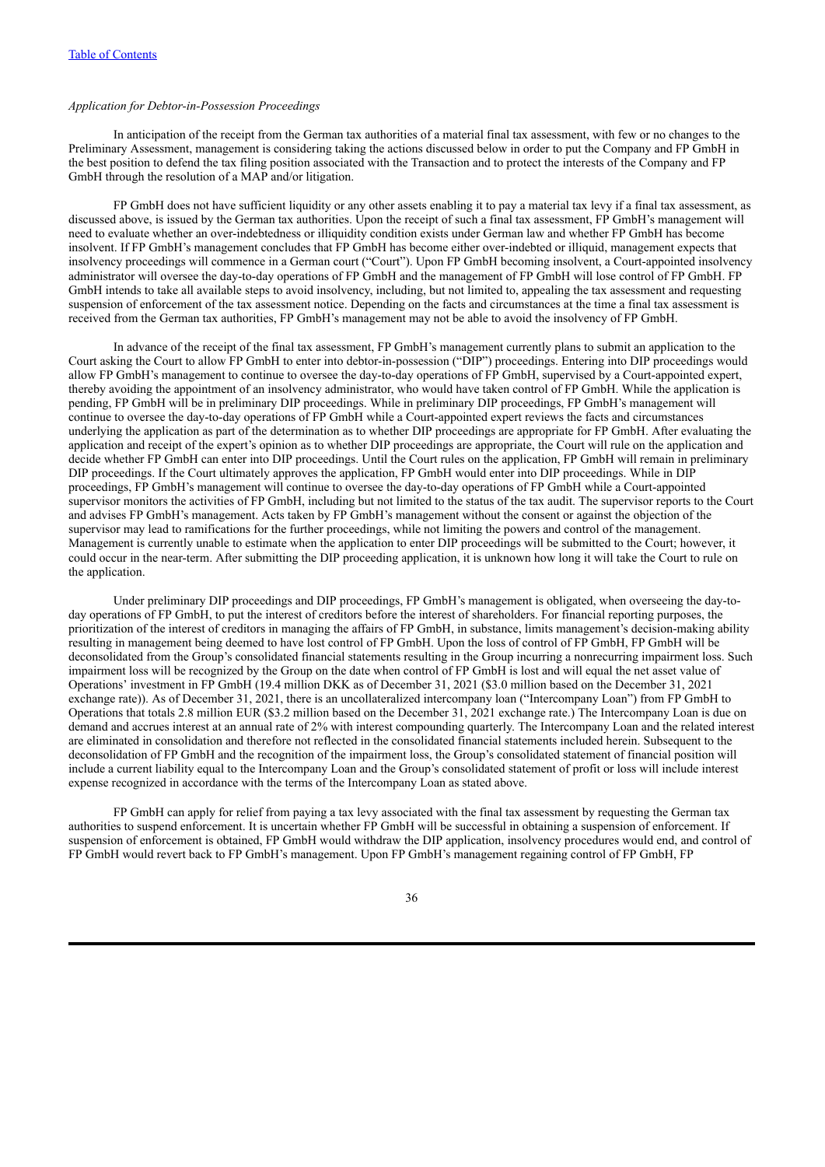## *Application for Debtor-in-Possession Proceedings*

In anticipation of the receipt from the German tax authorities of a material final tax assessment, with few or no changes to the Preliminary Assessment, management is considering taking the actions discussed below in order to put the Company and FP GmbH in the best position to defend the tax filing position associated with the Transaction and to protect the interests of the Company and FP GmbH through the resolution of a MAP and/or litigation.

FP GmbH does not have sufficient liquidity or any other assets enabling it to pay a material tax levy if a final tax assessment, as discussed above, is issued by the German tax authorities. Upon the receipt of such a final tax assessment, FP GmbH's management will need to evaluate whether an over-indebtedness or illiquidity condition exists under German law and whether FP GmbH has become insolvent. If FP GmbH's management concludes that FP GmbH has become either over-indebted or illiquid, management expects that insolvency proceedings will commence in a German court ("Court"). Upon FP GmbH becoming insolvent, a Court-appointed insolvency administrator will oversee the day-to-day operations of FP GmbH and the management of FP GmbH will lose control of FP GmbH. FP GmbH intends to take all available steps to avoid insolvency, including, but not limited to, appealing the tax assessment and requesting suspension of enforcement of the tax assessment notice. Depending on the facts and circumstances at the time a final tax assessment is received from the German tax authorities, FP GmbH's management may not be able to avoid the insolvency of FP GmbH.

In advance of the receipt of the final tax assessment, FP GmbH's management currently plans to submit an application to the Court asking the Court to allow FP GmbH to enter into debtor-in-possession ("DIP") proceedings. Entering into DIP proceedings would allow FP GmbH's management to continue to oversee the day-to-day operations of FP GmbH, supervised by a Court-appointed expert, thereby avoiding the appointment of an insolvency administrator, who would have taken control of FP GmbH. While the application is pending, FP GmbH will be in preliminary DIP proceedings. While in preliminary DIP proceedings, FP GmbH's management will continue to oversee the day-to-day operations of FP GmbH while a Court-appointed expert reviews the facts and circumstances underlying the application as part of the determination as to whether DIP proceedings are appropriate for FP GmbH. After evaluating the application and receipt of the expert's opinion as to whether DIP proceedings are appropriate, the Court will rule on the application and decide whether FP GmbH can enter into DIP proceedings. Until the Court rules on the application, FP GmbH will remain in preliminary DIP proceedings. If the Court ultimately approves the application, FP GmbH would enter into DIP proceedings. While in DIP proceedings, FP GmbH's management will continue to oversee the day-to-day operations of FP GmbH while a Court-appointed supervisor monitors the activities of FP GmbH, including but not limited to the status of the tax audit. The supervisor reports to the Court and advises FP GmbH's management. Acts taken by FP GmbH's management without the consent or against the objection of the supervisor may lead to ramifications for the further proceedings, while not limiting the powers and control of the management. Management is currently unable to estimate when the application to enter DIP proceedings will be submitted to the Court; however, it could occur in the near-term. After submitting the DIP proceeding application, it is unknown how long it will take the Court to rule on the application.

Under preliminary DIP proceedings and DIP proceedings, FP GmbH's management is obligated, when overseeing the day-today operations of FP GmbH, to put the interest of creditors before the interest of shareholders. For financial reporting purposes, the prioritization of the interest of creditors in managing the affairs of FP GmbH, in substance, limits management's decision-making ability resulting in management being deemed to have lost control of FP GmbH. Upon the loss of control of FP GmbH, FP GmbH will be deconsolidated from the Group's consolidated financial statements resulting in the Group incurring a nonrecurring impairment loss. Such impairment loss will be recognized by the Group on the date when control of FP GmbH is lost and will equal the net asset value of Operations' investment in FP GmbH (19.4 million DKK as of December 31, 2021 (\$3.0 million based on the December 31, 2021 exchange rate)). As of December 31, 2021, there is an uncollateralized intercompany loan ("Intercompany Loan") from FP GmbH to Operations that totals 2.8 million EUR (\$3.2 million based on the December 31, 2021 exchange rate.) The Intercompany Loan is due on demand and accrues interest at an annual rate of 2% with interest compounding quarterly. The Intercompany Loan and the related interest are eliminated in consolidation and therefore not reflected in the consolidated financial statements included herein. Subsequent to the deconsolidation of FP GmbH and the recognition of the impairment loss, the Group's consolidated statement of financial position will include a current liability equal to the Intercompany Loan and the Group's consolidated statement of profit or loss will include interest expense recognized in accordance with the terms of the Intercompany Loan as stated above.

FP GmbH can apply for relief from paying a tax levy associated with the final tax assessment by requesting the German tax authorities to suspend enforcement. It is uncertain whether FP GmbH will be successful in obtaining a suspension of enforcement. If suspension of enforcement is obtained, FP GmbH would withdraw the DIP application, insolvency procedures would end, and control of FP GmbH would revert back to FP GmbH's management. Upon FP GmbH's management regaining control of FP GmbH, FP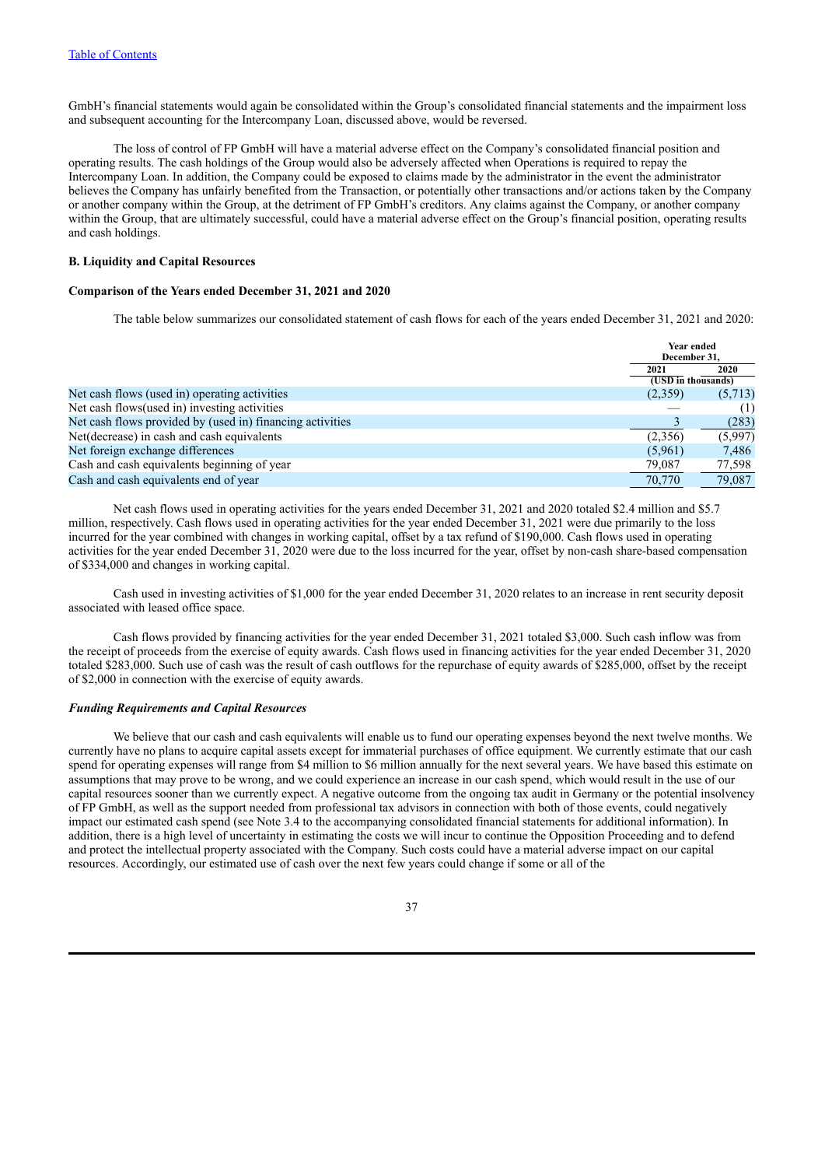GmbH's financial statements would again be consolidated within the Group's consolidated financial statements and the impairment loss and subsequent accounting for the Intercompany Loan, discussed above, would be reversed.

The loss of control of FP GmbH will have a material adverse effect on the Company's consolidated financial position and operating results. The cash holdings of the Group would also be adversely affected when Operations is required to repay the Intercompany Loan. In addition, the Company could be exposed to claims made by the administrator in the event the administrator believes the Company has unfairly benefited from the Transaction, or potentially other transactions and/or actions taken by the Company or another company within the Group, at the detriment of FP GmbH's creditors. Any claims against the Company, or another company within the Group, that are ultimately successful, could have a material adverse effect on the Group's financial position, operating results and cash holdings.

## **B. Liquidity and Capital Resources**

#### **Comparison of the Years ended December 31, 2021 and 2020**

The table below summarizes our consolidated statement of cash flows for each of the years ended December 31, 2021 and 2020:

|                                                           | Year ended<br>December 31. |         |
|-----------------------------------------------------------|----------------------------|---------|
|                                                           | 2021                       | 2020    |
|                                                           | (USD in thousands)         |         |
| Net cash flows (used in) operating activities             | (2,359)                    | (5,713) |
| Net cash flows (used in) investing activities             |                            |         |
| Net cash flows provided by (used in) financing activities |                            | (283)   |
| Net(decrease) in cash and cash equivalents                | (2,356)                    | (5,997) |
| Net foreign exchange differences                          | (5,961)                    | 7,486   |
| Cash and cash equivalents beginning of year               | 79,087                     | 77,598  |
| Cash and cash equivalents end of year                     | 70,770                     | 79.087  |

Net cash flows used in operating activities for the years ended December 31, 2021 and 2020 totaled \$2.4 million and \$5.7 million, respectively. Cash flows used in operating activities for the year ended December 31, 2021 were due primarily to the loss incurred for the year combined with changes in working capital, offset by a tax refund of \$190,000. Cash flows used in operating activities for the year ended December 31, 2020 were due to the loss incurred for the year, offset by non-cash share-based compensation of \$334,000 and changes in working capital.

Cash used in investing activities of \$1,000 for the year ended December 31, 2020 relates to an increase in rent security deposit associated with leased office space.

Cash flows provided by financing activities for the year ended December 31, 2021 totaled \$3,000. Such cash inflow was from the receipt of proceeds from the exercise of equity awards. Cash flows used in financing activities for the year ended December 31, 2020 totaled \$283,000. Such use of cash was the result of cash outflows for the repurchase of equity awards of \$285,000, offset by the receipt of \$2,000 in connection with the exercise of equity awards.

#### *Funding Requirements and Capital Resources*

We believe that our cash and cash equivalents will enable us to fund our operating expenses beyond the next twelve months. We currently have no plans to acquire capital assets except for immaterial purchases of office equipment. We currently estimate that our cash spend for operating expenses will range from \$4 million to \$6 million annually for the next several years. We have based this estimate on assumptions that may prove to be wrong, and we could experience an increase in our cash spend, which would result in the use of our capital resources sooner than we currently expect. A negative outcome from the ongoing tax audit in Germany or the potential insolvency of FP GmbH, as well as the support needed from professional tax advisors in connection with both of those events, could negatively impact our estimated cash spend (see Note 3.4 to the accompanying consolidated financial statements for additional information). In addition, there is a high level of uncertainty in estimating the costs we will incur to continue the Opposition Proceeding and to defend and protect the intellectual property associated with the Company. Such costs could have a material adverse impact on our capital resources. Accordingly, our estimated use of cash over the next few years could change if some or all of the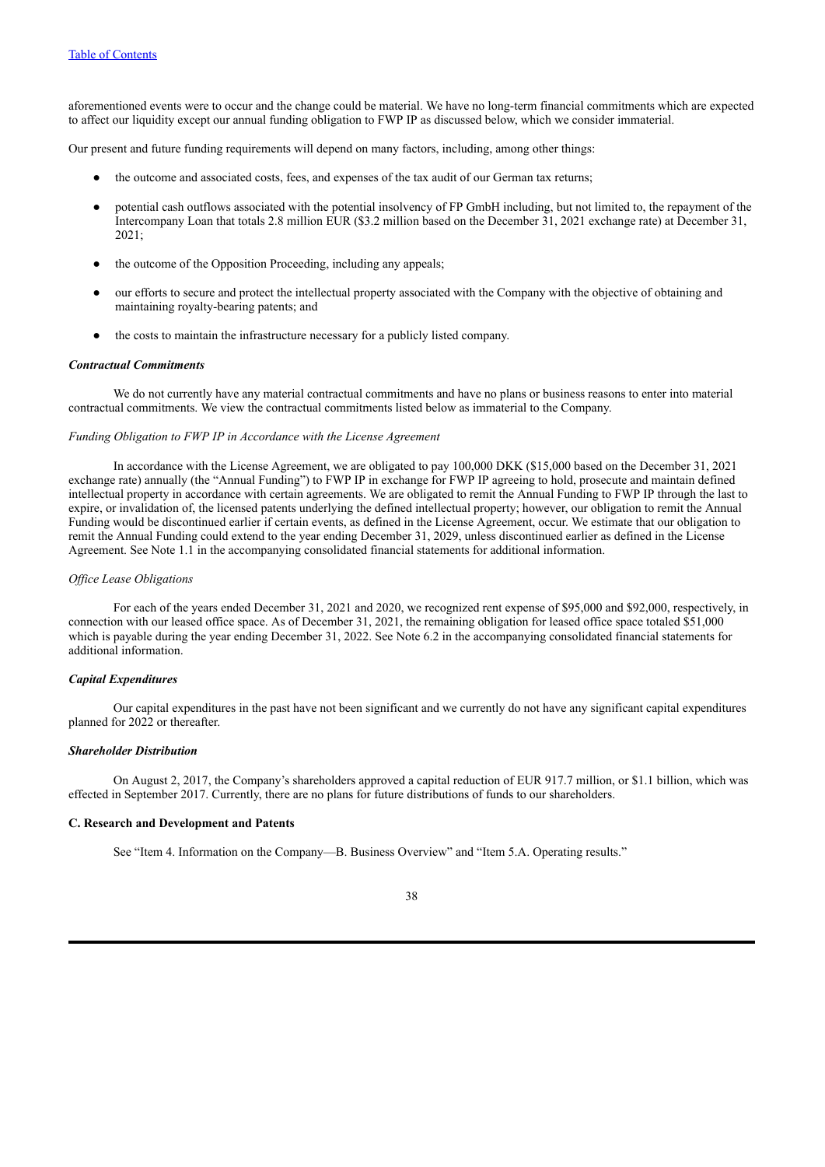aforementioned events were to occur and the change could be material. We have no long-term financial commitments which are expected to affect our liquidity except our annual funding obligation to FWP IP as discussed below, which we consider immaterial.

Our present and future funding requirements will depend on many factors, including, among other things:

- the outcome and associated costs, fees, and expenses of the tax audit of our German tax returns;
- potential cash outflows associated with the potential insolvency of FP GmbH including, but not limited to, the repayment of the Intercompany Loan that totals 2.8 million EUR (\$3.2 million based on the December 31, 2021 exchange rate) at December 31, 2021;
- the outcome of the Opposition Proceeding, including any appeals;
- our efforts to secure and protect the intellectual property associated with the Company with the objective of obtaining and maintaining royalty-bearing patents; and
- the costs to maintain the infrastructure necessary for a publicly listed company.

#### *Contractual Commitments*

We do not currently have any material contractual commitments and have no plans or business reasons to enter into material contractual commitments. We view the contractual commitments listed below as immaterial to the Company.

### *Funding Obligation to FWP IP in Accordance with the License Agreement*

In accordance with the License Agreement, we are obligated to pay 100,000 DKK (\$15,000 based on the December 31, 2021 exchange rate) annually (the "Annual Funding") to FWP IP in exchange for FWP IP agreeing to hold, prosecute and maintain defined intellectual property in accordance with certain agreements. We are obligated to remit the Annual Funding to FWP IP through the last to expire, or invalidation of, the licensed patents underlying the defined intellectual property; however, our obligation to remit the Annual Funding would be discontinued earlier if certain events, as defined in the License Agreement, occur. We estimate that our obligation to remit the Annual Funding could extend to the year ending December 31, 2029, unless discontinued earlier as defined in the License Agreement. See Note 1.1 in the accompanying consolidated financial statements for additional information.

#### *Of ice Lease Obligations*

For each of the years ended December 31, 2021 and 2020, we recognized rent expense of \$95,000 and \$92,000, respectively, in connection with our leased office space. As of December 31, 2021, the remaining obligation for leased office space totaled \$51,000 which is payable during the year ending December 31, 2022. See Note 6.2 in the accompanying consolidated financial statements for additional information.

#### *Capital Expenditures*

Our capital expenditures in the past have not been significant and we currently do not have any significant capital expenditures planned for 2022 or thereafter.

### *Shareholder Distribution*

On August 2, 2017, the Company's shareholders approved a capital reduction of EUR 917.7 million, or \$1.1 billion, which was effected in September 2017. Currently, there are no plans for future distributions of funds to our shareholders.

### **C. Research and Development and Patents**

See "Item 4. Information on the Company—B. Business Overview" and "Item 5.A. Operating results."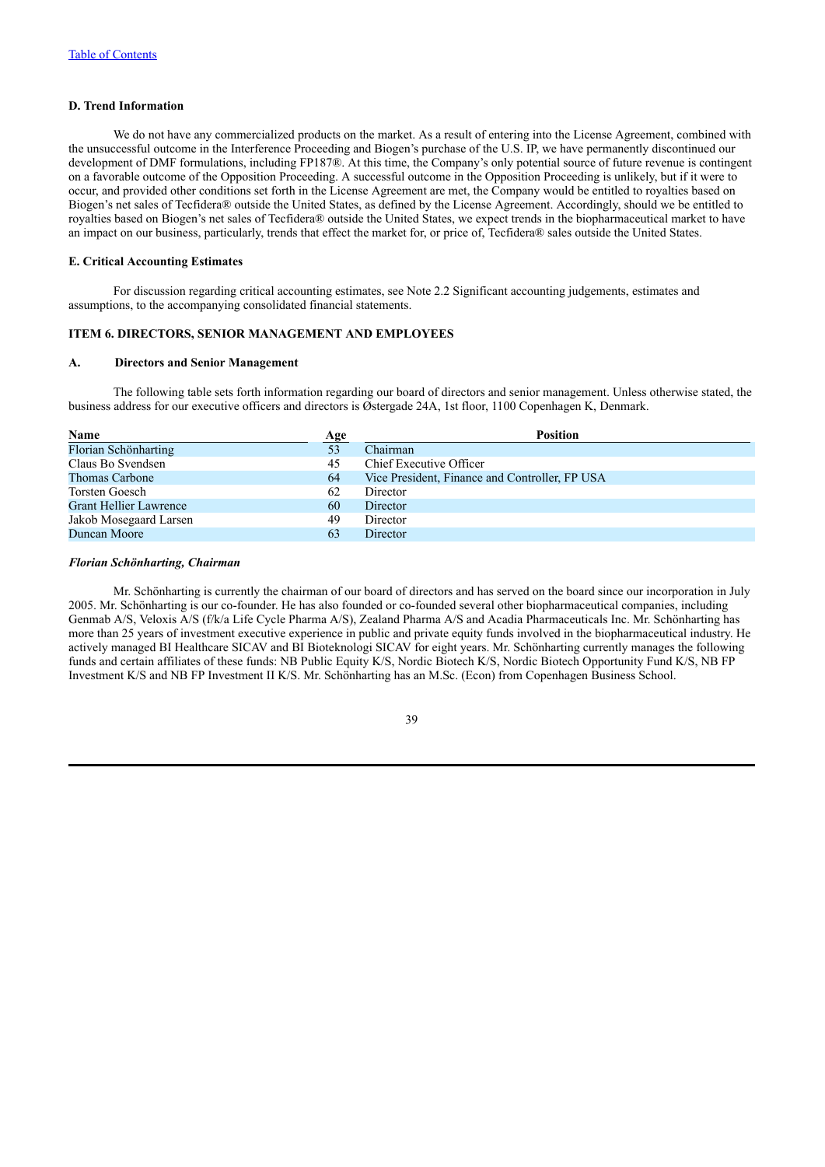## **D. Trend Information**

We do not have any commercialized products on the market. As a result of entering into the License Agreement, combined with the unsuccessful outcome in the Interference Proceeding and Biogen's purchase of the U.S. IP, we have permanently discontinued our development of DMF formulations, including FP187®. At this time, the Company's only potential source of future revenue is contingent on a favorable outcome of the Opposition Proceeding. A successful outcome in the Opposition Proceeding is unlikely, but if it were to occur, and provided other conditions set forth in the License Agreement are met, the Company would be entitled to royalties based on Biogen's net sales of Tecfidera® outside the United States, as defined by the License Agreement. Accordingly, should we be entitled to royalties based on Biogen's net sales of Tecfidera® outside the United States, we expect trends in the biopharmaceutical market to have an impact on our business, particularly, trends that effect the market for, or price of, Tecfidera® sales outside the United States.

# **E. Critical Accounting Estimates**

For discussion regarding critical accounting estimates, see Note 2.2 Significant accounting judgements, estimates and assumptions, to the accompanying consolidated financial statements.

### **ITEM 6. DIRECTORS, SENIOR MANAGEMENT AND EMPLOYEES**

## **A. Directors and Senior Management**

The following table sets forth information regarding our board of directors and senior management. Unless otherwise stated, the business address for our executive officers and directors is Østergade 24A, 1st floor, 1100 Copenhagen K, Denmark.

| Name                          | <u>Age</u> | <b>Position</b>                                |
|-------------------------------|------------|------------------------------------------------|
| Florian Schönharting          | 53         | Chairman                                       |
| Claus Bo Svendsen             | 45         | Chief Executive Officer                        |
| Thomas Carbone                | 64         | Vice President, Finance and Controller, FP USA |
| <b>Torsten Goesch</b>         | 62         | Director                                       |
| <b>Grant Hellier Lawrence</b> | 60         | Director                                       |
| Jakob Mosegaard Larsen        | 49         | Director                                       |
| Duncan Moore                  | 63         | Director                                       |
|                               |            |                                                |

#### *Florian Schönharting, Chairman*

Mr. Schönharting is currently the chairman of our board of directors and has served on the board since our incorporation in July 2005. Mr. Schönharting is our co-founder. He has also founded or co-founded several other biopharmaceutical companies, including Genmab A/S, Veloxis A/S (f/k/a Life Cycle Pharma A/S), Zealand Pharma A/S and Acadia Pharmaceuticals Inc. Mr. Schönharting has more than 25 years of investment executive experience in public and private equity funds involved in the biopharmaceutical industry. He actively managed BI Healthcare SICAV and BI Bioteknologi SICAV for eight years. Mr. Schönharting currently manages the following funds and certain affiliates of these funds: NB Public Equity K/S, Nordic Biotech K/S, Nordic Biotech Opportunity Fund K/S, NB FP Investment K/S and NB FP Investment II K/S. Mr. Schönharting has an M.Sc. (Econ) from Copenhagen Business School.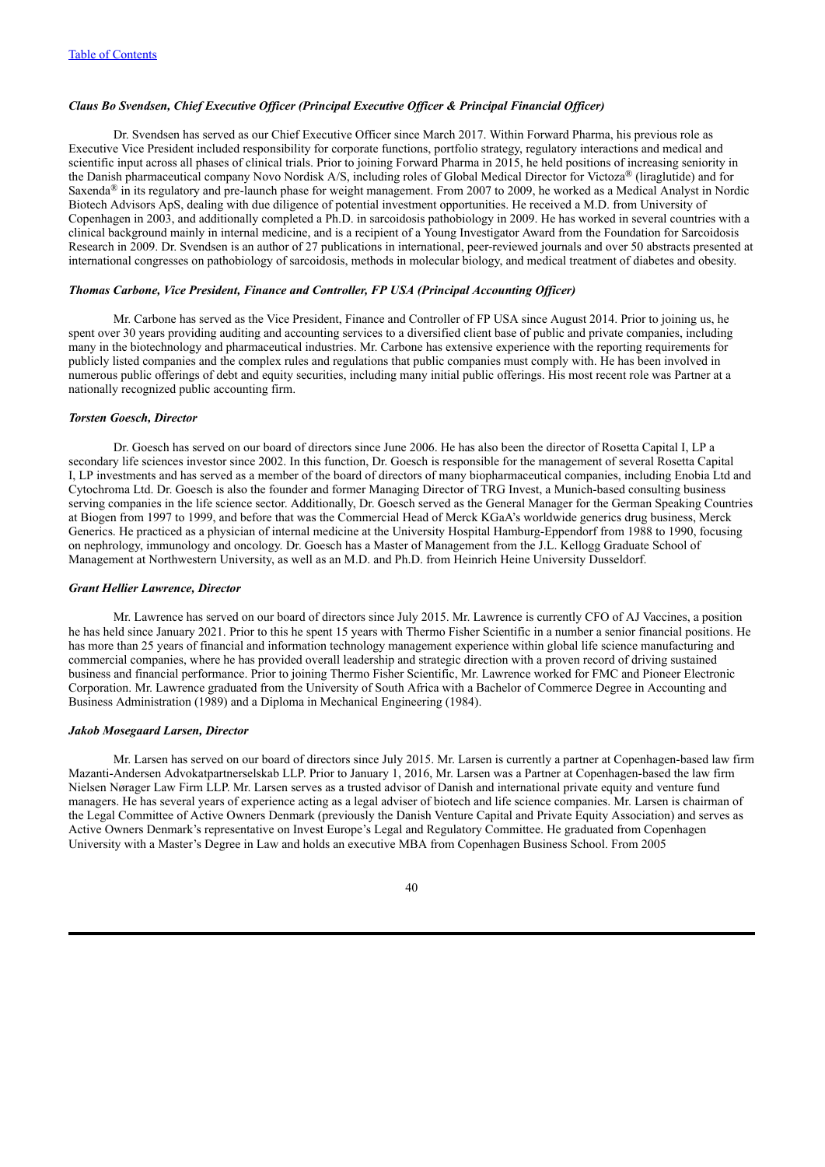## *Claus Bo Svendsen, Chief Executive Of icer (Principal Executive Of icer & Principal Financial Of icer)*

Dr. Svendsen has served as our Chief Executive Officer since March 2017. Within Forward Pharma, his previous role as Executive Vice President included responsibility for corporate functions, portfolio strategy, regulatory interactions and medical and scientific input across all phases of clinical trials. Prior to joining Forward Pharma in 2015, he held positions of increasing seniority in the Danish pharmaceutical company Novo Nordisk A/S, including roles of Global Medical Director for Victoza® (liraglutide) and for Saxenda® in its regulatory and pre-launch phase for weight management. From 2007 to 2009, he worked as a Medical Analyst in Nordic Biotech Advisors ApS, dealing with due diligence of potential investment opportunities. He received a M.D. from University of Copenhagen in 2003, and additionally completed a Ph.D. in sarcoidosis pathobiology in 2009. He has worked in several countries with a clinical background mainly in internal medicine, and is a recipient of a Young Investigator Award from the Foundation for Sarcoidosis Research in 2009. Dr. Svendsen is an author of 27 publications in international, peer-reviewed journals and over 50 abstracts presented at international congresses on pathobiology of sarcoidosis, methods in molecular biology, and medical treatment of diabetes and obesity.

### *Thomas Carbone, Vice President, Finance and Controller, FP USA (Principal Accounting Of icer)*

Mr. Carbone has served as the Vice President, Finance and Controller of FP USA since August 2014. Prior to joining us, he spent over 30 years providing auditing and accounting services to a diversified client base of public and private companies, including many in the biotechnology and pharmaceutical industries. Mr. Carbone has extensive experience with the reporting requirements for publicly listed companies and the complex rules and regulations that public companies must comply with. He has been involved in numerous public offerings of debt and equity securities, including many initial public offerings. His most recent role was Partner at a nationally recognized public accounting firm.

# *Torsten Goesch, Director*

Dr. Goesch has served on our board of directors since June 2006. He has also been the director of Rosetta Capital I, LP a secondary life sciences investor since 2002. In this function, Dr. Goesch is responsible for the management of several Rosetta Capital I, LP investments and has served as a member of the board of directors of many biopharmaceutical companies, including Enobia Ltd and Cytochroma Ltd. Dr. Goesch is also the founder and former Managing Director of TRG Invest, a Munich-based consulting business serving companies in the life science sector. Additionally, Dr. Goesch served as the General Manager for the German Speaking Countries at Biogen from 1997 to 1999, and before that was the Commercial Head of Merck KGaA's worldwide generics drug business, Merck Generics. He practiced as a physician of internal medicine at the University Hospital Hamburg-Eppendorf from 1988 to 1990, focusing on nephrology, immunology and oncology. Dr. Goesch has a Master of Management from the J.L. Kellogg Graduate School of Management at Northwestern University, as well as an M.D. and Ph.D. from Heinrich Heine University Dusseldorf.

#### *Grant Hellier Lawrence, Director*

Mr. Lawrence has served on our board of directors since July 2015. Mr. Lawrence is currently CFO of AJ Vaccines, a position he has held since January 2021. Prior to this he spent 15 years with Thermo Fisher Scientific in a number a senior financial positions. He has more than 25 years of financial and information technology management experience within global life science manufacturing and commercial companies, where he has provided overall leadership and strategic direction with a proven record of driving sustained business and financial performance. Prior to joining Thermo Fisher Scientific, Mr. Lawrence worked for FMC and Pioneer Electronic Corporation. Mr. Lawrence graduated from the University of South Africa with a Bachelor of Commerce Degree in Accounting and Business Administration (1989) and a Diploma in Mechanical Engineering (1984).

#### *Jakob Mosegaard Larsen, Director*

Mr. Larsen has served on our board of directors since July 2015. Mr. Larsen is currently a partner at Copenhagen-based law firm Mazanti-Andersen Advokatpartnerselskab LLP. Prior to January 1, 2016, Mr. Larsen was a Partner at Copenhagen-based the law firm Nielsen Nørager Law Firm LLP. Mr. Larsen serves as a trusted advisor of Danish and international private equity and venture fund managers. He has several years of experience acting as a legal adviser of biotech and life science companies. Mr. Larsen is chairman of the Legal Committee of Active Owners Denmark (previously the Danish Venture Capital and Private Equity Association) and serves as Active Owners Denmark's representative on Invest Europe's Legal and Regulatory Committee. He graduated from Copenhagen University with a Master's Degree in Law and holds an executive MBA from Copenhagen Business School. From 2005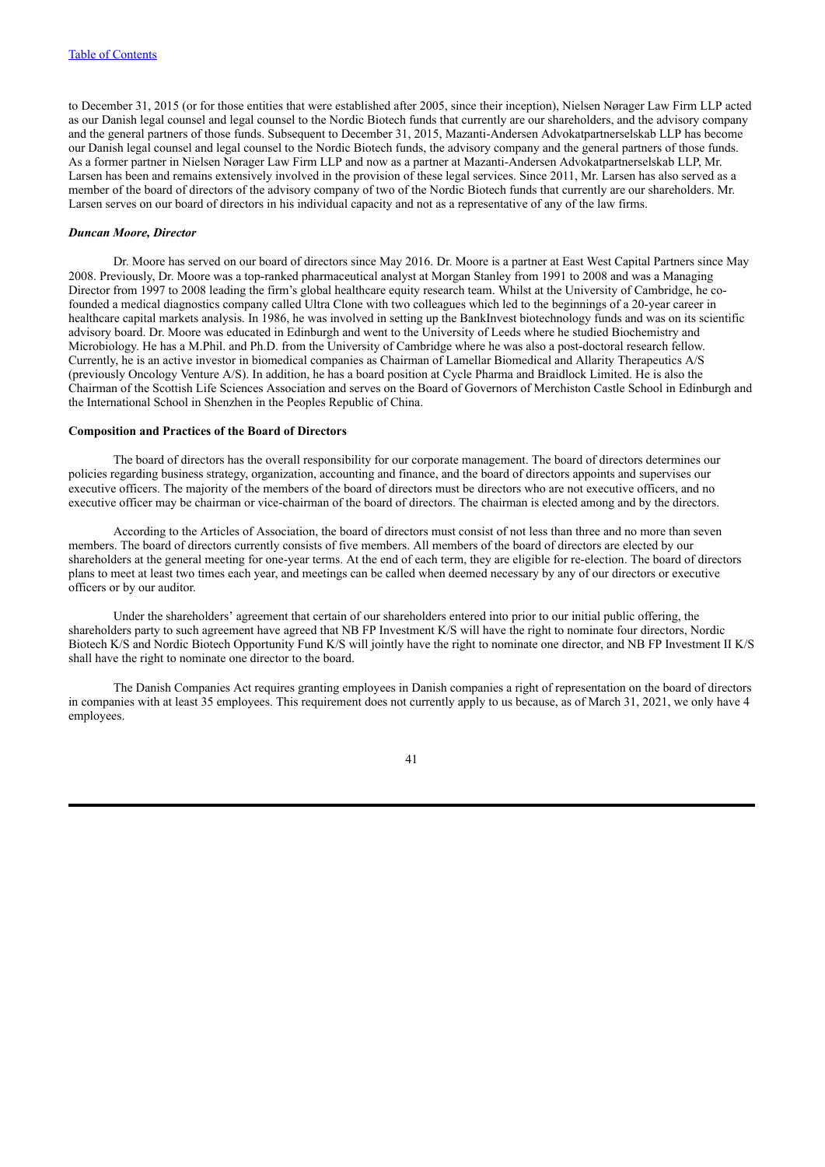to December 31, 2015 (or for those entities that were established after 2005, since their inception), Nielsen Nørager Law Firm LLP acted as our Danish legal counsel and legal counsel to the Nordic Biotech funds that currently are our shareholders, and the advisory company and the general partners of those funds. Subsequent to December 31, 2015, Mazanti-Andersen Advokatpartnerselskab LLP has become our Danish legal counsel and legal counsel to the Nordic Biotech funds, the advisory company and the general partners of those funds. As a former partner in Nielsen Nørager Law Firm LLP and now as a partner at Mazanti-Andersen Advokatpartnerselskab LLP, Mr. Larsen has been and remains extensively involved in the provision of these legal services. Since 2011, Mr. Larsen has also served as a member of the board of directors of the advisory company of two of the Nordic Biotech funds that currently are our shareholders. Mr. Larsen serves on our board of directors in his individual capacity and not as a representative of any of the law firms.

## *Duncan Moore, Director*

Dr. Moore has served on our board of directors since May 2016. Dr. Moore is a partner at East West Capital Partners since May 2008. Previously, Dr. Moore was a top-ranked pharmaceutical analyst at Morgan Stanley from 1991 to 2008 and was a Managing Director from 1997 to 2008 leading the firm's global healthcare equity research team. Whilst at the University of Cambridge, he cofounded a medical diagnostics company called Ultra Clone with two colleagues which led to the beginnings of a 20-year career in healthcare capital markets analysis. In 1986, he was involved in setting up the BankInvest biotechnology funds and was on its scientific advisory board. Dr. Moore was educated in Edinburgh and went to the University of Leeds where he studied Biochemistry and Microbiology. He has a M.Phil. and Ph.D. from the University of Cambridge where he was also a post-doctoral research fellow. Currently, he is an active investor in biomedical companies as Chairman of Lamellar Biomedical and Allarity Therapeutics A/S (previously Oncology Venture A/S). In addition, he has a board position at Cycle Pharma and Braidlock Limited. He is also the Chairman of the Scottish Life Sciences Association and serves on the Board of Governors of Merchiston Castle School in Edinburgh and the International School in Shenzhen in the Peoples Republic of China.

### **Composition and Practices of the Board of Directors**

The board of directors has the overall responsibility for our corporate management. The board of directors determines our policies regarding business strategy, organization, accounting and finance, and the board of directors appoints and supervises our executive officers. The majority of the members of the board of directors must be directors who are not executive officers, and no executive officer may be chairman or vice-chairman of the board of directors. The chairman is elected among and by the directors.

According to the Articles of Association, the board of directors must consist of not less than three and no more than seven members. The board of directors currently consists of five members. All members of the board of directors are elected by our shareholders at the general meeting for one-year terms. At the end of each term, they are eligible for re-election. The board of directors plans to meet at least two times each year, and meetings can be called when deemed necessary by any of our directors or executive officers or by our auditor.

Under the shareholders' agreement that certain of our shareholders entered into prior to our initial public offering, the shareholders party to such agreement have agreed that NB FP Investment K/S will have the right to nominate four directors, Nordic Biotech K/S and Nordic Biotech Opportunity Fund K/S will jointly have the right to nominate one director, and NB FP Investment II K/S shall have the right to nominate one director to the board.

The Danish Companies Act requires granting employees in Danish companies a right of representation on the board of directors in companies with at least 35 employees. This requirement does not currently apply to us because, as of March 31, 2021, we only have 4 employees.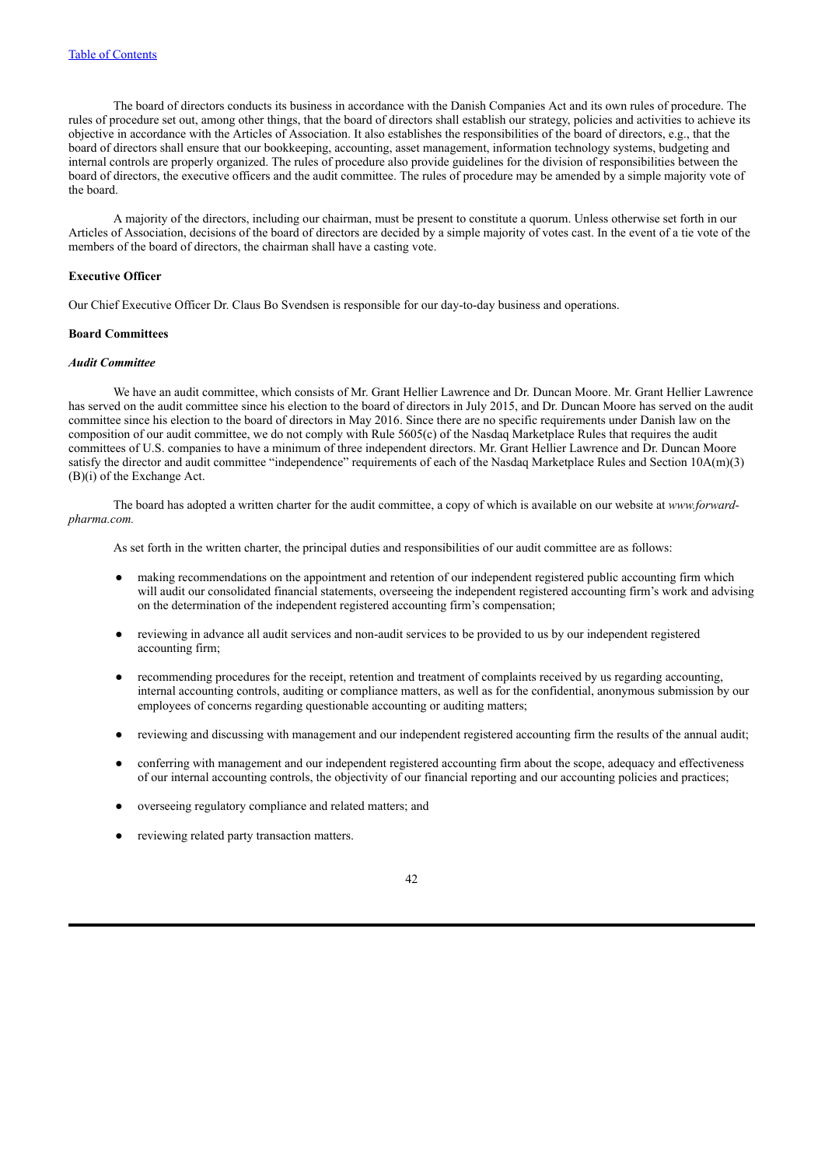The board of directors conducts its business in accordance with the Danish Companies Act and its own rules of procedure. The rules of procedure set out, among other things, that the board of directors shall establish our strategy, policies and activities to achieve its objective in accordance with the Articles of Association. It also establishes the responsibilities of the board of directors, e.g., that the board of directors shall ensure that our bookkeeping, accounting, asset management, information technology systems, budgeting and internal controls are properly organized. The rules of procedure also provide guidelines for the division of responsibilities between the board of directors, the executive officers and the audit committee. The rules of procedure may be amended by a simple majority vote of the board.

A majority of the directors, including our chairman, must be present to constitute a quorum. Unless otherwise set forth in our Articles of Association, decisions of the board of directors are decided by a simple majority of votes cast. In the event of a tie vote of the members of the board of directors, the chairman shall have a casting vote.

# **Executive Officer**

Our Chief Executive Officer Dr. Claus Bo Svendsen is responsible for our day-to-day business and operations.

#### **Board Committees**

### *Audit Committee*

We have an audit committee, which consists of Mr. Grant Hellier Lawrence and Dr. Duncan Moore. Mr. Grant Hellier Lawrence has served on the audit committee since his election to the board of directors in July 2015, and Dr. Duncan Moore has served on the audit committee since his election to the board of directors in May 2016. Since there are no specific requirements under Danish law on the composition of our audit committee, we do not comply with Rule 5605(c) of the Nasdaq Marketplace Rules that requires the audit committees of U.S. companies to have a minimum of three independent directors. Mr. Grant Hellier Lawrence and Dr. Duncan Moore satisfy the director and audit committee "independence" requirements of each of the Nasdaq Marketplace Rules and Section 10A(m)(3) (B)(i) of the Exchange Act.

The board has adopted a written charter for the audit committee, a copy of which is available on our website at *www.forwardpharma.com.*

As set forth in the written charter, the principal duties and responsibilities of our audit committee are as follows:

- making recommendations on the appointment and retention of our independent registered public accounting firm which will audit our consolidated financial statements, overseeing the independent registered accounting firm's work and advising on the determination of the independent registered accounting firm's compensation;
- reviewing in advance all audit services and non-audit services to be provided to us by our independent registered accounting firm;
- recommending procedures for the receipt, retention and treatment of complaints received by us regarding accounting. internal accounting controls, auditing or compliance matters, as well as for the confidential, anonymous submission by our employees of concerns regarding questionable accounting or auditing matters;
- reviewing and discussing with management and our independent registered accounting firm the results of the annual audit;
- conferring with management and our independent registered accounting firm about the scope, adequacy and effectiveness of our internal accounting controls, the objectivity of our financial reporting and our accounting policies and practices;
- overseeing regulatory compliance and related matters; and
- reviewing related party transaction matters.

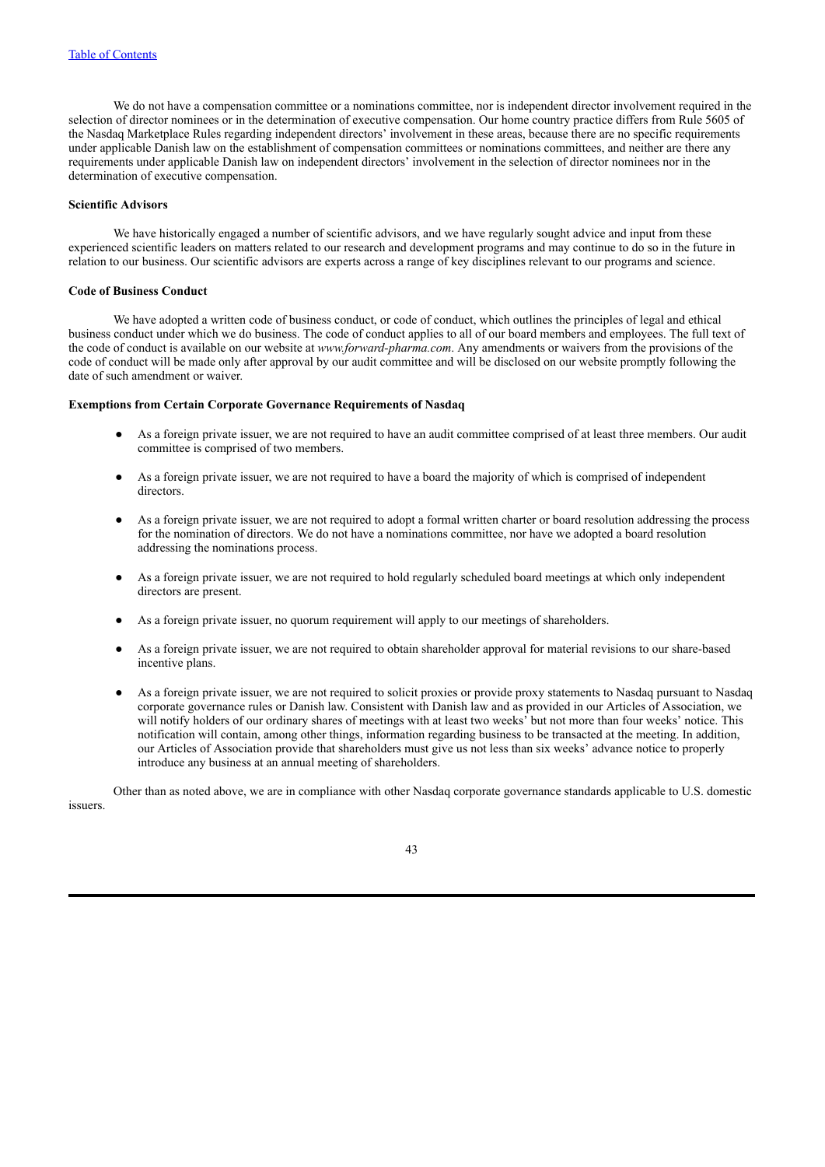We do not have a compensation committee or a nominations committee, nor is independent director involvement required in the selection of director nominees or in the determination of executive compensation. Our home country practice differs from Rule 5605 of the Nasdaq Marketplace Rules regarding independent directors' involvement in these areas, because there are no specific requirements under applicable Danish law on the establishment of compensation committees or nominations committees, and neither are there any requirements under applicable Danish law on independent directors' involvement in the selection of director nominees nor in the determination of executive compensation.

#### **Scientific Advisors**

We have historically engaged a number of scientific advisors, and we have regularly sought advice and input from these experienced scientific leaders on matters related to our research and development programs and may continue to do so in the future in relation to our business. Our scientific advisors are experts across a range of key disciplines relevant to our programs and science.

#### **Code of Business Conduct**

We have adopted a written code of business conduct, or code of conduct, which outlines the principles of legal and ethical business conduct under which we do business. The code of conduct applies to all of our board members and employees. The full text of the code of conduct is available on our website at *www.forward-pharma.com*. Any amendments or waivers from the provisions of the code of conduct will be made only after approval by our audit committee and will be disclosed on our website promptly following the date of such amendment or waiver.

### **Exemptions from Certain Corporate Governance Requirements of Nasdaq**

- As a foreign private issuer, we are not required to have an audit committee comprised of at least three members. Our audit committee is comprised of two members.
- As a foreign private issuer, we are not required to have a board the majority of which is comprised of independent directors.
- As a foreign private issuer, we are not required to adopt a formal written charter or board resolution addressing the process for the nomination of directors. We do not have a nominations committee, nor have we adopted a board resolution addressing the nominations process.
- As a foreign private issuer, we are not required to hold regularly scheduled board meetings at which only independent directors are present.
- As a foreign private issuer, no quorum requirement will apply to our meetings of shareholders.
- As a foreign private issuer, we are not required to obtain shareholder approval for material revisions to our share-based incentive plans.
- As a foreign private issuer, we are not required to solicit proxies or provide proxy statements to Nasdaq pursuant to Nasdaq corporate governance rules or Danish law. Consistent with Danish law and as provided in our Articles of Association, we will notify holders of our ordinary shares of meetings with at least two weeks' but not more than four weeks' notice. This notification will contain, among other things, information regarding business to be transacted at the meeting. In addition, our Articles of Association provide that shareholders must give us not less than six weeks' advance notice to properly introduce any business at an annual meeting of shareholders.

Other than as noted above, we are in compliance with other Nasdaq corporate governance standards applicable to U.S. domestic issuers.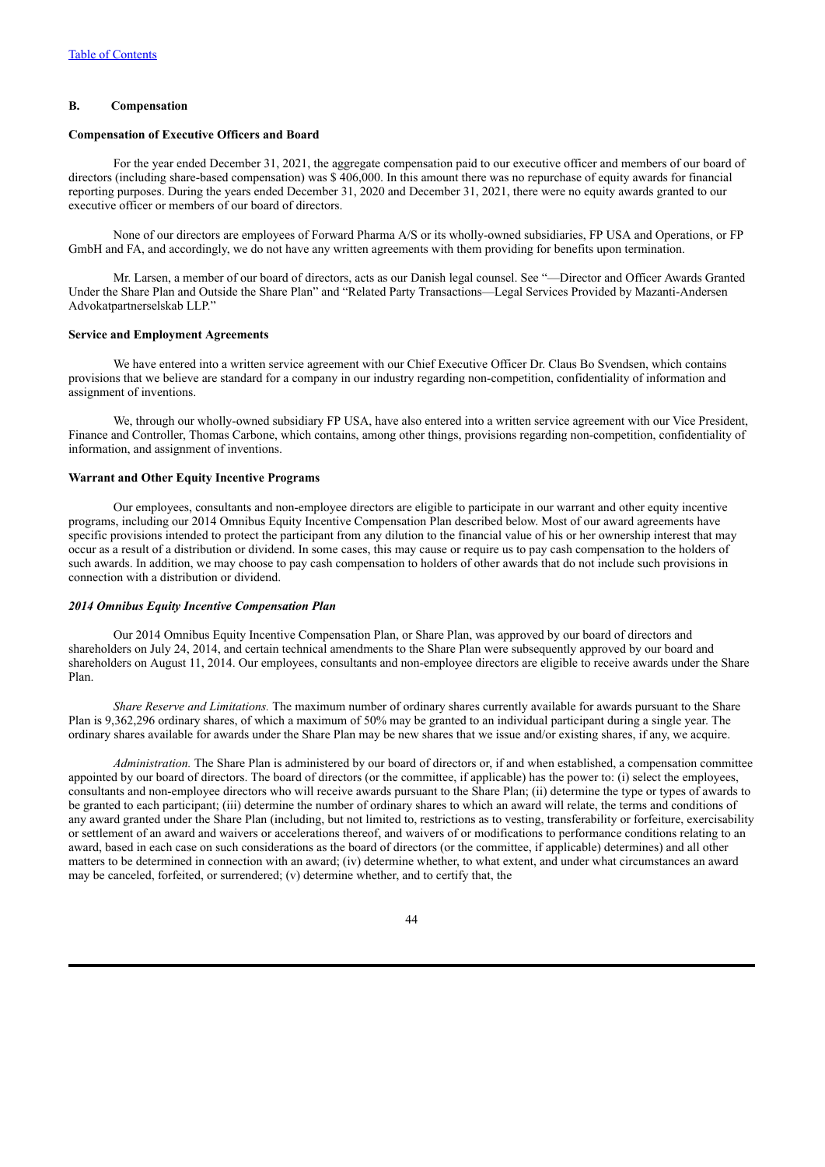## **B. Compensation**

#### **Compensation of Executive Officers and Board**

For the year ended December 31, 2021, the aggregate compensation paid to our executive officer and members of our board of directors (including share-based compensation) was \$ 406,000. In this amount there was no repurchase of equity awards for financial reporting purposes. During the years ended December 31, 2020 and December 31, 2021, there were no equity awards granted to our executive officer or members of our board of directors.

None of our directors are employees of Forward Pharma A/S or its wholly-owned subsidiaries, FP USA and Operations, or FP GmbH and FA, and accordingly, we do not have any written agreements with them providing for benefits upon termination.

Mr. Larsen, a member of our board of directors, acts as our Danish legal counsel. See "—Director and Officer Awards Granted Under the Share Plan and Outside the Share Plan" and "Related Party Transactions—Legal Services Provided by Mazanti-Andersen Advokatpartnerselskab LLP."

### **Service and Employment Agreements**

We have entered into a written service agreement with our Chief Executive Officer Dr. Claus Bo Svendsen, which contains provisions that we believe are standard for a company in our industry regarding non-competition, confidentiality of information and assignment of inventions.

We, through our wholly-owned subsidiary FP USA, have also entered into a written service agreement with our Vice President, Finance and Controller, Thomas Carbone, which contains, among other things, provisions regarding non-competition, confidentiality of information, and assignment of inventions.

### **Warrant and Other Equity Incentive Programs**

Our employees, consultants and non-employee directors are eligible to participate in our warrant and other equity incentive programs, including our 2014 Omnibus Equity Incentive Compensation Plan described below. Most of our award agreements have specific provisions intended to protect the participant from any dilution to the financial value of his or her ownership interest that may occur as a result of a distribution or dividend. In some cases, this may cause or require us to pay cash compensation to the holders of such awards. In addition, we may choose to pay cash compensation to holders of other awards that do not include such provisions in connection with a distribution or dividend.

#### *2014 Omnibus Equity Incentive Compensation Plan*

Our 2014 Omnibus Equity Incentive Compensation Plan, or Share Plan, was approved by our board of directors and shareholders on July 24, 2014, and certain technical amendments to the Share Plan were subsequently approved by our board and shareholders on August 11, 2014. Our employees, consultants and non-employee directors are eligible to receive awards under the Share Plan.

*Share Reserve and Limitations.* The maximum number of ordinary shares currently available for awards pursuant to the Share Plan is 9,362,296 ordinary shares, of which a maximum of 50% may be granted to an individual participant during a single year. The ordinary shares available for awards under the Share Plan may be new shares that we issue and/or existing shares, if any, we acquire.

*Administration.* The Share Plan is administered by our board of directors or, if and when established, a compensation committee appointed by our board of directors. The board of directors (or the committee, if applicable) has the power to: (i) select the employees, consultants and non-employee directors who will receive awards pursuant to the Share Plan; (ii) determine the type or types of awards to be granted to each participant; (iii) determine the number of ordinary shares to which an award will relate, the terms and conditions of any award granted under the Share Plan (including, but not limited to, restrictions as to vesting, transferability or forfeiture, exercisability or settlement of an award and waivers or accelerations thereof, and waivers of or modifications to performance conditions relating to an award, based in each case on such considerations as the board of directors (or the committee, if applicable) determines) and all other matters to be determined in connection with an award; (iv) determine whether, to what extent, and under what circumstances an award may be canceled, forfeited, or surrendered; (v) determine whether, and to certify that, the

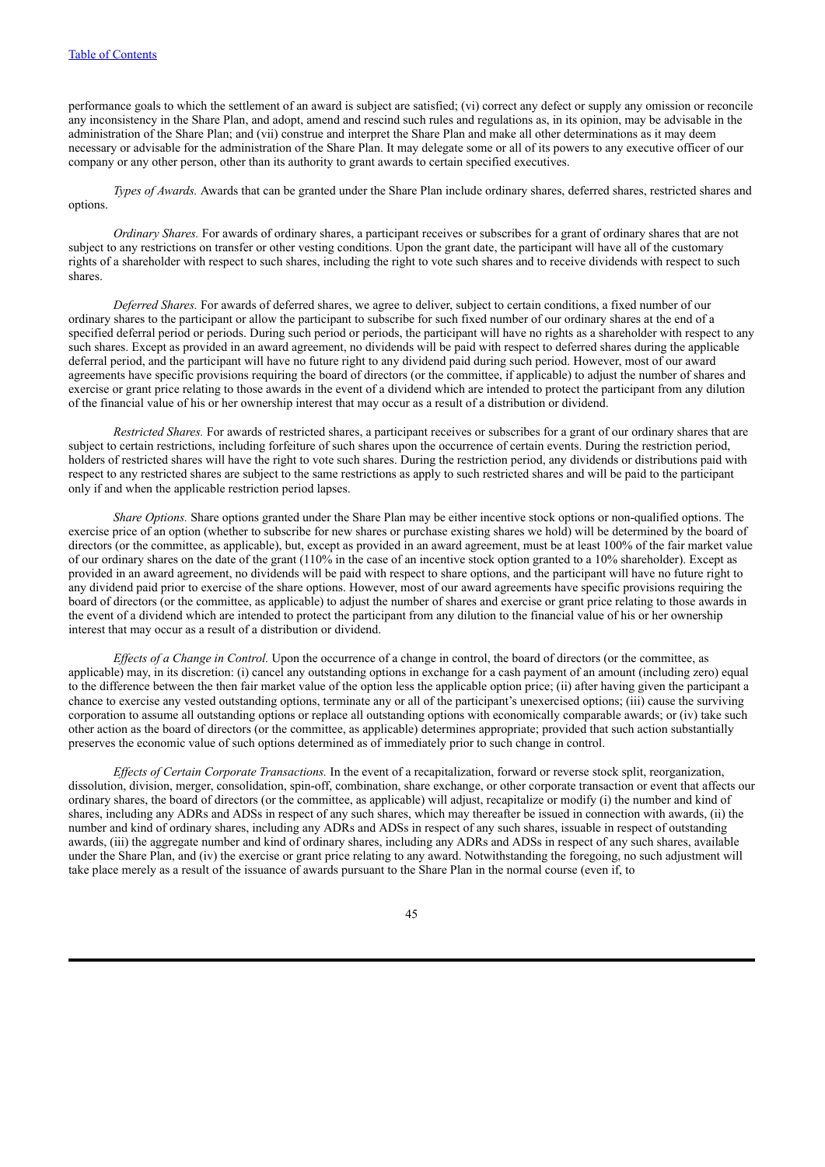performance goals to which the settlement of an award is subject are satisfied; (vi) correct any defect or supply any omission or reconcile any inconsistency in the Share Plan, and adopt, amend and rescind such rules and regulations as, in its opinion, may be advisable in the administration of the Share Plan; and (vii) construe and interpret the Share Plan and make all other determinations as it may deem necessary or advisable for the administration of the Share Plan. It may delegate some or all of its powers to any executive officer of our company or any other person, other than its authority to grant awards to certain specified executives.

*Types of Awards.* Awards that can be granted under the Share Plan include ordinary shares, deferred shares, restricted shares and options.

*Ordinary Shares.* For awards of ordinary shares, a participant receives or subscribes for a grant of ordinary shares that are not subject to any restrictions on transfer or other vesting conditions. Upon the grant date, the participant will have all of the customary rights of a shareholder with respect to such shares, including the right to vote such shares and to receive dividends with respect to such shares.

*Deferred Shares.* For awards of deferred shares, we agree to deliver, subject to certain conditions, a fixed number of our ordinary shares to the participant or allow the participant to subscribe for such fixed number of our ordinary shares at the end of a specified deferral period or periods. During such period or periods, the participant will have no rights as a shareholder with respect to any such shares. Except as provided in an award agreement, no dividends will be paid with respect to deferred shares during the applicable deferral period, and the participant will have no future right to any dividend paid during such period. However, most of our award agreements have specific provisions requiring the board of directors (or the committee, if applicable) to adjust the number of shares and exercise or grant price relating to those awards in the event of a dividend which are intended to protect the participant from any dilution of the financial value of his or her ownership interest that may occur as a result of a distribution or dividend.

*Restricted Shares.* For awards of restricted shares, a participant receives or subscribes for a grant of our ordinary shares that are subject to certain restrictions, including forfeiture of such shares upon the occurrence of certain events. During the restriction period, holders of restricted shares will have the right to vote such shares. During the restriction period, any dividends or distributions paid with respect to any restricted shares are subject to the same restrictions as apply to such restricted shares and will be paid to the participant only if and when the applicable restriction period lapses.

*Share Options.* Share options granted under the Share Plan may be either incentive stock options or non-qualified options. The exercise price of an option (whether to subscribe for new shares or purchase existing shares we hold) will be determined by the board of directors (or the committee, as applicable), but, except as provided in an award agreement, must be at least 100% of the fair market value of our ordinary shares on the date of the grant (110% in the case of an incentive stock option granted to a 10% shareholder). Except as provided in an award agreement, no dividends will be paid with respect to share options, and the participant will have no future right to any dividend paid prior to exercise of the share options. However, most of our award agreements have specific provisions requiring the board of directors (or the committee, as applicable) to adjust the number of shares and exercise or grant price relating to those awards in the event of a dividend which are intended to protect the participant from any dilution to the financial value of his or her ownership interest that may occur as a result of a distribution or dividend.

*Ef ects of a Change in Control.* Upon the occurrence of a change in control, the board of directors (or the committee, as applicable) may, in its discretion: (i) cancel any outstanding options in exchange for a cash payment of an amount (including zero) equal to the difference between the then fair market value of the option less the applicable option price; (ii) after having given the participant a chance to exercise any vested outstanding options, terminate any or all of the participant's unexercised options; (iii) cause the surviving corporation to assume all outstanding options or replace all outstanding options with economically comparable awards; or (iv) take such other action as the board of directors (or the committee, as applicable) determines appropriate; provided that such action substantially preserves the economic value of such options determined as of immediately prior to such change in control.

*Ef ects of Certain Corporate Transactions.* In the event of a recapitalization, forward or reverse stock split, reorganization, dissolution, division, merger, consolidation, spin-off, combination, share exchange, or other corporate transaction or event that affects our ordinary shares, the board of directors (or the committee, as applicable) will adjust, recapitalize or modify (i) the number and kind of shares, including any ADRs and ADSs in respect of any such shares, which may thereafter be issued in connection with awards, (ii) the number and kind of ordinary shares, including any ADRs and ADSs in respect of any such shares, issuable in respect of outstanding awards, (iii) the aggregate number and kind of ordinary shares, including any ADRs and ADSs in respect of any such shares, available under the Share Plan, and (iv) the exercise or grant price relating to any award. Notwithstanding the foregoing, no such adjustment will take place merely as a result of the issuance of awards pursuant to the Share Plan in the normal course (even if, to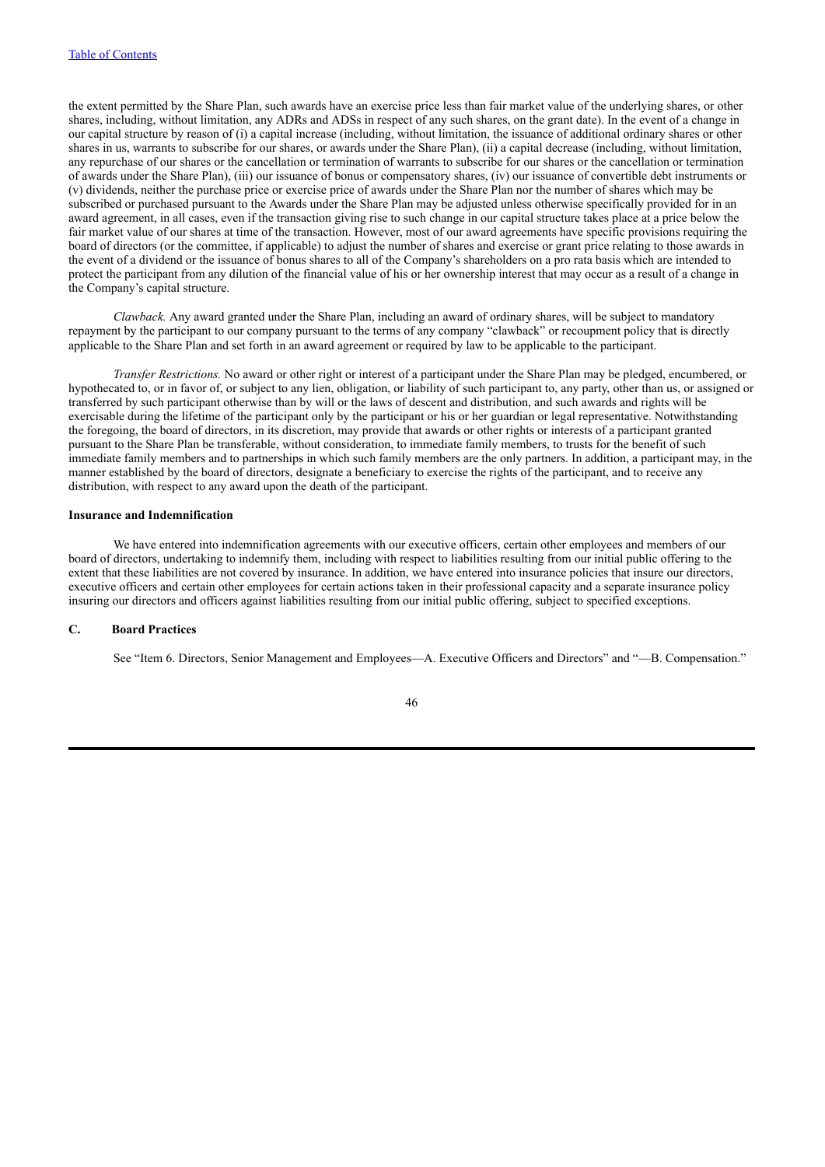the extent permitted by the Share Plan, such awards have an exercise price less than fair market value of the underlying shares, or other shares, including, without limitation, any ADRs and ADSs in respect of any such shares, on the grant date). In the event of a change in our capital structure by reason of (i) a capital increase (including, without limitation, the issuance of additional ordinary shares or other shares in us, warrants to subscribe for our shares, or awards under the Share Plan), (ii) a capital decrease (including, without limitation, any repurchase of our shares or the cancellation or termination of warrants to subscribe for our shares or the cancellation or termination of awards under the Share Plan), (iii) our issuance of bonus or compensatory shares, (iv) our issuance of convertible debt instruments or (v) dividends, neither the purchase price or exercise price of awards under the Share Plan nor the number of shares which may be subscribed or purchased pursuant to the Awards under the Share Plan may be adjusted unless otherwise specifically provided for in an award agreement, in all cases, even if the transaction giving rise to such change in our capital structure takes place at a price below the fair market value of our shares at time of the transaction. However, most of our award agreements have specific provisions requiring the board of directors (or the committee, if applicable) to adjust the number of shares and exercise or grant price relating to those awards in the event of a dividend or the issuance of bonus shares to all of the Company's shareholders on a pro rata basis which are intended to protect the participant from any dilution of the financial value of his or her ownership interest that may occur as a result of a change in the Company's capital structure.

*Clawback.* Any award granted under the Share Plan, including an award of ordinary shares, will be subject to mandatory repayment by the participant to our company pursuant to the terms of any company "clawback" or recoupment policy that is directly applicable to the Share Plan and set forth in an award agreement or required by law to be applicable to the participant.

*Transfer Restrictions.* No award or other right or interest of a participant under the Share Plan may be pledged, encumbered, or hypothecated to, or in favor of, or subject to any lien, obligation, or liability of such participant to, any party, other than us, or assigned or transferred by such participant otherwise than by will or the laws of descent and distribution, and such awards and rights will be exercisable during the lifetime of the participant only by the participant or his or her guardian or legal representative. Notwithstanding the foregoing, the board of directors, in its discretion, may provide that awards or other rights or interests of a participant granted pursuant to the Share Plan be transferable, without consideration, to immediate family members, to trusts for the benefit of such immediate family members and to partnerships in which such family members are the only partners. In addition, a participant may, in the manner established by the board of directors, designate a beneficiary to exercise the rights of the participant, and to receive any distribution, with respect to any award upon the death of the participant.

#### **Insurance and Indemnification**

We have entered into indemnification agreements with our executive officers, certain other employees and members of our board of directors, undertaking to indemnify them, including with respect to liabilities resulting from our initial public offering to the extent that these liabilities are not covered by insurance. In addition, we have entered into insurance policies that insure our directors, executive officers and certain other employees for certain actions taken in their professional capacity and a separate insurance policy insuring our directors and officers against liabilities resulting from our initial public offering, subject to specified exceptions.

# **C. Board Practices**

See "Item 6. Directors, Senior Management and Employees—A. Executive Officers and Directors" and "—B. Compensation."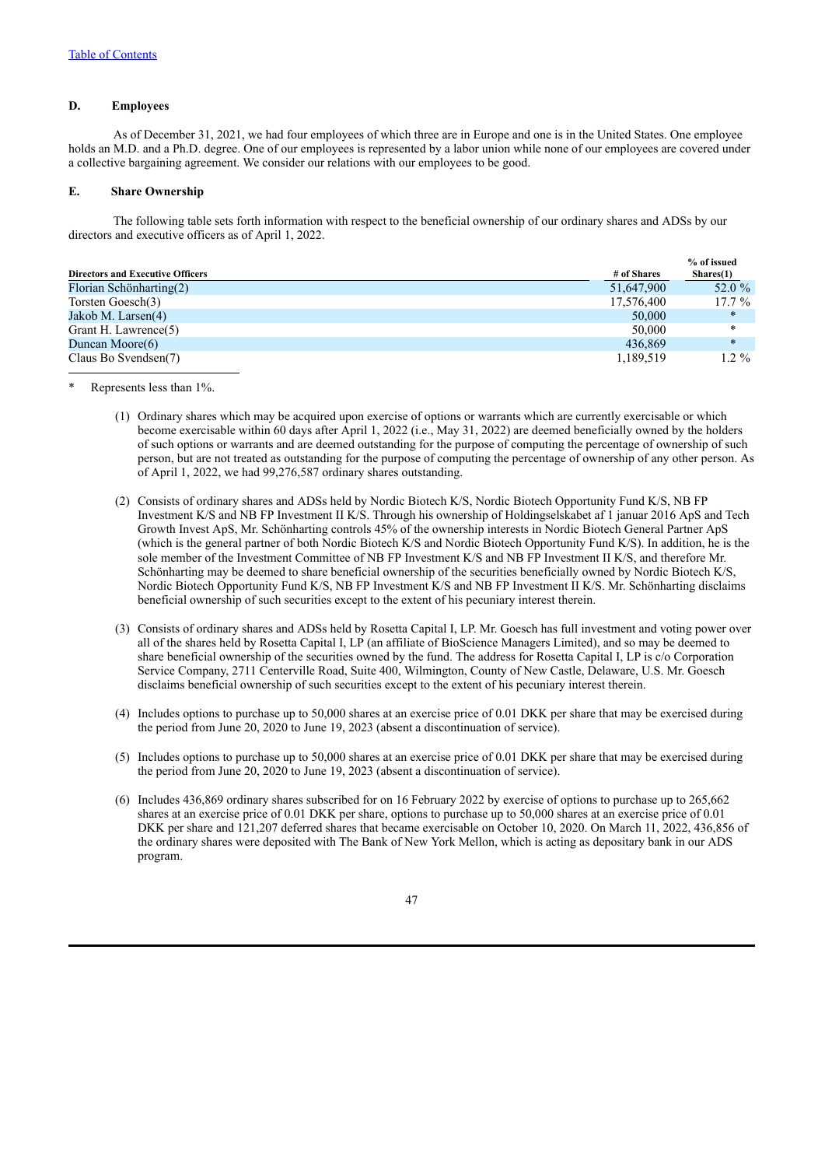# **D. Employees**

As of December 31, 2021, we had four employees of which three are in Europe and one is in the United States. One employee holds an M.D. and a Ph.D. degree. One of our employees is represented by a labor union while none of our employees are covered under a collective bargaining agreement. We consider our relations with our employees to be good.

### **E. Share Ownership**

The following table sets forth information with respect to the beneficial ownership of our ordinary shares and ADSs by our directors and executive officers as of April 1, 2022.

|                                         |             | % of issued |
|-----------------------------------------|-------------|-------------|
| <b>Directors and Executive Officers</b> | # of Shares | Shares(1)   |
| Florian Schönharting $(2)$              | 51,647,900  | 52.0 %      |
| Torsten Goesch(3)                       | 17,576,400  | $17.7\%$    |
| Jakob M. Larsen $(4)$                   | 50,000      | $\ast$      |
| Grant H. Lawrence(5)                    | 50,000      | *           |
| Duncan Moore(6)                         | 436,869     | $\ast$      |
| Claus Bo Svendsen(7)                    | 1,189,519   | $1.2 \%$    |

Represents less than 1%.

- (1) Ordinary shares which may be acquired upon exercise of options or warrants which are currently exercisable or which become exercisable within 60 days after April 1, 2022 (i.e., May 31, 2022) are deemed beneficially owned by the holders of such options or warrants and are deemed outstanding for the purpose of computing the percentage of ownership of such person, but are not treated as outstanding for the purpose of computing the percentage of ownership of any other person. As of April 1, 2022, we had 99,276,587 ordinary shares outstanding.
- (2) Consists of ordinary shares and ADSs held by Nordic Biotech K/S, Nordic Biotech Opportunity Fund K/S, NB FP Investment K/S and NB FP Investment II K/S. Through his ownership of Holdingselskabet af 1 januar 2016 ApS and Tech Growth Invest ApS, Mr. Schönharting controls 45% of the ownership interests in Nordic Biotech General Partner ApS (which is the general partner of both Nordic Biotech K/S and Nordic Biotech Opportunity Fund K/S). In addition, he is the sole member of the Investment Committee of NB FP Investment K/S and NB FP Investment II K/S, and therefore Mr. Schönharting may be deemed to share beneficial ownership of the securities beneficially owned by Nordic Biotech K/S, Nordic Biotech Opportunity Fund K/S, NB FP Investment K/S and NB FP Investment II K/S. Mr. Schönharting disclaims beneficial ownership of such securities except to the extent of his pecuniary interest therein.
- (3) Consists of ordinary shares and ADSs held by Rosetta Capital I, LP. Mr. Goesch has full investment and voting power over all of the shares held by Rosetta Capital I, LP (an affiliate of BioScience Managers Limited), and so may be deemed to share beneficial ownership of the securities owned by the fund. The address for Rosetta Capital I, LP is c/o Corporation Service Company, 2711 Centerville Road, Suite 400, Wilmington, County of New Castle, Delaware, U.S. Mr. Goesch disclaims beneficial ownership of such securities except to the extent of his pecuniary interest therein.
- (4) Includes options to purchase up to 50,000 shares at an exercise price of 0.01 DKK per share that may be exercised during the period from June 20, 2020 to June 19, 2023 (absent a discontinuation of service).
- (5) Includes options to purchase up to 50,000 shares at an exercise price of 0.01 DKK per share that may be exercised during the period from June 20, 2020 to June 19, 2023 (absent a discontinuation of service).
- (6) Includes 436,869 ordinary shares subscribed for on 16 February 2022 by exercise of options to purchase up to 265,662 shares at an exercise price of 0.01 DKK per share, options to purchase up to 50,000 shares at an exercise price of 0.01 DKK per share and 121,207 deferred shares that became exercisable on October 10, 2020. On March 11, 2022, 436,856 of the ordinary shares were deposited with The Bank of New York Mellon, which is acting as depositary bank in our ADS program.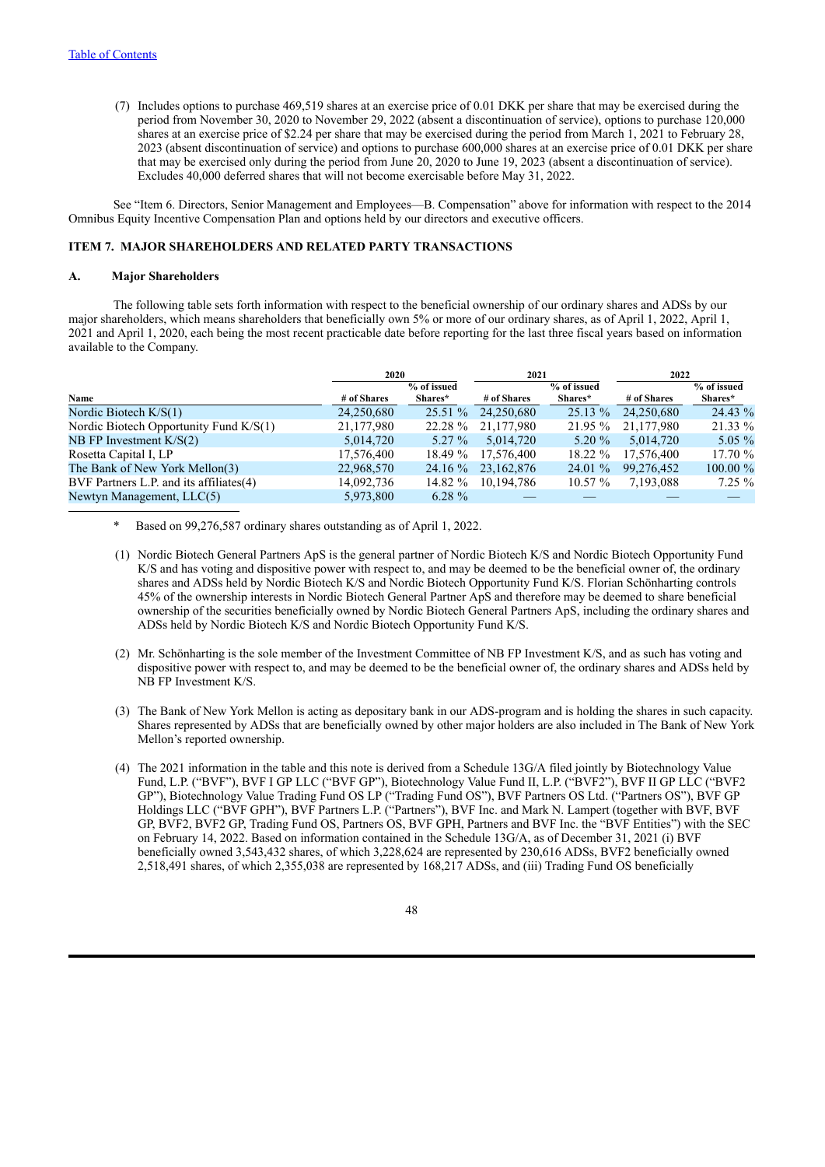(7) Includes options to purchase 469,519 shares at an exercise price of 0.01 DKK per share that may be exercised during the period from November 30, 2020 to November 29, 2022 (absent a discontinuation of service), options to purchase 120,000 shares at an exercise price of \$2.24 per share that may be exercised during the period from March 1, 2021 to February 28, 2023 (absent discontinuation of service) and options to purchase 600,000 shares at an exercise price of 0.01 DKK per share that may be exercised only during the period from June 20, 2020 to June 19, 2023 (absent a discontinuation of service). Excludes 40,000 deferred shares that will not become exercisable before May 31, 2022.

See "Item 6. Directors, Senior Management and Employees—B. Compensation" above for information with respect to the 2014 Omnibus Equity Incentive Compensation Plan and options held by our directors and executive officers.

### **ITEM 7. MAJOR SHAREHOLDERS AND RELATED PARTY TRANSACTIONS**

#### **A. Major Shareholders**

The following table sets forth information with respect to the beneficial ownership of our ordinary shares and ADSs by our major shareholders, which means shareholders that beneficially own 5% or more of our ordinary shares, as of April 1, 2022, April 1, 2021 and April 1, 2020, each being the most recent practicable date before reporting for the last three fiscal years based on information available to the Company.

|                                          | 2020        |                        | 2021         |                        | 2022        |                        |
|------------------------------------------|-------------|------------------------|--------------|------------------------|-------------|------------------------|
| Name                                     | # of Shares | % of issued<br>Shares* | # of Shares  | % of issued<br>Shares* | # of Shares | % of issued<br>Shares* |
| Nordic Biotech $K/S(1)$                  | 24,250,680  | 25.51%                 | 24.250.680   | 25.13 %                | 24.250.680  | 24.43 %                |
| Nordic Biotech Opportunity Fund $K/S(1)$ | 21,177,980  | 22.28 %                | 21,177,980   | 21.95 %                | 21,177,980  | 21.33 %                |
| NB FP Investment $K/S(2)$                | 5,014,720   | $5.27\%$               | 5.014.720    | 5.20 $%$               | 5.014.720   | 5.05 $%$               |
| Rosetta Capital I, LP                    | 17,576,400  | $18.49\%$              | 17.576.400   | $18.22 \%$             | 17.576.400  | 17.70 %                |
| The Bank of New York Mellon(3)           | 22,968,570  | 24.16 %                | 23, 162, 876 | 24.01%                 | 99.276.452  | 100.00 %               |
| BVF Partners L.P. and its affiliates(4)  | 14,092,736  | $14.82\%$              | 10.194.786   | $10.57\%$              | 7.193.088   | $7.25 \%$              |
| Newtyn Management, LLC(5)                | 5,973,800   | $6.28 \%$              |              |                        |             |                        |

Based on 99,276,587 ordinary shares outstanding as of April 1, 2022.

(1) Nordic Biotech General Partners ApS is the general partner of Nordic Biotech K/S and Nordic Biotech Opportunity Fund K/S and has voting and dispositive power with respect to, and may be deemed to be the beneficial owner of, the ordinary shares and ADSs held by Nordic Biotech K/S and Nordic Biotech Opportunity Fund K/S. Florian Schönharting controls 45% of the ownership interests in Nordic Biotech General Partner ApS and therefore may be deemed to share beneficial ownership of the securities beneficially owned by Nordic Biotech General Partners ApS, including the ordinary shares and ADSs held by Nordic Biotech K/S and Nordic Biotech Opportunity Fund K/S.

- (2) Mr. Schönharting is the sole member of the Investment Committee of NB FP Investment K/S, and as such has voting and dispositive power with respect to, and may be deemed to be the beneficial owner of, the ordinary shares and ADSs held by NB FP Investment K/S.
- (3) The Bank of New York Mellon is acting as depositary bank in our ADS-program and is holding the shares in such capacity. Shares represented by ADSs that are beneficially owned by other major holders are also included in The Bank of New York Mellon's reported ownership.
- (4) The 2021 information in the table and this note is derived from a Schedule 13G/A filed jointly by Biotechnology Value Fund, L.P. ("BVF"), BVF I GP LLC ("BVF GP"), Biotechnology Value Fund II, L.P. ("BVF2"), BVF II GP LLC ("BVF2 GP"), Biotechnology Value Trading Fund OS LP ("Trading Fund OS"), BVF Partners OS Ltd. ("Partners OS"), BVF GP Holdings LLC ("BVF GPH"), BVF Partners L.P. ("Partners"), BVF Inc. and Mark N. Lampert (together with BVF, BVF GP, BVF2, BVF2 GP, Trading Fund OS, Partners OS, BVF GPH, Partners and BVF Inc. the "BVF Entities") with the SEC on February 14, 2022. Based on information contained in the Schedule 13G/A, as of December 31, 2021 (i) BVF beneficially owned 3,543,432 shares, of which 3,228,624 are represented by 230,616 ADSs, BVF2 beneficially owned 2,518,491 shares, of which 2,355,038 are represented by 168,217 ADSs, and (iii) Trading Fund OS beneficially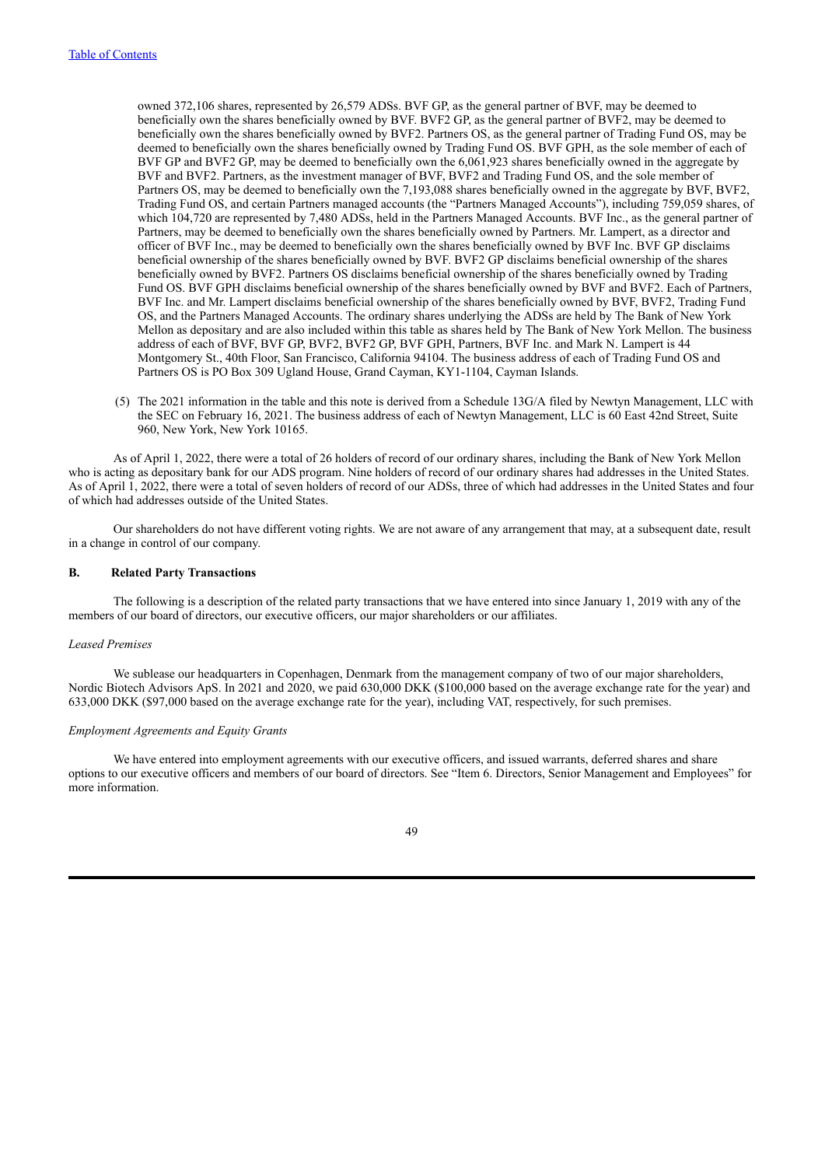owned 372,106 shares, represented by 26,579 ADSs. BVF GP, as the general partner of BVF, may be deemed to beneficially own the shares beneficially owned by BVF. BVF2 GP, as the general partner of BVF2, may be deemed to beneficially own the shares beneficially owned by BVF2. Partners OS, as the general partner of Trading Fund OS, may be deemed to beneficially own the shares beneficially owned by Trading Fund OS. BVF GPH, as the sole member of each of BVF GP and BVF2 GP, may be deemed to beneficially own the 6,061,923 shares beneficially owned in the aggregate by BVF and BVF2. Partners, as the investment manager of BVF, BVF2 and Trading Fund OS, and the sole member of Partners OS, may be deemed to beneficially own the 7,193,088 shares beneficially owned in the aggregate by BVF, BVF2, Trading Fund OS, and certain Partners managed accounts (the "Partners Managed Accounts"), including 759,059 shares, of which 104,720 are represented by 7,480 ADSs, held in the Partners Managed Accounts. BVF Inc., as the general partner of Partners, may be deemed to beneficially own the shares beneficially owned by Partners. Mr. Lampert, as a director and officer of BVF Inc., may be deemed to beneficially own the shares beneficially owned by BVF Inc. BVF GP disclaims beneficial ownership of the shares beneficially owned by BVF. BVF2 GP disclaims beneficial ownership of the shares beneficially owned by BVF2. Partners OS disclaims beneficial ownership of the shares beneficially owned by Trading Fund OS. BVF GPH disclaims beneficial ownership of the shares beneficially owned by BVF and BVF2. Each of Partners, BVF Inc. and Mr. Lampert disclaims beneficial ownership of the shares beneficially owned by BVF, BVF2, Trading Fund OS, and the Partners Managed Accounts. The ordinary shares underlying the ADSs are held by The Bank of New York Mellon as depositary and are also included within this table as shares held by The Bank of New York Mellon. The business address of each of BVF, BVF GP, BVF2, BVF2 GP, BVF GPH, Partners, BVF Inc. and Mark N. Lampert is 44 Montgomery St., 40th Floor, San Francisco, California 94104. The business address of each of Trading Fund OS and Partners OS is PO Box 309 Ugland House, Grand Cayman, KY1-1104, Cayman Islands.

(5) The 2021 information in the table and this note is derived from a Schedule 13G/A filed by Newtyn Management, LLC with the SEC on February 16, 2021. The business address of each of Newtyn Management, LLC is 60 East 42nd Street, Suite 960, New York, New York 10165.

As of April 1, 2022, there were a total of 26 holders of record of our ordinary shares, including the Bank of New York Mellon who is acting as depositary bank for our ADS program. Nine holders of record of our ordinary shares had addresses in the United States. As of April 1, 2022, there were a total of seven holders of record of our ADSs, three of which had addresses in the United States and four of which had addresses outside of the United States.

Our shareholders do not have different voting rights. We are not aware of any arrangement that may, at a subsequent date, result in a change in control of our company.

### **B. Related Party Transactions**

The following is a description of the related party transactions that we have entered into since January 1, 2019 with any of the members of our board of directors, our executive officers, our major shareholders or our affiliates.

#### *Leased Premises*

We sublease our headquarters in Copenhagen, Denmark from the management company of two of our major shareholders, Nordic Biotech Advisors ApS. In 2021 and 2020, we paid 630,000 DKK (\$100,000 based on the average exchange rate for the year) and 633,000 DKK (\$97,000 based on the average exchange rate for the year), including VAT, respectively, for such premises.

#### *Employment Agreements and Equity Grants*

We have entered into employment agreements with our executive officers, and issued warrants, deferred shares and share options to our executive officers and members of our board of directors. See "Item 6. Directors, Senior Management and Employees" for more information.

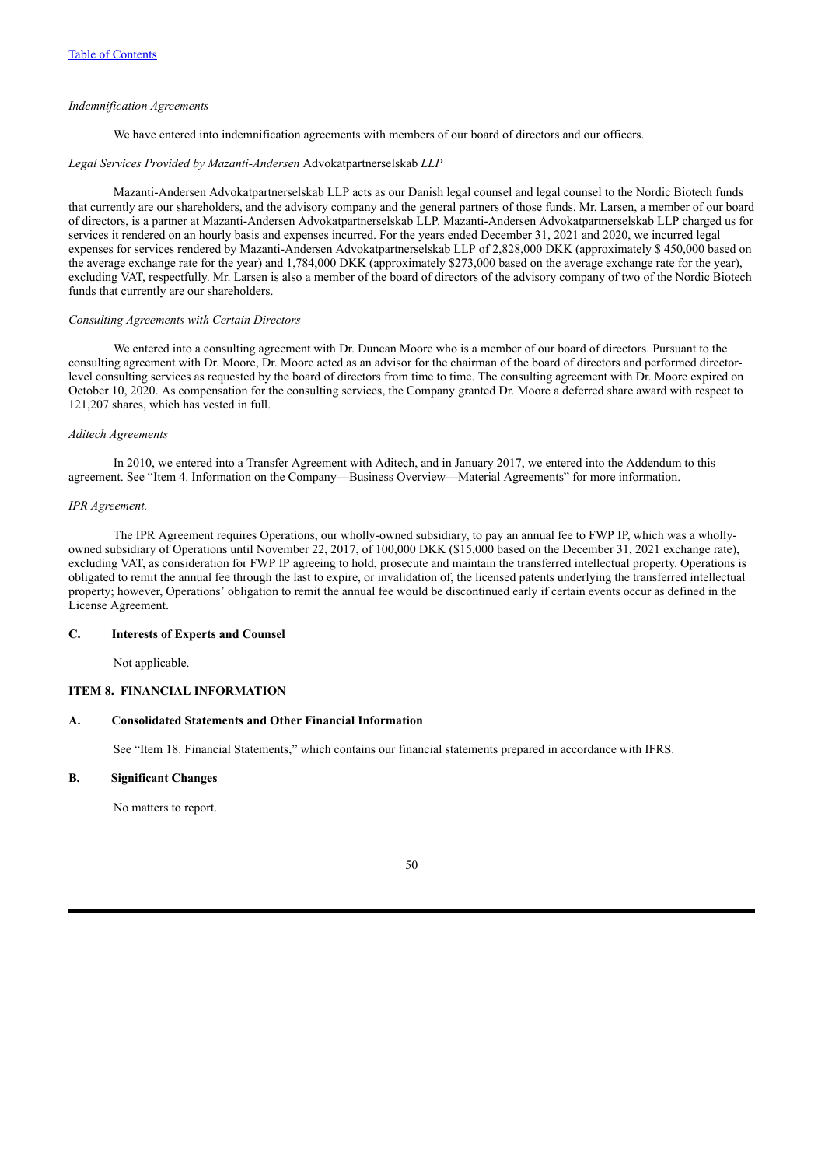#### *Indemnification Agreements*

We have entered into indemnification agreements with members of our board of directors and our officers.

#### *Legal Services Provided by Mazanti-Andersen* Advokatpartnerselskab *LLP*

Mazanti-Andersen Advokatpartnerselskab LLP acts as our Danish legal counsel and legal counsel to the Nordic Biotech funds that currently are our shareholders, and the advisory company and the general partners of those funds. Mr. Larsen, a member of our board of directors, is a partner at Mazanti-Andersen Advokatpartnerselskab LLP. Mazanti-Andersen Advokatpartnerselskab LLP charged us for services it rendered on an hourly basis and expenses incurred. For the years ended December 31, 2021 and 2020, we incurred legal expenses for services rendered by Mazanti-Andersen Advokatpartnerselskab LLP of 2,828,000 DKK (approximately \$ 450,000 based on the average exchange rate for the year) and 1,784,000 DKK (approximately \$273,000 based on the average exchange rate for the year), excluding VAT, respectfully. Mr. Larsen is also a member of the board of directors of the advisory company of two of the Nordic Biotech funds that currently are our shareholders.

### *Consulting Agreements with Certain Directors*

We entered into a consulting agreement with Dr. Duncan Moore who is a member of our board of directors. Pursuant to the consulting agreement with Dr. Moore, Dr. Moore acted as an advisor for the chairman of the board of directors and performed directorlevel consulting services as requested by the board of directors from time to time. The consulting agreement with Dr. Moore expired on October 10, 2020. As compensation for the consulting services, the Company granted Dr. Moore a deferred share award with respect to 121,207 shares, which has vested in full.

#### *Aditech Agreements*

In 2010, we entered into a Transfer Agreement with Aditech, and in January 2017, we entered into the Addendum to this agreement. See "Item 4. Information on the Company—Business Overview—Material Agreements" for more information.

### *IPR Agreement.*

The IPR Agreement requires Operations, our wholly-owned subsidiary, to pay an annual fee to FWP IP, which was a whollyowned subsidiary of Operations until November 22, 2017, of 100,000 DKK (\$15,000 based on the December 31, 2021 exchange rate), excluding VAT, as consideration for FWP IP agreeing to hold, prosecute and maintain the transferred intellectual property. Operations is obligated to remit the annual fee through the last to expire, or invalidation of, the licensed patents underlying the transferred intellectual property; however, Operations' obligation to remit the annual fee would be discontinued early if certain events occur as defined in the License Agreement.

### **C. Interests of Experts and Counsel**

Not applicable.

### **ITEM 8. FINANCIAL INFORMATION**

## **A. Consolidated Statements and Other Financial Information**

See "Item 18. Financial Statements," which contains our financial statements prepared in accordance with IFRS.

## **B. Significant Changes**

No matters to report.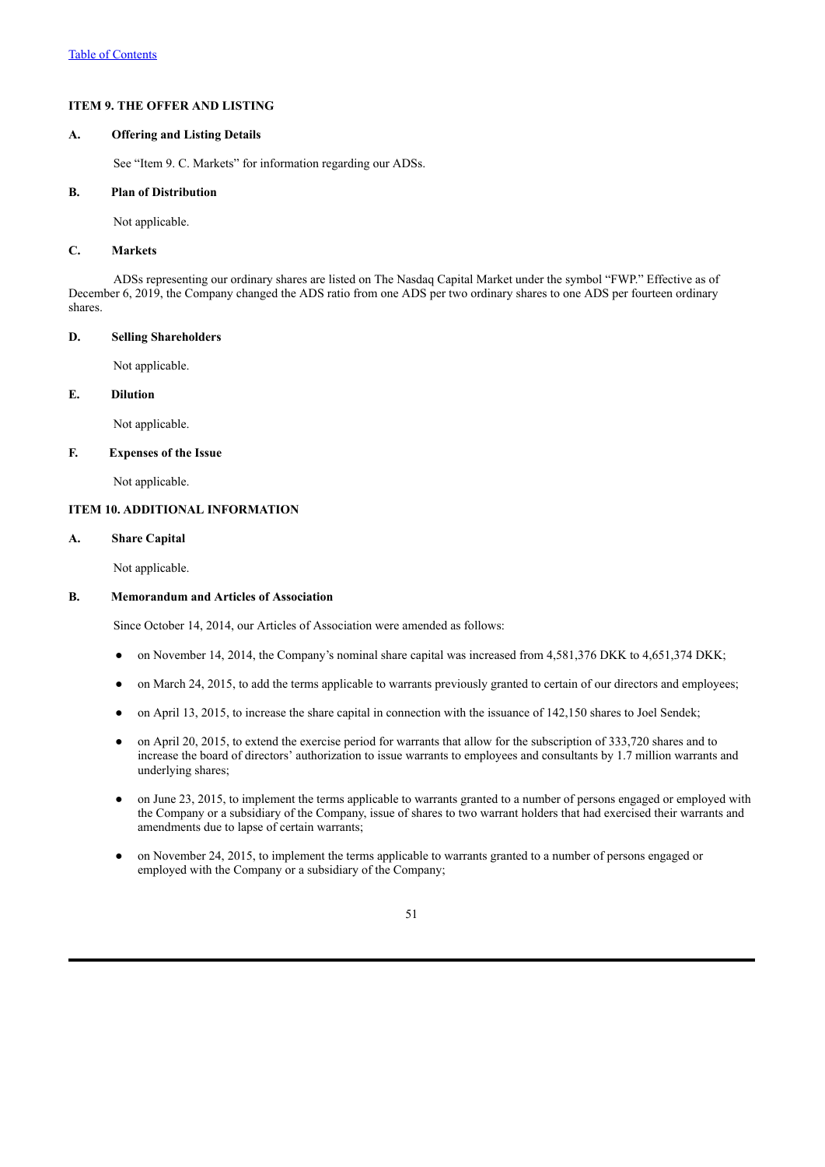# **ITEM 9. THE OFFER AND LISTING**

### **A. Offering and Listing Details**

See "Item 9. C. Markets" for information regarding our ADSs.

# **B. Plan of Distribution**

Not applicable.

## **C. Markets**

ADSs representing our ordinary shares are listed on The Nasdaq Capital Market under the symbol "FWP." Effective as of December 6, 2019, the Company changed the ADS ratio from one ADS per two ordinary shares to one ADS per fourteen ordinary shares.

# **D. Selling Shareholders**

Not applicable.

# **E. Dilution**

Not applicable.

## **F. Expenses of the Issue**

Not applicable.

# **ITEM 10. ADDITIONAL INFORMATION**

### **A. Share Capital**

Not applicable.

## **B. Memorandum and Articles of Association**

Since October 14, 2014, our Articles of Association were amended as follows:

- on November 14, 2014, the Company's nominal share capital was increased from 4,581,376 DKK to 4,651,374 DKK;
- on March 24, 2015, to add the terms applicable to warrants previously granted to certain of our directors and employees;
- on April 13, 2015, to increase the share capital in connection with the issuance of 142,150 shares to Joel Sendek;
- on April 20, 2015, to extend the exercise period for warrants that allow for the subscription of 333,720 shares and to increase the board of directors' authorization to issue warrants to employees and consultants by 1.7 million warrants and underlying shares;
- on June 23, 2015, to implement the terms applicable to warrants granted to a number of persons engaged or employed with the Company or a subsidiary of the Company, issue of shares to two warrant holders that had exercised their warrants and amendments due to lapse of certain warrants;
- on November 24, 2015, to implement the terms applicable to warrants granted to a number of persons engaged or employed with the Company or a subsidiary of the Company;

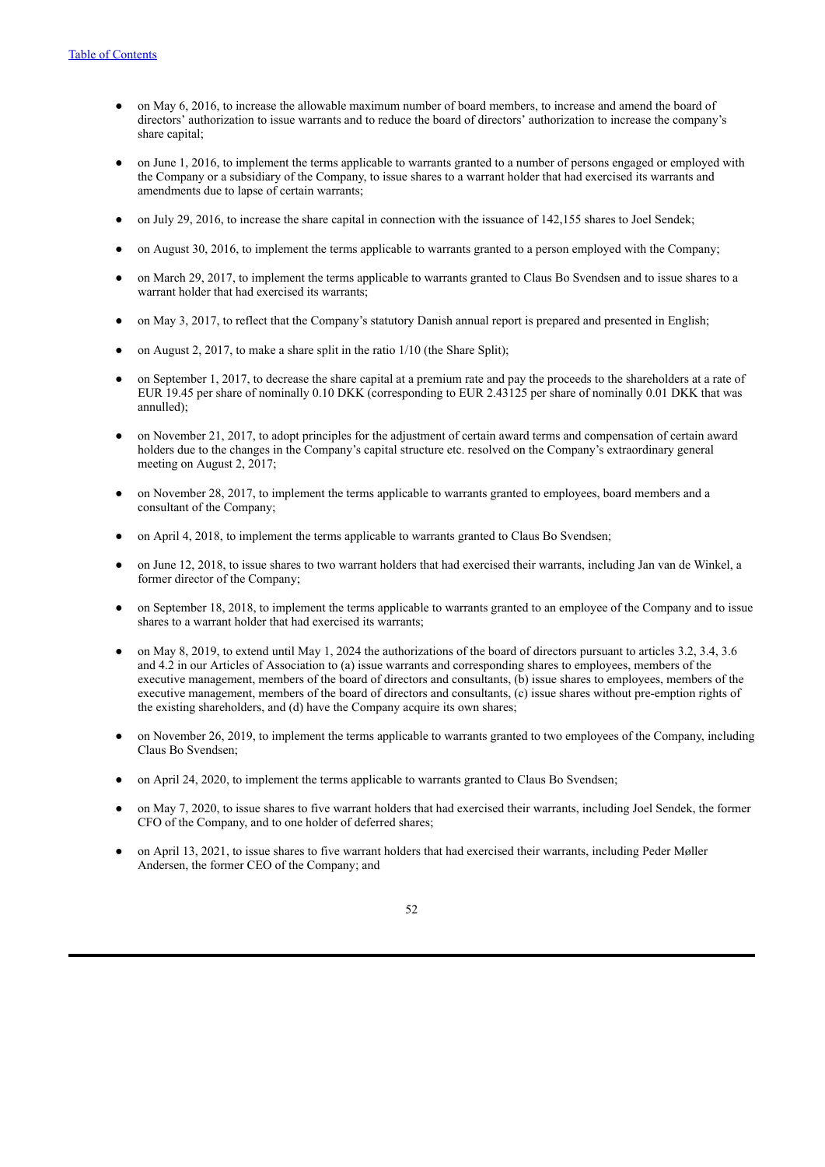- on May 6, 2016, to increase the allowable maximum number of board members, to increase and amend the board of directors' authorization to issue warrants and to reduce the board of directors' authorization to increase the company's share capital;
- on June 1, 2016, to implement the terms applicable to warrants granted to a number of persons engaged or employed with the Company or a subsidiary of the Company, to issue shares to a warrant holder that had exercised its warrants and amendments due to lapse of certain warrants;
- on July 29, 2016, to increase the share capital in connection with the issuance of 142,155 shares to Joel Sendek;
- on August 30, 2016, to implement the terms applicable to warrants granted to a person employed with the Company;
- on March 29, 2017, to implement the terms applicable to warrants granted to Claus Bo Svendsen and to issue shares to a warrant holder that had exercised its warrants;
- on May 3, 2017, to reflect that the Company's statutory Danish annual report is prepared and presented in English;
- on August 2, 2017, to make a share split in the ratio  $1/10$  (the Share Split);
- on September 1, 2017, to decrease the share capital at a premium rate and pay the proceeds to the shareholders at a rate of EUR 19.45 per share of nominally 0.10 DKK (corresponding to EUR 2.43125 per share of nominally 0.01 DKK that was annulled);
- on November 21, 2017, to adopt principles for the adjustment of certain award terms and compensation of certain award holders due to the changes in the Company's capital structure etc. resolved on the Company's extraordinary general meeting on August 2, 2017;
- on November 28, 2017, to implement the terms applicable to warrants granted to employees, board members and a consultant of the Company;
- on April 4, 2018, to implement the terms applicable to warrants granted to Claus Bo Svendsen;
- on June 12, 2018, to issue shares to two warrant holders that had exercised their warrants, including Jan van de Winkel, a former director of the Company;
- on September 18, 2018, to implement the terms applicable to warrants granted to an employee of the Company and to issue shares to a warrant holder that had exercised its warrants;
- on May 8, 2019, to extend until May 1, 2024 the authorizations of the board of directors pursuant to articles 3.2, 3.4, 3.6 and 4.2 in our Articles of Association to (a) issue warrants and corresponding shares to employees, members of the executive management, members of the board of directors and consultants, (b) issue shares to employees, members of the executive management, members of the board of directors and consultants, (c) issue shares without pre-emption rights of the existing shareholders, and (d) have the Company acquire its own shares;
- on November 26, 2019, to implement the terms applicable to warrants granted to two employees of the Company, including Claus Bo Svendsen;
- on April 24, 2020, to implement the terms applicable to warrants granted to Claus Bo Svendsen;
- on May 7, 2020, to issue shares to five warrant holders that had exercised their warrants, including Joel Sendek, the former CFO of the Company, and to one holder of deferred shares;
- on April 13, 2021, to issue shares to five warrant holders that had exercised their warrants, including Peder Møller Andersen, the former CEO of the Company; and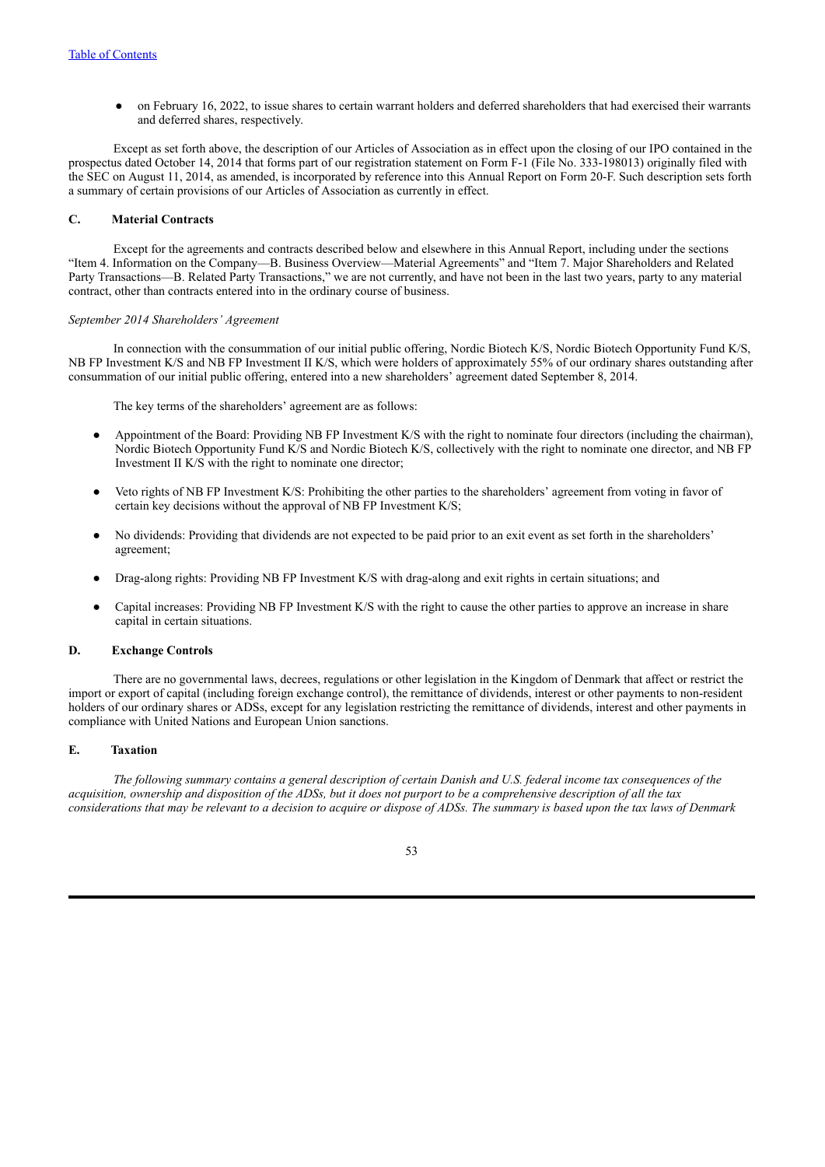● on February 16, 2022, to issue shares to certain warrant holders and deferred shareholders that had exercised their warrants and deferred shares, respectively.

Except as set forth above, the description of our Articles of Association as in effect upon the closing of our IPO contained in the prospectus dated October 14, 2014 that forms part of our registration statement on Form F-1 (File No. 333-198013) originally filed with the SEC on August 11, 2014, as amended, is incorporated by reference into this Annual Report on Form 20-F. Such description sets forth a summary of certain provisions of our Articles of Association as currently in effect.

## **C. Material Contracts**

Except for the agreements and contracts described below and elsewhere in this Annual Report, including under the sections "Item 4. Information on the Company—B. Business Overview—Material Agreements" and "Item 7. Major Shareholders and Related Party Transactions—B. Related Party Transactions," we are not currently, and have not been in the last two years, party to any material contract, other than contracts entered into in the ordinary course of business.

### *September 2014 Shareholders' Agreement*

In connection with the consummation of our initial public offering, Nordic Biotech K/S, Nordic Biotech Opportunity Fund K/S, NB FP Investment K/S and NB FP Investment II K/S, which were holders of approximately 55% of our ordinary shares outstanding after consummation of our initial public offering, entered into a new shareholders' agreement dated September 8, 2014.

The key terms of the shareholders' agreement are as follows:

- Appointment of the Board: Providing NB FP Investment K/S with the right to nominate four directors (including the chairman), Nordic Biotech Opportunity Fund K/S and Nordic Biotech K/S, collectively with the right to nominate one director, and NB FP Investment II K/S with the right to nominate one director;
- Veto rights of NB FP Investment K/S: Prohibiting the other parties to the shareholders' agreement from voting in favor of certain key decisions without the approval of NB FP Investment K/S;
- No dividends: Providing that dividends are not expected to be paid prior to an exit event as set forth in the shareholders' agreement;
- Drag-along rights: Providing NB FP Investment K/S with drag-along and exit rights in certain situations; and
- Capital increases: Providing NB FP Investment K/S with the right to cause the other parties to approve an increase in share capital in certain situations.

### **D. Exchange Controls**

There are no governmental laws, decrees, regulations or other legislation in the Kingdom of Denmark that affect or restrict the import or export of capital (including foreign exchange control), the remittance of dividends, interest or other payments to non-resident holders of our ordinary shares or ADSs, except for any legislation restricting the remittance of dividends, interest and other payments in compliance with United Nations and European Union sanctions.

### **E. Taxation**

The following summary contains a general description of certain Danish and U.S. federal income tax consequences of the acquisition, ownership and disposition of the ADSs, but it does not purport to be a comprehensive description of all the tax considerations that may be relevant to a decision to acquire or dispose of ADSs. The summary is based upon the tax laws of Denmark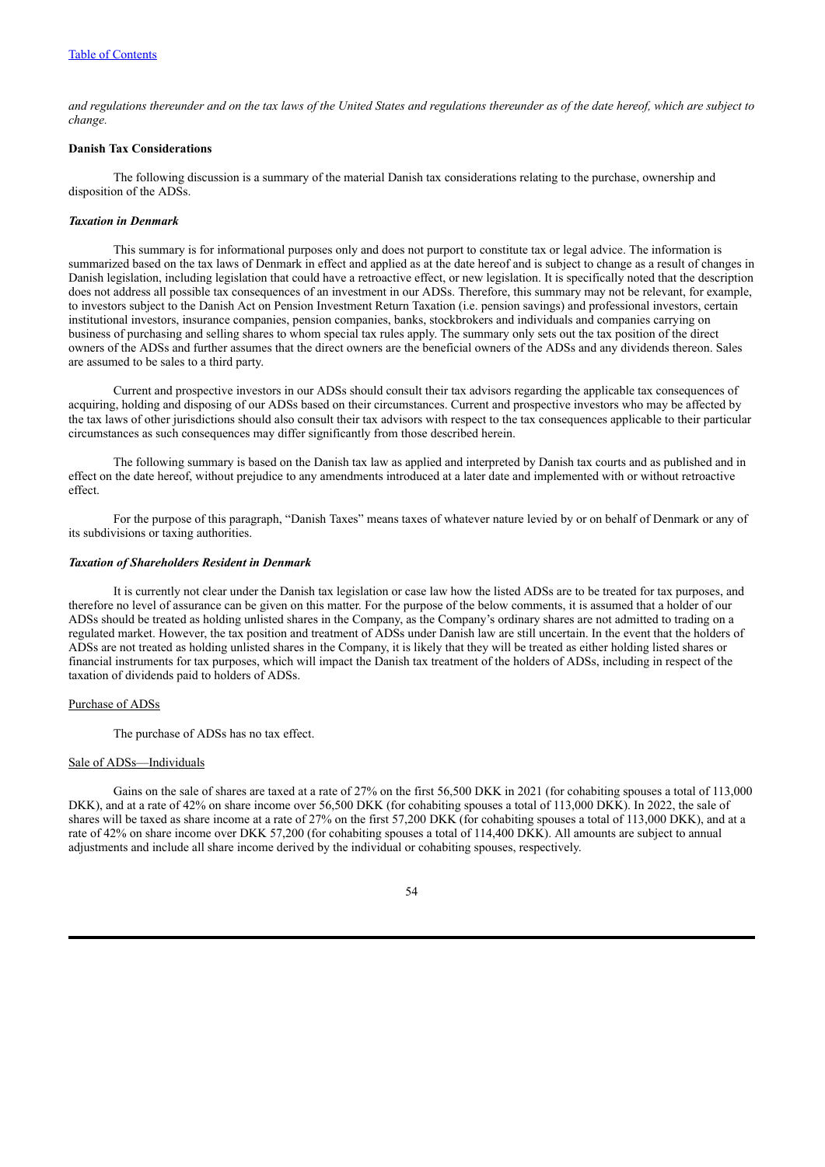and regulations thereunder and on the tax laws of the United States and regulations thereunder as of the date hereof, which are subject to *change.*

### **Danish Tax Considerations**

The following discussion is a summary of the material Danish tax considerations relating to the purchase, ownership and disposition of the ADSs.

#### *Taxation in Denmark*

This summary is for informational purposes only and does not purport to constitute tax or legal advice. The information is summarized based on the tax laws of Denmark in effect and applied as at the date hereof and is subject to change as a result of changes in Danish legislation, including legislation that could have a retroactive effect, or new legislation. It is specifically noted that the description does not address all possible tax consequences of an investment in our ADSs. Therefore, this summary may not be relevant, for example, to investors subject to the Danish Act on Pension Investment Return Taxation (i.e. pension savings) and professional investors, certain institutional investors, insurance companies, pension companies, banks, stockbrokers and individuals and companies carrying on business of purchasing and selling shares to whom special tax rules apply. The summary only sets out the tax position of the direct owners of the ADSs and further assumes that the direct owners are the beneficial owners of the ADSs and any dividends thereon. Sales are assumed to be sales to a third party.

Current and prospective investors in our ADSs should consult their tax advisors regarding the applicable tax consequences of acquiring, holding and disposing of our ADSs based on their circumstances. Current and prospective investors who may be affected by the tax laws of other jurisdictions should also consult their tax advisors with respect to the tax consequences applicable to their particular circumstances as such consequences may differ significantly from those described herein.

The following summary is based on the Danish tax law as applied and interpreted by Danish tax courts and as published and in effect on the date hereof, without prejudice to any amendments introduced at a later date and implemented with or without retroactive effect.

For the purpose of this paragraph, "Danish Taxes" means taxes of whatever nature levied by or on behalf of Denmark or any of its subdivisions or taxing authorities.

#### *Taxation of Shareholders Resident in Denmark*

It is currently not clear under the Danish tax legislation or case law how the listed ADSs are to be treated for tax purposes, and therefore no level of assurance can be given on this matter. For the purpose of the below comments, it is assumed that a holder of our ADSs should be treated as holding unlisted shares in the Company, as the Company's ordinary shares are not admitted to trading on a regulated market. However, the tax position and treatment of ADSs under Danish law are still uncertain. In the event that the holders of ADSs are not treated as holding unlisted shares in the Company, it is likely that they will be treated as either holding listed shares or financial instruments for tax purposes, which will impact the Danish tax treatment of the holders of ADSs, including in respect of the taxation of dividends paid to holders of ADSs.

### Purchase of ADSs

The purchase of ADSs has no tax effect.

### Sale of ADSs—Individuals

Gains on the sale of shares are taxed at a rate of 27% on the first 56,500 DKK in 2021 (for cohabiting spouses a total of 113,000 DKK), and at a rate of 42% on share income over 56,500 DKK (for cohabiting spouses a total of 113,000 DKK). In 2022, the sale of shares will be taxed as share income at a rate of 27% on the first 57,200 DKK (for cohabiting spouses a total of 113,000 DKK), and at a rate of 42% on share income over DKK 57,200 (for cohabiting spouses a total of 114,400 DKK). All amounts are subject to annual adjustments and include all share income derived by the individual or cohabiting spouses, respectively.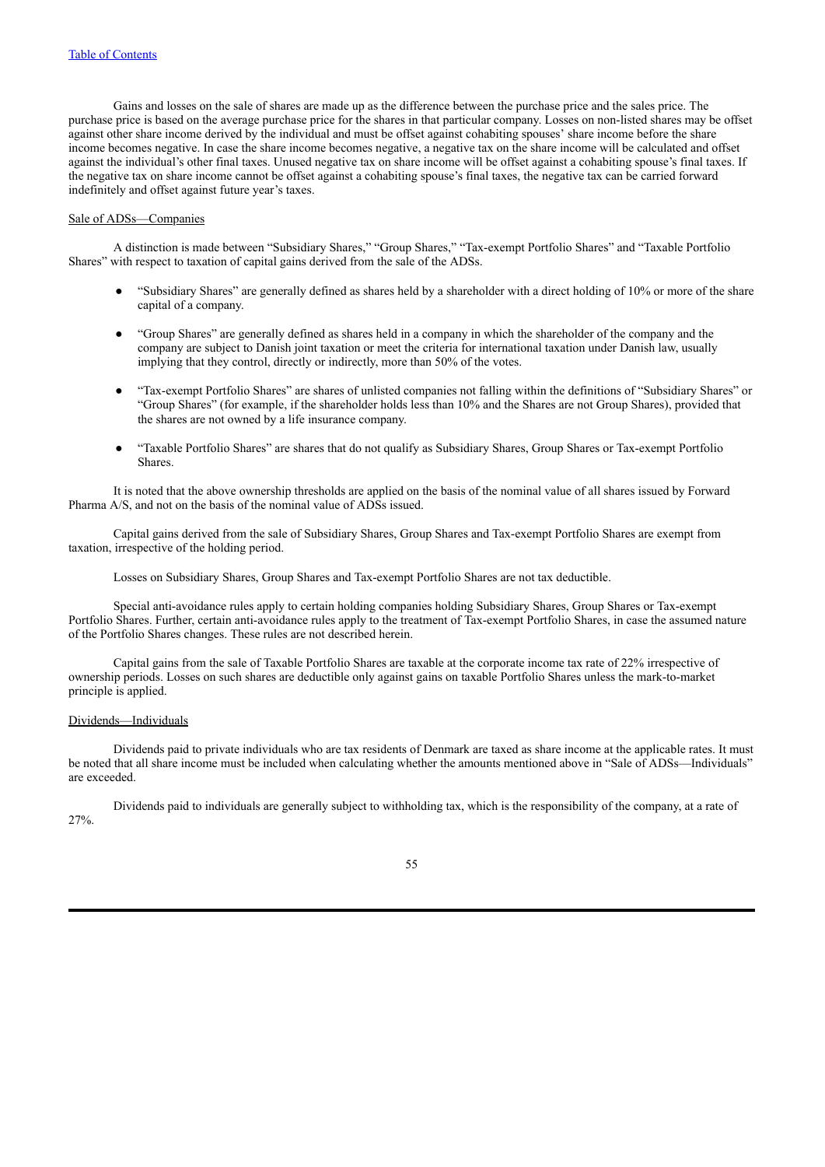Gains and losses on the sale of shares are made up as the difference between the purchase price and the sales price. The purchase price is based on the average purchase price for the shares in that particular company. Losses on non-listed shares may be offset against other share income derived by the individual and must be offset against cohabiting spouses' share income before the share income becomes negative. In case the share income becomes negative, a negative tax on the share income will be calculated and offset against the individual's other final taxes. Unused negative tax on share income will be offset against a cohabiting spouse's final taxes. If the negative tax on share income cannot be offset against a cohabiting spouse's final taxes, the negative tax can be carried forward indefinitely and offset against future year's taxes.

# Sale of ADSs—Companies

A distinction is made between "Subsidiary Shares," "Group Shares," "Tax-exempt Portfolio Shares" and "Taxable Portfolio Shares" with respect to taxation of capital gains derived from the sale of the ADSs.

- "Subsidiary Shares" are generally defined as shares held by a shareholder with a direct holding of 10% or more of the share capital of a company.
- "Group Shares" are generally defined as shares held in a company in which the shareholder of the company and the company are subject to Danish joint taxation or meet the criteria for international taxation under Danish law, usually implying that they control, directly or indirectly, more than 50% of the votes.
- "Tax-exempt Portfolio Shares" are shares of unlisted companies not falling within the definitions of "Subsidiary Shares" or "Group Shares" (for example, if the shareholder holds less than 10% and the Shares are not Group Shares), provided that the shares are not owned by a life insurance company.
- "Taxable Portfolio Shares" are shares that do not qualify as Subsidiary Shares, Group Shares or Tax-exempt Portfolio Shares.

It is noted that the above ownership thresholds are applied on the basis of the nominal value of all shares issued by Forward Pharma A/S, and not on the basis of the nominal value of ADSs issued.

Capital gains derived from the sale of Subsidiary Shares, Group Shares and Tax-exempt Portfolio Shares are exempt from taxation, irrespective of the holding period.

Losses on Subsidiary Shares, Group Shares and Tax-exempt Portfolio Shares are not tax deductible.

Special anti-avoidance rules apply to certain holding companies holding Subsidiary Shares, Group Shares or Tax-exempt Portfolio Shares. Further, certain anti-avoidance rules apply to the treatment of Tax-exempt Portfolio Shares, in case the assumed nature of the Portfolio Shares changes. These rules are not described herein.

Capital gains from the sale of Taxable Portfolio Shares are taxable at the corporate income tax rate of 22% irrespective of ownership periods. Losses on such shares are deductible only against gains on taxable Portfolio Shares unless the mark-to-market principle is applied.

## Dividends—Individuals

Dividends paid to private individuals who are tax residents of Denmark are taxed as share income at the applicable rates. It must be noted that all share income must be included when calculating whether the amounts mentioned above in "Sale of ADSs—Individuals" are exceeded.

Dividends paid to individuals are generally subject to withholding tax, which is the responsibility of the company, at a rate of 27%.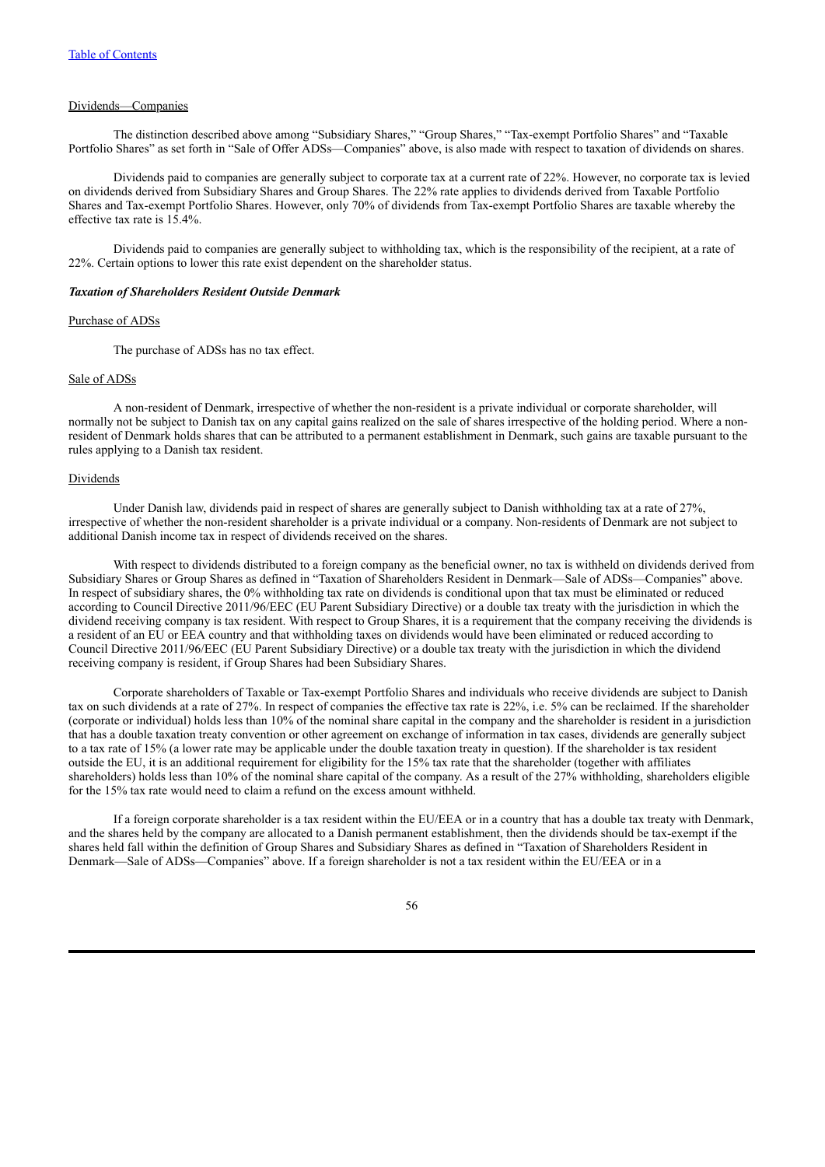#### Dividends—Companies

The distinction described above among "Subsidiary Shares," "Group Shares," "Tax-exempt Portfolio Shares" and "Taxable Portfolio Shares" as set forth in "Sale of Offer ADSs—Companies" above, is also made with respect to taxation of dividends on shares.

Dividends paid to companies are generally subject to corporate tax at a current rate of 22%. However, no corporate tax is levied on dividends derived from Subsidiary Shares and Group Shares. The 22% rate applies to dividends derived from Taxable Portfolio Shares and Tax-exempt Portfolio Shares. However, only 70% of dividends from Tax-exempt Portfolio Shares are taxable whereby the effective tax rate is 15.4%.

Dividends paid to companies are generally subject to withholding tax, which is the responsibility of the recipient, at a rate of 22%. Certain options to lower this rate exist dependent on the shareholder status.

### *Taxation of Shareholders Resident Outside Denmark*

#### Purchase of ADSs

The purchase of ADSs has no tax effect.

### Sale of ADSs

A non-resident of Denmark, irrespective of whether the non-resident is a private individual or corporate shareholder, will normally not be subject to Danish tax on any capital gains realized on the sale of shares irrespective of the holding period. Where a nonresident of Denmark holds shares that can be attributed to a permanent establishment in Denmark, such gains are taxable pursuant to the rules applying to a Danish tax resident.

## Dividends

Under Danish law, dividends paid in respect of shares are generally subject to Danish withholding tax at a rate of 27%, irrespective of whether the non-resident shareholder is a private individual or a company. Non-residents of Denmark are not subject to additional Danish income tax in respect of dividends received on the shares.

With respect to dividends distributed to a foreign company as the beneficial owner, no tax is withheld on dividends derived from Subsidiary Shares or Group Shares as defined in "Taxation of Shareholders Resident in Denmark—Sale of ADSs—Companies" above. In respect of subsidiary shares, the 0% withholding tax rate on dividends is conditional upon that tax must be eliminated or reduced according to Council Directive 2011/96/EEC (EU Parent Subsidiary Directive) or a double tax treaty with the jurisdiction in which the dividend receiving company is tax resident. With respect to Group Shares, it is a requirement that the company receiving the dividends is a resident of an EU or EEA country and that withholding taxes on dividends would have been eliminated or reduced according to Council Directive 2011/96/EEC (EU Parent Subsidiary Directive) or a double tax treaty with the jurisdiction in which the dividend receiving company is resident, if Group Shares had been Subsidiary Shares.

Corporate shareholders of Taxable or Tax-exempt Portfolio Shares and individuals who receive dividends are subject to Danish tax on such dividends at a rate of 27%. In respect of companies the effective tax rate is 22%, i.e. 5% can be reclaimed. If the shareholder (corporate or individual) holds less than 10% of the nominal share capital in the company and the shareholder is resident in a jurisdiction that has a double taxation treaty convention or other agreement on exchange of information in tax cases, dividends are generally subject to a tax rate of 15% (a lower rate may be applicable under the double taxation treaty in question). If the shareholder is tax resident outside the EU, it is an additional requirement for eligibility for the 15% tax rate that the shareholder (together with affiliates shareholders) holds less than 10% of the nominal share capital of the company. As a result of the 27% withholding, shareholders eligible for the 15% tax rate would need to claim a refund on the excess amount withheld.

If a foreign corporate shareholder is a tax resident within the EU/EEA or in a country that has a double tax treaty with Denmark, and the shares held by the company are allocated to a Danish permanent establishment, then the dividends should be tax-exempt if the shares held fall within the definition of Group Shares and Subsidiary Shares as defined in "Taxation of Shareholders Resident in Denmark—Sale of ADSs—Companies" above. If a foreign shareholder is not a tax resident within the EU/EEA or in a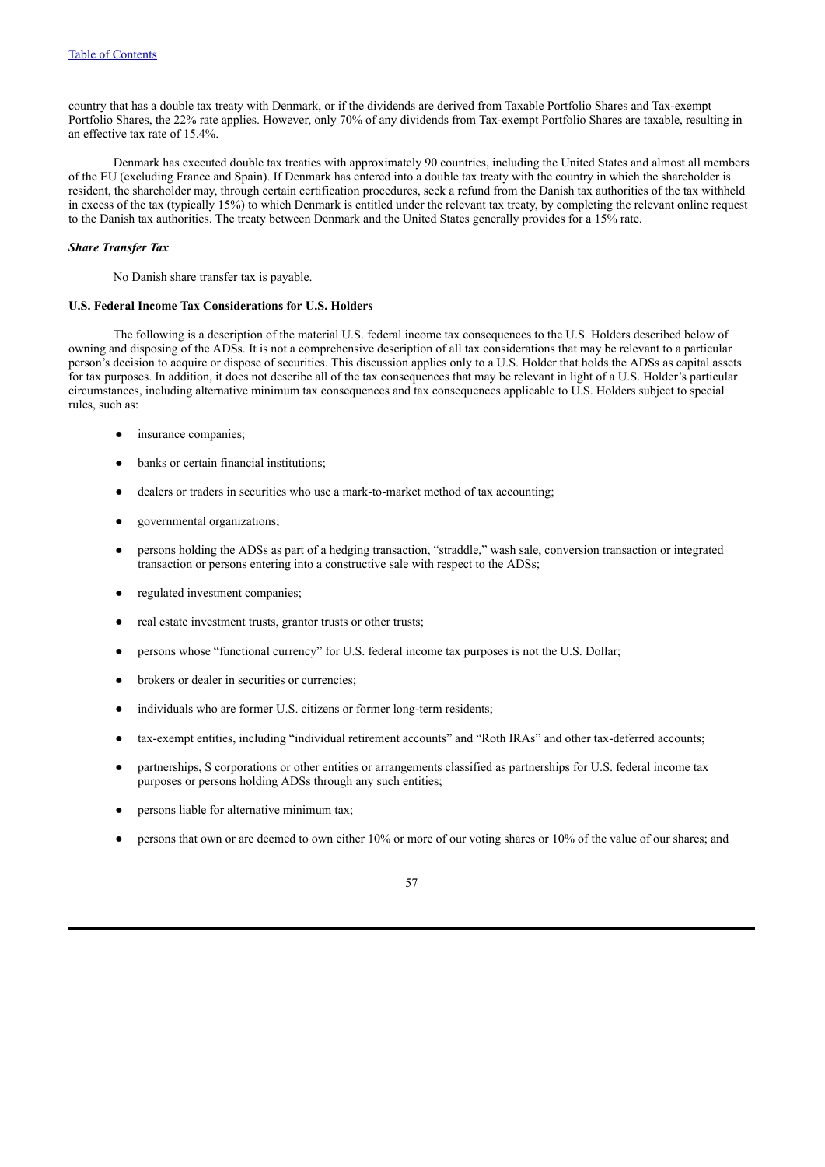country that has a double tax treaty with Denmark, or if the dividends are derived from Taxable Portfolio Shares and Tax-exempt Portfolio Shares, the 22% rate applies. However, only 70% of any dividends from Tax-exempt Portfolio Shares are taxable, resulting in an effective tax rate of 15.4%.

Denmark has executed double tax treaties with approximately 90 countries, including the United States and almost all members of the EU (excluding France and Spain). If Denmark has entered into a double tax treaty with the country in which the shareholder is resident, the shareholder may, through certain certification procedures, seek a refund from the Danish tax authorities of the tax withheld in excess of the tax (typically 15%) to which Denmark is entitled under the relevant tax treaty, by completing the relevant online request to the Danish tax authorities. The treaty between Denmark and the United States generally provides for a 15% rate.

### *Share Transfer Tax*

No Danish share transfer tax is payable.

#### **U.S. Federal Income Tax Considerations for U.S. Holders**

The following is a description of the material U.S. federal income tax consequences to the U.S. Holders described below of owning and disposing of the ADSs. It is not a comprehensive description of all tax considerations that may be relevant to a particular person's decision to acquire or dispose of securities. This discussion applies only to a U.S. Holder that holds the ADSs as capital assets for tax purposes. In addition, it does not describe all of the tax consequences that may be relevant in light of a U.S. Holder's particular circumstances, including alternative minimum tax consequences and tax consequences applicable to U.S. Holders subject to special rules, such as:

- insurance companies;
- banks or certain financial institutions;
- dealers or traders in securities who use a mark-to-market method of tax accounting;
- governmental organizations;
- persons holding the ADSs as part of a hedging transaction, "straddle," wash sale, conversion transaction or integrated transaction or persons entering into a constructive sale with respect to the ADSs;
- regulated investment companies;
- real estate investment trusts, grantor trusts or other trusts;
- persons whose "functional currency" for U.S. federal income tax purposes is not the U.S. Dollar;
- brokers or dealer in securities or currencies;
- individuals who are former U.S. citizens or former long-term residents;
- tax-exempt entities, including "individual retirement accounts" and "Roth IRAs" and other tax-deferred accounts;
- partnerships, S corporations or other entities or arrangements classified as partnerships for U.S. federal income tax purposes or persons holding ADSs through any such entities;
- persons liable for alternative minimum tax;
- persons that own or are deemed to own either 10% or more of our voting shares or 10% of the value of our shares; and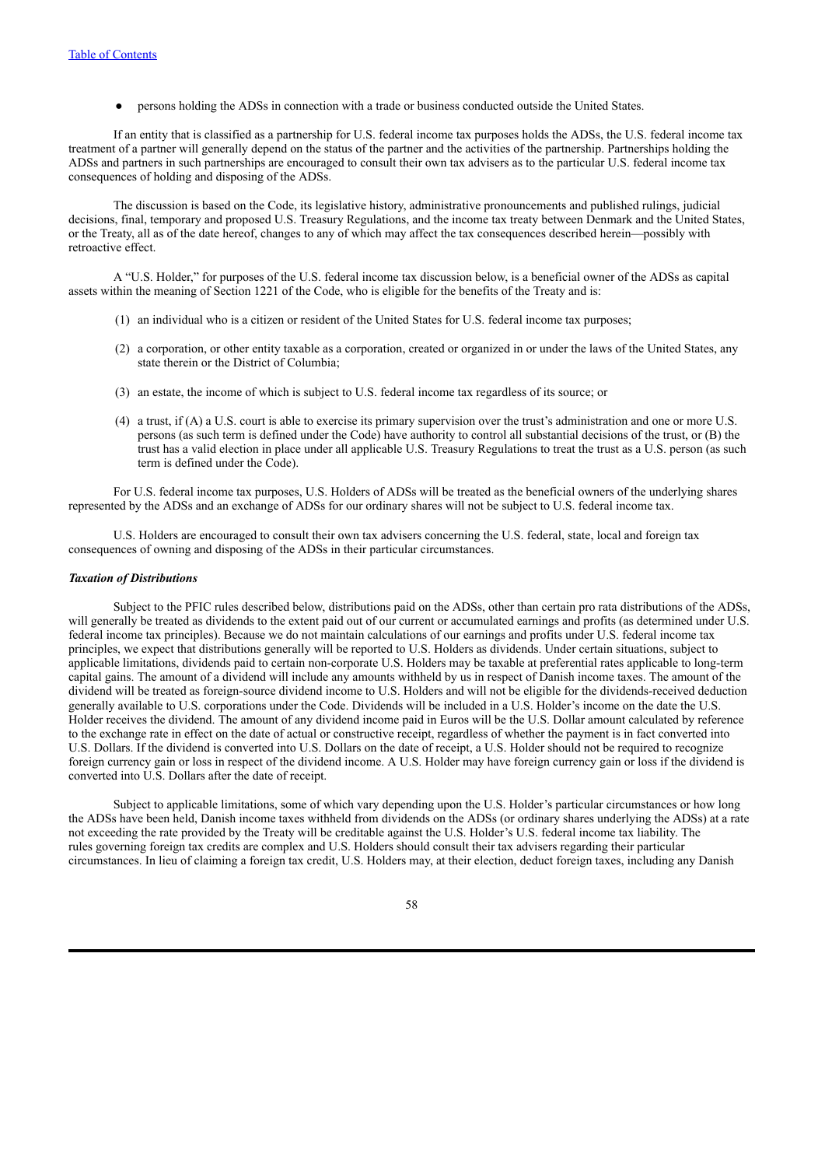● persons holding the ADSs in connection with a trade or business conducted outside the United States.

If an entity that is classified as a partnership for U.S. federal income tax purposes holds the ADSs, the U.S. federal income tax treatment of a partner will generally depend on the status of the partner and the activities of the partnership. Partnerships holding the ADSs and partners in such partnerships are encouraged to consult their own tax advisers as to the particular U.S. federal income tax consequences of holding and disposing of the ADSs.

The discussion is based on the Code, its legislative history, administrative pronouncements and published rulings, judicial decisions, final, temporary and proposed U.S. Treasury Regulations, and the income tax treaty between Denmark and the United States, or the Treaty, all as of the date hereof, changes to any of which may affect the tax consequences described herein—possibly with retroactive effect.

A "U.S. Holder," for purposes of the U.S. federal income tax discussion below, is a beneficial owner of the ADSs as capital assets within the meaning of Section 1221 of the Code, who is eligible for the benefits of the Treaty and is:

- (1) an individual who is a citizen or resident of the United States for U.S. federal income tax purposes;
- (2) a corporation, or other entity taxable as a corporation, created or organized in or under the laws of the United States, any state therein or the District of Columbia;
- (3) an estate, the income of which is subject to U.S. federal income tax regardless of its source; or
- (4) a trust, if (A) a U.S. court is able to exercise its primary supervision over the trust's administration and one or more U.S. persons (as such term is defined under the Code) have authority to control all substantial decisions of the trust, or (B) the trust has a valid election in place under all applicable U.S. Treasury Regulations to treat the trust as a U.S. person (as such term is defined under the Code).

For U.S. federal income tax purposes, U.S. Holders of ADSs will be treated as the beneficial owners of the underlying shares represented by the ADSs and an exchange of ADSs for our ordinary shares will not be subject to U.S. federal income tax.

U.S. Holders are encouraged to consult their own tax advisers concerning the U.S. federal, state, local and foreign tax consequences of owning and disposing of the ADSs in their particular circumstances.

#### *Taxation of Distributions*

Subject to the PFIC rules described below, distributions paid on the ADSs, other than certain pro rata distributions of the ADSs, will generally be treated as dividends to the extent paid out of our current or accumulated earnings and profits (as determined under U.S. federal income tax principles). Because we do not maintain calculations of our earnings and profits under U.S. federal income tax principles, we expect that distributions generally will be reported to U.S. Holders as dividends. Under certain situations, subject to applicable limitations, dividends paid to certain non-corporate U.S. Holders may be taxable at preferential rates applicable to long-term capital gains. The amount of a dividend will include any amounts withheld by us in respect of Danish income taxes. The amount of the dividend will be treated as foreign-source dividend income to U.S. Holders and will not be eligible for the dividends-received deduction generally available to U.S. corporations under the Code. Dividends will be included in a U.S. Holder's income on the date the U.S. Holder receives the dividend. The amount of any dividend income paid in Euros will be the U.S. Dollar amount calculated by reference to the exchange rate in effect on the date of actual or constructive receipt, regardless of whether the payment is in fact converted into U.S. Dollars. If the dividend is converted into U.S. Dollars on the date of receipt, a U.S. Holder should not be required to recognize foreign currency gain or loss in respect of the dividend income. A U.S. Holder may have foreign currency gain or loss if the dividend is converted into U.S. Dollars after the date of receipt.

Subject to applicable limitations, some of which vary depending upon the U.S. Holder's particular circumstances or how long the ADSs have been held, Danish income taxes withheld from dividends on the ADSs (or ordinary shares underlying the ADSs) at a rate not exceeding the rate provided by the Treaty will be creditable against the U.S. Holder's U.S. federal income tax liability. The rules governing foreign tax credits are complex and U.S. Holders should consult their tax advisers regarding their particular circumstances. In lieu of claiming a foreign tax credit, U.S. Holders may, at their election, deduct foreign taxes, including any Danish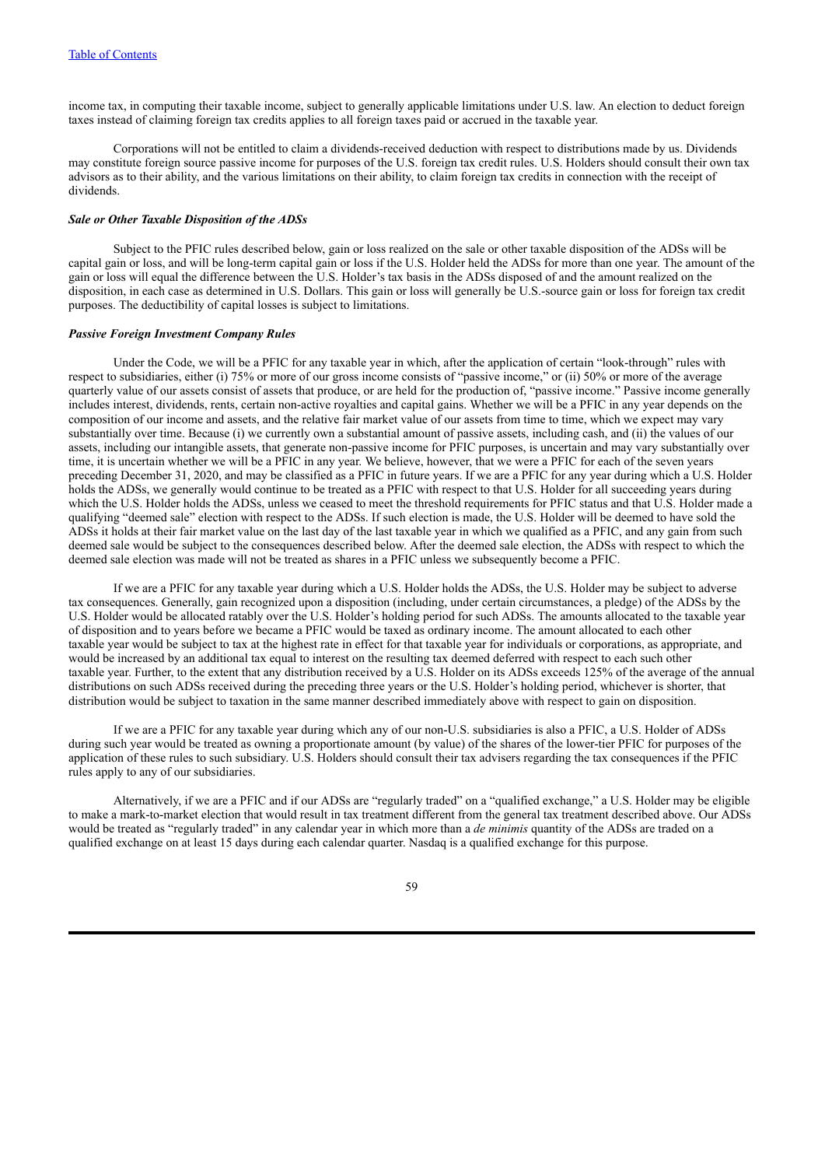income tax, in computing their taxable income, subject to generally applicable limitations under U.S. law. An election to deduct foreign taxes instead of claiming foreign tax credits applies to all foreign taxes paid or accrued in the taxable year.

Corporations will not be entitled to claim a dividends-received deduction with respect to distributions made by us. Dividends may constitute foreign source passive income for purposes of the U.S. foreign tax credit rules. U.S. Holders should consult their own tax advisors as to their ability, and the various limitations on their ability, to claim foreign tax credits in connection with the receipt of dividends.

#### *Sale or Other Taxable Disposition of the ADSs*

Subject to the PFIC rules described below, gain or loss realized on the sale or other taxable disposition of the ADSs will be capital gain or loss, and will be long-term capital gain or loss if the U.S. Holder held the ADSs for more than one year. The amount of the gain or loss will equal the difference between the U.S. Holder's tax basis in the ADSs disposed of and the amount realized on the disposition, in each case as determined in U.S. Dollars. This gain or loss will generally be U.S.-source gain or loss for foreign tax credit purposes. The deductibility of capital losses is subject to limitations.

#### *Passive Foreign Investment Company Rules*

Under the Code, we will be a PFIC for any taxable year in which, after the application of certain "look-through" rules with respect to subsidiaries, either (i) 75% or more of our gross income consists of "passive income," or (ii) 50% or more of the average quarterly value of our assets consist of assets that produce, or are held for the production of, "passive income." Passive income generally includes interest, dividends, rents, certain non-active royalties and capital gains. Whether we will be a PFIC in any year depends on the composition of our income and assets, and the relative fair market value of our assets from time to time, which we expect may vary substantially over time. Because (i) we currently own a substantial amount of passive assets, including cash, and (ii) the values of our assets, including our intangible assets, that generate non-passive income for PFIC purposes, is uncertain and may vary substantially over time, it is uncertain whether we will be a PFIC in any year. We believe, however, that we were a PFIC for each of the seven years preceding December 31, 2020, and may be classified as a PFIC in future years. If we are a PFIC for any year during which a U.S. Holder holds the ADSs, we generally would continue to be treated as a PFIC with respect to that U.S. Holder for all succeeding years during which the U.S. Holder holds the ADSs, unless we ceased to meet the threshold requirements for PFIC status and that U.S. Holder made a qualifying "deemed sale" election with respect to the ADSs. If such election is made, the U.S. Holder will be deemed to have sold the ADSs it holds at their fair market value on the last day of the last taxable year in which we qualified as a PFIC, and any gain from such deemed sale would be subject to the consequences described below. After the deemed sale election, the ADSs with respect to which the deemed sale election was made will not be treated as shares in a PFIC unless we subsequently become a PFIC.

If we are a PFIC for any taxable year during which a U.S. Holder holds the ADSs, the U.S. Holder may be subject to adverse tax consequences. Generally, gain recognized upon a disposition (including, under certain circumstances, a pledge) of the ADSs by the U.S. Holder would be allocated ratably over the U.S. Holder's holding period for such ADSs. The amounts allocated to the taxable year of disposition and to years before we became a PFIC would be taxed as ordinary income. The amount allocated to each other taxable year would be subject to tax at the highest rate in effect for that taxable year for individuals or corporations, as appropriate, and would be increased by an additional tax equal to interest on the resulting tax deemed deferred with respect to each such other taxable year. Further, to the extent that any distribution received by a U.S. Holder on its ADSs exceeds 125% of the average of the annual distributions on such ADSs received during the preceding three years or the U.S. Holder's holding period, whichever is shorter, that distribution would be subject to taxation in the same manner described immediately above with respect to gain on disposition.

If we are a PFIC for any taxable year during which any of our non-U.S. subsidiaries is also a PFIC, a U.S. Holder of ADSs during such year would be treated as owning a proportionate amount (by value) of the shares of the lower-tier PFIC for purposes of the application of these rules to such subsidiary. U.S. Holders should consult their tax advisers regarding the tax consequences if the PFIC rules apply to any of our subsidiaries.

Alternatively, if we are a PFIC and if our ADSs are "regularly traded" on a "qualified exchange," a U.S. Holder may be eligible to make a mark-to-market election that would result in tax treatment different from the general tax treatment described above. Our ADSs would be treated as "regularly traded" in any calendar year in which more than a *de minimis* quantity of the ADSs are traded on a qualified exchange on at least 15 days during each calendar quarter. Nasdaq is a qualified exchange for this purpose.

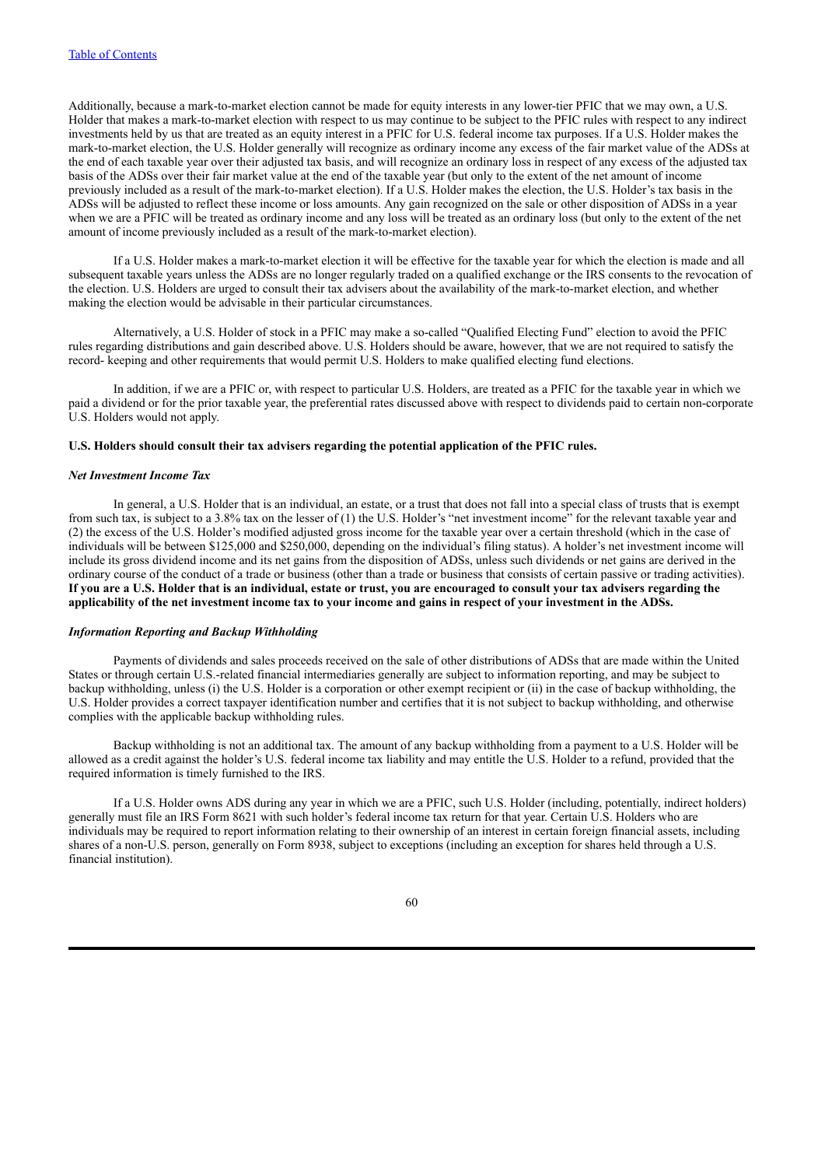Additionally, because a mark-to-market election cannot be made for equity interests in any lower-tier PFIC that we may own, a U.S. Holder that makes a mark-to-market election with respect to us may continue to be subject to the PFIC rules with respect to any indirect investments held by us that are treated as an equity interest in a PFIC for U.S. federal income tax purposes. If a U.S. Holder makes the mark-to-market election, the U.S. Holder generally will recognize as ordinary income any excess of the fair market value of the ADSs at the end of each taxable year over their adjusted tax basis, and will recognize an ordinary loss in respect of any excess of the adjusted tax basis of the ADSs over their fair market value at the end of the taxable year (but only to the extent of the net amount of income previously included as a result of the mark-to-market election). If a U.S. Holder makes the election, the U.S. Holder's tax basis in the ADSs will be adjusted to reflect these income or loss amounts. Any gain recognized on the sale or other disposition of ADSs in a year when we are a PFIC will be treated as ordinary income and any loss will be treated as an ordinary loss (but only to the extent of the net amount of income previously included as a result of the mark-to-market election).

If a U.S. Holder makes a mark-to-market election it will be effective for the taxable year for which the election is made and all subsequent taxable years unless the ADSs are no longer regularly traded on a qualified exchange or the IRS consents to the revocation of the election. U.S. Holders are urged to consult their tax advisers about the availability of the mark-to-market election, and whether making the election would be advisable in their particular circumstances.

Alternatively, a U.S. Holder of stock in a PFIC may make a so-called "Qualified Electing Fund" election to avoid the PFIC rules regarding distributions and gain described above. U.S. Holders should be aware, however, that we are not required to satisfy the record- keeping and other requirements that would permit U.S. Holders to make qualified electing fund elections.

In addition, if we are a PFIC or, with respect to particular U.S. Holders, are treated as a PFIC for the taxable year in which we paid a dividend or for the prior taxable year, the preferential rates discussed above with respect to dividends paid to certain non-corporate U.S. Holders would not apply.

### **U.S. Holders should consult their tax advisers regarding the potential application of the PFIC rules.**

#### *Net Investment Income Tax*

In general, a U.S. Holder that is an individual, an estate, or a trust that does not fall into a special class of trusts that is exempt from such tax, is subject to a 3.8% tax on the lesser of (1) the U.S. Holder's "net investment income" for the relevant taxable year and (2) the excess of the U.S. Holder's modified adjusted gross income for the taxable year over a certain threshold (which in the case of individuals will be between \$125,000 and \$250,000, depending on the individual's filing status). A holder's net investment income will include its gross dividend income and its net gains from the disposition of ADSs, unless such dividends or net gains are derived in the ordinary course of the conduct of a trade or business (other than a trade or business that consists of certain passive or trading activities). If you are a U.S. Holder that is an individual, estate or trust, you are encouraged to consult your tax advisers regarding the applicability of the net investment income tax to your income and gains in respect of your investment in the ADSs.

### *Information Reporting and Backup Withholding*

Payments of dividends and sales proceeds received on the sale of other distributions of ADSs that are made within the United States or through certain U.S.-related financial intermediaries generally are subject to information reporting, and may be subject to backup withholding, unless (i) the U.S. Holder is a corporation or other exempt recipient or (ii) in the case of backup withholding, the U.S. Holder provides a correct taxpayer identification number and certifies that it is not subject to backup withholding, and otherwise complies with the applicable backup withholding rules.

Backup withholding is not an additional tax. The amount of any backup withholding from a payment to a U.S. Holder will be allowed as a credit against the holder's U.S. federal income tax liability and may entitle the U.S. Holder to a refund, provided that the required information is timely furnished to the IRS.

If a U.S. Holder owns ADS during any year in which we are a PFIC, such U.S. Holder (including, potentially, indirect holders) generally must file an IRS Form 8621 with such holder's federal income tax return for that year. Certain U.S. Holders who are individuals may be required to report information relating to their ownership of an interest in certain foreign financial assets, including shares of a non-U.S. person, generally on Form 8938, subject to exceptions (including an exception for shares held through a U.S. financial institution).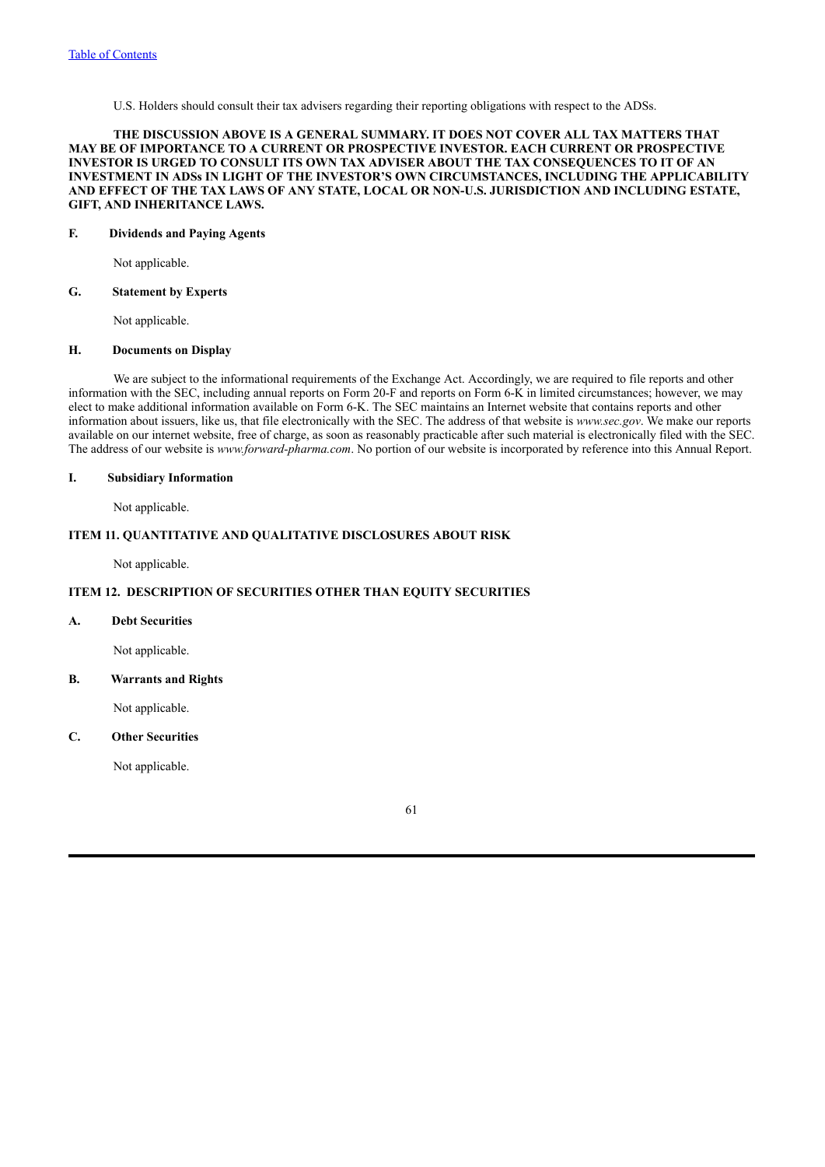U.S. Holders should consult their tax advisers regarding their reporting obligations with respect to the ADSs.

### **THE DISCUSSION ABOVE IS A GENERAL SUMMARY. IT DOES NOT COVER ALL TAX MATTERS THAT MAY BE OF IMPORTANCE TO A CURRENT OR PROSPECTIVE INVESTOR. EACH CURRENT OR PROSPECTIVE INVESTOR IS URGED TO CONSULT ITS OWN TAX ADVISER ABOUT THE TAX CONSEQUENCES TO IT OF AN INVESTMENT IN ADSs IN LIGHT OF THE INVESTOR'S OWN CIRCUMSTANCES, INCLUDING THE APPLICABILITY AND EFFECT OF THE TAX LAWS OF ANY STATE, LOCAL OR NON-U.S. JURISDICTION AND INCLUDING ESTATE, GIFT, AND INHERITANCE LAWS.**

# **F. Dividends and Paying Agents**

Not applicable.

### **G. Statement by Experts**

Not applicable.

## **H. Documents on Display**

We are subject to the informational requirements of the Exchange Act. Accordingly, we are required to file reports and other information with the SEC, including annual reports on Form 20-F and reports on Form 6-K in limited circumstances; however, we may elect to make additional information available on Form 6-K. The SEC maintains an Internet website that contains reports and other information about issuers, like us, that file electronically with the SEC. The address of that website is *www.sec.gov*. We make our reports available on our internet website, free of charge, as soon as reasonably practicable after such material is electronically filed with the SEC. The address of our website is *www.forward-pharma.com*. No portion of our website is incorporated by reference into this Annual Report.

### **I. Subsidiary Information**

Not applicable.

## **ITEM 11. QUANTITATIVE AND QUALITATIVE DISCLOSURES ABOUT RISK**

Not applicable.

# **ITEM 12. DESCRIPTION OF SECURITIES OTHER THAN EQUITY SECURITIES**

## **A. Debt Securities**

Not applicable.

# **B. Warrants and Rights**

Not applicable.

# **C. Other Securities**

Not applicable.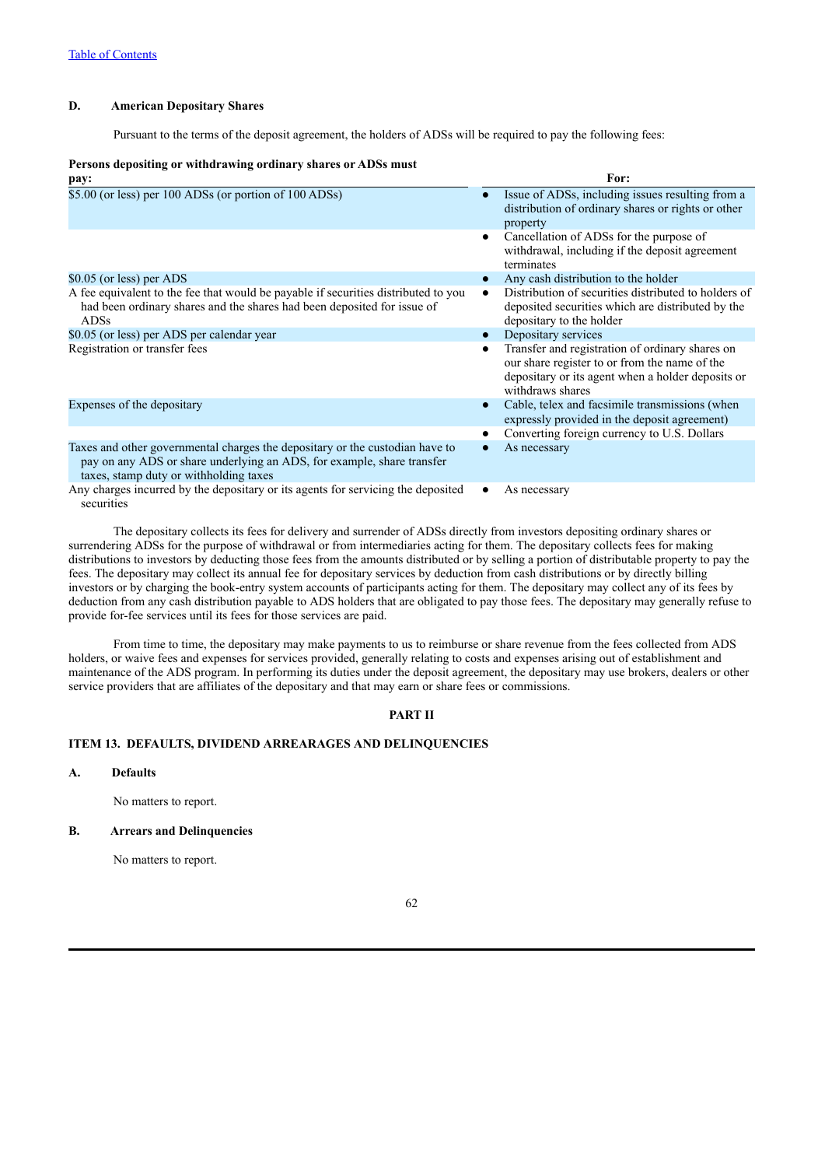## **D. American Depositary Shares**

Pursuant to the terms of the deposit agreement, the holders of ADSs will be required to pay the following fees:

## **Persons depositing or withdrawing ordinary shares or ADSs must**

| pay:                                                                                                                                                                                             | For:                                                                                                                                                                                   |
|--------------------------------------------------------------------------------------------------------------------------------------------------------------------------------------------------|----------------------------------------------------------------------------------------------------------------------------------------------------------------------------------------|
| \$5.00 (or less) per 100 ADSs (or portion of 100 ADSs)                                                                                                                                           | Issue of ADSs, including issues resulting from a<br>$\bullet$<br>distribution of ordinary shares or rights or other<br>property                                                        |
|                                                                                                                                                                                                  | Cancellation of ADSs for the purpose of<br>$\bullet$<br>withdrawal, including if the deposit agreement<br>terminates                                                                   |
| $$0.05$ (or less) per ADS                                                                                                                                                                        | Any cash distribution to the holder<br>$\bullet$                                                                                                                                       |
| A fee equivalent to the fee that would be payable if securities distributed to you<br>had been ordinary shares and the shares had been deposited for issue of<br><b>ADSs</b>                     | Distribution of securities distributed to holders of<br>$\bullet$<br>deposited securities which are distributed by the<br>depositary to the holder                                     |
| \$0.05 (or less) per ADS per calendar year                                                                                                                                                       | Depositary services<br>$\bullet$                                                                                                                                                       |
| Registration or transfer fees                                                                                                                                                                    | Transfer and registration of ordinary shares on<br>$\bullet$<br>our share register to or from the name of the<br>depositary or its agent when a holder deposits or<br>withdraws shares |
| Expenses of the depositary                                                                                                                                                                       | Cable, telex and facsimile transmissions (when<br>$\bullet$<br>expressly provided in the deposit agreement)                                                                            |
|                                                                                                                                                                                                  | Converting foreign currency to U.S. Dollars<br>٠                                                                                                                                       |
| Taxes and other governmental charges the depositary or the custodian have to<br>pay on any ADS or share underlying an ADS, for example, share transfer<br>taxes, stamp duty or withholding taxes | As necessary                                                                                                                                                                           |
| Any charges incurred by the depositary or its agents for servicing the deposited<br>securities                                                                                                   | As necessary                                                                                                                                                                           |

The depositary collects its fees for delivery and surrender of ADSs directly from investors depositing ordinary shares or surrendering ADSs for the purpose of withdrawal or from intermediaries acting for them. The depositary collects fees for making distributions to investors by deducting those fees from the amounts distributed or by selling a portion of distributable property to pay the fees. The depositary may collect its annual fee for depositary services by deduction from cash distributions or by directly billing investors or by charging the book-entry system accounts of participants acting for them. The depositary may collect any of its fees by deduction from any cash distribution payable to ADS holders that are obligated to pay those fees. The depositary may generally refuse to provide for-fee services until its fees for those services are paid.

From time to time, the depositary may make payments to us to reimburse or share revenue from the fees collected from ADS holders, or waive fees and expenses for services provided, generally relating to costs and expenses arising out of establishment and maintenance of the ADS program. In performing its duties under the deposit agreement, the depositary may use brokers, dealers or other service providers that are affiliates of the depositary and that may earn or share fees or commissions.

#### **PART II**

## **ITEM 13. DEFAULTS, DIVIDEND ARREARAGES AND DELINQUENCIES**

#### **A. Defaults**

No matters to report.

# **B. Arrears and Delinquencies**

No matters to report.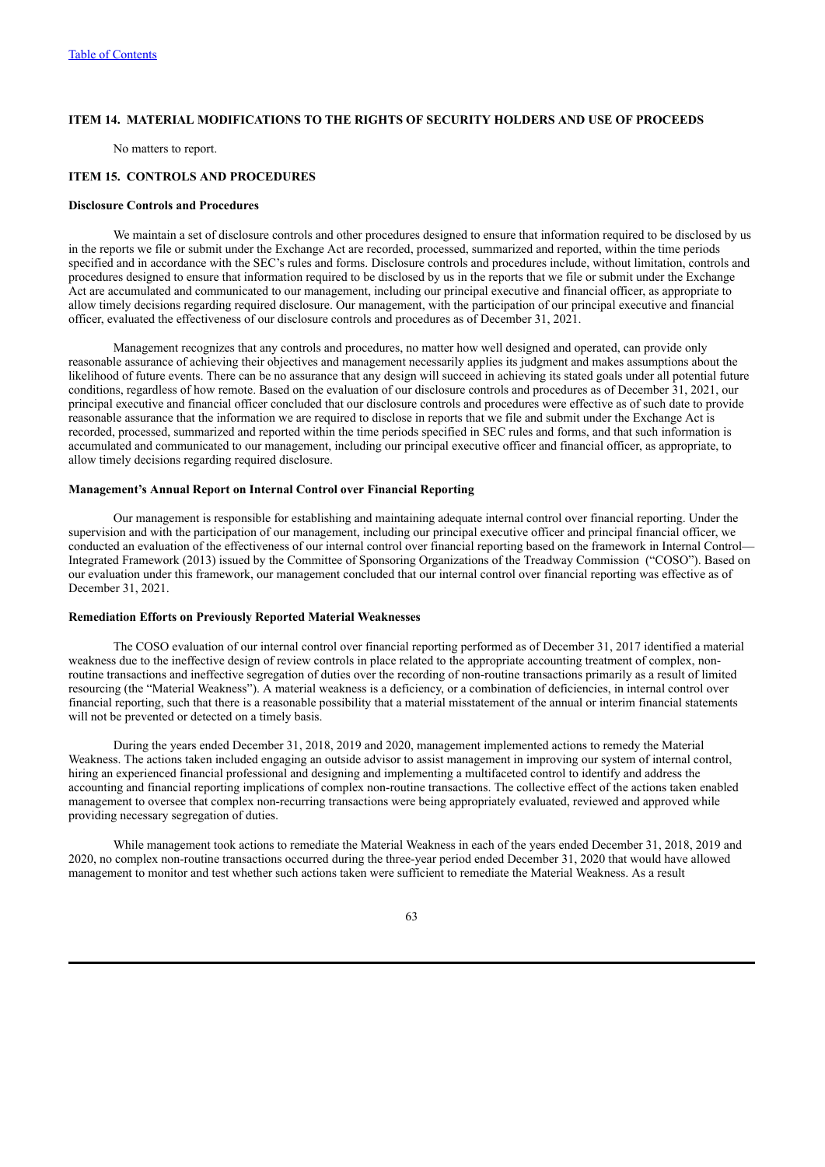### **ITEM 14. MATERIAL MODIFICATIONS TO THE RIGHTS OF SECURITY HOLDERS AND USE OF PROCEEDS**

No matters to report.

# **ITEM 15. CONTROLS AND PROCEDURES**

#### **Disclosure Controls and Procedures**

We maintain a set of disclosure controls and other procedures designed to ensure that information required to be disclosed by us in the reports we file or submit under the Exchange Act are recorded, processed, summarized and reported, within the time periods specified and in accordance with the SEC's rules and forms. Disclosure controls and procedures include, without limitation, controls and procedures designed to ensure that information required to be disclosed by us in the reports that we file or submit under the Exchange Act are accumulated and communicated to our management, including our principal executive and financial officer, as appropriate to allow timely decisions regarding required disclosure. Our management, with the participation of our principal executive and financial officer, evaluated the effectiveness of our disclosure controls and procedures as of December 31, 2021.

Management recognizes that any controls and procedures, no matter how well designed and operated, can provide only reasonable assurance of achieving their objectives and management necessarily applies its judgment and makes assumptions about the likelihood of future events. There can be no assurance that any design will succeed in achieving its stated goals under all potential future conditions, regardless of how remote. Based on the evaluation of our disclosure controls and procedures as of December 31, 2021, our principal executive and financial officer concluded that our disclosure controls and procedures were effective as of such date to provide reasonable assurance that the information we are required to disclose in reports that we file and submit under the Exchange Act is recorded, processed, summarized and reported within the time periods specified in SEC rules and forms, and that such information is accumulated and communicated to our management, including our principal executive officer and financial officer, as appropriate, to allow timely decisions regarding required disclosure.

#### **Management's Annual Report on Internal Control over Financial Reporting**

Our management is responsible for establishing and maintaining adequate internal control over financial reporting. Under the supervision and with the participation of our management, including our principal executive officer and principal financial officer, we conducted an evaluation of the effectiveness of our internal control over financial reporting based on the framework in Internal Control— Integrated Framework (2013) issued by the Committee of Sponsoring Organizations of the Treadway Commission ("COSO"). Based on our evaluation under this framework, our management concluded that our internal control over financial reporting was effective as of December 31, 2021.

### **Remediation Efforts on Previously Reported Material Weaknesses**

The COSO evaluation of our internal control over financial reporting performed as of December 31, 2017 identified a material weakness due to the ineffective design of review controls in place related to the appropriate accounting treatment of complex, nonroutine transactions and ineffective segregation of duties over the recording of non-routine transactions primarily as a result of limited resourcing (the "Material Weakness"). A material weakness is a deficiency, or a combination of deficiencies, in internal control over financial reporting, such that there is a reasonable possibility that a material misstatement of the annual or interim financial statements will not be prevented or detected on a timely basis.

During the years ended December 31, 2018, 2019 and 2020, management implemented actions to remedy the Material Weakness. The actions taken included engaging an outside advisor to assist management in improving our system of internal control, hiring an experienced financial professional and designing and implementing a multifaceted control to identify and address the accounting and financial reporting implications of complex non-routine transactions. The collective effect of the actions taken enabled management to oversee that complex non-recurring transactions were being appropriately evaluated, reviewed and approved while providing necessary segregation of duties.

While management took actions to remediate the Material Weakness in each of the years ended December 31, 2018, 2019 and 2020, no complex non-routine transactions occurred during the three-year period ended December 31, 2020 that would have allowed management to monitor and test whether such actions taken were sufficient to remediate the Material Weakness. As a result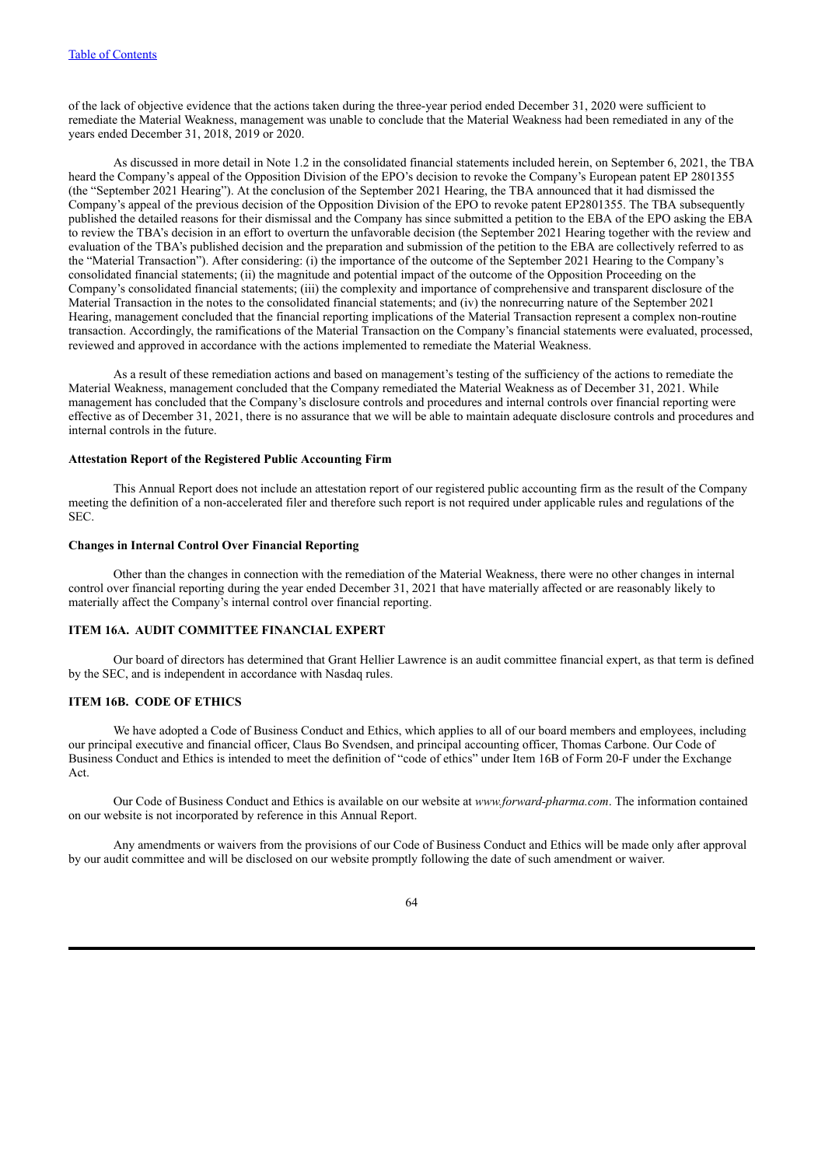of the lack of objective evidence that the actions taken during the three-year period ended December 31, 2020 were sufficient to remediate the Material Weakness, management was unable to conclude that the Material Weakness had been remediated in any of the years ended December 31, 2018, 2019 or 2020.

As discussed in more detail in Note 1.2 in the consolidated financial statements included herein, on September 6, 2021, the TBA heard the Company's appeal of the Opposition Division of the EPO's decision to revoke the Company's European patent EP 2801355 (the "September 2021 Hearing"). At the conclusion of the September 2021 Hearing, the TBA announced that it had dismissed the Company's appeal of the previous decision of the Opposition Division of the EPO to revoke patent EP2801355. The TBA subsequently published the detailed reasons for their dismissal and the Company has since submitted a petition to the EBA of the EPO asking the EBA to review the TBA's decision in an effort to overturn the unfavorable decision (the September 2021 Hearing together with the review and evaluation of the TBA's published decision and the preparation and submission of the petition to the EBA are collectively referred to as the "Material Transaction"). After considering: (i) the importance of the outcome of the September 2021 Hearing to the Company's consolidated financial statements; (ii) the magnitude and potential impact of the outcome of the Opposition Proceeding on the Company's consolidated financial statements; (iii) the complexity and importance of comprehensive and transparent disclosure of the Material Transaction in the notes to the consolidated financial statements; and (iv) the nonrecurring nature of the September 2021 Hearing, management concluded that the financial reporting implications of the Material Transaction represent a complex non-routine transaction. Accordingly, the ramifications of the Material Transaction on the Company's financial statements were evaluated, processed, reviewed and approved in accordance with the actions implemented to remediate the Material Weakness.

As a result of these remediation actions and based on management's testing of the sufficiency of the actions to remediate the Material Weakness, management concluded that the Company remediated the Material Weakness as of December 31, 2021. While management has concluded that the Company's disclosure controls and procedures and internal controls over financial reporting were effective as of December 31, 2021, there is no assurance that we will be able to maintain adequate disclosure controls and procedures and internal controls in the future.

## **Attestation Report of the Registered Public Accounting Firm**

This Annual Report does not include an attestation report of our registered public accounting firm as the result of the Company meeting the definition of a non-accelerated filer and therefore such report is not required under applicable rules and regulations of the SEC.

### **Changes in Internal Control Over Financial Reporting**

Other than the changes in connection with the remediation of the Material Weakness, there were no other changes in internal control over financial reporting during the year ended December 31, 2021 that have materially affected or are reasonably likely to materially affect the Company's internal control over financial reporting.

## **ITEM 16A. AUDIT COMMITTEE FINANCIAL EXPERT**

Our board of directors has determined that Grant Hellier Lawrence is an audit committee financial expert, as that term is defined by the SEC, and is independent in accordance with Nasdaq rules.

### **ITEM 16B. CODE OF ETHICS**

We have adopted a Code of Business Conduct and Ethics, which applies to all of our board members and employees, including our principal executive and financial officer, Claus Bo Svendsen, and principal accounting officer, Thomas Carbone. Our Code of Business Conduct and Ethics is intended to meet the definition of "code of ethics" under Item 16B of Form 20-F under the Exchange Act.

Our Code of Business Conduct and Ethics is available on our website at *www.forward-pharma.com*. The information contained on our website is not incorporated by reference in this Annual Report.

Any amendments or waivers from the provisions of our Code of Business Conduct and Ethics will be made only after approval by our audit committee and will be disclosed on our website promptly following the date of such amendment or waiver.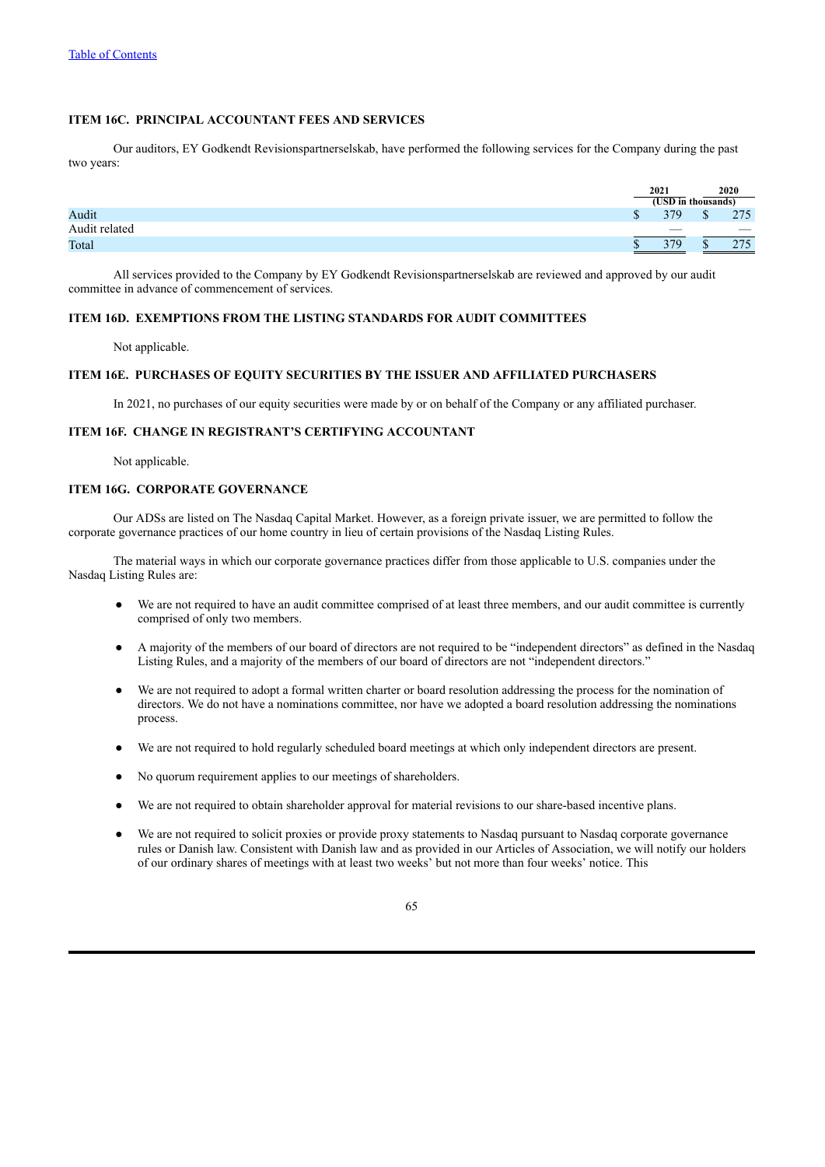## **ITEM 16C. PRINCIPAL ACCOUNTANT FEES AND SERVICES**

Our auditors, EY Godkendt Revisionspartnerselskab, have performed the following services for the Company during the past two years:

|               | 2021 |                                        |             | 2020          |  |
|---------------|------|----------------------------------------|-------------|---------------|--|
|               |      | $\overline{\text{(USD in thousands)}}$ |             |               |  |
| Audit         |      | 270                                    | $\triangle$ | 275<br>ں اپنے |  |
| Audit related |      |                                        |             |               |  |
| Total         |      | 370                                    | ጦ           | 275<br>ر رے   |  |

All services provided to the Company by EY Godkendt Revisionspartnerselskab are reviewed and approved by our audit committee in advance of commencement of services.

# **ITEM 16D. EXEMPTIONS FROM THE LISTING STANDARDS FOR AUDIT COMMITTEES**

Not applicable.

# **ITEM 16E. PURCHASES OF EQUITY SECURITIES BY THE ISSUER AND AFFILIATED PURCHASERS**

In 2021, no purchases of our equity securities were made by or on behalf of the Company or any affiliated purchaser.

# **ITEM 16F. CHANGE IN REGISTRANT'S CERTIFYING ACCOUNTANT**

Not applicable.

# **ITEM 16G. CORPORATE GOVERNANCE**

Our ADSs are listed on The Nasdaq Capital Market. However, as a foreign private issuer, we are permitted to follow the corporate governance practices of our home country in lieu of certain provisions of the Nasdaq Listing Rules.

The material ways in which our corporate governance practices differ from those applicable to U.S. companies under the Nasdaq Listing Rules are:

- We are not required to have an audit committee comprised of at least three members, and our audit committee is currently comprised of only two members.
- A majority of the members of our board of directors are not required to be "independent directors" as defined in the Nasdaq Listing Rules, and a majority of the members of our board of directors are not "independent directors."
- We are not required to adopt a formal written charter or board resolution addressing the process for the nomination of directors. We do not have a nominations committee, nor have we adopted a board resolution addressing the nominations process.
- We are not required to hold regularly scheduled board meetings at which only independent directors are present.
- No quorum requirement applies to our meetings of shareholders.
- We are not required to obtain shareholder approval for material revisions to our share-based incentive plans.
- We are not required to solicit proxies or provide proxy statements to Nasdaq pursuant to Nasdaq corporate governance rules or Danish law. Consistent with Danish law and as provided in our Articles of Association, we will notify our holders of our ordinary shares of meetings with at least two weeks' but not more than four weeks' notice. This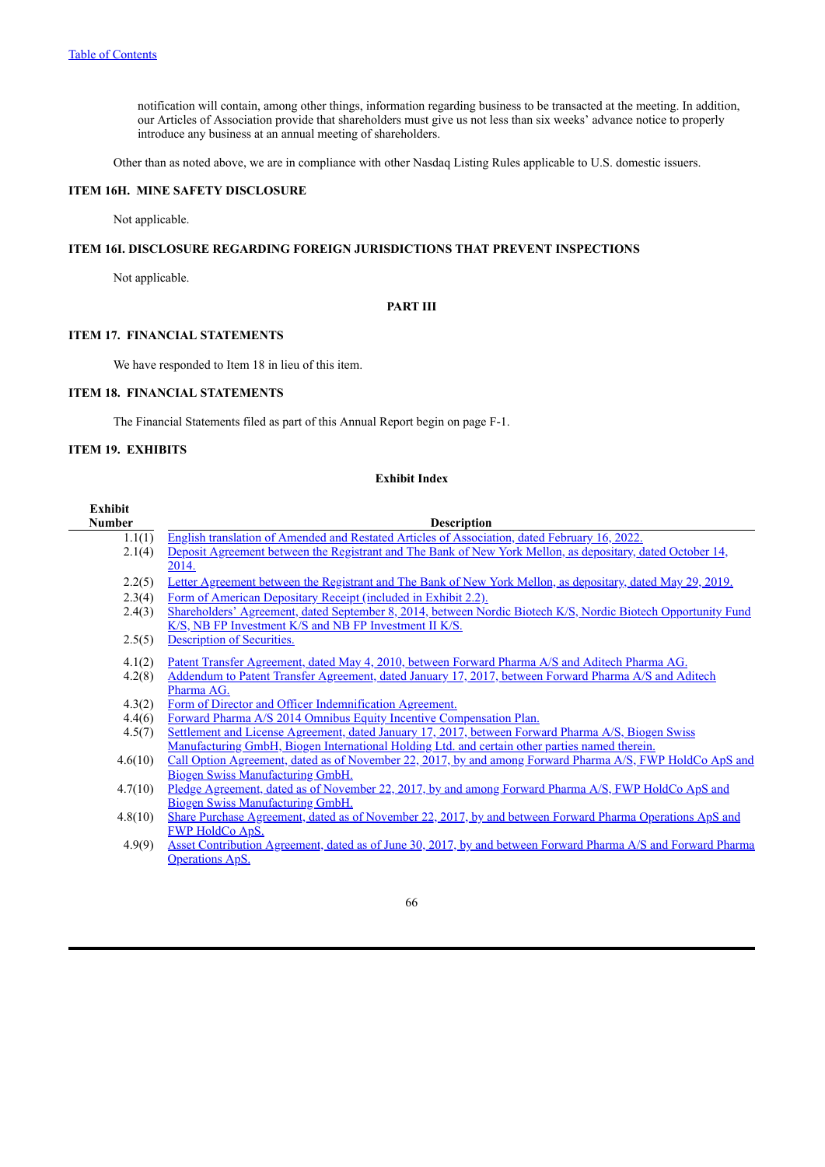notification will contain, among other things, information regarding business to be transacted at the meeting. In addition, our Articles of Association provide that shareholders must give us not less than six weeks' advance notice to properly introduce any business at an annual meeting of shareholders.

Other than as noted above, we are in compliance with other Nasdaq Listing Rules applicable to U.S. domestic issuers.

# **ITEM 16H. MINE SAFETY DISCLOSURE**

Not applicable.

# **ITEM 16I. DISCLOSURE REGARDING FOREIGN JURISDICTIONS THAT PREVENT INSPECTIONS**

Not applicable.

#### **PART III**

## **ITEM 17. FINANCIAL STATEMENTS**

We have responded to Item 18 in lieu of this item.

## **ITEM 18. FINANCIAL STATEMENTS**

The Financial Statements filed as part of this Annual Report begin on page F-1.

# **ITEM 19. EXHIBITS**

# **Exhibit Index**

| <b>Exhibit</b><br><b>Number</b> | <b>Description</b>                                                                                            |
|---------------------------------|---------------------------------------------------------------------------------------------------------------|
| 1.1(1)                          | English translation of Amended and Restated Articles of Association, dated February 16, 2022.                 |
| 2.1(4)                          | Deposit Agreement between the Registrant and The Bank of New York Mellon, as depositary, dated October 14,    |
|                                 | 2014.                                                                                                         |
| 2.2(5)                          | Letter Agreement between the Registrant and The Bank of New York Mellon, as depositary, dated May 29, 2019.   |
| 2.3(4)                          | Form of American Depositary Receipt (included in Exhibit 2.2).                                                |
| 2.4(3)                          | Shareholders' Agreement, dated September 8, 2014, between Nordic Biotech K/S, Nordic Biotech Opportunity Fund |
|                                 | K/S, NB FP Investment K/S and NB FP Investment II K/S.                                                        |
| 2.5(5)                          | Description of Securities.                                                                                    |
| 4.1(2)                          | Patent Transfer Agreement, dated May 4, 2010, between Forward Pharma A/S and Aditech Pharma AG.               |
| 4.2(8)                          | Addendum to Patent Transfer Agreement, dated January 17, 2017, between Forward Pharma A/S and Aditech         |
|                                 | Pharma AG.                                                                                                    |
| 4.3(2)                          | Form of Director and Officer Indemnification Agreement.                                                       |
| 4.4(6)                          | Forward Pharma A/S 2014 Omnibus Equity Incentive Compensation Plan.                                           |
| 4.5(7)                          | Settlement and License Agreement, dated January 17, 2017, between Forward Pharma A/S, Biogen Swiss            |
|                                 | Manufacturing GmbH, Biogen International Holding Ltd. and certain other parties named therein.                |
| 4.6(10)                         | Call Option Agreement, dated as of November 22, 2017, by and among Forward Pharma A/S, FWP HoldCo ApS and     |
|                                 | <b>Biogen Swiss Manufacturing GmbH.</b>                                                                       |
| 4.7(10)                         | Pledge Agreement, dated as of November 22, 2017, by and among Forward Pharma A/S, FWP HoldCo ApS and          |
|                                 | <b>Biogen Swiss Manufacturing GmbH.</b>                                                                       |
| 4.8(10)                         | Share Purchase Agreement, dated as of November 22, 2017, by and between Forward Pharma Operations ApS and     |
|                                 | <b>FWP HoldCo ApS.</b>                                                                                        |
| 4.9(9)                          | Asset Contribution Agreement, dated as of June 30, 2017, by and between Forward Pharma A/S and Forward Pharma |
|                                 | <b>Operations ApS.</b>                                                                                        |
|                                 |                                                                                                               |
|                                 | $\epsilon$                                                                                                    |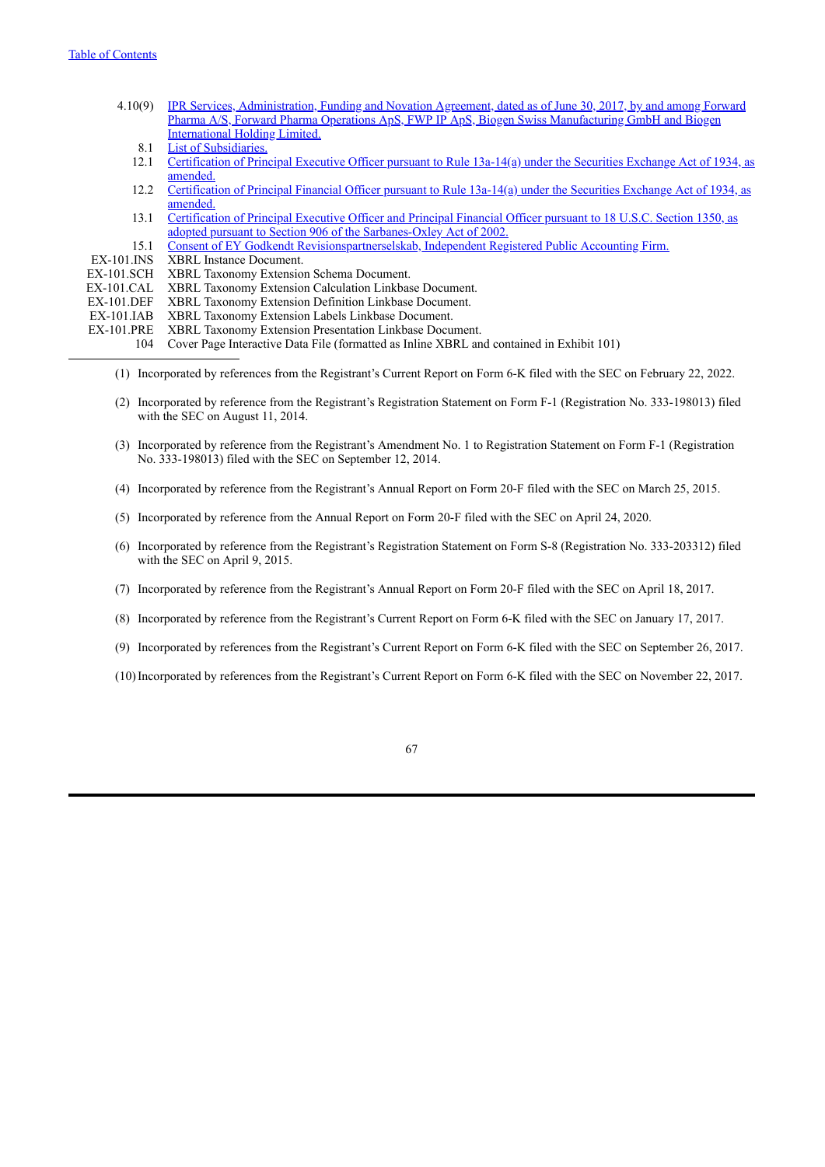| 4.10(9)           | IPR Services, Administration, Funding and Novation Agreement, dated as of June 30, 2017, by and among Forward         |
|-------------------|-----------------------------------------------------------------------------------------------------------------------|
|                   | Pharma A/S, Forward Pharma Operations ApS, FWP IP ApS, Biogen Swiss Manufacturing GmbH and Biogen                     |
|                   | <b>International Holding Limited.</b>                                                                                 |
| 8.1               | List of Subsidiaries.                                                                                                 |
| 12.1              | Certification of Principal Executive Officer pursuant to Rule 13a-14(a) under the Securities Exchange Act of 1934, as |
|                   | amended.                                                                                                              |
| 12.2              | Certification of Principal Financial Officer pursuant to Rule 13a-14(a) under the Securities Exchange Act of 1934, as |
|                   | amended.                                                                                                              |
| 13.1              | Certification of Principal Executive Officer and Principal Financial Officer pursuant to 18 U.S.C. Section 1350, as   |
|                   | adopted pursuant to Section 906 of the Sarbanes-Oxley Act of 2002.                                                    |
| 15.1              | Consent of EY Godkendt Revisionspartnerselskab, Independent Registered Public Accounting Firm.                        |
| EX-101.INS        | <b>XBRL</b> Instance Document.                                                                                        |
| EX-101.SCH        | <b>XBRL Taxonomy Extension Schema Document.</b>                                                                       |
| EX-101.CAL        | XBRL Taxonomy Extension Calculation Linkbase Document.                                                                |
| $EX-101$ .DEF     | XBRL Taxonomy Extension Definition Linkbase Document.                                                                 |
| $EX-101$ JAB      | XBRL Taxonomy Extension Labels Linkbase Document.                                                                     |
| <b>EX-101.PRE</b> | XBRL Taxonomy Extension Presentation Linkbase Document.                                                               |
| 104               | Cover Page Interactive Data File (formatted as Inline XBRL and contained in Exhibit 101)                              |
|                   |                                                                                                                       |

- (1) Incorporated by references from the Registrant's Current Report on Form 6-K filed with the SEC on February 22, 2022.
- (2) Incorporated by reference from the Registrant's Registration Statement on Form F-1 (Registration No. 333-198013) filed with the SEC on August 11, 2014.
- (3) Incorporated by reference from the Registrant's Amendment No. 1 to Registration Statement on Form F-1 (Registration No. 333-198013) filed with the SEC on September 12, 2014.
- (4) Incorporated by reference from the Registrant's Annual Report on Form 20-F filed with the SEC on March 25, 2015.
- (5) Incorporated by reference from the Annual Report on Form 20-F filed with the SEC on April 24, 2020.
- (6) Incorporated by reference from the Registrant's Registration Statement on Form S-8 (Registration No. 333-203312) filed with the SEC on April 9, 2015.
- (7) Incorporated by reference from the Registrant's Annual Report on Form 20-F filed with the SEC on April 18, 2017.
- (8) Incorporated by reference from the Registrant's Current Report on Form 6-K filed with the SEC on January 17, 2017.
- (9) Incorporated by references from the Registrant's Current Report on Form 6-K filed with the SEC on September 26, 2017.
- (10)Incorporated by references from the Registrant's Current Report on Form 6-K filed with the SEC on November 22, 2017.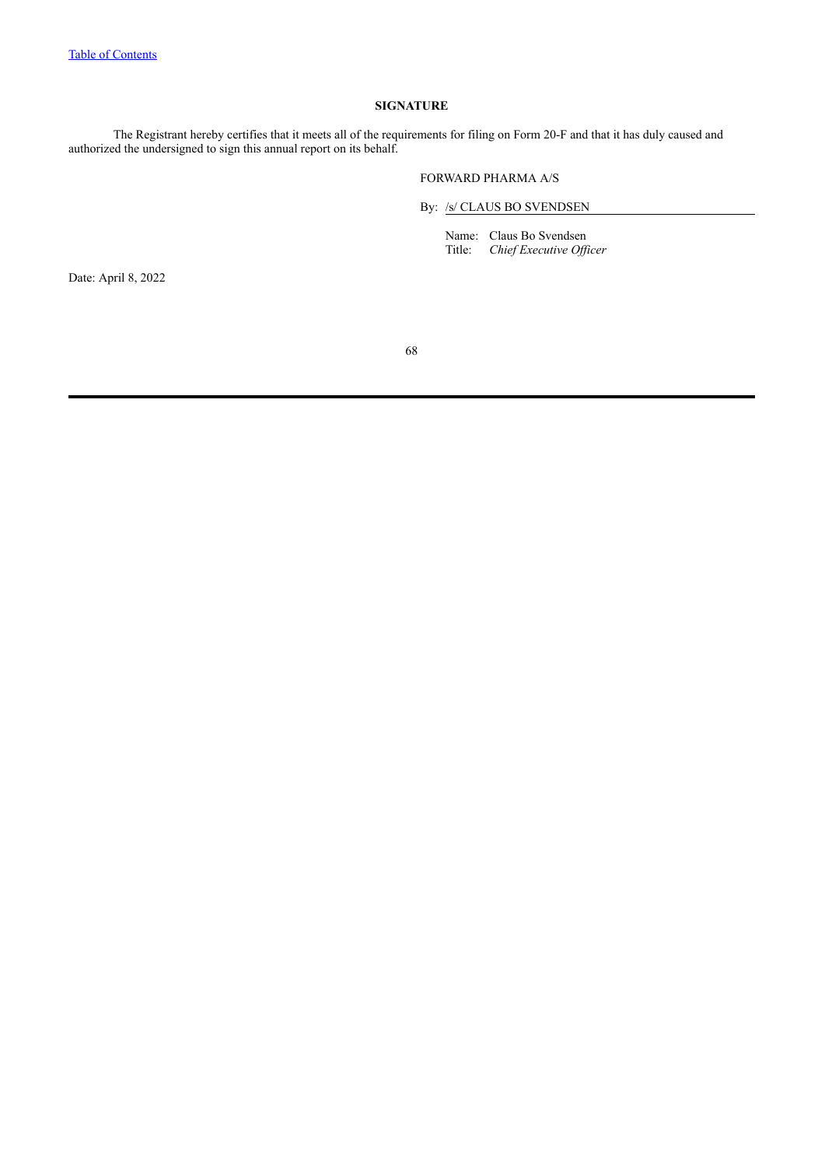# **SIGNATURE**

The Registrant hereby certifies that it meets all of the requirements for filing on Form 20-F and that it has duly caused and authorized the undersigned to sign this annual report on its behalf.

## FORWARD PHARMA A/S

# By: /s/ CLAUS BO SVENDSEN

Name: Claus Bo Svendsen Title: *Chief Executive Of icer*

Date: April 8, 2022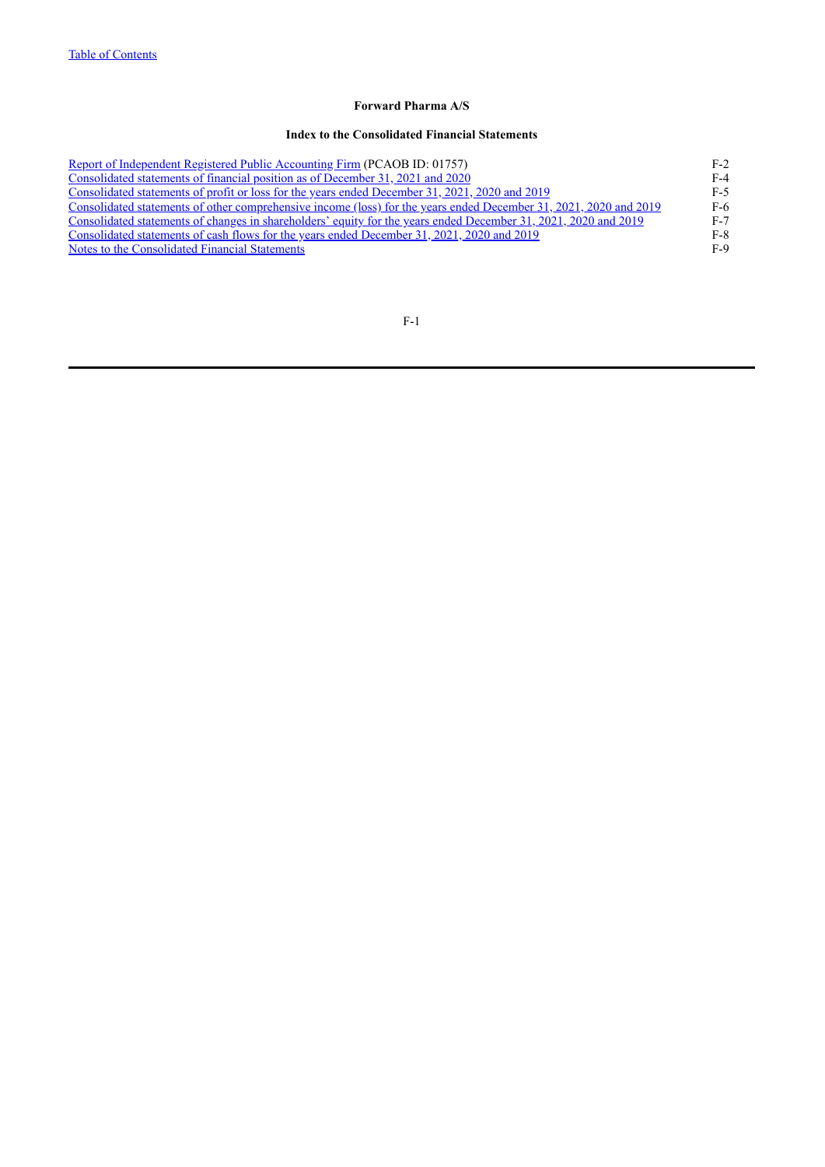# **Forward Pharma A/S**

# **Index to the Consolidated Financial Statements**

|                                                                                                                   | $F-2$ |
|-------------------------------------------------------------------------------------------------------------------|-------|
| <u>Report of Independent Registered Public Accounting Firm</u> (PCAOB ID: 01757)                                  |       |
| Consolidated statements of financial position as of December 31, 2021 and 2020                                    | $F-4$ |
| Consolidated statements of profit or loss for the years ended December 31, 2021, 2020 and 2019                    | $F-5$ |
| Consolidated statements of other comprehensive income (loss) for the years ended December 31, 2021, 2020 and 2019 | F-6   |
| Consolidated statements of changes in shareholders' equity for the years ended December 31, 2021, 2020 and 2019   | $F-7$ |
| Consolidated statements of cash flows for the years ended December 31, 2021, 2020 and 2019                        | $F-8$ |
| Notes to the Consolidated Financial Statements                                                                    | $F-9$ |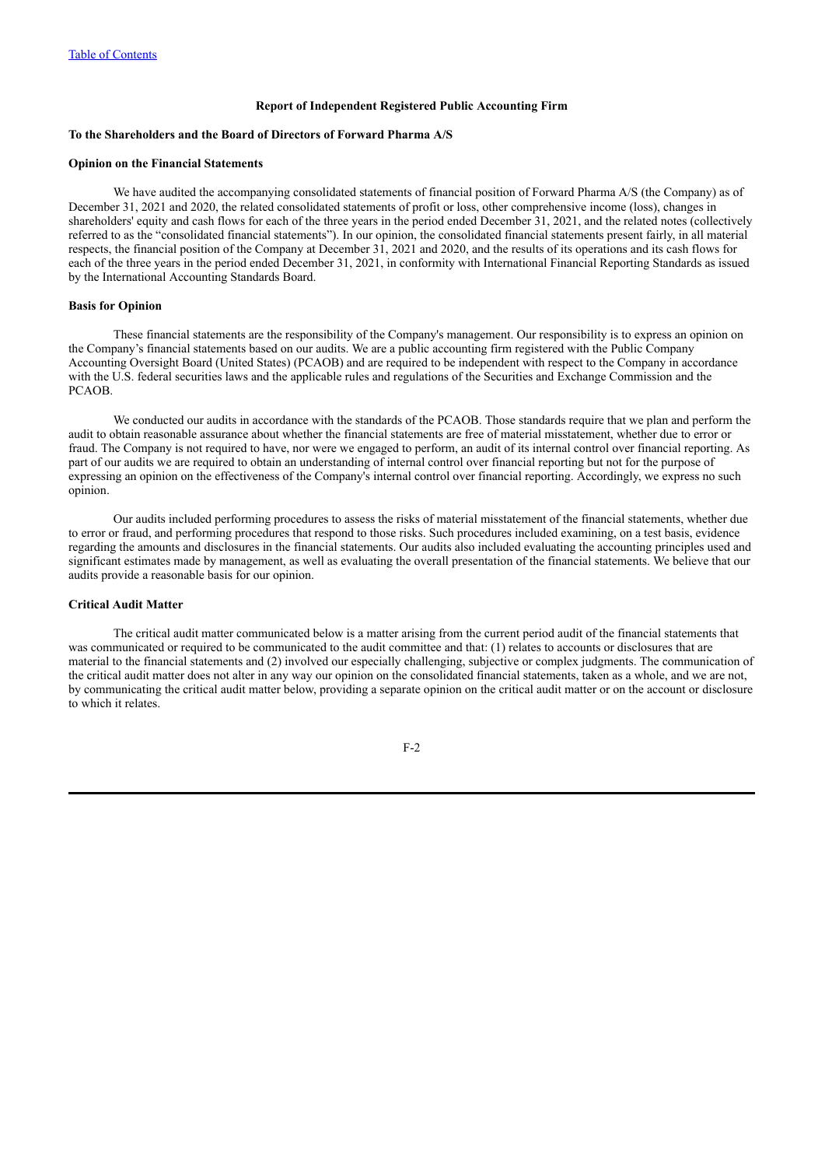## **Report of Independent Registered Public Accounting Firm**

#### <span id="page-73-0"></span>**To the Shareholders and the Board of Directors of Forward Pharma A/S**

#### **Opinion on the Financial Statements**

We have audited the accompanying consolidated statements of financial position of Forward Pharma A/S (the Company) as of December 31, 2021 and 2020, the related consolidated statements of profit or loss, other comprehensive income (loss), changes in shareholders' equity and cash flows for each of the three years in the period ended December 31, 2021, and the related notes (collectively referred to as the "consolidated financial statements"). In our opinion, the consolidated financial statements present fairly, in all material respects, the financial position of the Company at December 31, 2021 and 2020, and the results of its operations and its cash flows for each of the three years in the period ended December 31, 2021, in conformity with International Financial Reporting Standards as issued by the International Accounting Standards Board.

#### **Basis for Opinion**

These financial statements are the responsibility of the Company's management. Our responsibility is to express an opinion on the Company's financial statements based on our audits. We are a public accounting firm registered with the Public Company Accounting Oversight Board (United States) (PCAOB) and are required to be independent with respect to the Company in accordance with the U.S. federal securities laws and the applicable rules and regulations of the Securities and Exchange Commission and the PCAOB.

We conducted our audits in accordance with the standards of the PCAOB. Those standards require that we plan and perform the audit to obtain reasonable assurance about whether the financial statements are free of material misstatement, whether due to error or fraud. The Company is not required to have, nor were we engaged to perform, an audit of its internal control over financial reporting. As part of our audits we are required to obtain an understanding of internal control over financial reporting but not for the purpose of expressing an opinion on the effectiveness of the Company's internal control over financial reporting. Accordingly, we express no such opinion.

Our audits included performing procedures to assess the risks of material misstatement of the financial statements, whether due to error or fraud, and performing procedures that respond to those risks. Such procedures included examining, on a test basis, evidence regarding the amounts and disclosures in the financial statements. Our audits also included evaluating the accounting principles used and significant estimates made by management, as well as evaluating the overall presentation of the financial statements. We believe that our audits provide a reasonable basis for our opinion.

### **Critical Audit Matter**

The critical audit matter communicated below is a matter arising from the current period audit of the financial statements that was communicated or required to be communicated to the audit committee and that: (1) relates to accounts or disclosures that are material to the financial statements and (2) involved our especially challenging, subjective or complex judgments. The communication of the critical audit matter does not alter in any way our opinion on the consolidated financial statements, taken as a whole, and we are not, by communicating the critical audit matter below, providing a separate opinion on the critical audit matter or on the account or disclosure to which it relates.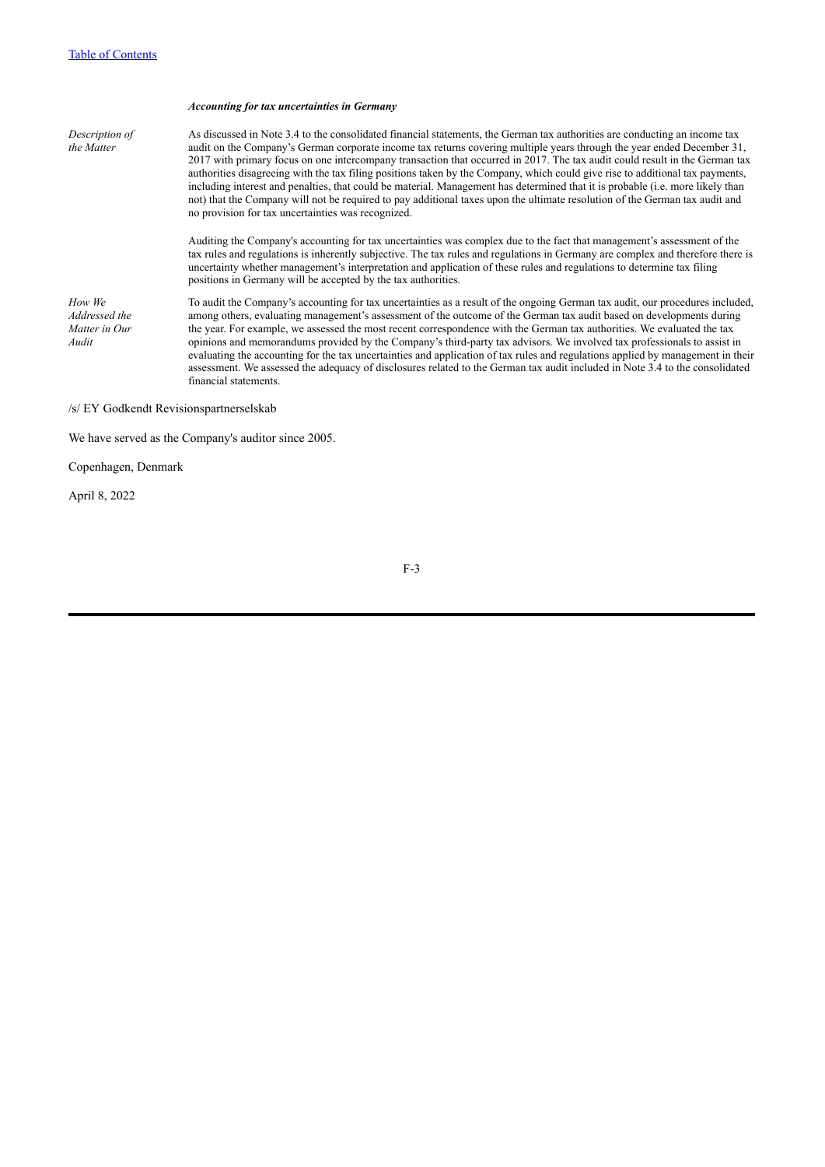*Description of the Matter*

#### *Accounting for tax uncertainties in Germany*

As discussed in Note 3.4 to the consolidated financial statements, the German tax authorities are conducting an income tax audit on the Company's German corporate income tax returns covering multiple years through the year ended December 31, 2017 with primary focus on one intercompany transaction that occurred in 2017. The tax audit could result in the German tax authorities disagreeing with the tax filing positions taken by the Company, which could give rise to additional tax payments, including interest and penalties, that could be material. Management has determined that it is probable (i.e. more likely than not) that the Company will not be required to pay additional taxes upon the ultimate resolution of the German tax audit and no provision for tax uncertainties was recognized.

Auditing the Company's accounting for tax uncertainties was complex due to the fact that management's assessment of the tax rules and regulations is inherently subjective. The tax rules and regulations in Germany are complex and therefore there is uncertainty whether management's interpretation and application of these rules and regulations to determine tax filing positions in Germany will be accepted by the tax authorities.

*How We Addressed the Matter in Our* To audit the Company's accounting for tax uncertainties as a result of the ongoing German tax audit, our procedures included, among others, evaluating management's assessment of the outcome of the German tax audit based on developments during the year. For example, we assessed the most recent correspondence with the German tax authorities. We evaluated the tax opinions and memorandums provided by the Company's third-party tax advisors. We involved tax professionals to assist in evaluating the accounting for the tax uncertainties and application of tax rules and regulations applied by management in their assessment. We assessed the adequacy of disclosures related to the German tax audit included in Note 3.4 to the consolidated financial statements.

/s/ EY Godkendt Revisionspartnerselskab

We have served as the Company's auditor since 2005.

Copenhagen, Denmark

April 8, 2022

*Audit*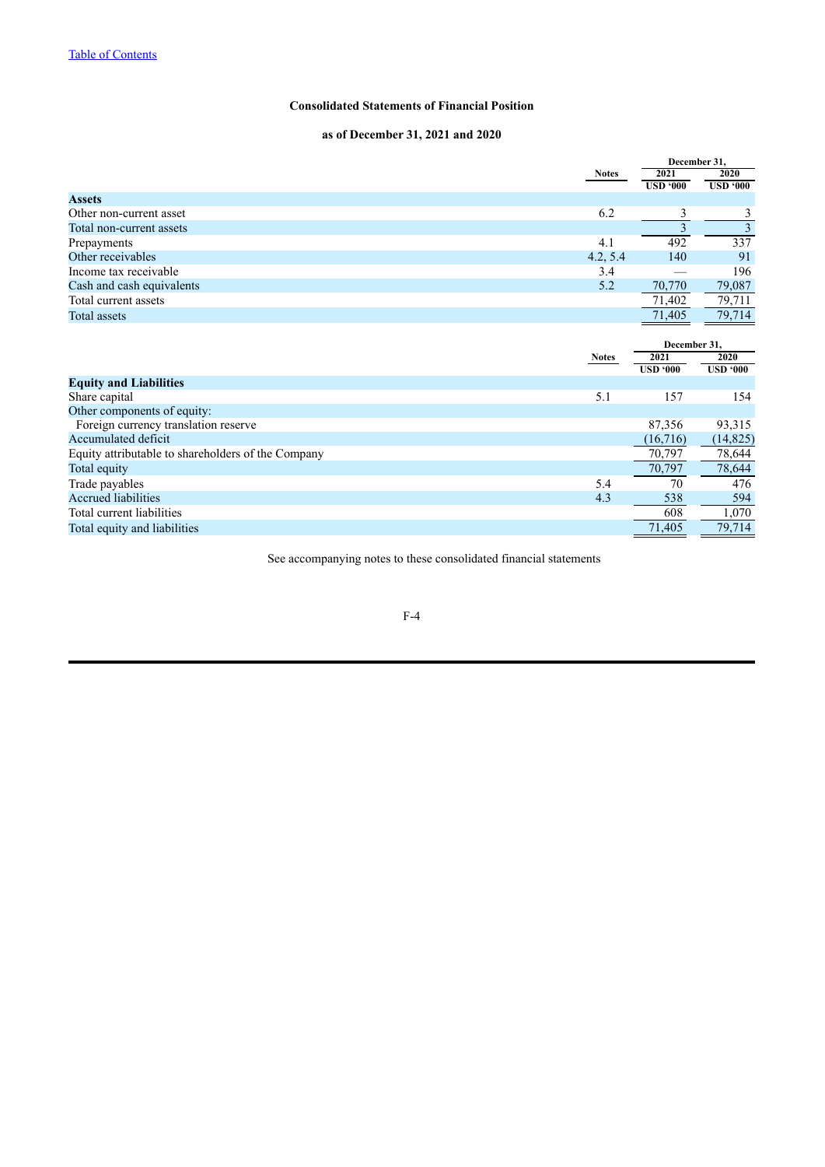# **Consolidated Statements of Financial Position**

# **as of December 31, 2021 and 2020**

<span id="page-75-0"></span>

|                           |              | December 31.    |                 |
|---------------------------|--------------|-----------------|-----------------|
|                           | <b>Notes</b> | 2021            | 2020            |
|                           |              | <b>USD '000</b> | <b>USD '000</b> |
| <b>Assets</b>             |              |                 |                 |
| Other non-current asset   | 6.2          |                 |                 |
| Total non-current assets  |              |                 |                 |
| Prepayments               | 4.1          | 492             | 337             |
| Other receivables         | 4.2, 5.4     | 140             | 91              |
| Income tax receivable     | 3.4          |                 | 196             |
| Cash and cash equivalents | 5.2          | 70,770          | 79,087          |
| Total current assets      |              | 71,402          | 79,711          |
| Total assets              |              | 71,405          | 79,714          |

|                                                    |              | December 31.    |                 |
|----------------------------------------------------|--------------|-----------------|-----------------|
|                                                    | <b>Notes</b> | 2021            | 2020            |
|                                                    |              | <b>USD '000</b> | <b>USD '000</b> |
| <b>Equity and Liabilities</b>                      |              |                 |                 |
| Share capital                                      | 5.1          | 157             | 154             |
| Other components of equity:                        |              |                 |                 |
| Foreign currency translation reserve               |              | 87,356          | 93,315          |
| Accumulated deficit                                |              | (16,716)        | (14, 825)       |
| Equity attributable to shareholders of the Company |              | 70,797          | 78,644          |
| Total equity                                       |              | 70,797          | 78,644          |
| Trade payables                                     | 5.4          | 70              | 476             |
| <b>Accrued liabilities</b>                         | 4.3          | 538             | 594             |
| Total current liabilities                          |              | 608             | 1,070           |
| Total equity and liabilities                       |              | 71,405          | 79,714          |

See accompanying notes to these consolidated financial statements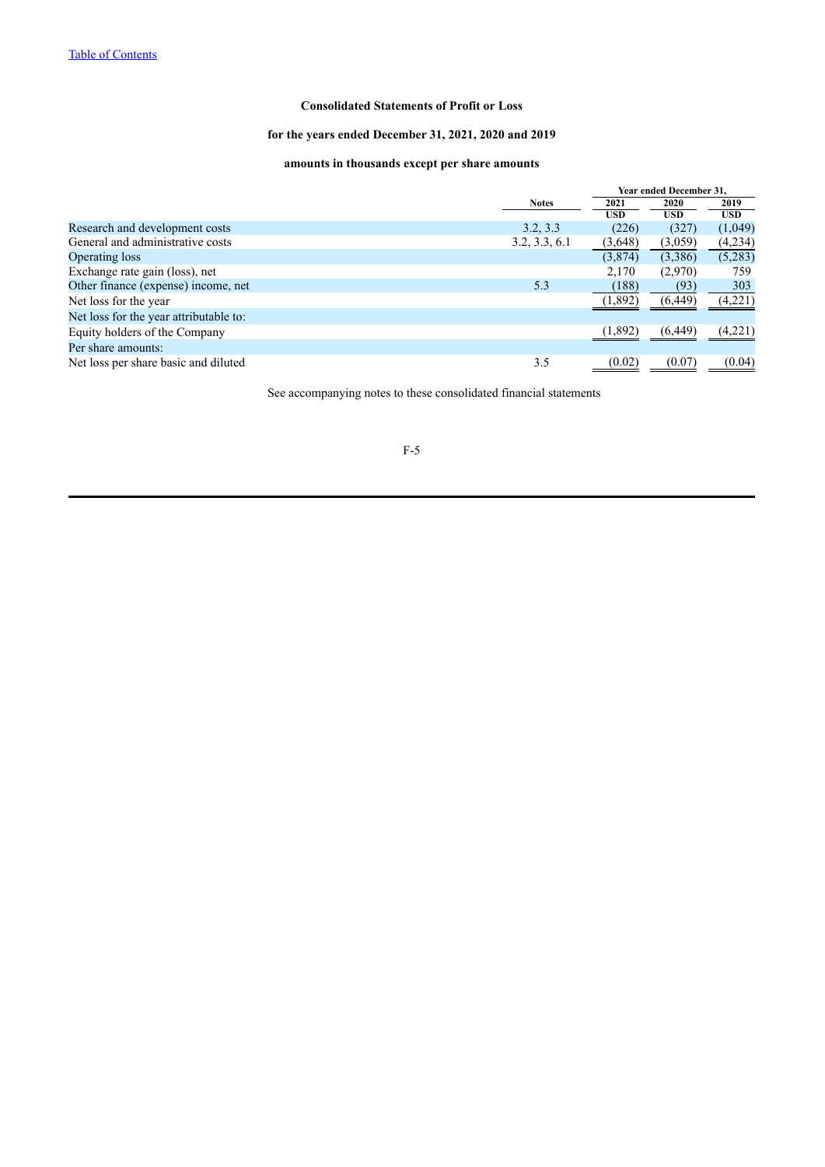# **Consolidated Statements of Profit or Loss**

# **for the years ended December 31, 2021, 2020 and 2019**

# **amounts in thousands except per share amounts**

<span id="page-76-0"></span>

|                                        |               |            | Year ended December 31, |            |  |
|----------------------------------------|---------------|------------|-------------------------|------------|--|
|                                        | <b>Notes</b>  | 2021       | 2020                    | 2019       |  |
|                                        |               | <b>USD</b> | <b>USD</b>              | <b>USD</b> |  |
| Research and development costs         | 3.2, 3.3      | (226)      | (327)                   | (1,049)    |  |
| General and administrative costs       | 3.2, 3.3, 6.1 | (3,648)    | (3,059)                 | (4,234)    |  |
| <b>Operating loss</b>                  |               | (3,874)    | (3,386)                 | (5,283)    |  |
| Exchange rate gain (loss), net         |               | 2,170      | (2,970)                 | 759        |  |
| Other finance (expense) income, net    | 5.3           | (188)      | (93)                    | 303        |  |
| Net loss for the year                  |               | (1,892)    | (6, 449)                | (4,221)    |  |
| Net loss for the year attributable to: |               |            |                         |            |  |
| Equity holders of the Company          |               | (1,892)    | (6, 449)                | (4,221)    |  |
| Per share amounts:                     |               |            |                         |            |  |
| Net loss per share basic and diluted   | 3.5           | (0.02)     | (0.07)                  | (0.04)     |  |

See accompanying notes to these consolidated financial statements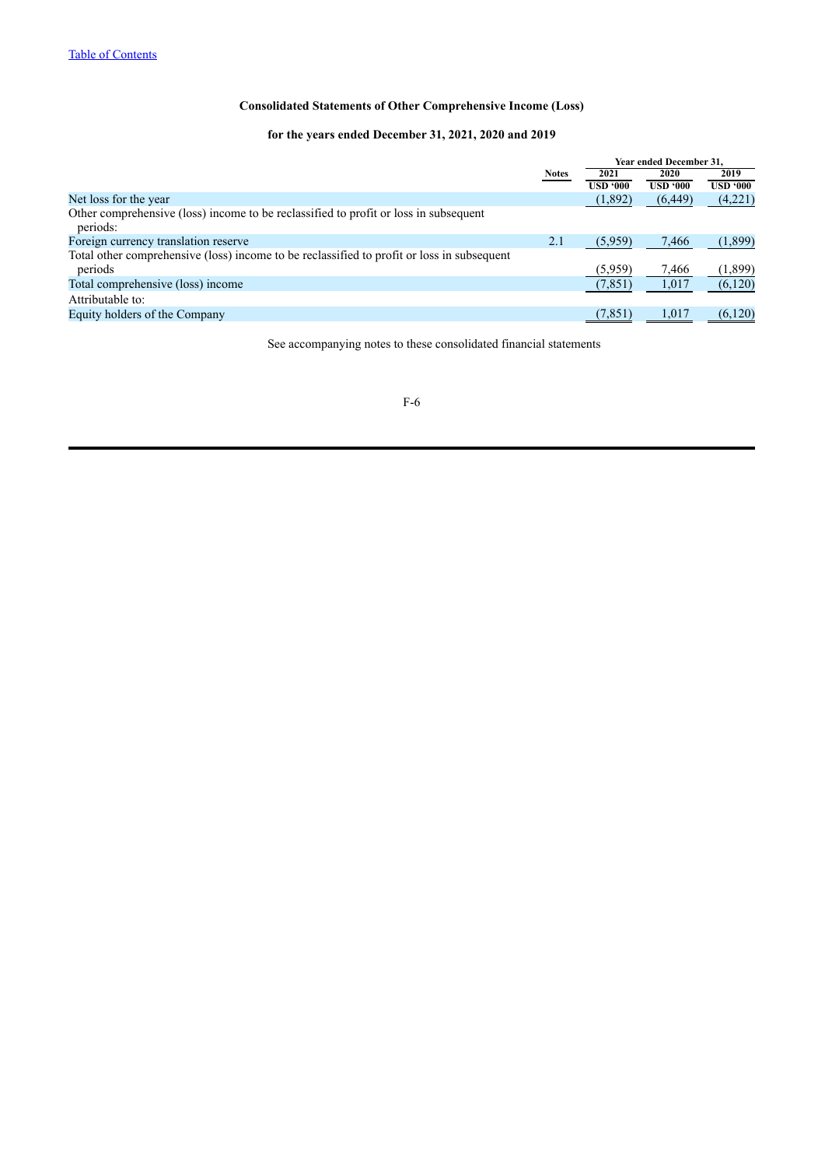# **Consolidated Statements of Other Comprehensive Income (Loss)**

# **for the years ended December 31, 2021, 2020 and 2019**

<span id="page-77-0"></span>

|                                                                                                  |              |                 | <b>Year ended December 31.</b> |                 |  |
|--------------------------------------------------------------------------------------------------|--------------|-----------------|--------------------------------|-----------------|--|
|                                                                                                  | <b>Notes</b> | 2021            | 2020                           | 2019            |  |
|                                                                                                  |              | <b>USD '000</b> | <b>USD '000</b>                | <b>USD '000</b> |  |
| Net loss for the year                                                                            |              | (1,892)         | (6, 449)                       | (4,221)         |  |
| Other comprehensive (loss) income to be reclassified to profit or loss in subsequent<br>periods: |              |                 |                                |                 |  |
| Foreign currency translation reserve                                                             | 2.1          | (5,959)         | 7,466                          | (1,899)         |  |
| Total other comprehensive (loss) income to be reclassified to profit or loss in subsequent       |              |                 |                                |                 |  |
| periods                                                                                          |              | (5,959)         | 7,466                          | (1,899)         |  |
| Total comprehensive (loss) income                                                                |              | (7, 851)        | 1,017                          | (6,120)         |  |
| Attributable to:                                                                                 |              |                 |                                |                 |  |
| Equity holders of the Company                                                                    |              | (7, 851)        | 1,017                          | (6,120)         |  |

See accompanying notes to these consolidated financial statements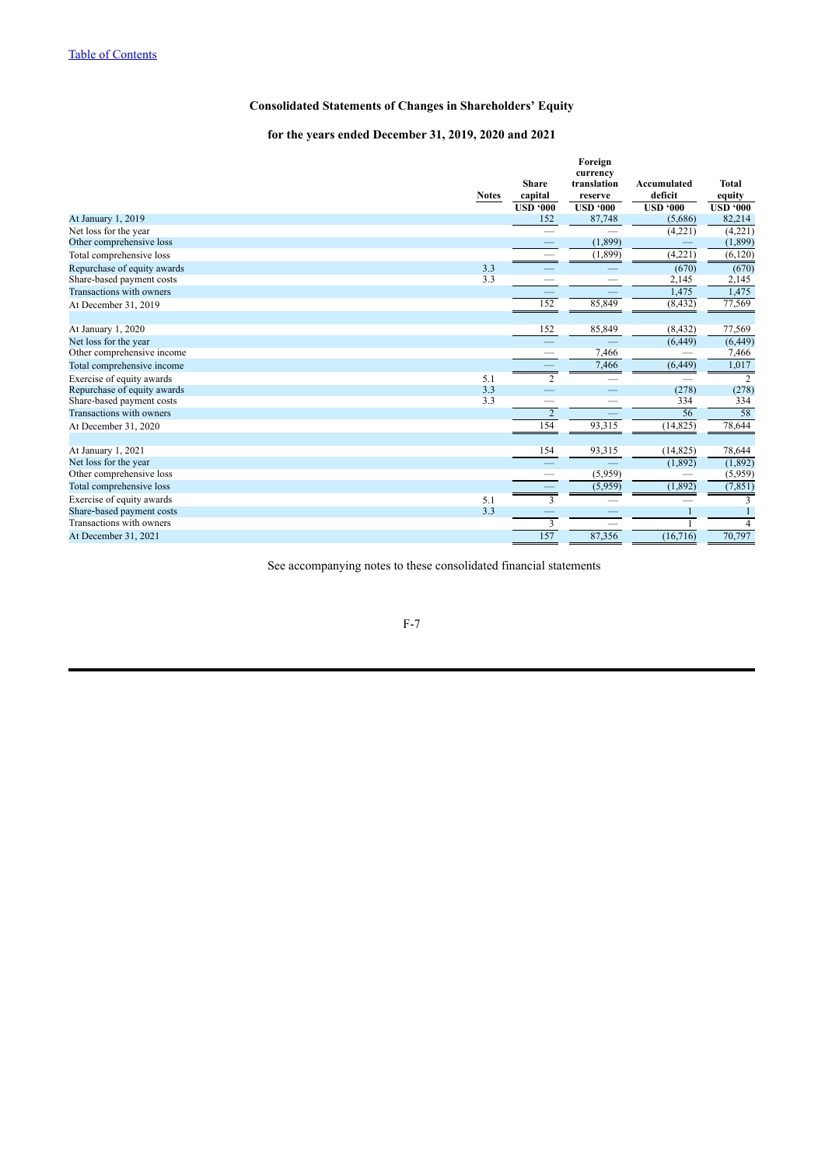# **Consolidated Statements of Changes in Shareholders' Equity**

# **for the years ended December 31, 2019, 2020 and 2021**

<span id="page-78-0"></span>

|                             | <b>Notes</b> | <b>Share</b><br>capital<br><b>USD '000</b> | Foreign<br>currency<br>translation<br>reserve<br><b>USD '000</b> | Accumulated<br>deficit<br><b>USD '000</b> | <b>Total</b><br>equity<br><b>USD '000</b> |
|-----------------------------|--------------|--------------------------------------------|------------------------------------------------------------------|-------------------------------------------|-------------------------------------------|
| At January 1, 2019          |              | 152                                        | 87,748                                                           | (5,686)                                   | 82,214                                    |
| Net loss for the year       |              |                                            |                                                                  | (4,221)                                   | (4,221)                                   |
| Other comprehensive loss    |              |                                            | (1, 899)                                                         |                                           | (1, 899)                                  |
| Total comprehensive loss    |              |                                            | (1, 899)                                                         | (4,221)                                   | (6, 120)                                  |
| Repurchase of equity awards | 3.3          |                                            |                                                                  | (670)                                     | (670)                                     |
| Share-based payment costs   | 3.3          |                                            |                                                                  | 2,145                                     | 2,145                                     |
| Transactions with owners    |              |                                            |                                                                  | 1,475                                     | 1,475                                     |
| At December 31, 2019        |              | 152                                        | 85,849                                                           | (8, 432)                                  | 77,569                                    |
|                             |              |                                            |                                                                  |                                           |                                           |
| At January 1, 2020          |              | 152                                        | 85,849                                                           | (8, 432)                                  | 77,569                                    |
| Net loss for the year       |              | $\overline{\phantom{0}}$                   |                                                                  | (6, 449)                                  | (6, 449)                                  |
| Other comprehensive income  |              |                                            | 7,466                                                            |                                           | 7,466                                     |
| Total comprehensive income  |              |                                            | 7,466                                                            | (6, 449)                                  | 1,017                                     |
| Exercise of equity awards   | 5.1          | $\overline{2}$                             |                                                                  |                                           | $\overline{2}$                            |
| Repurchase of equity awards | 3.3          |                                            |                                                                  | (278)                                     | (278)                                     |
| Share-based payment costs   | 3.3          |                                            |                                                                  | 334                                       | 334                                       |
| Transactions with owners    |              | $\overline{2}$                             |                                                                  | 56                                        | 58                                        |
| At December 31, 2020        |              | 154                                        | 93,315                                                           | (14, 825)                                 | 78,644                                    |
|                             |              |                                            |                                                                  |                                           |                                           |
| At January 1, 2021          |              | 154                                        | 93,315                                                           | (14, 825)                                 | 78,644                                    |
| Net loss for the year       |              | $\overline{\phantom{0}}$                   |                                                                  | (1,892)                                   | (1,892)                                   |
| Other comprehensive loss    |              | $\overline{\phantom{0}}$                   | (5,959)                                                          |                                           | (5,959)                                   |
| Total comprehensive loss    |              | —                                          | (5,959)                                                          | (1, 892)                                  | (7, 851)                                  |
| Exercise of equity awards   | 5.1          | 3                                          |                                                                  |                                           | 3                                         |
| Share-based payment costs   | 3.3          |                                            |                                                                  | -1                                        |                                           |
| Transactions with owners    |              | $\overline{3}$                             |                                                                  |                                           | $\overline{4}$                            |
| At December 31, 2021        |              | 157                                        | 87,356                                                           | (16,716)                                  | 70,797                                    |

See accompanying notes to these consolidated financial statements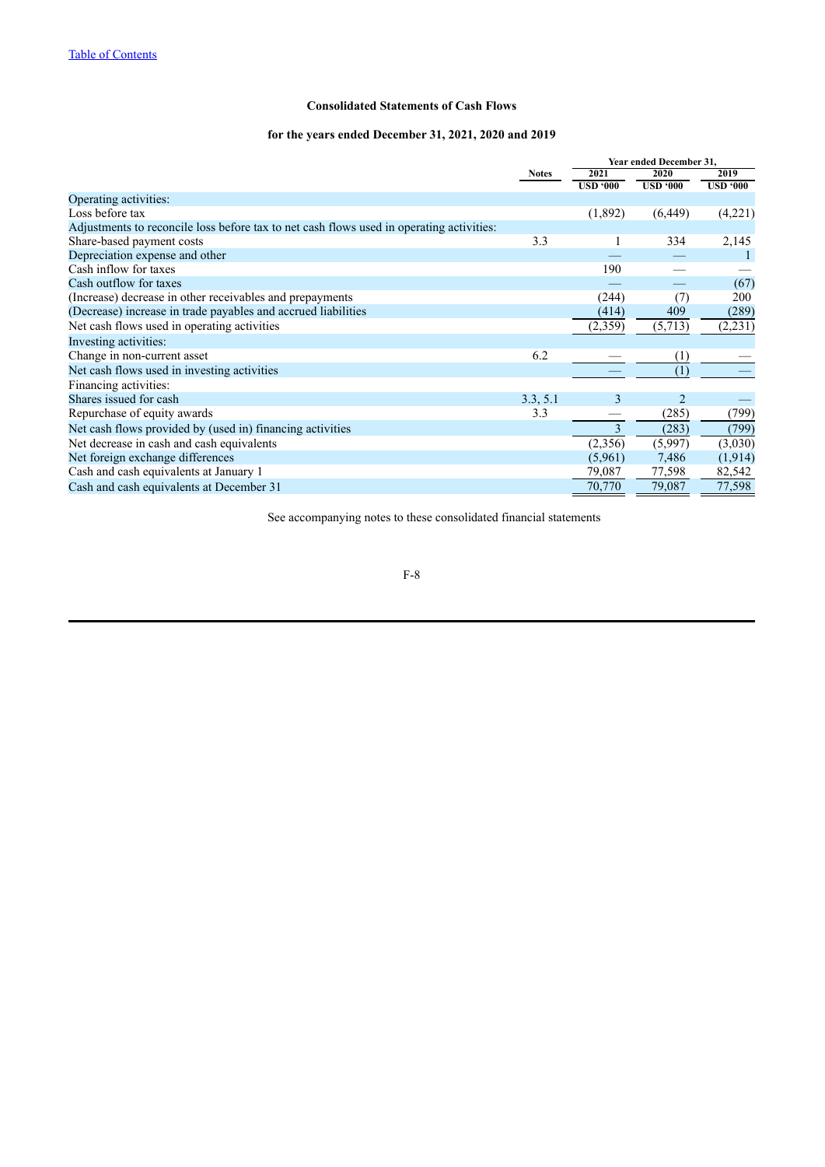# **Consolidated Statements of Cash Flows**

# **for the years ended December 31, 2021, 2020 and 2019**

<span id="page-79-0"></span>

|                                                                                          |              |                 | Year ended December 31, |                 |
|------------------------------------------------------------------------------------------|--------------|-----------------|-------------------------|-----------------|
|                                                                                          | <b>Notes</b> | 2021            | 2020                    | 2019            |
|                                                                                          |              | <b>USD '000</b> | <b>USD '000</b>         | <b>USD '000</b> |
| Operating activities:                                                                    |              |                 |                         |                 |
| Loss before tax                                                                          |              | (1,892)         | (6, 449)                | (4,221)         |
| Adjustments to reconcile loss before tax to net cash flows used in operating activities: |              |                 |                         |                 |
| Share-based payment costs                                                                | 3.3          |                 | 334                     | 2,145           |
| Depreciation expense and other                                                           |              |                 |                         |                 |
| Cash inflow for taxes                                                                    |              | 190             |                         |                 |
| Cash outflow for taxes                                                                   |              |                 |                         | (67)            |
| (Increase) decrease in other receivables and prepayments                                 |              | (244)           | (7)                     | 200             |
| (Decrease) increase in trade payables and accrued liabilities                            |              | (414)           | 409                     | (289)           |
| Net cash flows used in operating activities                                              |              | (2,359)         | (5,713)                 | (2,231)         |
| Investing activities:                                                                    |              |                 |                         |                 |
| Change in non-current asset                                                              | 6.2          |                 | (1)                     |                 |
| Net cash flows used in investing activities                                              |              |                 | (1)                     |                 |
| Financing activities:                                                                    |              |                 |                         |                 |
| Shares issued for cash                                                                   | 3.3, 5.1     | 3               | 2                       |                 |
| Repurchase of equity awards                                                              | 3.3          |                 | (285)                   | (799)           |
| Net cash flows provided by (used in) financing activities                                |              | 3               | (283)                   | (799)           |
| Net decrease in cash and cash equivalents                                                |              | (2,356)         | (5,997)                 | (3,030)         |
| Net foreign exchange differences                                                         |              | (5,961)         | 7,486                   | (1, 914)        |
| Cash and cash equivalents at January 1                                                   |              | 79,087          | 77,598                  | 82,542          |
| Cash and cash equivalents at December 31                                                 |              | 70,770          | 79,087                  | 77,598          |

See accompanying notes to these consolidated financial statements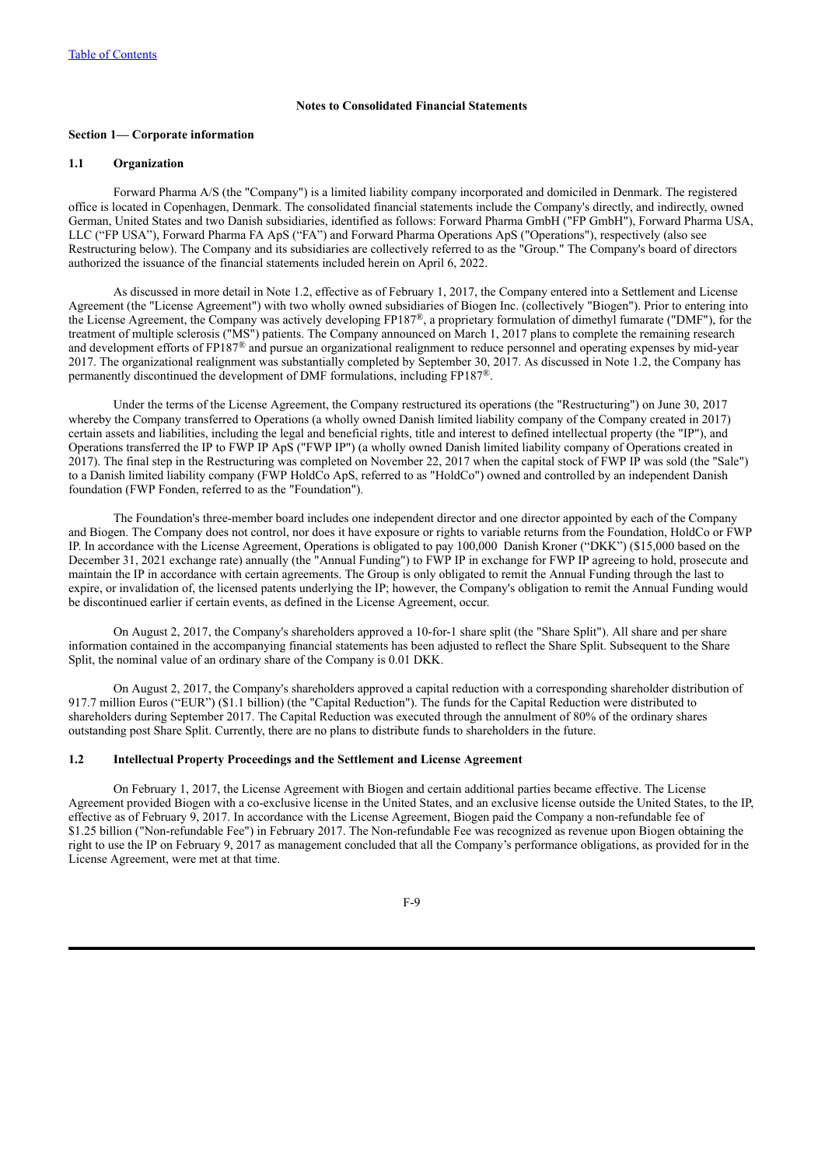### **Notes to Consolidated Financial Statements**

#### <span id="page-80-0"></span>**Section 1— Corporate information**

### **1.1 Organization**

Forward Pharma A/S (the "Company") is a limited liability company incorporated and domiciled in Denmark. The registered office is located in Copenhagen, Denmark. The consolidated financial statements include the Company's directly, and indirectly, owned German, United States and two Danish subsidiaries, identified as follows: Forward Pharma GmbH ("FP GmbH"), Forward Pharma USA, LLC ("FP USA"), Forward Pharma FA ApS ("FA") and Forward Pharma Operations ApS ("Operations"), respectively (also see Restructuring below). The Company and its subsidiaries are collectively referred to as the "Group." The Company's board of directors authorized the issuance of the financial statements included herein on April 6, 2022.

As discussed in more detail in Note 1.2, effective as of February 1, 2017, the Company entered into a Settlement and License Agreement (the "License Agreement") with two wholly owned subsidiaries of Biogen Inc. (collectively "Biogen"). Prior to entering into the License Agreement, the Company was actively developing FP187®, a proprietary formulation of dimethyl fumarate ("DMF"), for the treatment of multiple sclerosis ("MS") patients. The Company announced on March 1, 2017 plans to complete the remaining research and development efforts of FP187® and pursue an organizational realignment to reduce personnel and operating expenses by mid-year 2017. The organizational realignment was substantially completed by September 30, 2017. As discussed in Note 1.2, the Company has permanently discontinued the development of DMF formulations, including FP187®.

Under the terms of the License Agreement, the Company restructured its operations (the "Restructuring") on June 30, 2017 whereby the Company transferred to Operations (a wholly owned Danish limited liability company of the Company created in 2017) certain assets and liabilities, including the legal and beneficial rights, title and interest to defined intellectual property (the "IP"), and Operations transferred the IP to FWP IP ApS ("FWP IP") (a wholly owned Danish limited liability company of Operations created in 2017). The final step in the Restructuring was completed on November 22, 2017 when the capital stock of FWP IP was sold (the "Sale") to a Danish limited liability company (FWP HoldCo ApS, referred to as "HoldCo") owned and controlled by an independent Danish foundation (FWP Fonden, referred to as the "Foundation").

The Foundation's three-member board includes one independent director and one director appointed by each of the Company and Biogen. The Company does not control, nor does it have exposure or rights to variable returns from the Foundation, HoldCo or FWP IP. In accordance with the License Agreement, Operations is obligated to pay 100,000 Danish Kroner ("DKK") (\$15,000 based on the December 31, 2021 exchange rate) annually (the "Annual Funding") to FWP IP in exchange for FWP IP agreeing to hold, prosecute and maintain the IP in accordance with certain agreements. The Group is only obligated to remit the Annual Funding through the last to expire, or invalidation of, the licensed patents underlying the IP; however, the Company's obligation to remit the Annual Funding would be discontinued earlier if certain events, as defined in the License Agreement, occur.

On August 2, 2017, the Company's shareholders approved a 10-for-1 share split (the "Share Split"). All share and per share information contained in the accompanying financial statements has been adjusted to reflect the Share Split. Subsequent to the Share Split, the nominal value of an ordinary share of the Company is 0.01 DKK.

On August 2, 2017, the Company's shareholders approved a capital reduction with a corresponding shareholder distribution of 917.7 million Euros ("EUR") (\$1.1 billion) (the "Capital Reduction"). The funds for the Capital Reduction were distributed to shareholders during September 2017. The Capital Reduction was executed through the annulment of 80% of the ordinary shares outstanding post Share Split. Currently, there are no plans to distribute funds to shareholders in the future.

## **1.2 Intellectual Property Proceedings and the Settlement and License Agreement**

On February 1, 2017, the License Agreement with Biogen and certain additional parties became effective. The License Agreement provided Biogen with a co-exclusive license in the United States, and an exclusive license outside the United States, to the IP, effective as of February 9, 2017. In accordance with the License Agreement, Biogen paid the Company a non-refundable fee of \$1.25 billion ("Non-refundable Fee") in February 2017. The Non-refundable Fee was recognized as revenue upon Biogen obtaining the right to use the IP on February 9, 2017 as management concluded that all the Company's performance obligations, as provided for in the License Agreement, were met at that time.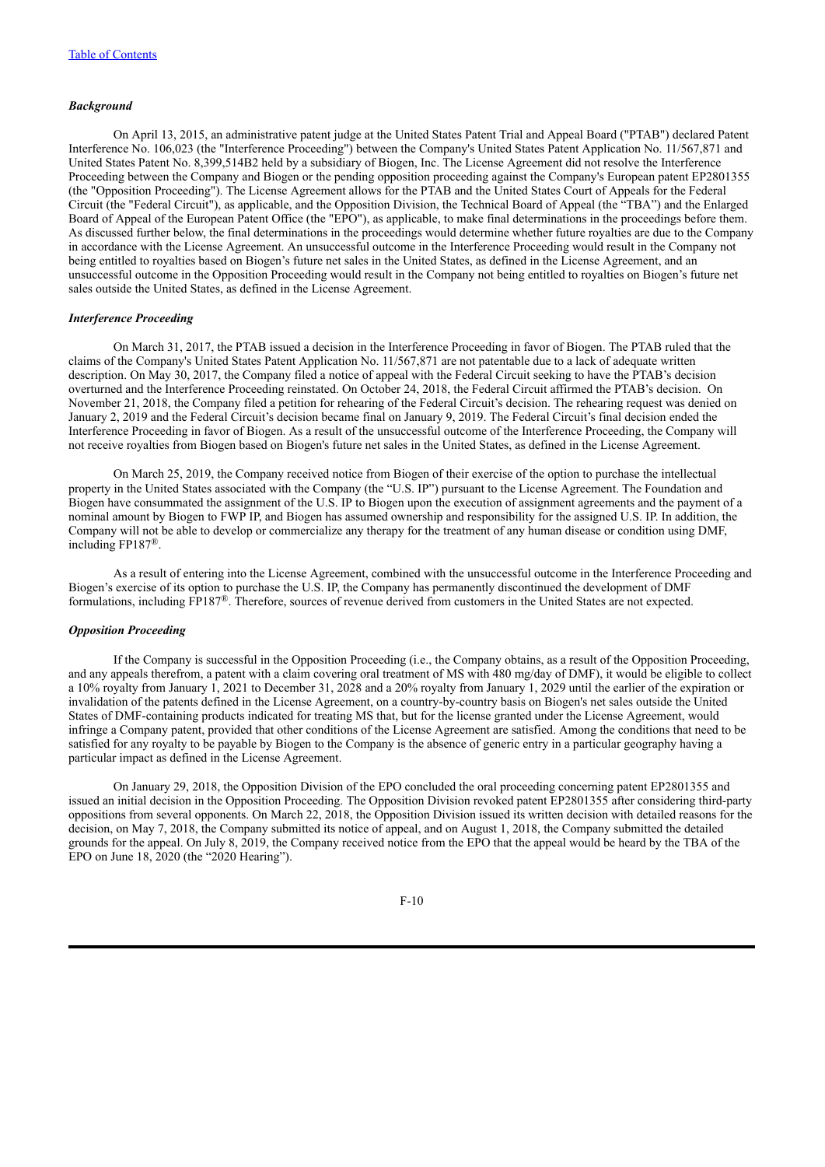## *Background*

On April 13, 2015, an administrative patent judge at the United States Patent Trial and Appeal Board ("PTAB") declared Patent Interference No. 106,023 (the "Interference Proceeding") between the Company's United States Patent Application No. 11/567,871 and United States Patent No. 8,399,514B2 held by a subsidiary of Biogen, Inc. The License Agreement did not resolve the Interference Proceeding between the Company and Biogen or the pending opposition proceeding against the Company's European patent EP2801355 (the "Opposition Proceeding"). The License Agreement allows for the PTAB and the United States Court of Appeals for the Federal Circuit (the "Federal Circuit"), as applicable, and the Opposition Division, the Technical Board of Appeal (the "TBA") and the Enlarged Board of Appeal of the European Patent Office (the "EPO"), as applicable, to make final determinations in the proceedings before them. As discussed further below, the final determinations in the proceedings would determine whether future royalties are due to the Company in accordance with the License Agreement. An unsuccessful outcome in the Interference Proceeding would result in the Company not being entitled to royalties based on Biogen's future net sales in the United States, as defined in the License Agreement, and an unsuccessful outcome in the Opposition Proceeding would result in the Company not being entitled to royalties on Biogen's future net sales outside the United States, as defined in the License Agreement.

#### *Interference Proceeding*

On March 31, 2017, the PTAB issued a decision in the Interference Proceeding in favor of Biogen. The PTAB ruled that the claims of the Company's United States Patent Application No. 11/567,871 are not patentable due to a lack of adequate written description. On May 30, 2017, the Company filed a notice of appeal with the Federal Circuit seeking to have the PTAB's decision overturned and the Interference Proceeding reinstated. On October 24, 2018, the Federal Circuit affirmed the PTAB's decision. On November 21, 2018, the Company filed a petition for rehearing of the Federal Circuit's decision. The rehearing request was denied on January 2, 2019 and the Federal Circuit's decision became final on January 9, 2019. The Federal Circuit's final decision ended the Interference Proceeding in favor of Biogen. As a result of the unsuccessful outcome of the Interference Proceeding, the Company will not receive royalties from Biogen based on Biogen's future net sales in the United States, as defined in the License Agreement.

On March 25, 2019, the Company received notice from Biogen of their exercise of the option to purchase the intellectual property in the United States associated with the Company (the "U.S. IP") pursuant to the License Agreement. The Foundation and Biogen have consummated the assignment of the U.S. IP to Biogen upon the execution of assignment agreements and the payment of a nominal amount by Biogen to FWP IP, and Biogen has assumed ownership and responsibility for the assigned U.S. IP. In addition, the Company will not be able to develop or commercialize any therapy for the treatment of any human disease or condition using DMF, including FP187®.

As a result of entering into the License Agreement, combined with the unsuccessful outcome in the Interference Proceeding and Biogen's exercise of its option to purchase the U.S. IP, the Company has permanently discontinued the development of DMF formulations, including FP187®. Therefore, sources of revenue derived from customers in the United States are not expected.

## *Opposition Proceeding*

If the Company is successful in the Opposition Proceeding (i.e., the Company obtains, as a result of the Opposition Proceeding, and any appeals therefrom, a patent with a claim covering oral treatment of MS with 480 mg/day of DMF), it would be eligible to collect a 10% royalty from January 1, 2021 to December 31, 2028 and a 20% royalty from January 1, 2029 until the earlier of the expiration or invalidation of the patents defined in the License Agreement, on a country-by-country basis on Biogen's net sales outside the United States of DMF-containing products indicated for treating MS that, but for the license granted under the License Agreement, would infringe a Company patent, provided that other conditions of the License Agreement are satisfied. Among the conditions that need to be satisfied for any royalty to be payable by Biogen to the Company is the absence of generic entry in a particular geography having a particular impact as defined in the License Agreement.

On January 29, 2018, the Opposition Division of the EPO concluded the oral proceeding concerning patent EP2801355 and issued an initial decision in the Opposition Proceeding. The Opposition Division revoked patent EP2801355 after considering third-party oppositions from several opponents. On March 22, 2018, the Opposition Division issued its written decision with detailed reasons for the decision, on May 7, 2018, the Company submitted its notice of appeal, and on August 1, 2018, the Company submitted the detailed grounds for the appeal. On July 8, 2019, the Company received notice from the EPO that the appeal would be heard by the TBA of the EPO on June 18, 2020 (the "2020 Hearing").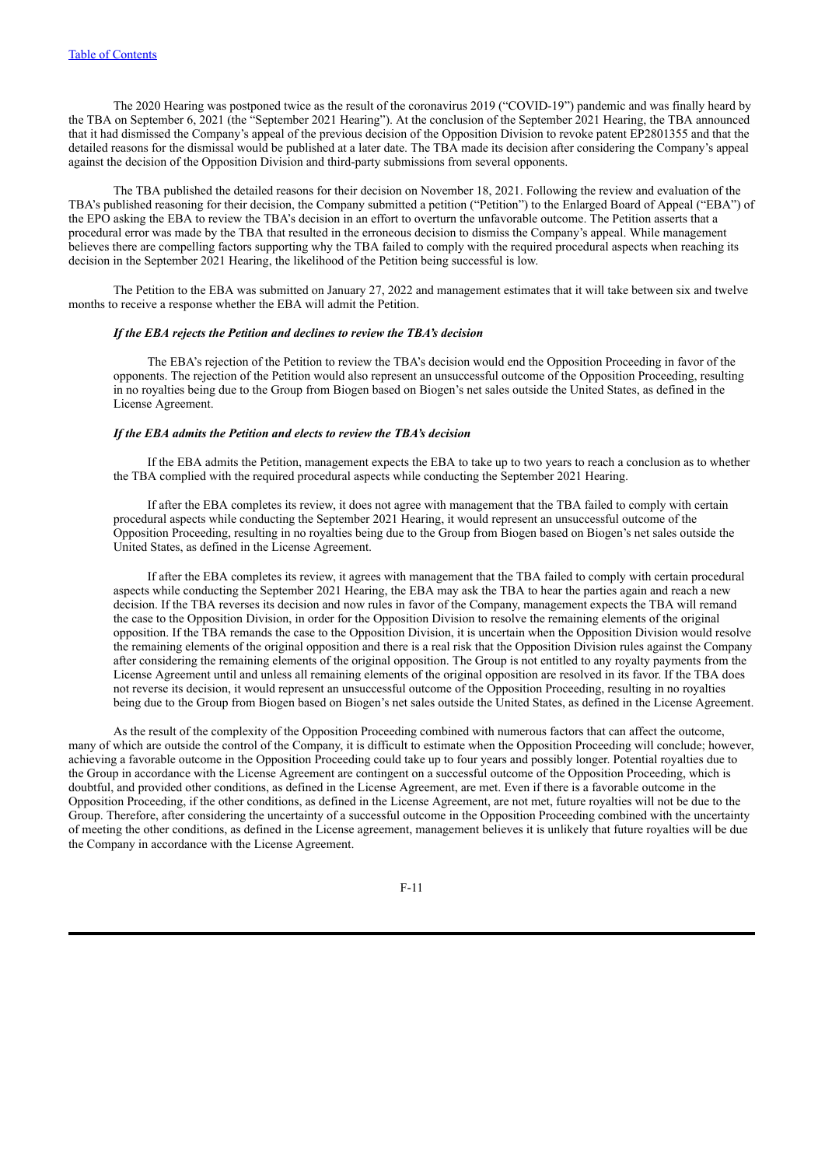The 2020 Hearing was postponed twice as the result of the coronavirus 2019 ("COVID-19") pandemic and was finally heard by the TBA on September 6, 2021 (the "September 2021 Hearing"). At the conclusion of the September 2021 Hearing, the TBA announced that it had dismissed the Company's appeal of the previous decision of the Opposition Division to revoke patent EP2801355 and that the detailed reasons for the dismissal would be published at a later date. The TBA made its decision after considering the Company's appeal against the decision of the Opposition Division and third-party submissions from several opponents.

The TBA published the detailed reasons for their decision on November 18, 2021. Following the review and evaluation of the TBA's published reasoning for their decision, the Company submitted a petition ("Petition") to the Enlarged Board of Appeal ("EBA") of the EPO asking the EBA to review the TBA's decision in an effort to overturn the unfavorable outcome. The Petition asserts that a procedural error was made by the TBA that resulted in the erroneous decision to dismiss the Company's appeal. While management believes there are compelling factors supporting why the TBA failed to comply with the required procedural aspects when reaching its decision in the September 2021 Hearing, the likelihood of the Petition being successful is low.

The Petition to the EBA was submitted on January 27, 2022 and management estimates that it will take between six and twelve months to receive a response whether the EBA will admit the Petition.

#### *If the EBA rejects the Petition and declines to review the TBA's decision*

The EBA's rejection of the Petition to review the TBA's decision would end the Opposition Proceeding in favor of the opponents. The rejection of the Petition would also represent an unsuccessful outcome of the Opposition Proceeding, resulting in no royalties being due to the Group from Biogen based on Biogen's net sales outside the United States, as defined in the License Agreement.

### *If the EBA admits the Petition and elects to review the TBA's decision*

If the EBA admits the Petition, management expects the EBA to take up to two years to reach a conclusion as to whether the TBA complied with the required procedural aspects while conducting the September 2021 Hearing.

If after the EBA completes its review, it does not agree with management that the TBA failed to comply with certain procedural aspects while conducting the September 2021 Hearing, it would represent an unsuccessful outcome of the Opposition Proceeding, resulting in no royalties being due to the Group from Biogen based on Biogen's net sales outside the United States, as defined in the License Agreement.

If after the EBA completes its review, it agrees with management that the TBA failed to comply with certain procedural aspects while conducting the September 2021 Hearing, the EBA may ask the TBA to hear the parties again and reach a new decision. If the TBA reverses its decision and now rules in favor of the Company, management expects the TBA will remand the case to the Opposition Division, in order for the Opposition Division to resolve the remaining elements of the original opposition. If the TBA remands the case to the Opposition Division, it is uncertain when the Opposition Division would resolve the remaining elements of the original opposition and there is a real risk that the Opposition Division rules against the Company after considering the remaining elements of the original opposition. The Group is not entitled to any royalty payments from the License Agreement until and unless all remaining elements of the original opposition are resolved in its favor. If the TBA does not reverse its decision, it would represent an unsuccessful outcome of the Opposition Proceeding, resulting in no royalties being due to the Group from Biogen based on Biogen's net sales outside the United States, as defined in the License Agreement.

As the result of the complexity of the Opposition Proceeding combined with numerous factors that can affect the outcome, many of which are outside the control of the Company, it is difficult to estimate when the Opposition Proceeding will conclude; however, achieving a favorable outcome in the Opposition Proceeding could take up to four years and possibly longer. Potential royalties due to the Group in accordance with the License Agreement are contingent on a successful outcome of the Opposition Proceeding, which is doubtful, and provided other conditions, as defined in the License Agreement, are met. Even if there is a favorable outcome in the Opposition Proceeding, if the other conditions, as defined in the License Agreement, are not met, future royalties will not be due to the Group. Therefore, after considering the uncertainty of a successful outcome in the Opposition Proceeding combined with the uncertainty of meeting the other conditions, as defined in the License agreement, management believes it is unlikely that future royalties will be due the Company in accordance with the License Agreement.

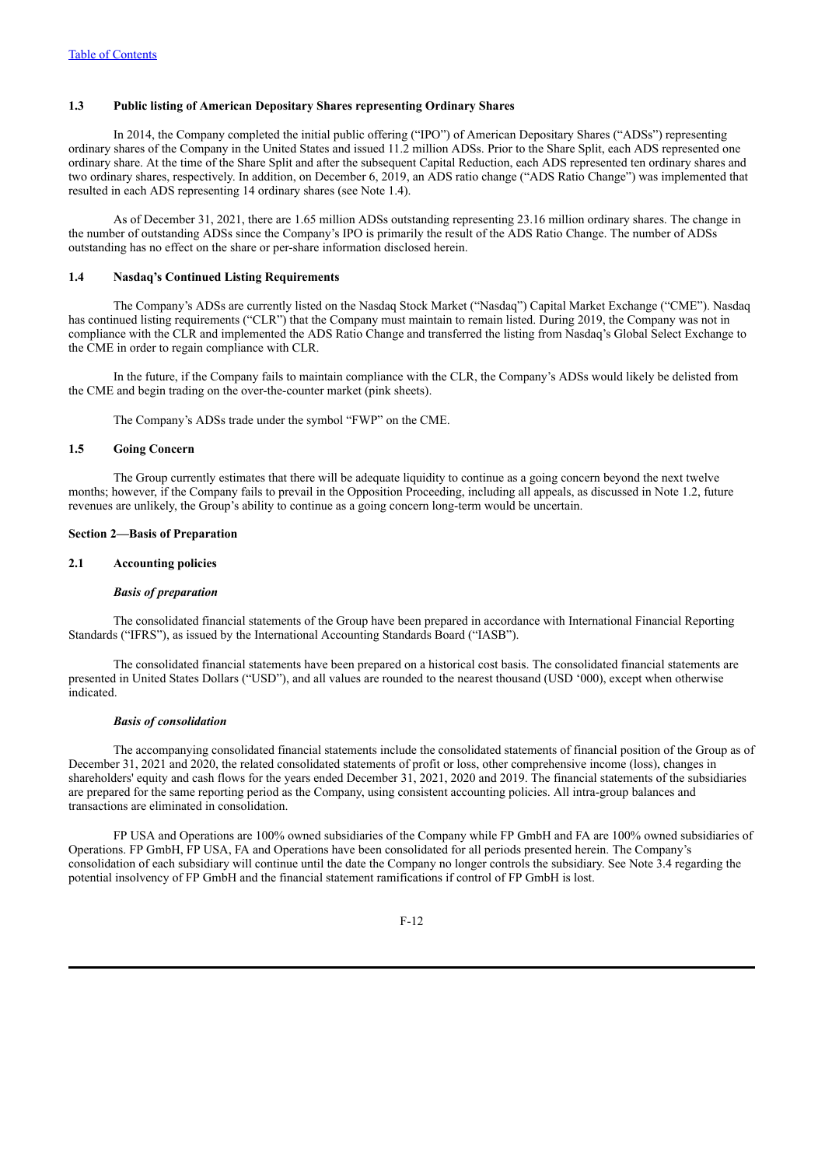## **1.3 Public listing of American Depositary Shares representing Ordinary Shares**

In 2014, the Company completed the initial public offering ("IPO") of American Depositary Shares ("ADSs") representing ordinary shares of the Company in the United States and issued 11.2 million ADSs. Prior to the Share Split, each ADS represented one ordinary share. At the time of the Share Split and after the subsequent Capital Reduction, each ADS represented ten ordinary shares and two ordinary shares, respectively. In addition, on December 6, 2019, an ADS ratio change ("ADS Ratio Change") was implemented that resulted in each ADS representing 14 ordinary shares (see Note 1.4).

As of December 31, 2021, there are 1.65 million ADSs outstanding representing 23.16 million ordinary shares. The change in the number of outstanding ADSs since the Company's IPO is primarily the result of the ADS Ratio Change. The number of ADSs outstanding has no effect on the share or per-share information disclosed herein.

### **1.4 Nasdaq's Continued Listing Requirements**

The Company's ADSs are currently listed on the Nasdaq Stock Market ("Nasdaq") Capital Market Exchange ("CME"). Nasdaq has continued listing requirements ("CLR") that the Company must maintain to remain listed. During 2019, the Company was not in compliance with the CLR and implemented the ADS Ratio Change and transferred the listing from Nasdaq's Global Select Exchange to the CME in order to regain compliance with CLR.

In the future, if the Company fails to maintain compliance with the CLR, the Company's ADSs would likely be delisted from the CME and begin trading on the over-the-counter market (pink sheets).

The Company's ADSs trade under the symbol "FWP" on the CME.

## **1.5 Going Concern**

The Group currently estimates that there will be adequate liquidity to continue as a going concern beyond the next twelve months; however, if the Company fails to prevail in the Opposition Proceeding, including all appeals, as discussed in Note 1.2, future revenues are unlikely, the Group's ability to continue as a going concern long-term would be uncertain.

#### **Section 2—Basis of Preparation**

#### **2.1 Accounting policies**

#### *Basis of preparation*

The consolidated financial statements of the Group have been prepared in accordance with International Financial Reporting Standards ("IFRS"), as issued by the International Accounting Standards Board ("IASB").

The consolidated financial statements have been prepared on a historical cost basis. The consolidated financial statements are presented in United States Dollars ("USD"), and all values are rounded to the nearest thousand (USD '000), except when otherwise indicated.

#### *Basis of consolidation*

The accompanying consolidated financial statements include the consolidated statements of financial position of the Group as of December 31, 2021 and 2020, the related consolidated statements of profit or loss, other comprehensive income (loss), changes in shareholders' equity and cash flows for the years ended December 31, 2021, 2020 and 2019. The financial statements of the subsidiaries are prepared for the same reporting period as the Company, using consistent accounting policies. All intra-group balances and transactions are eliminated in consolidation.

FP USA and Operations are 100% owned subsidiaries of the Company while FP GmbH and FA are 100% owned subsidiaries of Operations. FP GmbH, FP USA, FA and Operations have been consolidated for all periods presented herein. The Company's consolidation of each subsidiary will continue until the date the Company no longer controls the subsidiary. See Note 3.4 regarding the potential insolvency of FP GmbH and the financial statement ramifications if control of FP GmbH is lost.

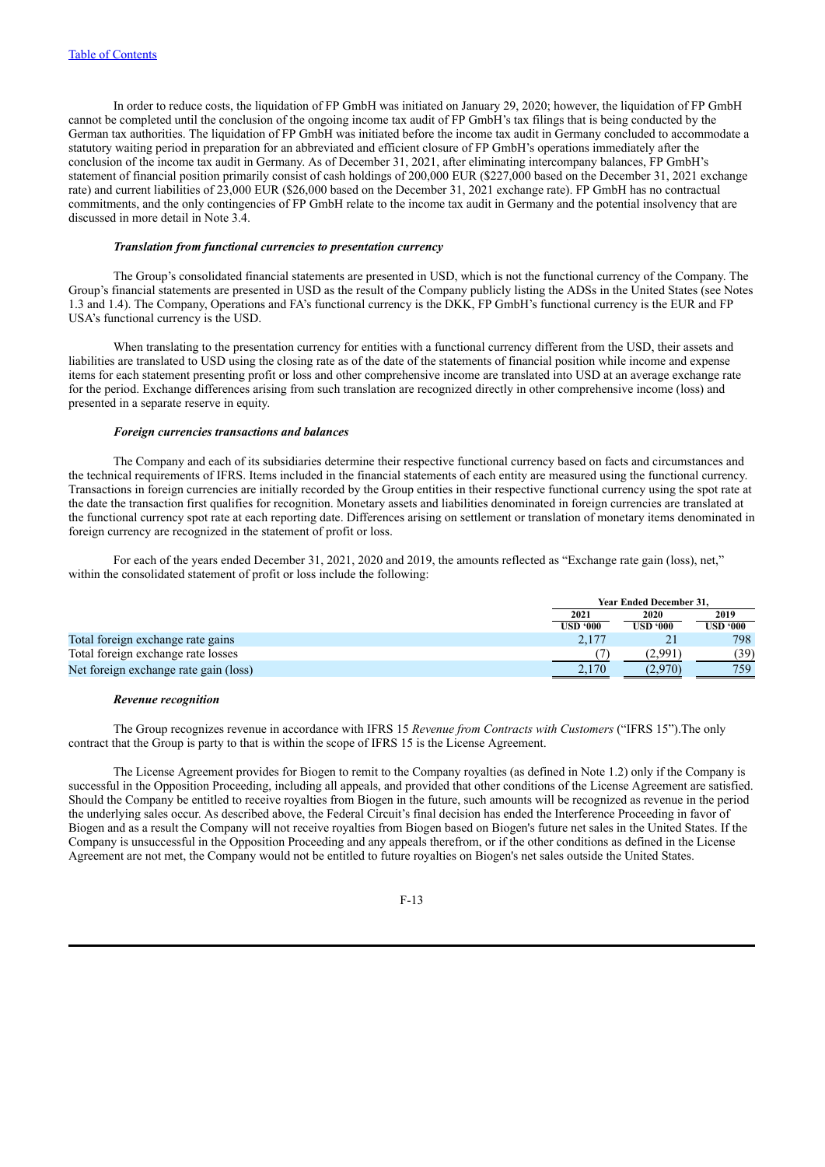In order to reduce costs, the liquidation of FP GmbH was initiated on January 29, 2020; however, the liquidation of FP GmbH cannot be completed until the conclusion of the ongoing income tax audit of FP GmbH's tax filings that is being conducted by the German tax authorities. The liquidation of FP GmbH was initiated before the income tax audit in Germany concluded to accommodate a statutory waiting period in preparation for an abbreviated and efficient closure of FP GmbH's operations immediately after the conclusion of the income tax audit in Germany. As of December 31, 2021, after eliminating intercompany balances, FP GmbH's statement of financial position primarily consist of cash holdings of 200,000 EUR (\$227,000 based on the December 31, 2021 exchange rate) and current liabilities of 23,000 EUR (\$26,000 based on the December 31, 2021 exchange rate). FP GmbH has no contractual commitments, and the only contingencies of FP GmbH relate to the income tax audit in Germany and the potential insolvency that are discussed in more detail in Note 3.4.

#### *Translation from functional currencies to presentation currency*

The Group's consolidated financial statements are presented in USD, which is not the functional currency of the Company. The Group's financial statements are presented in USD as the result of the Company publicly listing the ADSs in the United States (see Notes 1.3 and 1.4). The Company, Operations and FA's functional currency is the DKK, FP GmbH's functional currency is the EUR and FP USA's functional currency is the USD.

When translating to the presentation currency for entities with a functional currency different from the USD, their assets and liabilities are translated to USD using the closing rate as of the date of the statements of financial position while income and expense items for each statement presenting profit or loss and other comprehensive income are translated into USD at an average exchange rate for the period. Exchange differences arising from such translation are recognized directly in other comprehensive income (loss) and presented in a separate reserve in equity.

#### *Foreign currencies transactions and balances*

The Company and each of its subsidiaries determine their respective functional currency based on facts and circumstances and the technical requirements of IFRS. Items included in the financial statements of each entity are measured using the functional currency. Transactions in foreign currencies are initially recorded by the Group entities in their respective functional currency using the spot rate at the date the transaction first qualifies for recognition. Monetary assets and liabilities denominated in foreign currencies are translated at the functional currency spot rate at each reporting date. Differences arising on settlement or translation of monetary items denominated in foreign currency are recognized in the statement of profit or loss.

For each of the years ended December 31, 2021, 2020 and 2019, the amounts reflected as "Exchange rate gain (loss), net," within the consolidated statement of profit or loss include the following:

|                                       |                 | <b>Year Ended December 31.</b> |                 |  |  |
|---------------------------------------|-----------------|--------------------------------|-----------------|--|--|
|                                       | 2021            | 2020                           | 2019            |  |  |
|                                       | <b>USD '000</b> | $\textbf{USD}~^{\cdot}000$     | <b>USD '000</b> |  |  |
| Total foreign exchange rate gains     | 2.17'           | 21                             | 798             |  |  |
| Total foreign exchange rate losses    |                 | (2.991)                        | (39)            |  |  |
| Net foreign exchange rate gain (loss) | 2.170           | (2,970)                        | 759             |  |  |

#### *Revenue recognition*

The Group recognizes revenue in accordance with IFRS 15 *Revenue from Contracts with Customers* ("IFRS 15").The only contract that the Group is party to that is within the scope of IFRS 15 is the License Agreement.

The License Agreement provides for Biogen to remit to the Company royalties (as defined in Note 1.2) only if the Company is successful in the Opposition Proceeding, including all appeals, and provided that other conditions of the License Agreement are satisfied. Should the Company be entitled to receive royalties from Biogen in the future, such amounts will be recognized as revenue in the period the underlying sales occur. As described above, the Federal Circuit's final decision has ended the Interference Proceeding in favor of Biogen and as a result the Company will not receive royalties from Biogen based on Biogen's future net sales in the United States. If the Company is unsuccessful in the Opposition Proceeding and any appeals therefrom, or if the other conditions as defined in the License Agreement are not met, the Company would not be entitled to future royalties on Biogen's net sales outside the United States.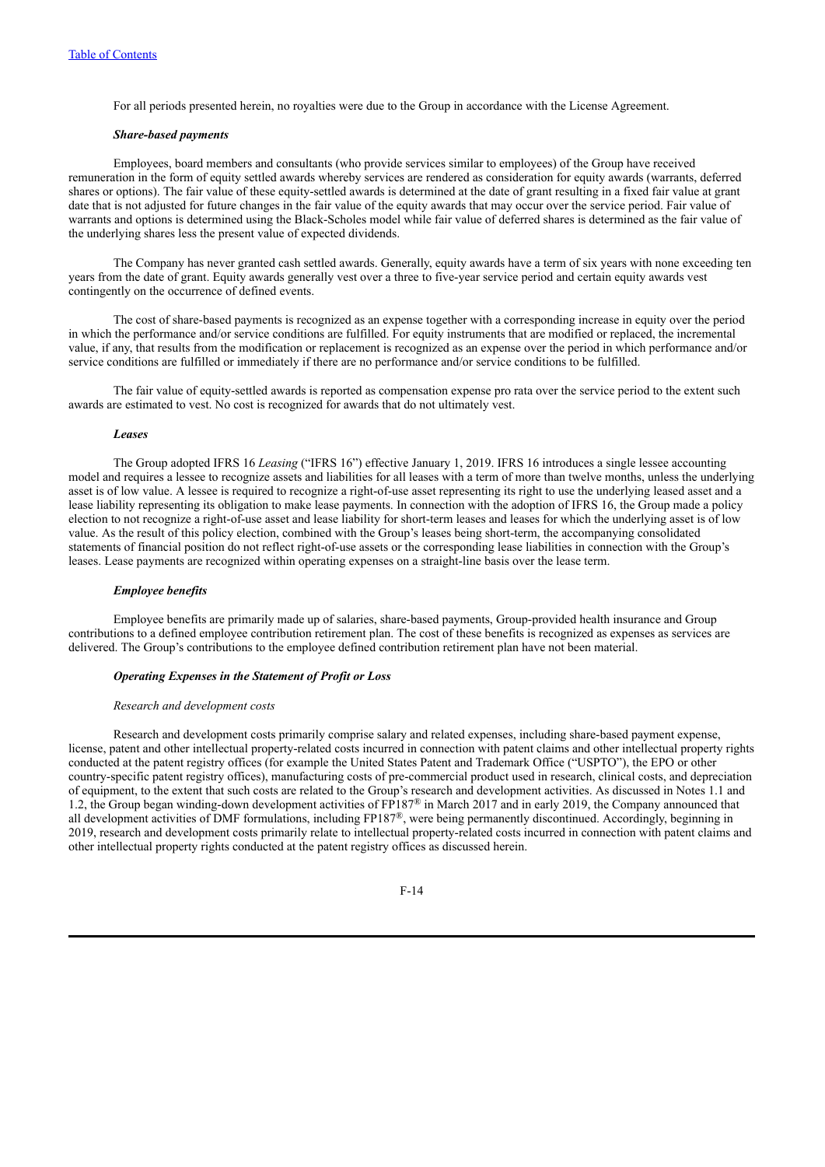For all periods presented herein, no royalties were due to the Group in accordance with the License Agreement.

#### *Share-based payments*

Employees, board members and consultants (who provide services similar to employees) of the Group have received remuneration in the form of equity settled awards whereby services are rendered as consideration for equity awards (warrants, deferred shares or options). The fair value of these equity-settled awards is determined at the date of grant resulting in a fixed fair value at grant date that is not adjusted for future changes in the fair value of the equity awards that may occur over the service period. Fair value of warrants and options is determined using the Black-Scholes model while fair value of deferred shares is determined as the fair value of the underlying shares less the present value of expected dividends.

The Company has never granted cash settled awards. Generally, equity awards have a term of six years with none exceeding ten years from the date of grant. Equity awards generally vest over a three to five-year service period and certain equity awards vest contingently on the occurrence of defined events.

The cost of share-based payments is recognized as an expense together with a corresponding increase in equity over the period in which the performance and/or service conditions are fulfilled. For equity instruments that are modified or replaced, the incremental value, if any, that results from the modification or replacement is recognized as an expense over the period in which performance and/or service conditions are fulfilled or immediately if there are no performance and/or service conditions to be fulfilled.

The fair value of equity-settled awards is reported as compensation expense pro rata over the service period to the extent such awards are estimated to vest. No cost is recognized for awards that do not ultimately vest.

#### *Leases*

The Group adopted IFRS 16 *Leasing* ("IFRS 16") effective January 1, 2019. IFRS 16 introduces a single lessee accounting model and requires a lessee to recognize assets and liabilities for all leases with a term of more than twelve months, unless the underlying asset is of low value. A lessee is required to recognize a right-of-use asset representing its right to use the underlying leased asset and a lease liability representing its obligation to make lease payments. In connection with the adoption of IFRS 16, the Group made a policy election to not recognize a right-of-use asset and lease liability for short-term leases and leases for which the underlying asset is of low value. As the result of this policy election, combined with the Group's leases being short-term, the accompanying consolidated statements of financial position do not reflect right-of-use assets or the corresponding lease liabilities in connection with the Group's leases. Lease payments are recognized within operating expenses on a straight-line basis over the lease term.

#### *Employee benefits*

Employee benefits are primarily made up of salaries, share-based payments, Group-provided health insurance and Group contributions to a defined employee contribution retirement plan. The cost of these benefits is recognized as expenses as services are delivered. The Group's contributions to the employee defined contribution retirement plan have not been material.

## *Operating Expenses in the Statement of Profit or Loss*

### *Research and development costs*

Research and development costs primarily comprise salary and related expenses, including share-based payment expense, license, patent and other intellectual property-related costs incurred in connection with patent claims and other intellectual property rights conducted at the patent registry offices (for example the United States Patent and Trademark Office ("USPTO"), the EPO or other country-specific patent registry offices), manufacturing costs of pre-commercial product used in research, clinical costs, and depreciation of equipment, to the extent that such costs are related to the Group's research and development activities. As discussed in Notes 1.1 and 1.2, the Group began winding-down development activities of FP187® in March 2017 and in early 2019, the Company announced that all development activities of DMF formulations, including FP187®, were being permanently discontinued. Accordingly, beginning in 2019, research and development costs primarily relate to intellectual property-related costs incurred in connection with patent claims and other intellectual property rights conducted at the patent registry offices as discussed herein.

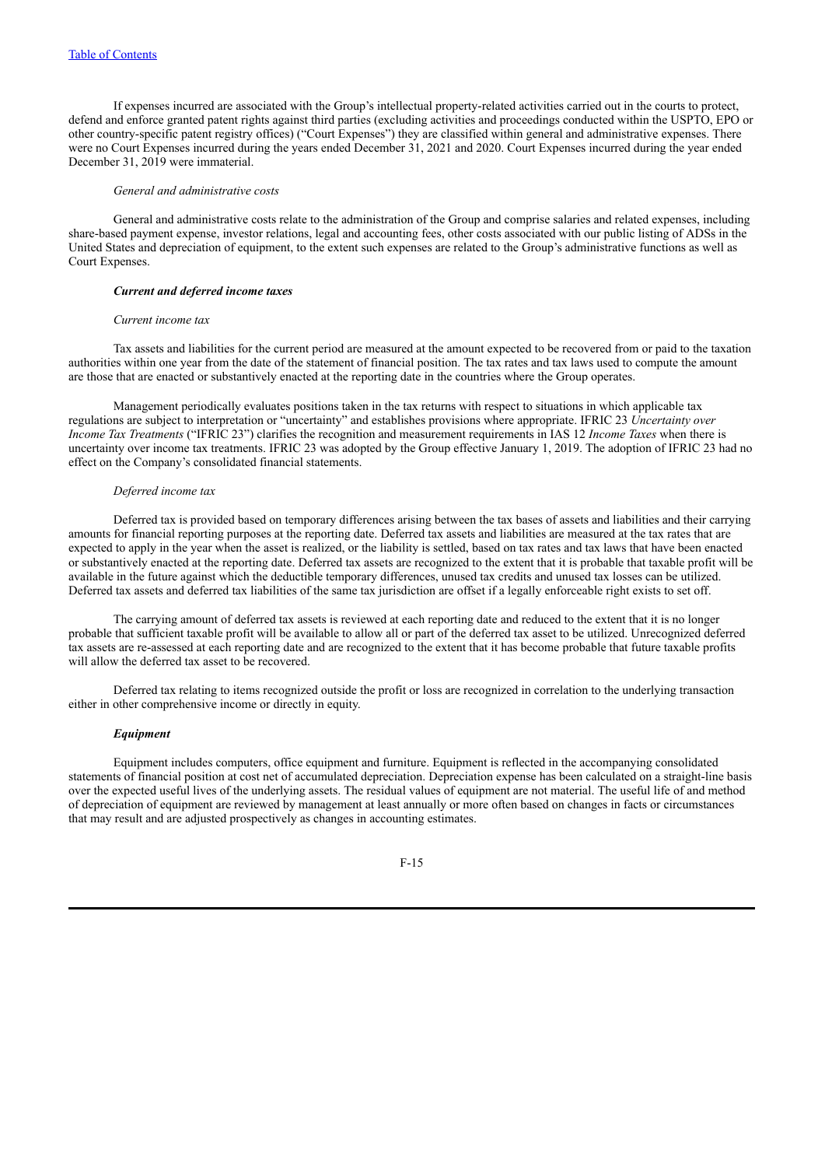If expenses incurred are associated with the Group's intellectual property-related activities carried out in the courts to protect, defend and enforce granted patent rights against third parties (excluding activities and proceedings conducted within the USPTO, EPO or other country-specific patent registry offices) ("Court Expenses") they are classified within general and administrative expenses. There were no Court Expenses incurred during the years ended December 31, 2021 and 2020. Court Expenses incurred during the year ended December 31, 2019 were immaterial.

## *General and administrative costs*

General and administrative costs relate to the administration of the Group and comprise salaries and related expenses, including share-based payment expense, investor relations, legal and accounting fees, other costs associated with our public listing of ADSs in the United States and depreciation of equipment, to the extent such expenses are related to the Group's administrative functions as well as Court Expenses.

#### *Current and deferred income taxes*

#### *Current income tax*

Tax assets and liabilities for the current period are measured at the amount expected to be recovered from or paid to the taxation authorities within one year from the date of the statement of financial position. The tax rates and tax laws used to compute the amount are those that are enacted or substantively enacted at the reporting date in the countries where the Group operates.

Management periodically evaluates positions taken in the tax returns with respect to situations in which applicable tax regulations are subject to interpretation or "uncertainty" and establishes provisions where appropriate. IFRIC 23 *Uncertainty over Income Tax Treatments* ("IFRIC 23") clarifies the recognition and measurement requirements in IAS 12 *Income Taxes* when there is uncertainty over income tax treatments. IFRIC 23 was adopted by the Group effective January 1, 2019. The adoption of IFRIC 23 had no effect on the Company's consolidated financial statements.

#### *Deferred income tax*

Deferred tax is provided based on temporary differences arising between the tax bases of assets and liabilities and their carrying amounts for financial reporting purposes at the reporting date. Deferred tax assets and liabilities are measured at the tax rates that are expected to apply in the year when the asset is realized, or the liability is settled, based on tax rates and tax laws that have been enacted or substantively enacted at the reporting date. Deferred tax assets are recognized to the extent that it is probable that taxable profit will be available in the future against which the deductible temporary differences, unused tax credits and unused tax losses can be utilized. Deferred tax assets and deferred tax liabilities of the same tax jurisdiction are offset if a legally enforceable right exists to set off.

The carrying amount of deferred tax assets is reviewed at each reporting date and reduced to the extent that it is no longer probable that sufficient taxable profit will be available to allow all or part of the deferred tax asset to be utilized. Unrecognized deferred tax assets are re-assessed at each reporting date and are recognized to the extent that it has become probable that future taxable profits will allow the deferred tax asset to be recovered.

Deferred tax relating to items recognized outside the profit or loss are recognized in correlation to the underlying transaction either in other comprehensive income or directly in equity.

#### *Equipment*

Equipment includes computers, office equipment and furniture. Equipment is reflected in the accompanying consolidated statements of financial position at cost net of accumulated depreciation. Depreciation expense has been calculated on a straight-line basis over the expected useful lives of the underlying assets. The residual values of equipment are not material. The useful life of and method of depreciation of equipment are reviewed by management at least annually or more often based on changes in facts or circumstances that may result and are adjusted prospectively as changes in accounting estimates.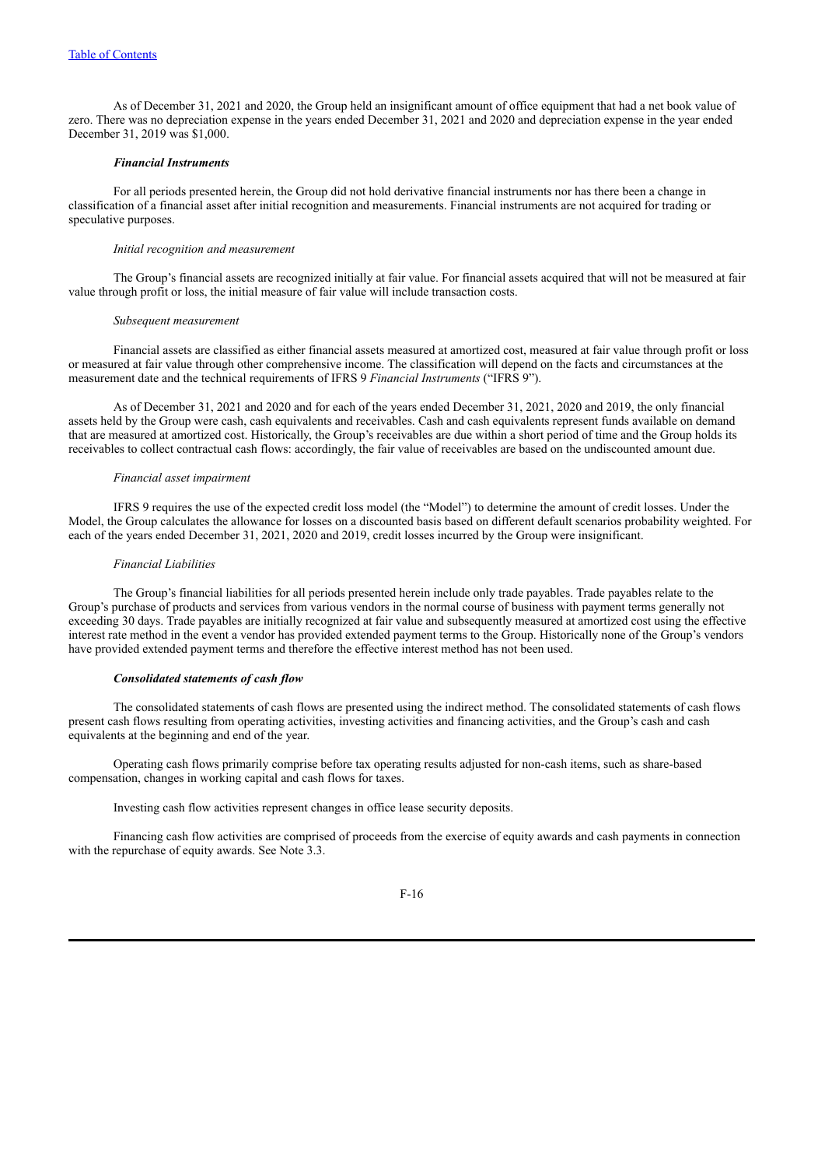As of December 31, 2021 and 2020, the Group held an insignificant amount of office equipment that had a net book value of zero. There was no depreciation expense in the years ended December 31, 2021 and 2020 and depreciation expense in the year ended December 31, 2019 was \$1,000.

### *Financial Instruments*

For all periods presented herein, the Group did not hold derivative financial instruments nor has there been a change in classification of a financial asset after initial recognition and measurements. Financial instruments are not acquired for trading or speculative purposes.

#### *Initial recognition and measurement*

The Group's financial assets are recognized initially at fair value. For financial assets acquired that will not be measured at fair value through profit or loss, the initial measure of fair value will include transaction costs.

#### *Subsequent measurement*

Financial assets are classified as either financial assets measured at amortized cost, measured at fair value through profit or loss or measured at fair value through other comprehensive income. The classification will depend on the facts and circumstances at the measurement date and the technical requirements of IFRS 9 *Financial Instruments* ("IFRS 9").

As of December 31, 2021 and 2020 and for each of the years ended December 31, 2021, 2020 and 2019, the only financial assets held by the Group were cash, cash equivalents and receivables. Cash and cash equivalents represent funds available on demand that are measured at amortized cost. Historically, the Group's receivables are due within a short period of time and the Group holds its receivables to collect contractual cash flows: accordingly, the fair value of receivables are based on the undiscounted amount due.

## *Financial asset impairment*

IFRS 9 requires the use of the expected credit loss model (the "Model") to determine the amount of credit losses. Under the Model, the Group calculates the allowance for losses on a discounted basis based on different default scenarios probability weighted. For each of the years ended December 31, 2021, 2020 and 2019, credit losses incurred by the Group were insignificant.

#### *Financial Liabilities*

The Group's financial liabilities for all periods presented herein include only trade payables. Trade payables relate to the Group's purchase of products and services from various vendors in the normal course of business with payment terms generally not exceeding 30 days. Trade payables are initially recognized at fair value and subsequently measured at amortized cost using the effective interest rate method in the event a vendor has provided extended payment terms to the Group. Historically none of the Group's vendors have provided extended payment terms and therefore the effective interest method has not been used.

#### *Consolidated statements of cash flow*

The consolidated statements of cash flows are presented using the indirect method. The consolidated statements of cash flows present cash flows resulting from operating activities, investing activities and financing activities, and the Group's cash and cash equivalents at the beginning and end of the year.

Operating cash flows primarily comprise before tax operating results adjusted for non-cash items, such as share-based compensation, changes in working capital and cash flows for taxes.

Investing cash flow activities represent changes in office lease security deposits.

Financing cash flow activities are comprised of proceeds from the exercise of equity awards and cash payments in connection with the repurchase of equity awards. See Note 3.3.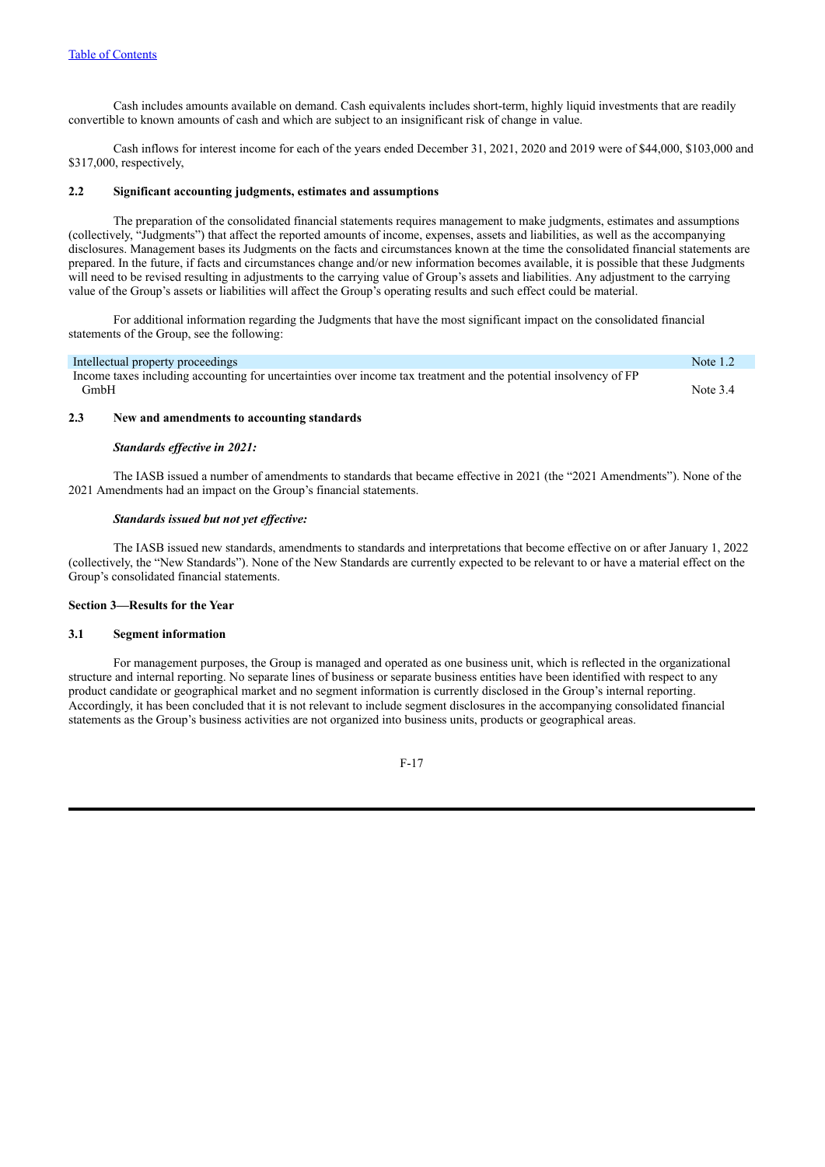Cash includes amounts available on demand. Cash equivalents includes short-term, highly liquid investments that are readily convertible to known amounts of cash and which are subject to an insignificant risk of change in value.

Cash inflows for interest income for each of the years ended December 31, 2021, 2020 and 2019 were of \$44,000, \$103,000 and \$317,000, respectively,

## **2.2 Significant accounting judgments, estimates and assumptions**

The preparation of the consolidated financial statements requires management to make judgments, estimates and assumptions (collectively, "Judgments") that affect the reported amounts of income, expenses, assets and liabilities, as well as the accompanying disclosures. Management bases its Judgments on the facts and circumstances known at the time the consolidated financial statements are prepared. In the future, if facts and circumstances change and/or new information becomes available, it is possible that these Judgments will need to be revised resulting in adjustments to the carrying value of Group's assets and liabilities. Any adjustment to the carrying value of the Group's assets or liabilities will affect the Group's operating results and such effect could be material.

For additional information regarding the Judgments that have the most significant impact on the consolidated financial statements of the Group, see the following:

| Intellectual property proceedings                                                                                | Note $1.2$ |
|------------------------------------------------------------------------------------------------------------------|------------|
| Income taxes including accounting for uncertainties over income tax treatment and the potential insolvency of FP |            |
| GmbH                                                                                                             | Note 3.4   |

## **2.3 New and amendments to accounting standards**

#### *Standards ef ective in 2021:*

The IASB issued a number of amendments to standards that became effective in 2021 (the "2021 Amendments"). None of the 2021 Amendments had an impact on the Group's financial statements.

#### *Standards issued but not yet ef ective:*

The IASB issued new standards, amendments to standards and interpretations that become effective on or after January 1, 2022 (collectively, the "New Standards"). None of the New Standards are currently expected to be relevant to or have a material effect on the Group's consolidated financial statements.

### **Section 3—Results for the Year**

## **3.1 Segment information**

For management purposes, the Group is managed and operated as one business unit, which is reflected in the organizational structure and internal reporting. No separate lines of business or separate business entities have been identified with respect to any product candidate or geographical market and no segment information is currently disclosed in the Group's internal reporting. Accordingly, it has been concluded that it is not relevant to include segment disclosures in the accompanying consolidated financial statements as the Group's business activities are not organized into business units, products or geographical areas.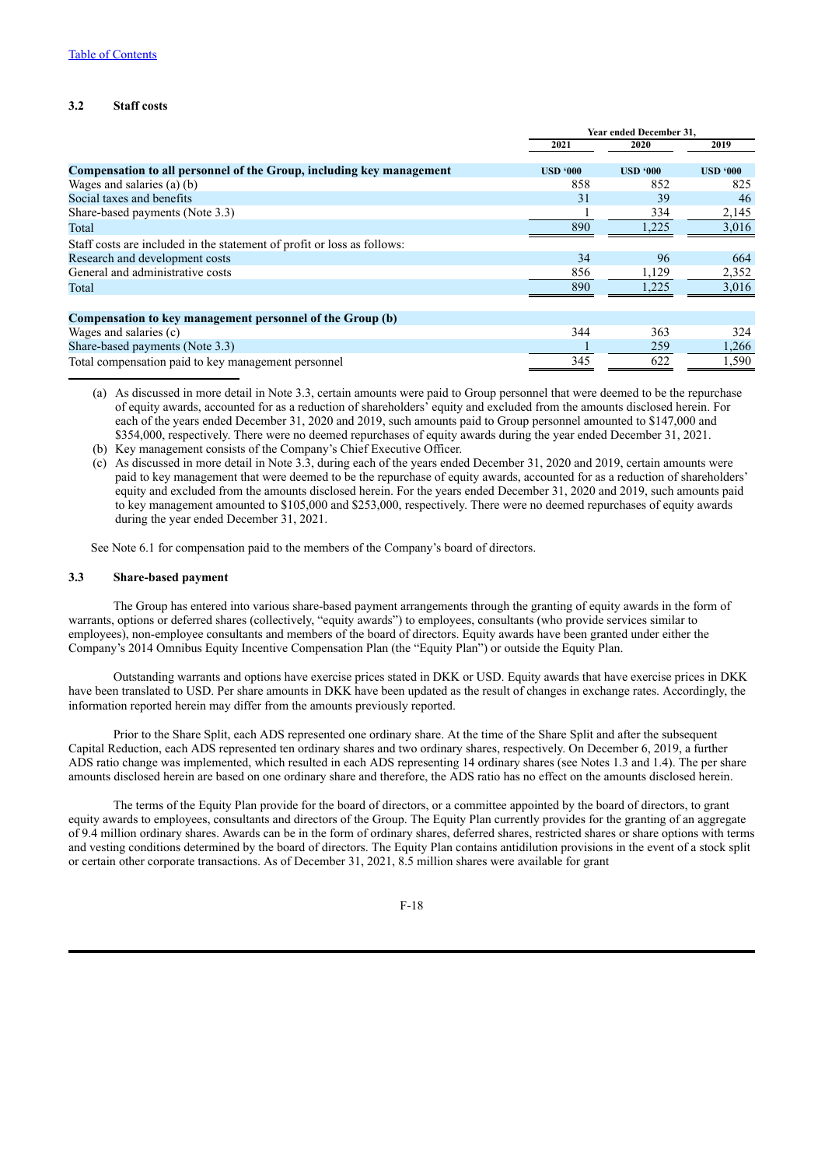## **3.2 Staff costs**

|                                                                         |                 | Year ended December 31, |                 |  |
|-------------------------------------------------------------------------|-----------------|-------------------------|-----------------|--|
|                                                                         | 2021            | <b>2020</b>             |                 |  |
|                                                                         |                 |                         |                 |  |
| Compensation to all personnel of the Group, including key management    | $\bf{USD}$ '000 | $\bf{USD}$ '000         | $\bf{USD}$ '000 |  |
| Wages and salaries $(a)$ $(b)$                                          | 858             | 852                     | 825             |  |
| Social taxes and benefits                                               | 31              | 39                      | 46              |  |
| Share-based payments (Note 3.3)                                         |                 | 334                     | 2,145           |  |
| Total                                                                   | 890             | 1,225                   | 3,016           |  |
| Staff costs are included in the statement of profit or loss as follows: |                 |                         |                 |  |
| Research and development costs                                          | 34              | 96                      | 664             |  |
| General and administrative costs                                        | 856             | 1,129                   | 2,352           |  |
| Total                                                                   | 890             | 1,225                   | 3,016           |  |
|                                                                         |                 |                         |                 |  |
| Compensation to key management personnel of the Group (b)               |                 |                         |                 |  |
| Wages and salaries (c)                                                  | 344             | 363                     | 324             |  |
| Share-based payments (Note 3.3)                                         |                 | 259                     | 1,266           |  |
| Total compensation paid to key management personnel                     | 345             | 622                     | 1,590           |  |

(a) As discussed in more detail in Note 3.3, certain amounts were paid to Group personnel that were deemed to be the repurchase of equity awards, accounted for as a reduction of shareholders' equity and excluded from the amounts disclosed herein. For each of the years ended December 31, 2020 and 2019, such amounts paid to Group personnel amounted to \$147,000 and \$354,000, respectively. There were no deemed repurchases of equity awards during the year ended December 31, 2021.

(b) Key management consists of the Company's Chief Executive Officer.

(c) As discussed in more detail in Note 3.3, during each of the years ended December 31, 2020 and 2019, certain amounts were paid to key management that were deemed to be the repurchase of equity awards, accounted for as a reduction of shareholders' equity and excluded from the amounts disclosed herein. For the years ended December 31, 2020 and 2019, such amounts paid to key management amounted to \$105,000 and \$253,000, respectively. There were no deemed repurchases of equity awards during the year ended December 31, 2021.

See Note 6.1 for compensation paid to the members of the Company's board of directors.

### **3.3 Share-based payment**

The Group has entered into various share-based payment arrangements through the granting of equity awards in the form of warrants, options or deferred shares (collectively, "equity awards") to employees, consultants (who provide services similar to employees), non-employee consultants and members of the board of directors. Equity awards have been granted under either the Company's 2014 Omnibus Equity Incentive Compensation Plan (the "Equity Plan") or outside the Equity Plan.

Outstanding warrants and options have exercise prices stated in DKK or USD. Equity awards that have exercise prices in DKK have been translated to USD. Per share amounts in DKK have been updated as the result of changes in exchange rates. Accordingly, the information reported herein may differ from the amounts previously reported.

Prior to the Share Split, each ADS represented one ordinary share. At the time of the Share Split and after the subsequent Capital Reduction, each ADS represented ten ordinary shares and two ordinary shares, respectively. On December 6, 2019, a further ADS ratio change was implemented, which resulted in each ADS representing 14 ordinary shares (see Notes 1.3 and 1.4). The per share amounts disclosed herein are based on one ordinary share and therefore, the ADS ratio has no effect on the amounts disclosed herein.

The terms of the Equity Plan provide for the board of directors, or a committee appointed by the board of directors, to grant equity awards to employees, consultants and directors of the Group. The Equity Plan currently provides for the granting of an aggregate of 9.4 million ordinary shares. Awards can be in the form of ordinary shares, deferred shares, restricted shares or share options with terms and vesting conditions determined by the board of directors. The Equity Plan contains antidilution provisions in the event of a stock split or certain other corporate transactions. As of December 31, 2021, 8.5 million shares were available for grant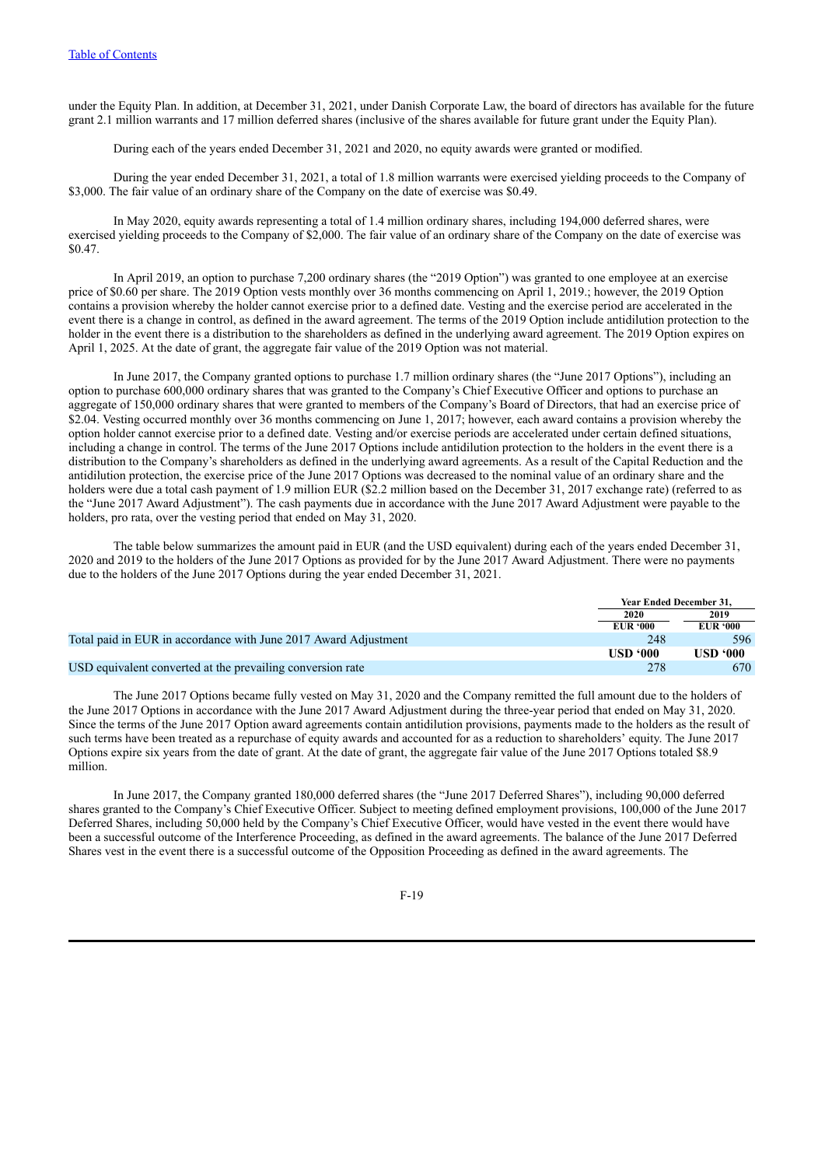under the Equity Plan. In addition, at December 31, 2021, under Danish Corporate Law, the board of directors has available for the future grant 2.1 million warrants and 17 million deferred shares (inclusive of the shares available for future grant under the Equity Plan).

During each of the years ended December 31, 2021 and 2020, no equity awards were granted or modified.

During the year ended December 31, 2021, a total of 1.8 million warrants were exercised yielding proceeds to the Company of \$3,000. The fair value of an ordinary share of the Company on the date of exercise was \$0.49.

In May 2020, equity awards representing a total of 1.4 million ordinary shares, including 194,000 deferred shares, were exercised yielding proceeds to the Company of \$2,000. The fair value of an ordinary share of the Company on the date of exercise was \$0.47.

In April 2019, an option to purchase 7,200 ordinary shares (the "2019 Option") was granted to one employee at an exercise price of \$0.60 per share. The 2019 Option vests monthly over 36 months commencing on April 1, 2019.; however, the 2019 Option contains a provision whereby the holder cannot exercise prior to a defined date. Vesting and the exercise period are accelerated in the event there is a change in control, as defined in the award agreement. The terms of the 2019 Option include antidilution protection to the holder in the event there is a distribution to the shareholders as defined in the underlying award agreement. The 2019 Option expires on April 1, 2025. At the date of grant, the aggregate fair value of the 2019 Option was not material.

In June 2017, the Company granted options to purchase 1.7 million ordinary shares (the "June 2017 Options"), including an option to purchase 600,000 ordinary shares that was granted to the Company's Chief Executive Officer and options to purchase an aggregate of 150,000 ordinary shares that were granted to members of the Company's Board of Directors, that had an exercise price of \$2.04. Vesting occurred monthly over 36 months commencing on June 1, 2017; however, each award contains a provision whereby the option holder cannot exercise prior to a defined date. Vesting and/or exercise periods are accelerated under certain defined situations, including a change in control. The terms of the June 2017 Options include antidilution protection to the holders in the event there is a distribution to the Company's shareholders as defined in the underlying award agreements. As a result of the Capital Reduction and the antidilution protection, the exercise price of the June 2017 Options was decreased to the nominal value of an ordinary share and the holders were due a total cash payment of 1.9 million EUR (\$2.2 million based on the December 31, 2017 exchange rate) (referred to as the "June 2017 Award Adjustment"). The cash payments due in accordance with the June 2017 Award Adjustment were payable to the holders, pro rata, over the vesting period that ended on May 31, 2020.

The table below summarizes the amount paid in EUR (and the USD equivalent) during each of the years ended December 31, 2020 and 2019 to the holders of the June 2017 Options as provided for by the June 2017 Award Adjustment. There were no payments due to the holders of the June 2017 Options during the year ended December 31, 2021.

|                                                                 | <b>Year Ended December 31.</b> |                 |  |
|-----------------------------------------------------------------|--------------------------------|-----------------|--|
|                                                                 | 2020                           | 2019            |  |
|                                                                 | <b>EUR '000</b>                | <b>EUR '000</b> |  |
| Total paid in EUR in accordance with June 2017 Award Adjustment | 248                            | 596             |  |
|                                                                 | <b>USD '000</b>                | USD '000-       |  |
| USD equivalent converted at the prevailing conversion rate      | 278                            | 670             |  |

The June 2017 Options became fully vested on May 31, 2020 and the Company remitted the full amount due to the holders of the June 2017 Options in accordance with the June 2017 Award Adjustment during the three-year period that ended on May 31, 2020. Since the terms of the June 2017 Option award agreements contain antidilution provisions, payments made to the holders as the result of such terms have been treated as a repurchase of equity awards and accounted for as a reduction to shareholders' equity. The June 2017 Options expire six years from the date of grant. At the date of grant, the aggregate fair value of the June 2017 Options totaled \$8.9 million.

In June 2017, the Company granted 180,000 deferred shares (the "June 2017 Deferred Shares"), including 90,000 deferred shares granted to the Company's Chief Executive Officer. Subject to meeting defined employment provisions, 100,000 of the June 2017 Deferred Shares, including 50,000 held by the Company's Chief Executive Officer, would have vested in the event there would have been a successful outcome of the Interference Proceeding, as defined in the award agreements. The balance of the June 2017 Deferred Shares vest in the event there is a successful outcome of the Opposition Proceeding as defined in the award agreements. The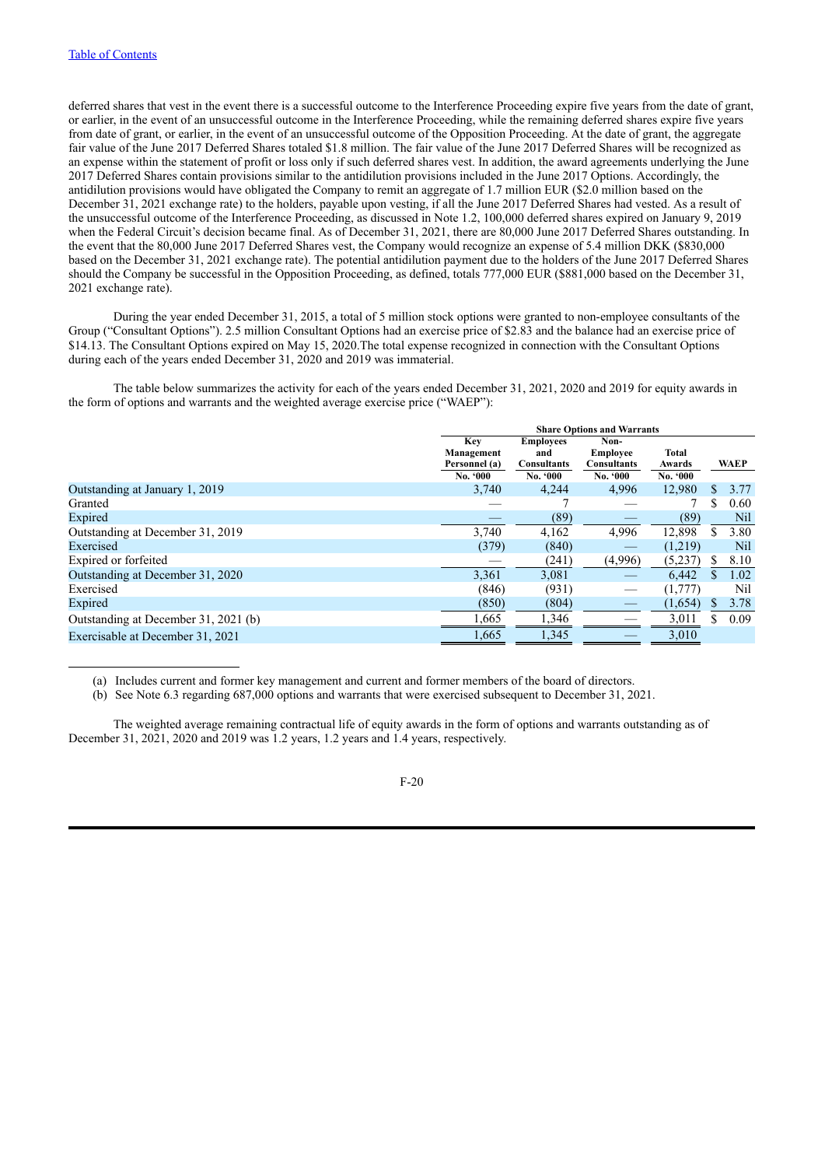deferred shares that vest in the event there is a successful outcome to the Interference Proceeding expire five years from the date of grant, or earlier, in the event of an unsuccessful outcome in the Interference Proceeding, while the remaining deferred shares expire five years from date of grant, or earlier, in the event of an unsuccessful outcome of the Opposition Proceeding. At the date of grant, the aggregate fair value of the June 2017 Deferred Shares totaled \$1.8 million. The fair value of the June 2017 Deferred Shares will be recognized as an expense within the statement of profit or loss only if such deferred shares vest. In addition, the award agreements underlying the June 2017 Deferred Shares contain provisions similar to the antidilution provisions included in the June 2017 Options. Accordingly, the antidilution provisions would have obligated the Company to remit an aggregate of 1.7 million EUR (\$2.0 million based on the December 31, 2021 exchange rate) to the holders, payable upon vesting, if all the June 2017 Deferred Shares had vested. As a result of the unsuccessful outcome of the Interference Proceeding, as discussed in Note 1.2, 100,000 deferred shares expired on January 9, 2019 when the Federal Circuit's decision became final. As of December 31, 2021, there are 80,000 June 2017 Deferred Shares outstanding. In the event that the 80,000 June 2017 Deferred Shares vest, the Company would recognize an expense of 5.4 million DKK (\$830,000 based on the December 31, 2021 exchange rate). The potential antidilution payment due to the holders of the June 2017 Deferred Shares should the Company be successful in the Opposition Proceeding, as defined, totals 777,000 EUR (\$881,000 based on the December 31, 2021 exchange rate).

During the year ended December 31, 2015, a total of 5 million stock options were granted to non-employee consultants of the Group ("Consultant Options"). 2.5 million Consultant Options had an exercise price of \$2.83 and the balance had an exercise price of \$14.13. The Consultant Options expired on May 15, 2020.The total expense recognized in connection with the Consultant Options during each of the years ended December 31, 2020 and 2019 was immaterial.

The table below summarizes the activity for each of the years ended December 31, 2021, 2020 and 2019 for equity awards in the form of options and warrants and the weighted average exercise price ("WAEP"):

|                                      | <b>Share Options and Warrants</b>              |                                                           |                                                    |                             |   |      |
|--------------------------------------|------------------------------------------------|-----------------------------------------------------------|----------------------------------------------------|-----------------------------|---|------|
|                                      | Key<br>Management<br>Personnel (a)<br>No. '000 | <b>Employees</b><br>and<br><b>Consultants</b><br>No. '000 | Non-<br>Employee<br><b>Consultants</b><br>No. '000 | Total<br>Awards<br>No. '000 |   | WAEP |
| Outstanding at January 1, 2019       | 3.740                                          | 4.244                                                     | 4,996                                              | 12,980                      |   | 3.77 |
| Granted                              |                                                |                                                           |                                                    |                             | S | 0.60 |
| Expired                              |                                                | (89)                                                      |                                                    | (89)                        |   | Nil  |
| Outstanding at December 31, 2019     | 3,740                                          | 4,162                                                     | 4,996                                              | 12,898                      |   | 3.80 |
| Exercised                            | (379)                                          | (840)                                                     |                                                    | (1,219)                     |   | Nil  |
| Expired or forfeited                 |                                                | (241)                                                     | (4,996)                                            | (5,237)                     |   | 8.10 |
| Outstanding at December 31, 2020     | 3,361                                          | 3,081                                                     |                                                    | 6,442                       |   | 1.02 |
| Exercised                            | (846)                                          | (931)                                                     |                                                    | (1,777)                     |   | Nil  |
| Expired                              | (850)                                          | (804)                                                     |                                                    | (1,654)                     |   | 3.78 |
| Outstanding at December 31, 2021 (b) | .665                                           | 1,346                                                     |                                                    | 3,011                       |   | 0.09 |
| Exercisable at December 31, 2021     | 1.665                                          | 1,345                                                     |                                                    | 3,010                       |   |      |

(a) Includes current and former key management and current and former members of the board of directors.

(b) See Note 6.3 regarding 687,000 options and warrants that were exercised subsequent to December 31, 2021.

The weighted average remaining contractual life of equity awards in the form of options and warrants outstanding as of December 31, 2021, 2020 and 2019 was 1.2 years, 1.2 years and 1.4 years, respectively.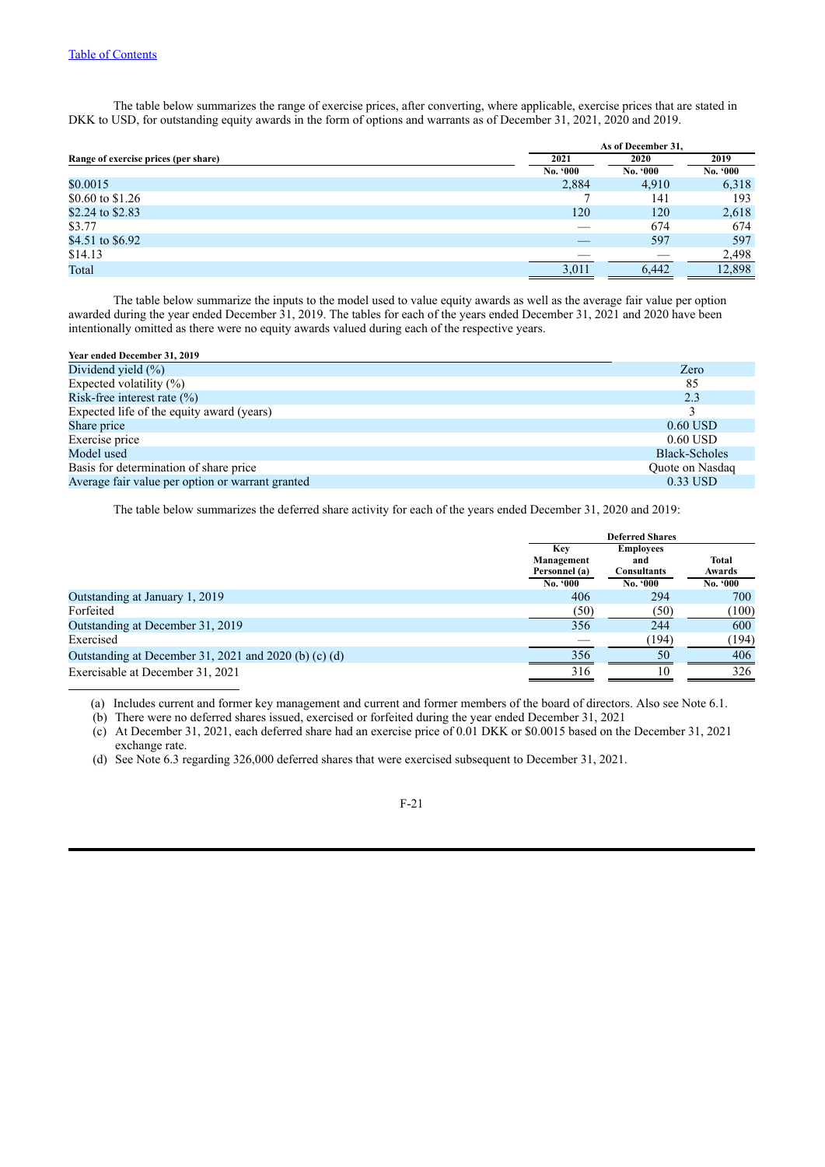The table below summarizes the range of exercise prices, after converting, where applicable, exercise prices that are stated in DKK to USD, for outstanding equity awards in the form of options and warrants as of December 31, 2021, 2020 and 2019.

|                                      |          | As of December 31, |          |
|--------------------------------------|----------|--------------------|----------|
| Range of exercise prices (per share) | 2021     | <b>2020</b>        | 2019     |
|                                      | No. '000 | No. '000           | No. '000 |
| \$0.0015                             | 2,884    | 4,910              | 6,318    |
| \$0.60 to \$1.26                     |          | 141                | 193      |
| \$2.24 to \$2.83                     | 120      | 120                | 2,618    |
| \$3.77                               |          | 674                | 674      |
| \$4.51 to \$6.92                     |          | 597                | 597      |
| \$14.13                              |          |                    | 2,498    |
| Total                                | 3,011    | 6.442              | 12,898   |

The table below summarize the inputs to the model used to value equity awards as well as the average fair value per option awarded during the year ended December 31, 2019. The tables for each of the years ended December 31, 2021 and 2020 have been intentionally omitted as there were no equity awards valued during each of the respective years.

| Year ended December 31, 2019                     |                      |
|--------------------------------------------------|----------------------|
| Dividend yield $(\% )$                           | Zero                 |
| Expected volatility $(\%)$                       | 85                   |
| Risk-free interest rate $(\%)$                   | 2.3                  |
| Expected life of the equity award (years)        |                      |
| Share price                                      | $0.60$ USD           |
| Exercise price                                   | $0.60$ USD           |
| Model used                                       | <b>Black-Scholes</b> |
| Basis for determination of share price           | Quote on Nasdaq      |
| Average fair value per option or warrant granted | 0.33 USD             |
|                                                  |                      |

The table below summarizes the deferred share activity for each of the years ended December 31, 2020 and 2019:

|                                                       |                   | <b>Deferred Shares</b>  |              |  |
|-------------------------------------------------------|-------------------|-------------------------|--------------|--|
|                                                       | Kev<br>Management | <b>Employees</b><br>and | <b>Total</b> |  |
|                                                       | Personnel (a)     | <b>Consultants</b>      | Awards       |  |
|                                                       | No. '000          | No. '000                | No. '000     |  |
| Outstanding at January 1, 2019                        | 406               | 294                     | 700-         |  |
| Forfeited                                             | (50)              | (50)                    | (100)        |  |
| Outstanding at December 31, 2019                      | 356               | 244                     | 600          |  |
| Exercised                                             |                   | (194)                   | (194)        |  |
| Outstanding at December 31, 2021 and 2020 (b) (c) (d) | 356               | 50                      | 406          |  |
| Exercisable at December 31, 2021                      | 316               |                         | 326          |  |
|                                                       |                   |                         |              |  |

(a) Includes current and former key management and current and former members of the board of directors. Also see Note 6.1.

(b) There were no deferred shares issued, exercised or forfeited during the year ended December 31, 2021

(c) At December 31, 2021, each deferred share had an exercise price of 0.01 DKK or \$0.0015 based on the December 31, 2021 exchange rate.

(d) See Note 6.3 regarding 326,000 deferred shares that were exercised subsequent to December 31, 2021.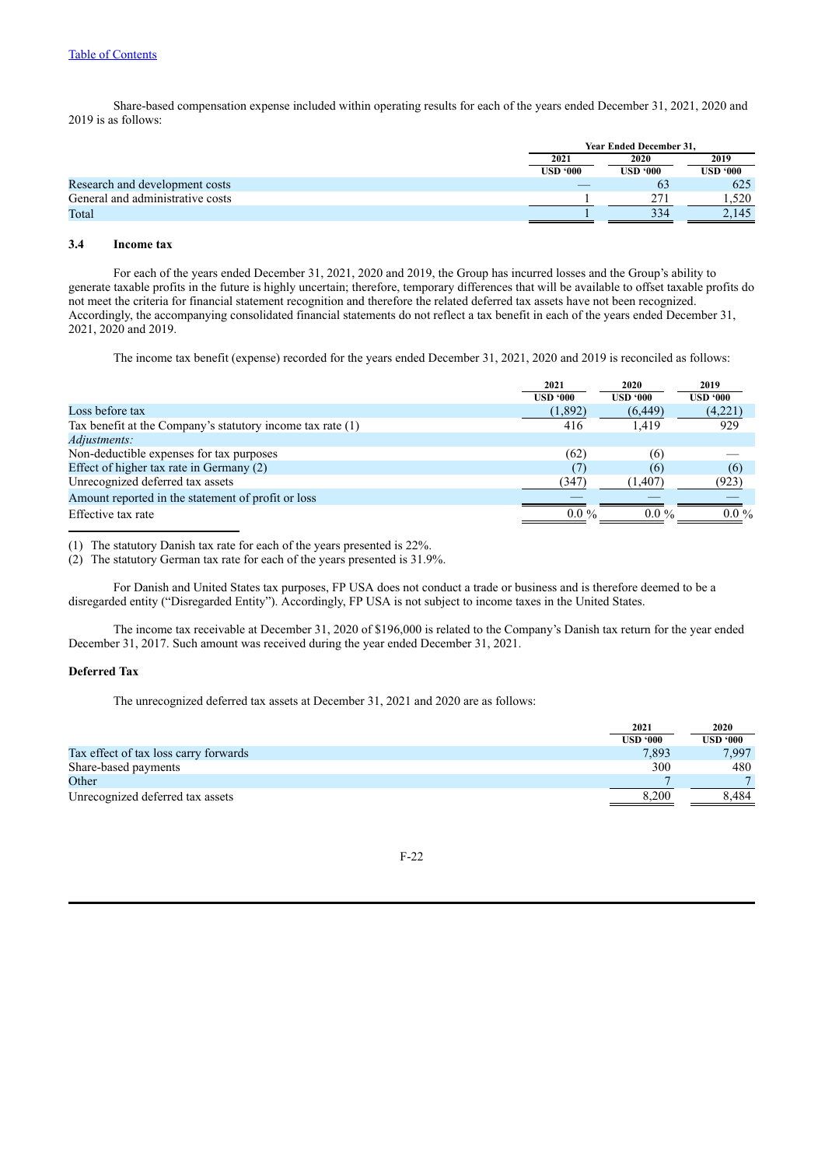Share-based compensation expense included within operating results for each of the years ended December 31, 2021, 2020 and 2019 is as follows:

|                                  |                 | <b>Year Ended December 31,</b> |                 |  |
|----------------------------------|-----------------|--------------------------------|-----------------|--|
|                                  | 2021            | 2020                           | 2019            |  |
|                                  | <b>USD '000</b> | <b>USD '000</b>                | <b>USD '000</b> |  |
| Research and development costs   |                 |                                | 625             |  |
| General and administrative costs |                 | $27^{\circ}$                   | .520            |  |
| Total                            |                 | 334                            | 2.145           |  |

#### **3.4 Income tax**

For each of the years ended December 31, 2021, 2020 and 2019, the Group has incurred losses and the Group's ability to generate taxable profits in the future is highly uncertain; therefore, temporary differences that will be available to offset taxable profits do not meet the criteria for financial statement recognition and therefore the related deferred tax assets have not been recognized. Accordingly, the accompanying consolidated financial statements do not reflect a tax benefit in each of the years ended December 31, 2021, 2020 and 2019.

The income tax benefit (expense) recorded for the years ended December 31, 2021, 2020 and 2019 is reconciled as follows:

|                                                            | 2021<br><b>USD '000</b> | 2020<br><b>USD '000</b> | 2019<br><b>USD '000</b> |
|------------------------------------------------------------|-------------------------|-------------------------|-------------------------|
| Loss before tax                                            | (1,892)                 | (6, 449)                | (4,221)                 |
| Tax benefit at the Company's statutory income tax rate (1) | 416                     | 1.419                   | 929                     |
| Adjustments:                                               |                         |                         |                         |
| Non-deductible expenses for tax purposes                   | (62)                    | (6)                     |                         |
| Effect of higher tax rate in Germany (2)                   |                         | (6)                     | (6)                     |
| Unrecognized deferred tax assets                           | (347)                   | (1,407)                 | (923)                   |
| Amount reported in the statement of profit or loss         |                         |                         |                         |
| Effective tax rate                                         | $0.0\%$                 | $0.0\%$                 | $0.0\%$                 |

(1) The statutory Danish tax rate for each of the years presented is 22%.

(2) The statutory German tax rate for each of the years presented is 31.9%.

For Danish and United States tax purposes, FP USA does not conduct a trade or business and is therefore deemed to be a disregarded entity ("Disregarded Entity"). Accordingly, FP USA is not subject to income taxes in the United States.

The income tax receivable at December 31, 2020 of \$196,000 is related to the Company's Danish tax return for the year ended December 31, 2017. Such amount was received during the year ended December 31, 2021.

#### **Deferred Tax**

The unrecognized deferred tax assets at December 31, 2021 and 2020 are as follows:

|                                       | 2021            | 2020            |
|---------------------------------------|-----------------|-----------------|
|                                       | <b>USD '000</b> | <b>USD '000</b> |
| Tax effect of tax loss carry forwards | 7,893           | 7.997           |
| Share-based payments                  | 300             | 480             |
| Other                                 |                 | $\mathbf{r}$    |
| Unrecognized deferred tax assets      | 8.200           | 8.484           |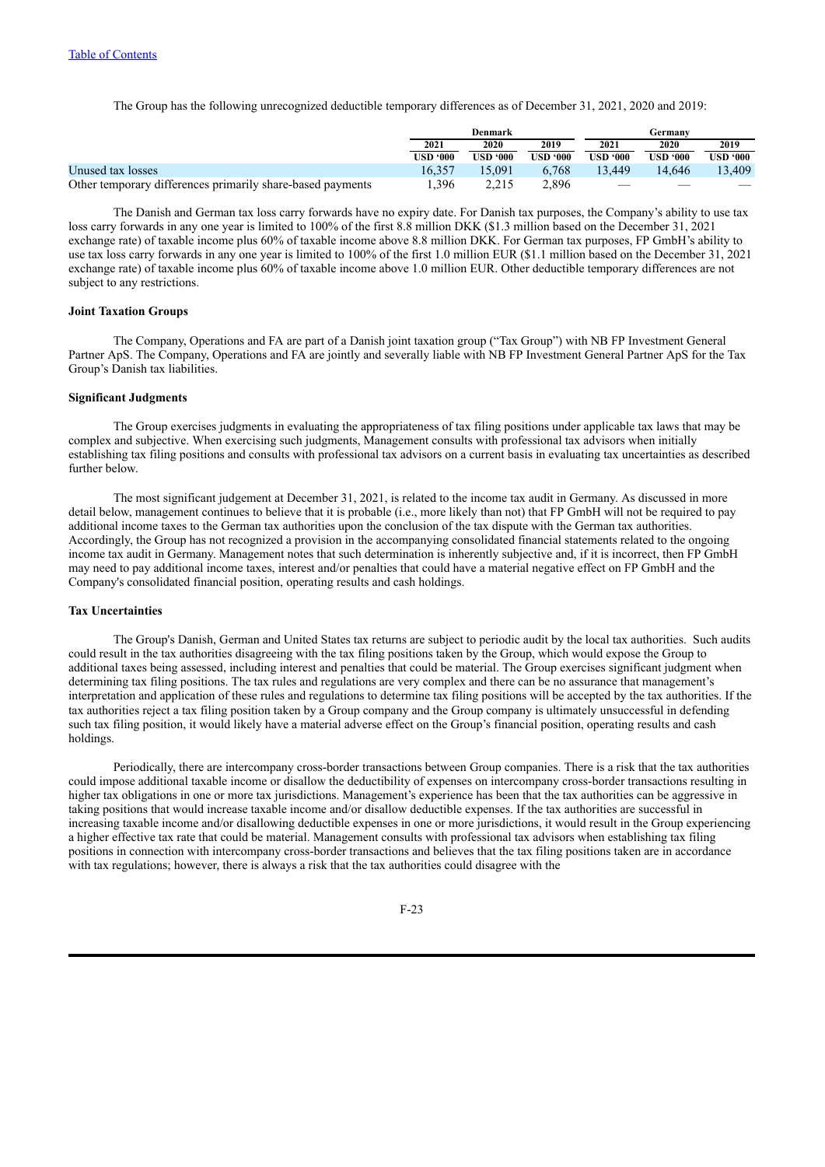The Group has the following unrecognized deductible temporary differences as of December 31, 2021, 2020 and 2019:

|                                                            |                 | Denmark         |                 |                 | Germany         |                 |
|------------------------------------------------------------|-----------------|-----------------|-----------------|-----------------|-----------------|-----------------|
|                                                            | 2021            | <b>2020</b>     | 2019            | 2021            | <b>2020</b>     | 2019            |
|                                                            | $USD \cdot 000$ | <b>USD '000</b> | <b>USD '000</b> | <b>USD '000</b> | <b>USD '000</b> | <b>USD '000</b> |
| Unused tax losses                                          | 16.357          | 15.091          | 6.768           | 13.449          | 14.646          | 13.409          |
| Other temporary differences primarily share-based payments | .396            | 2.215           | 2,896           |                 |                 |                 |

The Danish and German tax loss carry forwards have no expiry date. For Danish tax purposes, the Company's ability to use tax loss carry forwards in any one year is limited to 100% of the first 8.8 million DKK (\$1.3 million based on the December 31, 2021 exchange rate) of taxable income plus 60% of taxable income above 8.8 million DKK. For German tax purposes, FP GmbH's ability to use tax loss carry forwards in any one year is limited to 100% of the first 1.0 million EUR (\$1.1 million based on the December 31, 2021 exchange rate) of taxable income plus 60% of taxable income above 1.0 million EUR. Other deductible temporary differences are not subject to any restrictions.

## **Joint Taxation Groups**

The Company, Operations and FA are part of a Danish joint taxation group ("Tax Group") with NB FP Investment General Partner ApS. The Company, Operations and FA are jointly and severally liable with NB FP Investment General Partner ApS for the Tax Group's Danish tax liabilities.

## **Significant Judgments**

The Group exercises judgments in evaluating the appropriateness of tax filing positions under applicable tax laws that may be complex and subjective. When exercising such judgments, Management consults with professional tax advisors when initially establishing tax filing positions and consults with professional tax advisors on a current basis in evaluating tax uncertainties as described further below.

The most significant judgement at December 31, 2021, is related to the income tax audit in Germany. As discussed in more detail below, management continues to believe that it is probable (i.e., more likely than not) that FP GmbH will not be required to pay additional income taxes to the German tax authorities upon the conclusion of the tax dispute with the German tax authorities. Accordingly, the Group has not recognized a provision in the accompanying consolidated financial statements related to the ongoing income tax audit in Germany. Management notes that such determination is inherently subjective and, if it is incorrect, then FP GmbH may need to pay additional income taxes, interest and/or penalties that could have a material negative effect on FP GmbH and the Company's consolidated financial position, operating results and cash holdings.

#### **Tax Uncertainties**

The Group's Danish, German and United States tax returns are subject to periodic audit by the local tax authorities. Such audits could result in the tax authorities disagreeing with the tax filing positions taken by the Group, which would expose the Group to additional taxes being assessed, including interest and penalties that could be material. The Group exercises significant judgment when determining tax filing positions. The tax rules and regulations are very complex and there can be no assurance that management's interpretation and application of these rules and regulations to determine tax filing positions will be accepted by the tax authorities. If the tax authorities reject a tax filing position taken by a Group company and the Group company is ultimately unsuccessful in defending such tax filing position, it would likely have a material adverse effect on the Group's financial position, operating results and cash holdings.

Periodically, there are intercompany cross-border transactions between Group companies. There is a risk that the tax authorities could impose additional taxable income or disallow the deductibility of expenses on intercompany cross-border transactions resulting in higher tax obligations in one or more tax jurisdictions. Management's experience has been that the tax authorities can be aggressive in taking positions that would increase taxable income and/or disallow deductible expenses. If the tax authorities are successful in increasing taxable income and/or disallowing deductible expenses in one or more jurisdictions, it would result in the Group experiencing a higher effective tax rate that could be material. Management consults with professional tax advisors when establishing tax filing positions in connection with intercompany cross-border transactions and believes that the tax filing positions taken are in accordance with tax regulations; however, there is always a risk that the tax authorities could disagree with the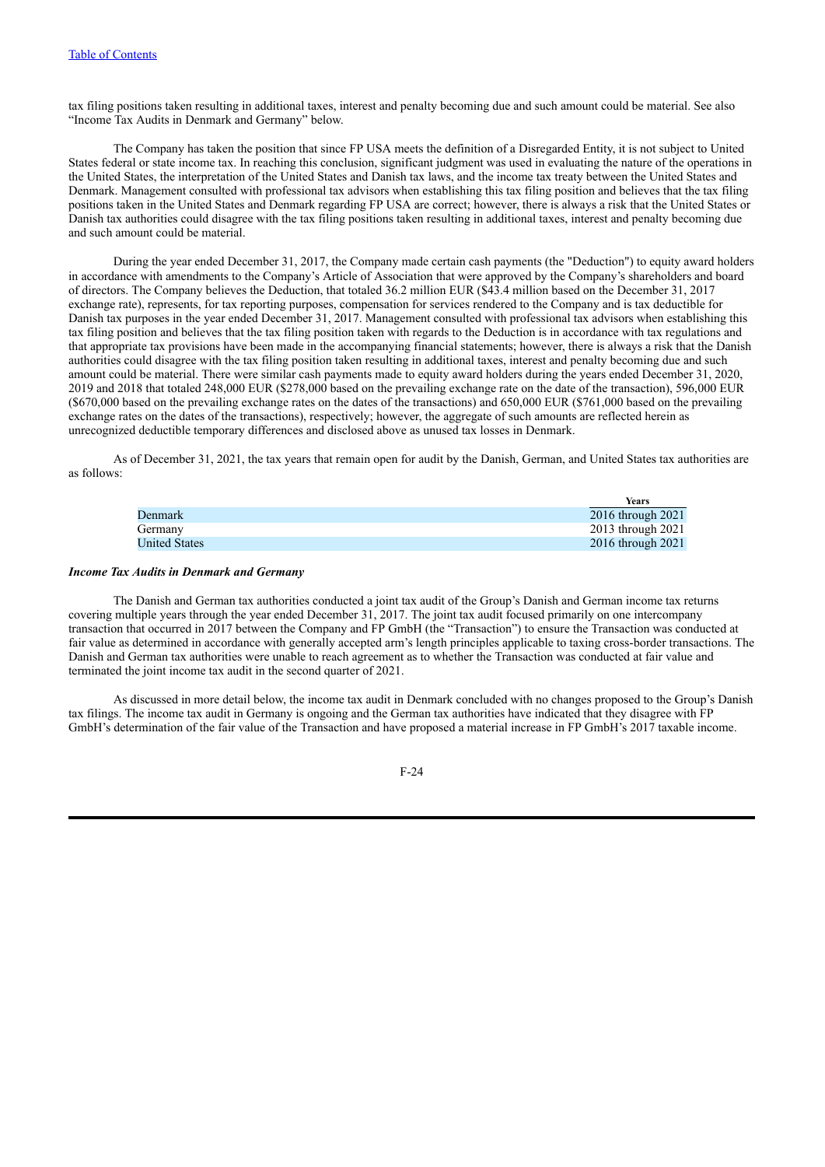tax filing positions taken resulting in additional taxes, interest and penalty becoming due and such amount could be material. See also "Income Tax Audits in Denmark and Germany" below.

The Company has taken the position that since FP USA meets the definition of a Disregarded Entity, it is not subject to United States federal or state income tax. In reaching this conclusion, significant judgment was used in evaluating the nature of the operations in the United States, the interpretation of the United States and Danish tax laws, and the income tax treaty between the United States and Denmark. Management consulted with professional tax advisors when establishing this tax filing position and believes that the tax filing positions taken in the United States and Denmark regarding FP USA are correct; however, there is always a risk that the United States or Danish tax authorities could disagree with the tax filing positions taken resulting in additional taxes, interest and penalty becoming due and such amount could be material.

During the year ended December 31, 2017, the Company made certain cash payments (the "Deduction") to equity award holders in accordance with amendments to the Company's Article of Association that were approved by the Company's shareholders and board of directors. The Company believes the Deduction, that totaled 36.2 million EUR (\$43.4 million based on the December 31, 2017 exchange rate), represents, for tax reporting purposes, compensation for services rendered to the Company and is tax deductible for Danish tax purposes in the year ended December 31, 2017. Management consulted with professional tax advisors when establishing this tax filing position and believes that the tax filing position taken with regards to the Deduction is in accordance with tax regulations and that appropriate tax provisions have been made in the accompanying financial statements; however, there is always a risk that the Danish authorities could disagree with the tax filing position taken resulting in additional taxes, interest and penalty becoming due and such amount could be material. There were similar cash payments made to equity award holders during the years ended December 31, 2020, 2019 and 2018 that totaled 248,000 EUR (\$278,000 based on the prevailing exchange rate on the date of the transaction), 596,000 EUR (\$670,000 based on the prevailing exchange rates on the dates of the transactions) and 650,000 EUR (\$761,000 based on the prevailing exchange rates on the dates of the transactions), respectively; however, the aggregate of such amounts are reflected herein as unrecognized deductible temporary differences and disclosed above as unused tax losses in Denmark.

As of December 31, 2021, the tax years that remain open for audit by the Danish, German, and United States tax authorities are as follows:

|                      | Years             |
|----------------------|-------------------|
| Denmark              | 2016 through 2021 |
| Germany              | 2013 through 2021 |
| <b>United States</b> | 2016 through 2021 |

#### *Income Tax Audits in Denmark and Germany*

The Danish and German tax authorities conducted a joint tax audit of the Group's Danish and German income tax returns covering multiple years through the year ended December 31, 2017. The joint tax audit focused primarily on one intercompany transaction that occurred in 2017 between the Company and FP GmbH (the "Transaction") to ensure the Transaction was conducted at fair value as determined in accordance with generally accepted arm's length principles applicable to taxing cross-border transactions. The Danish and German tax authorities were unable to reach agreement as to whether the Transaction was conducted at fair value and terminated the joint income tax audit in the second quarter of 2021.

As discussed in more detail below, the income tax audit in Denmark concluded with no changes proposed to the Group's Danish tax filings. The income tax audit in Germany is ongoing and the German tax authorities have indicated that they disagree with FP GmbH's determination of the fair value of the Transaction and have proposed a material increase in FP GmbH's 2017 taxable income.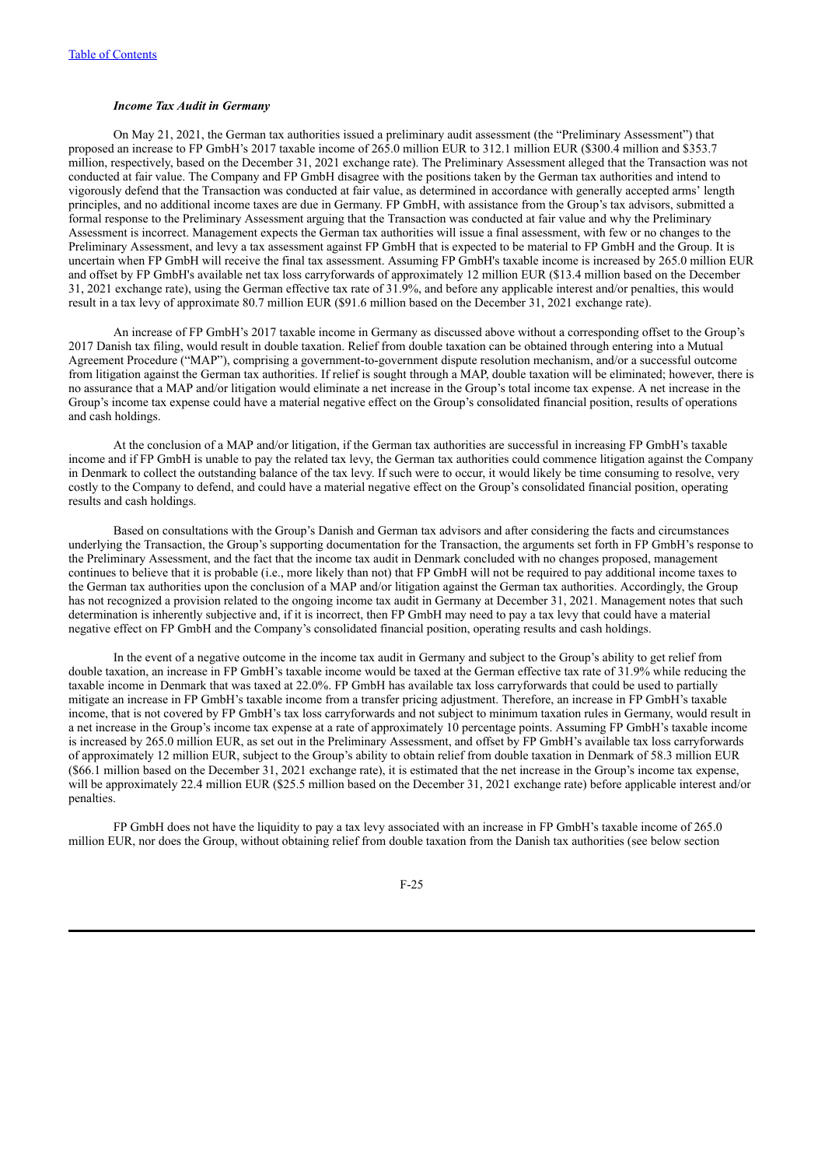## *Income Tax Audit in Germany*

On May 21, 2021, the German tax authorities issued a preliminary audit assessment (the "Preliminary Assessment") that proposed an increase to FP GmbH's 2017 taxable income of 265.0 million EUR to 312.1 million EUR (\$300.4 million and \$353.7 million, respectively, based on the December 31, 2021 exchange rate). The Preliminary Assessment alleged that the Transaction was not conducted at fair value. The Company and FP GmbH disagree with the positions taken by the German tax authorities and intend to vigorously defend that the Transaction was conducted at fair value, as determined in accordance with generally accepted arms' length principles, and no additional income taxes are due in Germany. FP GmbH, with assistance from the Group's tax advisors, submitted a formal response to the Preliminary Assessment arguing that the Transaction was conducted at fair value and why the Preliminary Assessment is incorrect. Management expects the German tax authorities will issue a final assessment, with few or no changes to the Preliminary Assessment, and levy a tax assessment against FP GmbH that is expected to be material to FP GmbH and the Group. It is uncertain when FP GmbH will receive the final tax assessment. Assuming FP GmbH's taxable income is increased by 265.0 million EUR and offset by FP GmbH's available net tax loss carryforwards of approximately 12 million EUR (\$13.4 million based on the December 31, 2021 exchange rate), using the German effective tax rate of 31.9%, and before any applicable interest and/or penalties, this would result in a tax levy of approximate 80.7 million EUR (\$91.6 million based on the December 31, 2021 exchange rate).

An increase of FP GmbH's 2017 taxable income in Germany as discussed above without a corresponding offset to the Group's 2017 Danish tax filing, would result in double taxation. Relief from double taxation can be obtained through entering into a Mutual Agreement Procedure ("MAP"), comprising a government-to-government dispute resolution mechanism, and/or a successful outcome from litigation against the German tax authorities. If relief is sought through a MAP, double taxation will be eliminated; however, there is no assurance that a MAP and/or litigation would eliminate a net increase in the Group's total income tax expense. A net increase in the Group's income tax expense could have a material negative effect on the Group's consolidated financial position, results of operations and cash holdings.

At the conclusion of a MAP and/or litigation, if the German tax authorities are successful in increasing FP GmbH's taxable income and if FP GmbH is unable to pay the related tax levy, the German tax authorities could commence litigation against the Company in Denmark to collect the outstanding balance of the tax levy. If such were to occur, it would likely be time consuming to resolve, very costly to the Company to defend, and could have a material negative effect on the Group's consolidated financial position, operating results and cash holdings.

Based on consultations with the Group's Danish and German tax advisors and after considering the facts and circumstances underlying the Transaction, the Group's supporting documentation for the Transaction, the arguments set forth in FP GmbH's response to the Preliminary Assessment, and the fact that the income tax audit in Denmark concluded with no changes proposed, management continues to believe that it is probable (i.e., more likely than not) that FP GmbH will not be required to pay additional income taxes to the German tax authorities upon the conclusion of a MAP and/or litigation against the German tax authorities. Accordingly, the Group has not recognized a provision related to the ongoing income tax audit in Germany at December 31, 2021. Management notes that such determination is inherently subjective and, if it is incorrect, then FP GmbH may need to pay a tax levy that could have a material negative effect on FP GmbH and the Company's consolidated financial position, operating results and cash holdings.

In the event of a negative outcome in the income tax audit in Germany and subject to the Group's ability to get relief from double taxation, an increase in FP GmbH's taxable income would be taxed at the German effective tax rate of 31.9% while reducing the taxable income in Denmark that was taxed at 22.0%. FP GmbH has available tax loss carryforwards that could be used to partially mitigate an increase in FP GmbH's taxable income from a transfer pricing adjustment. Therefore, an increase in FP GmbH's taxable income, that is not covered by FP GmbH's tax loss carryforwards and not subject to minimum taxation rules in Germany, would result in a net increase in the Group's income tax expense at a rate of approximately 10 percentage points. Assuming FP GmbH's taxable income is increased by 265.0 million EUR, as set out in the Preliminary Assessment, and offset by FP GmbH's available tax loss carryforwards of approximately 12 million EUR, subject to the Group's ability to obtain relief from double taxation in Denmark of 58.3 million EUR (\$66.1 million based on the December 31, 2021 exchange rate), it is estimated that the net increase in the Group's income tax expense, will be approximately 22.4 million EUR (\$25.5 million based on the December 31, 2021 exchange rate) before applicable interest and/or penalties.

FP GmbH does not have the liquidity to pay a tax levy associated with an increase in FP GmbH's taxable income of 265.0 million EUR, nor does the Group, without obtaining relief from double taxation from the Danish tax authorities (see below section

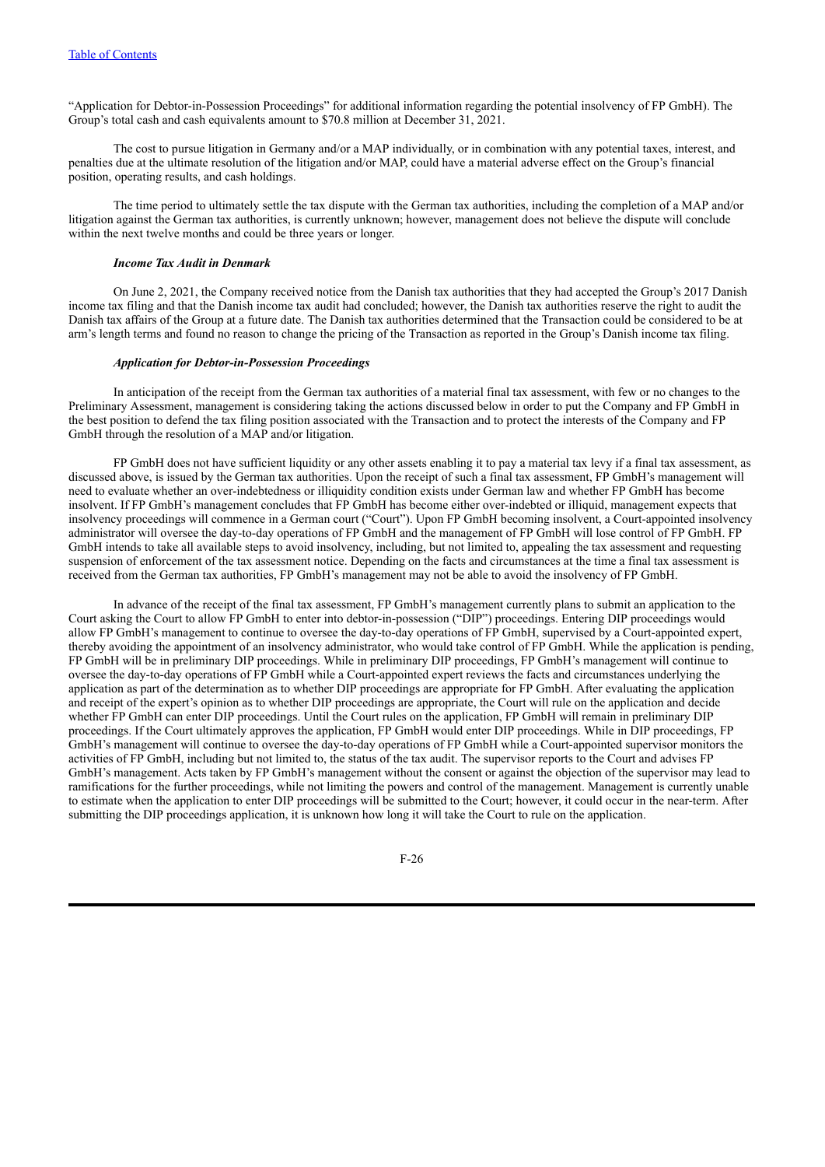"Application for Debtor-in-Possession Proceedings" for additional information regarding the potential insolvency of FP GmbH). The Group's total cash and cash equivalents amount to \$70.8 million at December 31, 2021.

The cost to pursue litigation in Germany and/or a MAP individually, or in combination with any potential taxes, interest, and penalties due at the ultimate resolution of the litigation and/or MAP, could have a material adverse effect on the Group's financial position, operating results, and cash holdings.

The time period to ultimately settle the tax dispute with the German tax authorities, including the completion of a MAP and/or litigation against the German tax authorities, is currently unknown; however, management does not believe the dispute will conclude within the next twelve months and could be three years or longer.

### *Income Tax Audit in Denmark*

On June 2, 2021, the Company received notice from the Danish tax authorities that they had accepted the Group's 2017 Danish income tax filing and that the Danish income tax audit had concluded; however, the Danish tax authorities reserve the right to audit the Danish tax affairs of the Group at a future date. The Danish tax authorities determined that the Transaction could be considered to be at arm's length terms and found no reason to change the pricing of the Transaction as reported in the Group's Danish income tax filing.

### *Application for Debtor-in-Possession Proceedings*

In anticipation of the receipt from the German tax authorities of a material final tax assessment, with few or no changes to the Preliminary Assessment, management is considering taking the actions discussed below in order to put the Company and FP GmbH in the best position to defend the tax filing position associated with the Transaction and to protect the interests of the Company and FP GmbH through the resolution of a MAP and/or litigation.

FP GmbH does not have sufficient liquidity or any other assets enabling it to pay a material tax levy if a final tax assessment, as discussed above, is issued by the German tax authorities. Upon the receipt of such a final tax assessment, FP GmbH's management will need to evaluate whether an over-indebtedness or illiquidity condition exists under German law and whether FP GmbH has become insolvent. If FP GmbH's management concludes that FP GmbH has become either over-indebted or illiquid, management expects that insolvency proceedings will commence in a German court ("Court"). Upon FP GmbH becoming insolvent, a Court-appointed insolvency administrator will oversee the day-to-day operations of FP GmbH and the management of FP GmbH will lose control of FP GmbH. FP GmbH intends to take all available steps to avoid insolvency, including, but not limited to, appealing the tax assessment and requesting suspension of enforcement of the tax assessment notice. Depending on the facts and circumstances at the time a final tax assessment is received from the German tax authorities, FP GmbH's management may not be able to avoid the insolvency of FP GmbH.

In advance of the receipt of the final tax assessment, FP GmbH's management currently plans to submit an application to the Court asking the Court to allow FP GmbH to enter into debtor-in-possession ("DIP") proceedings. Entering DIP proceedings would allow FP GmbH's management to continue to oversee the day-to-day operations of FP GmbH, supervised by a Court-appointed expert, thereby avoiding the appointment of an insolvency administrator, who would take control of FP GmbH. While the application is pending, FP GmbH will be in preliminary DIP proceedings. While in preliminary DIP proceedings, FP GmbH's management will continue to oversee the day-to-day operations of FP GmbH while a Court-appointed expert reviews the facts and circumstances underlying the application as part of the determination as to whether DIP proceedings are appropriate for FP GmbH. After evaluating the application and receipt of the expert's opinion as to whether DIP proceedings are appropriate, the Court will rule on the application and decide whether FP GmbH can enter DIP proceedings. Until the Court rules on the application, FP GmbH will remain in preliminary DIP proceedings. If the Court ultimately approves the application, FP GmbH would enter DIP proceedings. While in DIP proceedings, FP GmbH's management will continue to oversee the day-to-day operations of FP GmbH while a Court-appointed supervisor monitors the activities of FP GmbH, including but not limited to, the status of the tax audit. The supervisor reports to the Court and advises FP GmbH's management. Acts taken by FP GmbH's management without the consent or against the objection of the supervisor may lead to ramifications for the further proceedings, while not limiting the powers and control of the management. Management is currently unable to estimate when the application to enter DIP proceedings will be submitted to the Court; however, it could occur in the near-term. After submitting the DIP proceedings application, it is unknown how long it will take the Court to rule on the application.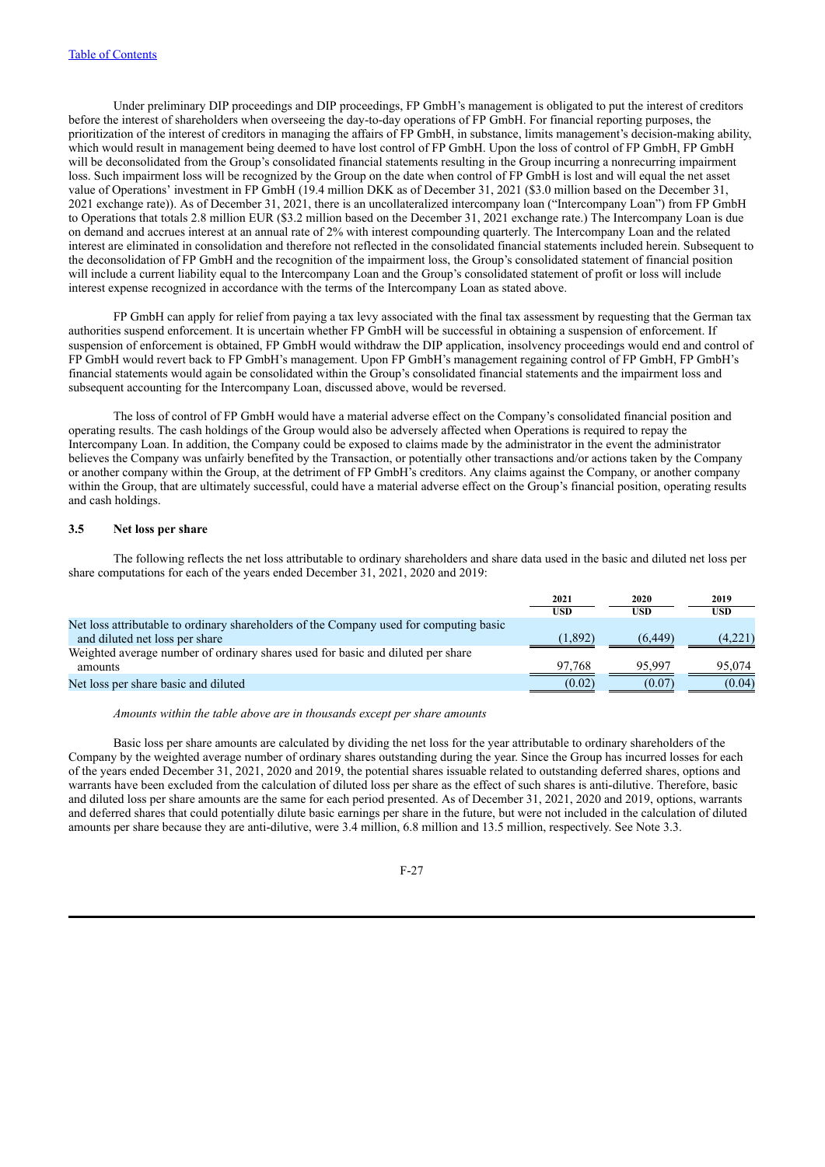Under preliminary DIP proceedings and DIP proceedings, FP GmbH's management is obligated to put the interest of creditors before the interest of shareholders when overseeing the day-to-day operations of FP GmbH. For financial reporting purposes, the prioritization of the interest of creditors in managing the affairs of FP GmbH, in substance, limits management's decision-making ability, which would result in management being deemed to have lost control of FP GmbH. Upon the loss of control of FP GmbH, FP GmbH will be deconsolidated from the Group's consolidated financial statements resulting in the Group incurring a nonrecurring impairment loss. Such impairment loss will be recognized by the Group on the date when control of FP GmbH is lost and will equal the net asset value of Operations' investment in FP GmbH (19.4 million DKK as of December 31, 2021 (\$3.0 million based on the December 31, 2021 exchange rate)). As of December 31, 2021, there is an uncollateralized intercompany loan ("Intercompany Loan") from FP GmbH to Operations that totals 2.8 million EUR (\$3.2 million based on the December 31, 2021 exchange rate.) The Intercompany Loan is due on demand and accrues interest at an annual rate of 2% with interest compounding quarterly. The Intercompany Loan and the related interest are eliminated in consolidation and therefore not reflected in the consolidated financial statements included herein. Subsequent to the deconsolidation of FP GmbH and the recognition of the impairment loss, the Group's consolidated statement of financial position will include a current liability equal to the Intercompany Loan and the Group's consolidated statement of profit or loss will include interest expense recognized in accordance with the terms of the Intercompany Loan as stated above.

FP GmbH can apply for relief from paying a tax levy associated with the final tax assessment by requesting that the German tax authorities suspend enforcement. It is uncertain whether FP GmbH will be successful in obtaining a suspension of enforcement. If suspension of enforcement is obtained, FP GmbH would withdraw the DIP application, insolvency proceedings would end and control of FP GmbH would revert back to FP GmbH's management. Upon FP GmbH's management regaining control of FP GmbH, FP GmbH's financial statements would again be consolidated within the Group's consolidated financial statements and the impairment loss and subsequent accounting for the Intercompany Loan, discussed above, would be reversed.

The loss of control of FP GmbH would have a material adverse effect on the Company's consolidated financial position and operating results. The cash holdings of the Group would also be adversely affected when Operations is required to repay the Intercompany Loan. In addition, the Company could be exposed to claims made by the administrator in the event the administrator believes the Company was unfairly benefited by the Transaction, or potentially other transactions and/or actions taken by the Company or another company within the Group, at the detriment of FP GmbH's creditors. Any claims against the Company, or another company within the Group, that are ultimately successful, could have a material adverse effect on the Group's financial position, operating results and cash holdings.

## **3.5 Net loss per share**

The following reflects the net loss attributable to ordinary shareholders and share data used in the basic and diluted net loss per share computations for each of the years ended December 31, 2021, 2020 and 2019:

|                                                                                        | 2021<br>USD | 2020<br>USD | 2019<br><b>USD</b> |
|----------------------------------------------------------------------------------------|-------------|-------------|--------------------|
|                                                                                        |             |             |                    |
| Net loss attributable to ordinary shareholders of the Company used for computing basic |             |             |                    |
| and diluted net loss per share                                                         | (1.892)     | (6.449)     | (4,221)            |
| Weighted average number of ordinary shares used for basic and diluted per share        |             |             |                    |
| amounts                                                                                | 97.768      | 95.997      | 95.074             |
| Net loss per share basic and diluted                                                   | (0.02)      | (0.07)      | (0.04)             |

*Amounts within the table above are in thousands except per share amounts*

Basic loss per share amounts are calculated by dividing the net loss for the year attributable to ordinary shareholders of the Company by the weighted average number of ordinary shares outstanding during the year. Since the Group has incurred losses for each of the years ended December 31, 2021, 2020 and 2019, the potential shares issuable related to outstanding deferred shares, options and warrants have been excluded from the calculation of diluted loss per share as the effect of such shares is anti-dilutive. Therefore, basic and diluted loss per share amounts are the same for each period presented. As of December 31, 2021, 2020 and 2019, options, warrants and deferred shares that could potentially dilute basic earnings per share in the future, but were not included in the calculation of diluted amounts per share because they are anti-dilutive, were 3.4 million, 6.8 million and 13.5 million, respectively. See Note 3.3.

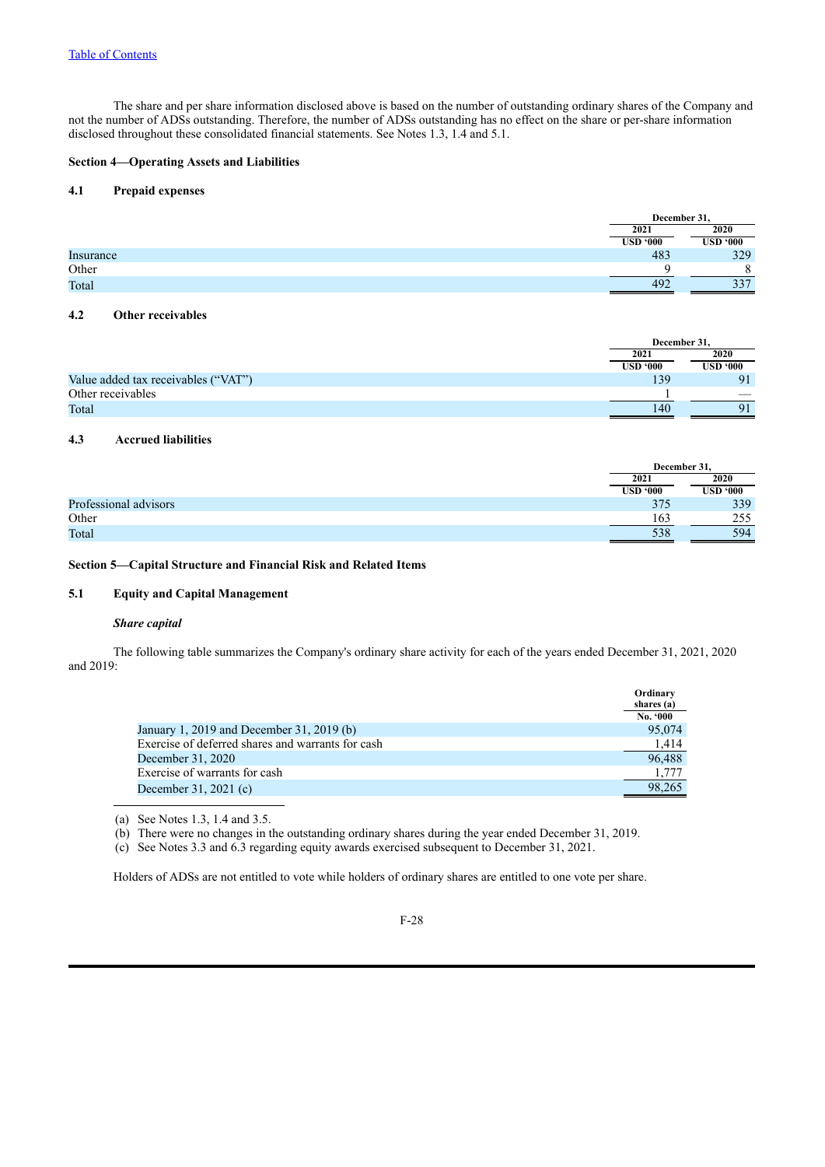The share and per share information disclosed above is based on the number of outstanding ordinary shares of the Company and not the number of ADSs outstanding. Therefore, the number of ADSs outstanding has no effect on the share or per-share information disclosed throughout these consolidated financial statements. See Notes 1.3, 1.4 and 5.1.

### **Section 4—Operating Assets and Liabilities**

# **4.1 Prepaid expenses**

|           | December 31,    |                 |
|-----------|-----------------|-----------------|
|           | 2021            | 2020            |
|           | <b>USD '000</b> | <b>USD '000</b> |
| Insurance | 483             | 329             |
| Other     |                 | $\circ$<br>δ    |
| Total     | 492             | 227<br>ر ر      |

## **4.2 Other receivables**

|                                     |                 | December 31.    |
|-------------------------------------|-----------------|-----------------|
|                                     | 2021            | 2020            |
|                                     | <b>USD '000</b> | <b>USD '000</b> |
| Value added tax receivables ("VAT") | 139             | 91              |
| Other receivables                   |                 |                 |
| Total                               | 140             | $\Omega$ 1      |

## **4.3 Accrued liabilities**

|                       |                 | December 31.    |
|-----------------------|-----------------|-----------------|
|                       | 2021            | 2020            |
|                       | <b>USD '000</b> | <b>USD '000</b> |
| Professional advisors | 375             | 339             |
| Other                 | 163             | 255             |
| Total                 | 538             | 594             |

## **Section 5—Capital Structure and Financial Risk and Related Items**

## **5.1 Equity and Capital Management**

# *Share capital*

The following table summarizes the Company's ordinary share activity for each of the years ended December 31, 2021, 2020 and 2019:

|                                                   | Ordinary<br>shares (a) |
|---------------------------------------------------|------------------------|
|                                                   | No. '000               |
| January 1, 2019 and December 31, 2019 (b)         | 95,074                 |
| Exercise of deferred shares and warrants for cash | 1,414                  |
| December 31, 2020                                 | 96.488                 |
| Exercise of warrants for cash                     | 1.777                  |
| December 31, 2021 (c)                             | 98.265                 |

(a) See Notes 1.3, 1.4 and 3.5.

(b) There were no changes in the outstanding ordinary shares during the year ended December 31, 2019.

(c) See Notes 3.3 and 6.3 regarding equity awards exercised subsequent to December 31, 2021.

Holders of ADSs are not entitled to vote while holders of ordinary shares are entitled to one vote per share.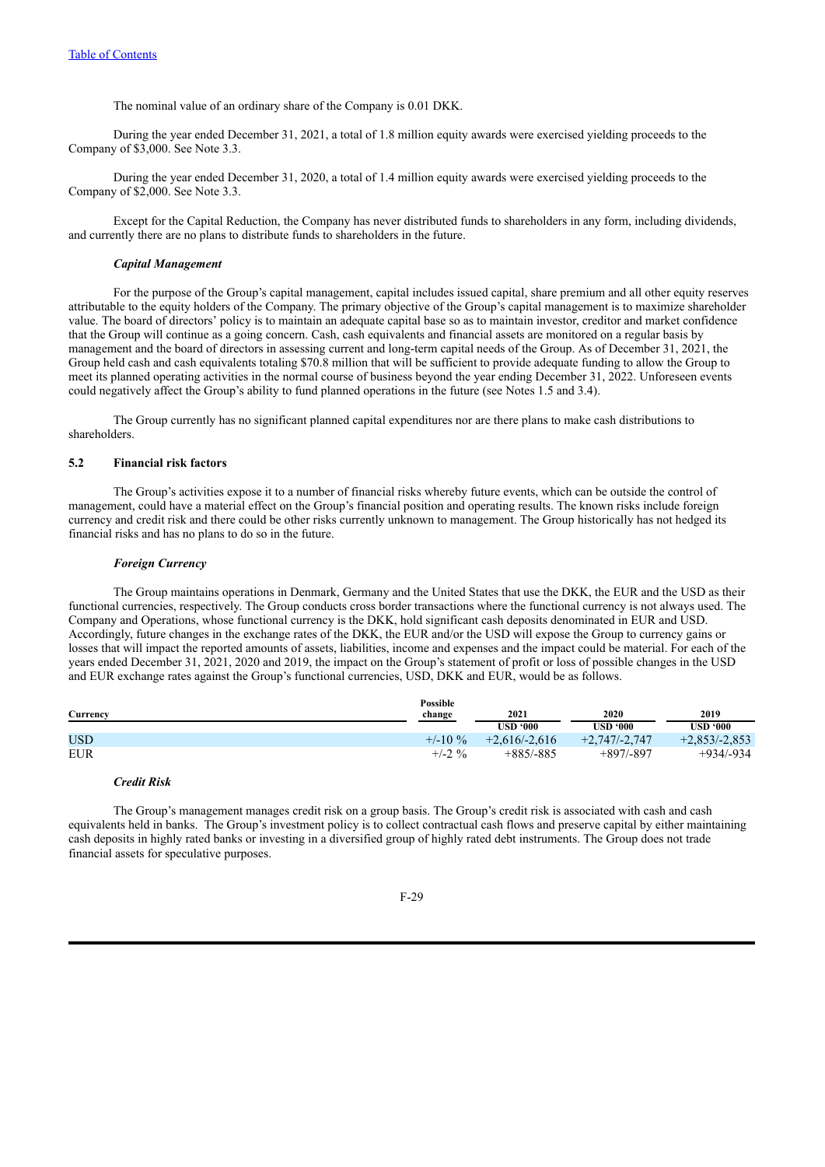The nominal value of an ordinary share of the Company is 0.01 DKK.

During the year ended December 31, 2021, a total of 1.8 million equity awards were exercised yielding proceeds to the Company of \$3,000. See Note 3.3.

During the year ended December 31, 2020, a total of 1.4 million equity awards were exercised yielding proceeds to the Company of \$2,000. See Note 3.3.

Except for the Capital Reduction, the Company has never distributed funds to shareholders in any form, including dividends, and currently there are no plans to distribute funds to shareholders in the future.

## *Capital Management*

For the purpose of the Group's capital management, capital includes issued capital, share premium and all other equity reserves attributable to the equity holders of the Company. The primary objective of the Group's capital management is to maximize shareholder value. The board of directors' policy is to maintain an adequate capital base so as to maintain investor, creditor and market confidence that the Group will continue as a going concern. Cash, cash equivalents and financial assets are monitored on a regular basis by management and the board of directors in assessing current and long-term capital needs of the Group. As of December 31, 2021, the Group held cash and cash equivalents totaling \$70.8 million that will be sufficient to provide adequate funding to allow the Group to meet its planned operating activities in the normal course of business beyond the year ending December 31, 2022. Unforeseen events could negatively affect the Group's ability to fund planned operations in the future (see Notes 1.5 and 3.4).

The Group currently has no significant planned capital expenditures nor are there plans to make cash distributions to shareholders.

## **5.2 Financial risk factors**

The Group's activities expose it to a number of financial risks whereby future events, which can be outside the control of management, could have a material effect on the Group's financial position and operating results. The known risks include foreign currency and credit risk and there could be other risks currently unknown to management. The Group historically has not hedged its financial risks and has no plans to do so in the future.

#### *Foreign Currency*

The Group maintains operations in Denmark, Germany and the United States that use the DKK, the EUR and the USD as their functional currencies, respectively. The Group conducts cross border transactions where the functional currency is not always used. The Company and Operations, whose functional currency is the DKK, hold significant cash deposits denominated in EUR and USD. Accordingly, future changes in the exchange rates of the DKK, the EUR and/or the USD will expose the Group to currency gains or losses that will impact the reported amounts of assets, liabilities, income and expenses and the impact could be material. For each of the years ended December 31, 2021, 2020 and 2019, the impact on the Group's statement of profit or loss of possible changes in the USD and EUR exchange rates against the Group's functional currencies, USD, DKK and EUR, would be as follows.

|            | <b>Possible</b> |                 |                  |                  |
|------------|-----------------|-----------------|------------------|------------------|
| Currency   | change          | 2021            | <b>2020</b>      | 2019             |
|            |                 | <b>USD '000</b> | <b>USD '000</b>  | <b>USD '000</b>  |
| USD        | $+/-10\%$       | $+2.616/-2.616$ | $+2.747 - 2.747$ | $+2,853/ -2,853$ |
| <b>EUR</b> | $+/-2$ %        | $+885/ -885$    | +897/-897        | $+934/ -934$     |

### *Credit Risk*

The Group's management manages credit risk on a group basis. The Group's credit risk is associated with cash and cash equivalents held in banks. The Group's investment policy is to collect contractual cash flows and preserve capital by either maintaining cash deposits in highly rated banks or investing in a diversified group of highly rated debt instruments. The Group does not trade financial assets for speculative purposes.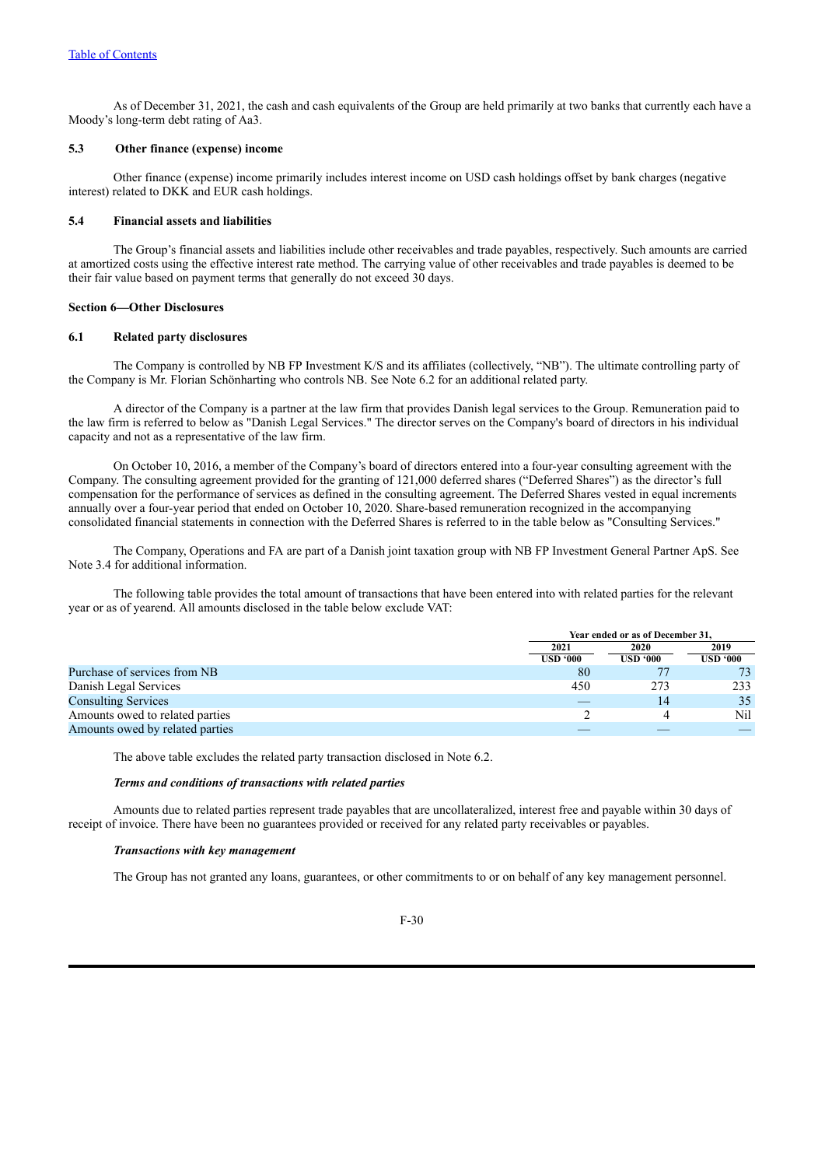As of December 31, 2021, the cash and cash equivalents of the Group are held primarily at two banks that currently each have a Moody's long-term debt rating of Aa3.

## **5.3 Other finance (expense) income**

Other finance (expense) income primarily includes interest income on USD cash holdings offset by bank charges (negative interest) related to DKK and EUR cash holdings.

### **5.4 Financial assets and liabilities**

The Group's financial assets and liabilities include other receivables and trade payables, respectively. Such amounts are carried at amortized costs using the effective interest rate method. The carrying value of other receivables and trade payables is deemed to be their fair value based on payment terms that generally do not exceed 30 days.

#### **Section 6—Other Disclosures**

#### **6.1 Related party disclosures**

The Company is controlled by NB FP Investment K/S and its affiliates (collectively, "NB"). The ultimate controlling party of the Company is Mr. Florian Schönharting who controls NB. See Note 6.2 for an additional related party.

A director of the Company is a partner at the law firm that provides Danish legal services to the Group. Remuneration paid to the law firm is referred to below as "Danish Legal Services." The director serves on the Company's board of directors in his individual capacity and not as a representative of the law firm.

On October 10, 2016, a member of the Company's board of directors entered into a four-year consulting agreement with the Company. The consulting agreement provided for the granting of 121,000 deferred shares ("Deferred Shares") as the director's full compensation for the performance of services as defined in the consulting agreement. The Deferred Shares vested in equal increments annually over a four-year period that ended on October 10, 2020. Share-based remuneration recognized in the accompanying consolidated financial statements in connection with the Deferred Shares is referred to in the table below as "Consulting Services."

The Company, Operations and FA are part of a Danish joint taxation group with NB FP Investment General Partner ApS. See Note 3.4 for additional information.

The following table provides the total amount of transactions that have been entered into with related parties for the relevant year or as of yearend. All amounts disclosed in the table below exclude VAT:

|                                 |                 | Year ended or as of December 31. |                 |  |
|---------------------------------|-----------------|----------------------------------|-----------------|--|
|                                 | 2021            | 2020                             | 2019            |  |
|                                 | <b>USD '000</b> | <b>USD '000</b>                  | <b>USD '000</b> |  |
| Purchase of services from NB    | 80              |                                  | 73              |  |
| Danish Legal Services           | 450             | 273                              | 233             |  |
| <b>Consulting Services</b>      |                 | 14                               | 35              |  |
| Amounts owed to related parties |                 |                                  | Nil             |  |
| Amounts owed by related parties |                 |                                  |                 |  |

The above table excludes the related party transaction disclosed in Note 6.2.

#### *Terms and conditions of transactions with related parties*

Amounts due to related parties represent trade payables that are uncollateralized, interest free and payable within 30 days of receipt of invoice. There have been no guarantees provided or received for any related party receivables or payables.

#### *Transactions with key management*

The Group has not granted any loans, guarantees, or other commitments to or on behalf of any key management personnel.

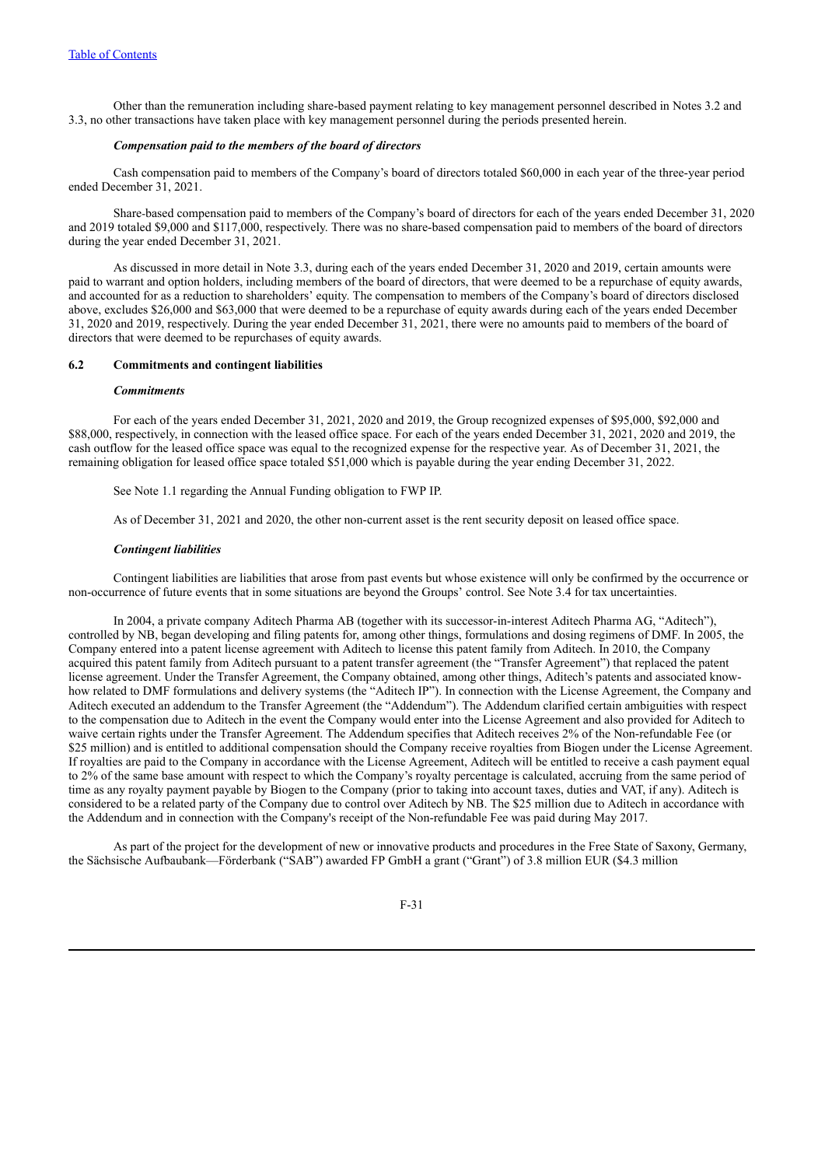Other than the remuneration including share-based payment relating to key management personnel described in Notes 3.2 and 3.3, no other transactions have taken place with key management personnel during the periods presented herein.

### *Compensation paid to the members of the board of directors*

Cash compensation paid to members of the Company's board of directors totaled \$60,000 in each year of the three-year period ended December 31, 2021.

Share-based compensation paid to members of the Company's board of directors for each of the years ended December 31, 2020 and 2019 totaled \$9,000 and \$117,000, respectively. There was no share-based compensation paid to members of the board of directors during the year ended December 31, 2021.

As discussed in more detail in Note 3.3, during each of the years ended December 31, 2020 and 2019, certain amounts were paid to warrant and option holders, including members of the board of directors, that were deemed to be a repurchase of equity awards, and accounted for as a reduction to shareholders' equity. The compensation to members of the Company's board of directors disclosed above, excludes \$26,000 and \$63,000 that were deemed to be a repurchase of equity awards during each of the years ended December 31, 2020 and 2019, respectively. During the year ended December 31, 2021, there were no amounts paid to members of the board of directors that were deemed to be repurchases of equity awards.

#### **6.2 Commitments and contingent liabilities**

#### *Commitments*

For each of the years ended December 31, 2021, 2020 and 2019, the Group recognized expenses of \$95,000, \$92,000 and \$88,000, respectively, in connection with the leased office space. For each of the years ended December 31, 2021, 2020 and 2019, the cash outflow for the leased office space was equal to the recognized expense for the respective year. As of December 31, 2021, the remaining obligation for leased office space totaled \$51,000 which is payable during the year ending December 31, 2022.

See Note 1.1 regarding the Annual Funding obligation to FWP IP.

As of December 31, 2021 and 2020, the other non-current asset is the rent security deposit on leased office space.

#### *Contingent liabilities*

Contingent liabilities are liabilities that arose from past events but whose existence will only be confirmed by the occurrence or non-occurrence of future events that in some situations are beyond the Groups' control. See Note 3.4 for tax uncertainties.

In 2004, a private company Aditech Pharma AB (together with its successor-in-interest Aditech Pharma AG, "Aditech"), controlled by NB, began developing and filing patents for, among other things, formulations and dosing regimens of DMF. In 2005, the Company entered into a patent license agreement with Aditech to license this patent family from Aditech. In 2010, the Company acquired this patent family from Aditech pursuant to a patent transfer agreement (the "Transfer Agreement") that replaced the patent license agreement. Under the Transfer Agreement, the Company obtained, among other things, Aditech's patents and associated knowhow related to DMF formulations and delivery systems (the "Aditech IP"). In connection with the License Agreement, the Company and Aditech executed an addendum to the Transfer Agreement (the "Addendum"). The Addendum clarified certain ambiguities with respect to the compensation due to Aditech in the event the Company would enter into the License Agreement and also provided for Aditech to waive certain rights under the Transfer Agreement. The Addendum specifies that Aditech receives 2% of the Non-refundable Fee (or \$25 million) and is entitled to additional compensation should the Company receive royalties from Biogen under the License Agreement. If royalties are paid to the Company in accordance with the License Agreement, Aditech will be entitled to receive a cash payment equal to 2% of the same base amount with respect to which the Company's royalty percentage is calculated, accruing from the same period of time as any royalty payment payable by Biogen to the Company (prior to taking into account taxes, duties and VAT, if any). Aditech is considered to be a related party of the Company due to control over Aditech by NB. The \$25 million due to Aditech in accordance with the Addendum and in connection with the Company's receipt of the Non-refundable Fee was paid during May 2017.

As part of the project for the development of new or innovative products and procedures in the Free State of Saxony, Germany, the Sächsische Aufbaubank—Förderbank ("SAB") awarded FP GmbH a grant ("Grant") of 3.8 million EUR (\$4.3 million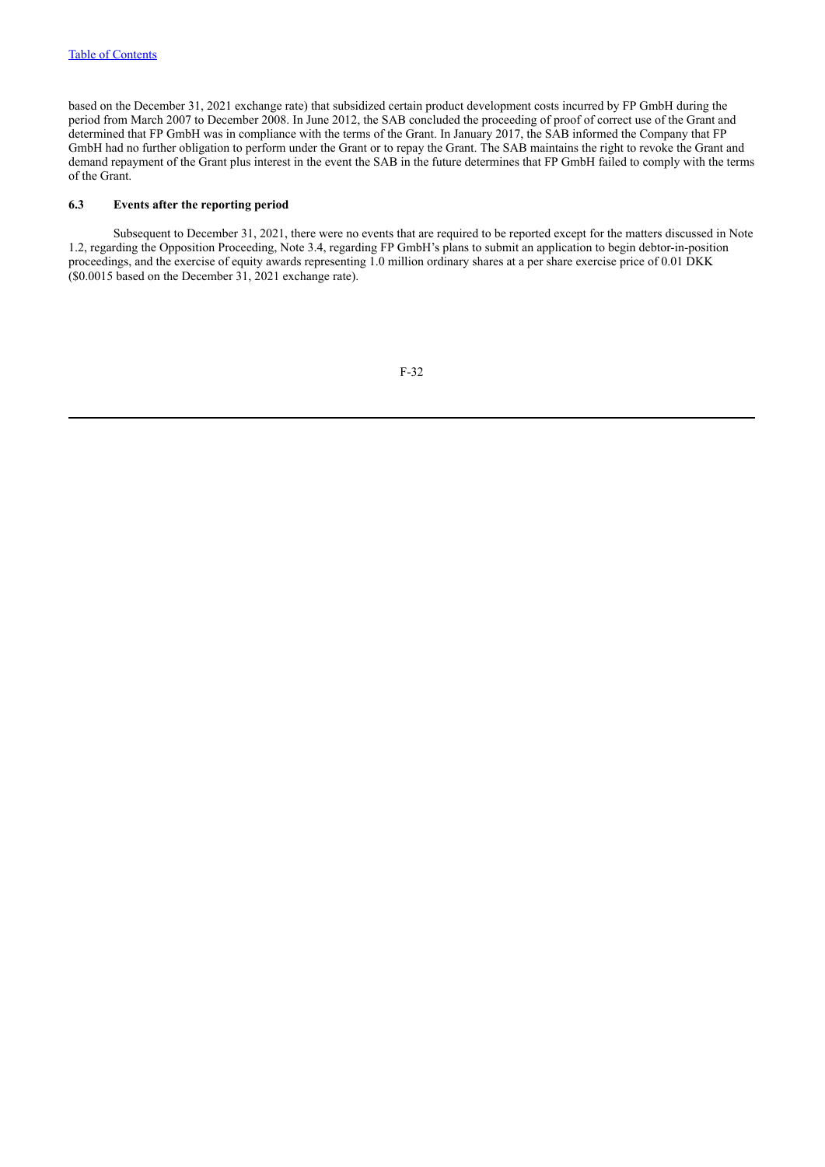based on the December 31, 2021 exchange rate) that subsidized certain product development costs incurred by FP GmbH during the period from March 2007 to December 2008. In June 2012, the SAB concluded the proceeding of proof of correct use of the Grant and determined that FP GmbH was in compliance with the terms of the Grant. In January 2017, the SAB informed the Company that FP GmbH had no further obligation to perform under the Grant or to repay the Grant. The SAB maintains the right to revoke the Grant and demand repayment of the Grant plus interest in the event the SAB in the future determines that FP GmbH failed to comply with the terms of the Grant.

## **6.3 Events after the reporting period**

Subsequent to December 31, 2021, there were no events that are required to be reported except for the matters discussed in Note 1.2, regarding the Opposition Proceeding, Note 3.4, regarding FP GmbH's plans to submit an application to begin debtor-in-position proceedings, and the exercise of equity awards representing 1.0 million ordinary shares at a per share exercise price of 0.01 DKK (\$0.0015 based on the December 31, 2021 exchange rate).

$$
F-32
$$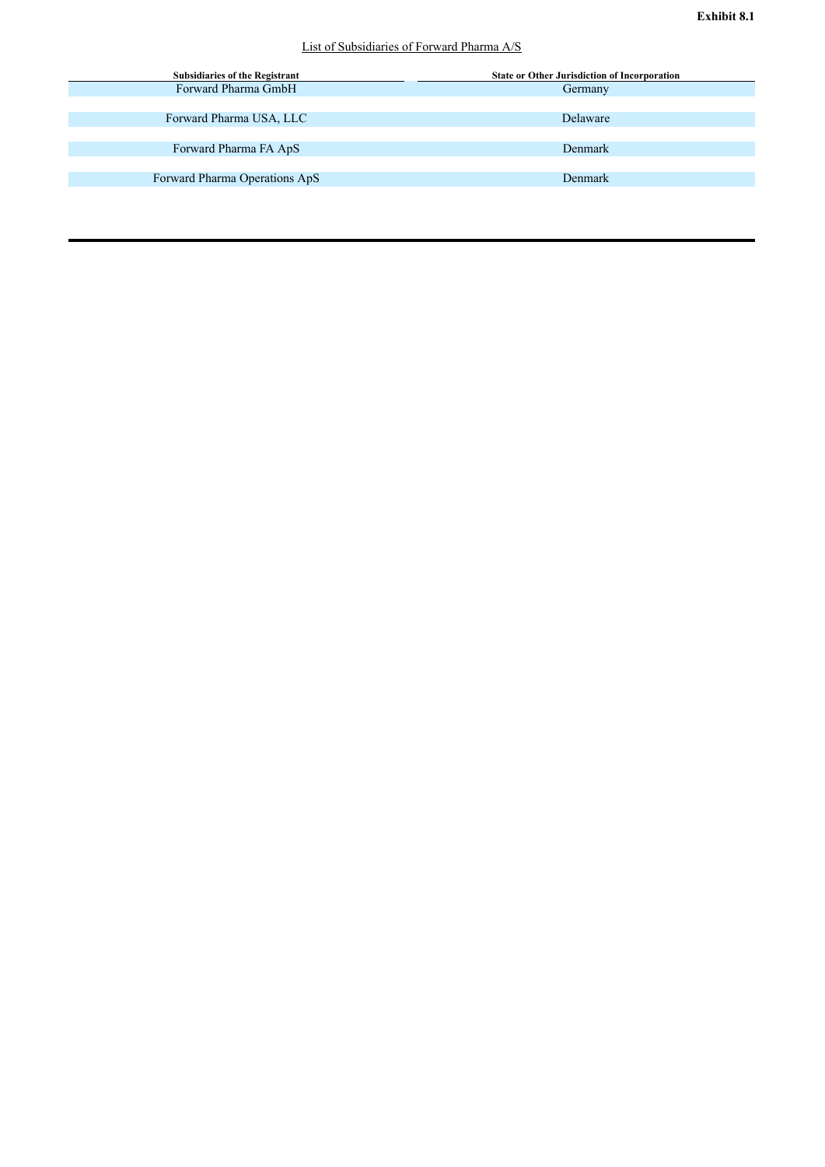# List of Subsidiaries of Forward Pharma A/S

| <b>Subsidiaries of the Registrant</b> | <b>State or Other Jurisdiction of Incorporation</b> |
|---------------------------------------|-----------------------------------------------------|
| Forward Pharma GmbH                   | Germany                                             |
|                                       |                                                     |
| Forward Pharma USA, LLC               | Delaware                                            |
|                                       |                                                     |
| Forward Pharma FA ApS                 | Denmark                                             |
|                                       |                                                     |
| Forward Pharma Operations ApS         | Denmark                                             |
|                                       |                                                     |
|                                       |                                                     |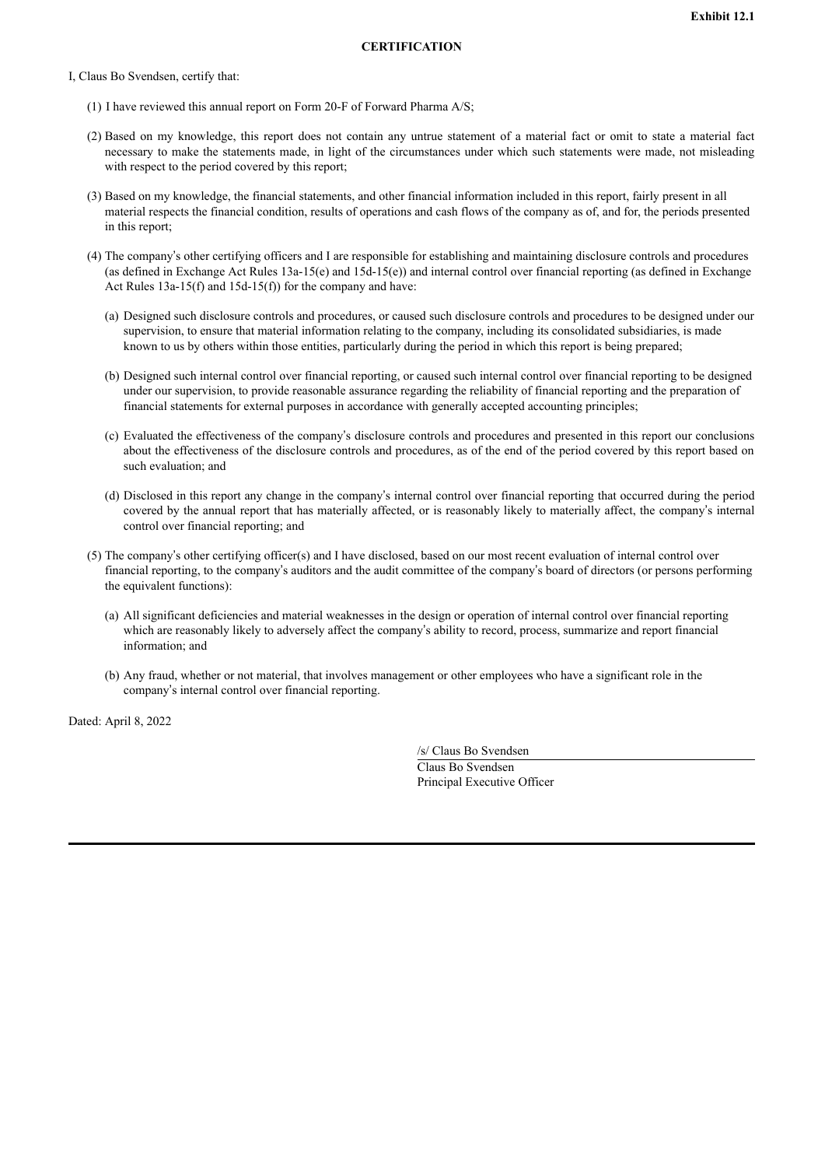## **CERTIFICATION**

#### I, Claus Bo Svendsen, certify that:

- (1) I have reviewed this annual report on Form 20-F of Forward Pharma A/S;
- (2) Based on my knowledge, this report does not contain any untrue statement of a material fact or omit to state a material fact necessary to make the statements made, in light of the circumstances under which such statements were made, not misleading with respect to the period covered by this report;
- (3) Based on my knowledge, the financial statements, and other financial information included in this report, fairly present in all material respects the financial condition, results of operations and cash flows of the company as of, and for, the periods presented in this report;
- (4) The company's other certifying officers and I are responsible for establishing and maintaining disclosure controls and procedures (as defined in Exchange Act Rules 13a-15(e) and 15d-15(e)) and internal control over financial reporting (as defined in Exchange Act Rules 13a-15(f) and 15d-15(f)) for the company and have:
	- (a) Designed such disclosure controls and procedures, or caused such disclosure controls and procedures to be designed under our supervision, to ensure that material information relating to the company, including its consolidated subsidiaries, is made known to us by others within those entities, particularly during the period in which this report is being prepared;
	- (b) Designed such internal control over financial reporting, or caused such internal control over financial reporting to be designed under our supervision, to provide reasonable assurance regarding the reliability of financial reporting and the preparation of financial statements for external purposes in accordance with generally accepted accounting principles;
	- (c) Evaluated the effectiveness of the company's disclosure controls and procedures and presented in this report our conclusions about the effectiveness of the disclosure controls and procedures, as of the end of the period covered by this report based on such evaluation; and
	- (d) Disclosed in this report any change in the company's internal control over financial reporting that occurred during the period covered by the annual report that has materially affected, or is reasonably likely to materially affect, the company's internal control over financial reporting; and
- (5) The company's other certifying officer(s) and I have disclosed, based on our most recent evaluation of internal control over financial reporting, to the company's auditors and the audit committee of the company's board of directors (or persons performing the equivalent functions):
	- (a) All significant deficiencies and material weaknesses in the design or operation of internal control over financial reporting which are reasonably likely to adversely affect the company's ability to record, process, summarize and report financial information; and
	- (b) Any fraud, whether or not material, that involves management or other employees who have a significant role in the company's internal control over financial reporting.

Dated: April 8, 2022

/s/ Claus Bo Svendsen

Claus Bo Svendsen Principal Executive Officer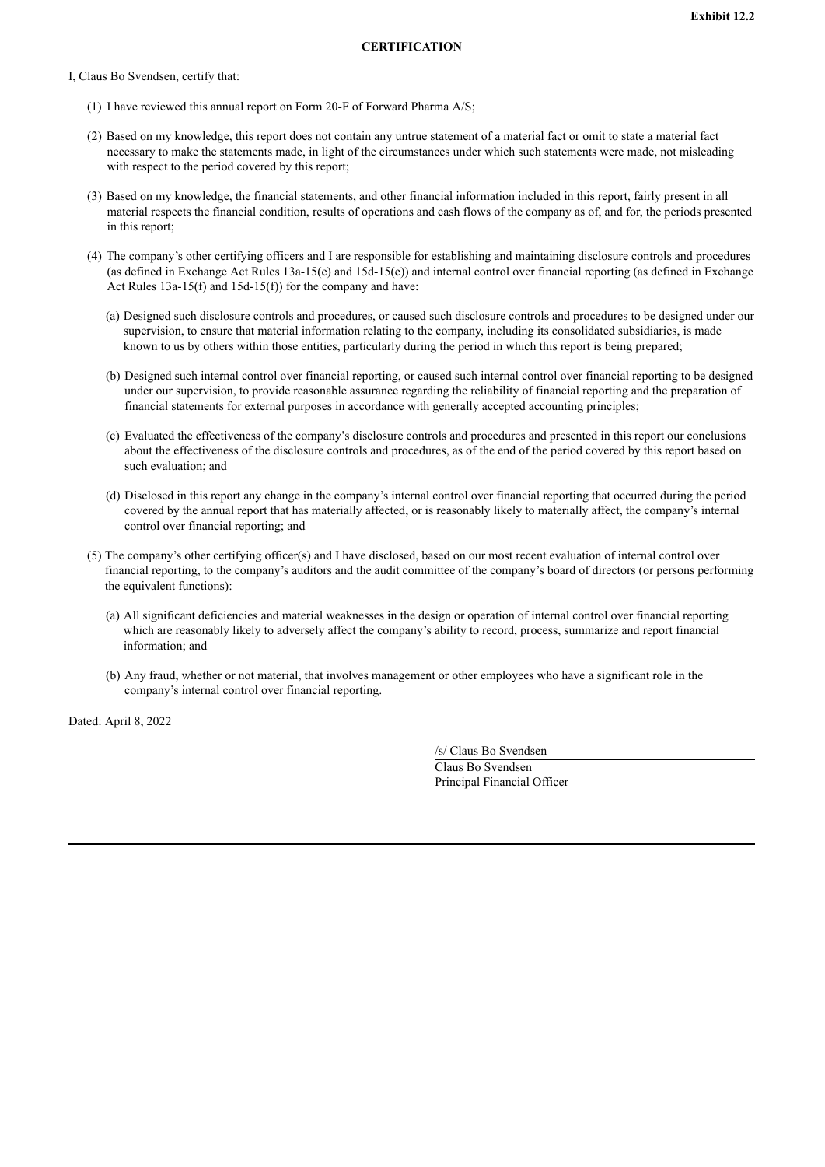## **CERTIFICATION**

#### I, Claus Bo Svendsen, certify that:

- (1) I have reviewed this annual report on Form 20-F of Forward Pharma A/S;
- (2) Based on my knowledge, this report does not contain any untrue statement of a material fact or omit to state a material fact necessary to make the statements made, in light of the circumstances under which such statements were made, not misleading with respect to the period covered by this report;
- (3) Based on my knowledge, the financial statements, and other financial information included in this report, fairly present in all material respects the financial condition, results of operations and cash flows of the company as of, and for, the periods presented in this report;
- (4) The company's other certifying officers and I are responsible for establishing and maintaining disclosure controls and procedures (as defined in Exchange Act Rules 13a-15(e) and 15d-15(e)) and internal control over financial reporting (as defined in Exchange Act Rules 13a-15(f) and 15d-15(f)) for the company and have:
	- (a) Designed such disclosure controls and procedures, or caused such disclosure controls and procedures to be designed under our supervision, to ensure that material information relating to the company, including its consolidated subsidiaries, is made known to us by others within those entities, particularly during the period in which this report is being prepared;
	- (b) Designed such internal control over financial reporting, or caused such internal control over financial reporting to be designed under our supervision, to provide reasonable assurance regarding the reliability of financial reporting and the preparation of financial statements for external purposes in accordance with generally accepted accounting principles;
	- (c) Evaluated the effectiveness of the company's disclosure controls and procedures and presented in this report our conclusions about the effectiveness of the disclosure controls and procedures, as of the end of the period covered by this report based on such evaluation; and
	- (d) Disclosed in this report any change in the company's internal control over financial reporting that occurred during the period covered by the annual report that has materially affected, or is reasonably likely to materially affect, the company's internal control over financial reporting; and
- (5) The company's other certifying officer(s) and I have disclosed, based on our most recent evaluation of internal control over financial reporting, to the company's auditors and the audit committee of the company's board of directors (or persons performing the equivalent functions):
	- (a) All significant deficiencies and material weaknesses in the design or operation of internal control over financial reporting which are reasonably likely to adversely affect the company's ability to record, process, summarize and report financial information; and
	- (b) Any fraud, whether or not material, that involves management or other employees who have a significant role in the company's internal control over financial reporting.

Dated: April 8, 2022

/s/ Claus Bo Svendsen

Claus Bo Svendsen Principal Financial Officer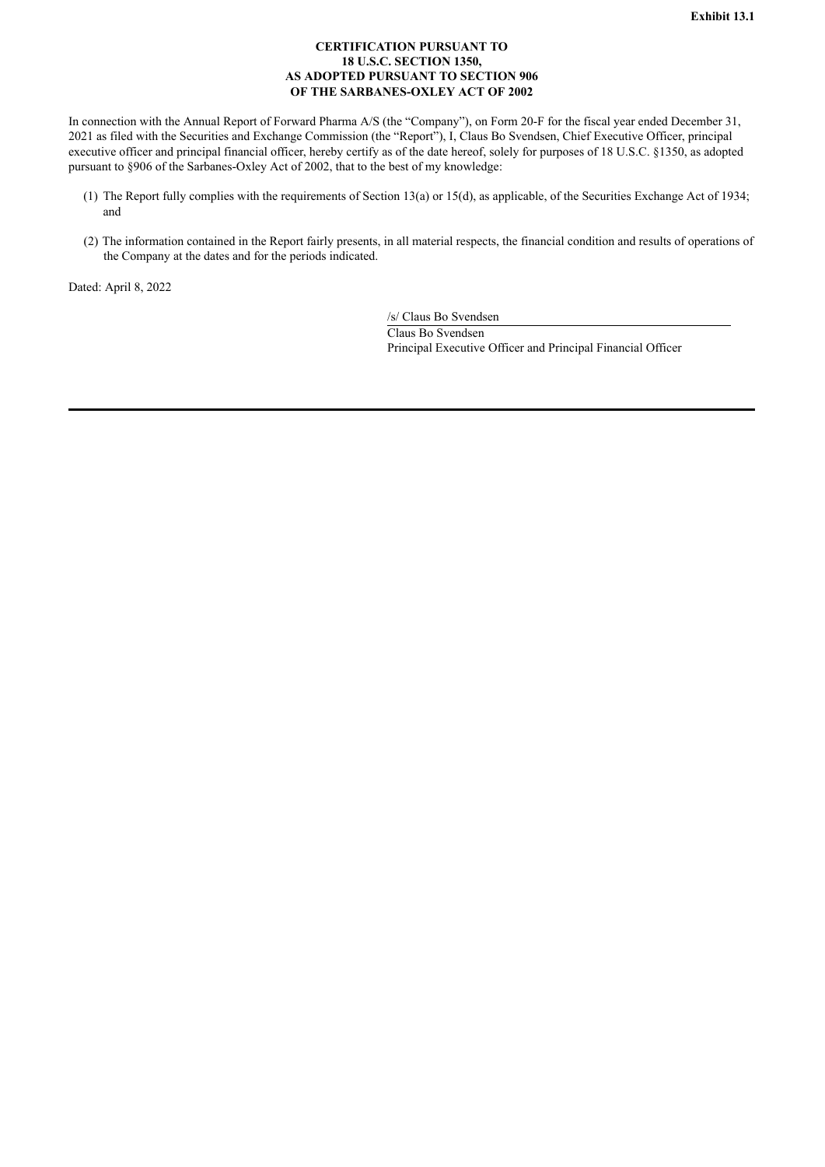## **CERTIFICATION PURSUANT TO 18 U.S.C. SECTION 1350, AS ADOPTED PURSUANT TO SECTION 906 OF THE SARBANES-OXLEY ACT OF 2002**

In connection with the Annual Report of Forward Pharma A/S (the "Company"), on Form 20-F for the fiscal year ended December 31, 2021 as filed with the Securities and Exchange Commission (the "Report"), I, Claus Bo Svendsen, Chief Executive Officer, principal executive officer and principal financial officer, hereby certify as of the date hereof, solely for purposes of 18 U.S.C. §1350, as adopted pursuant to §906 of the Sarbanes-Oxley Act of 2002, that to the best of my knowledge:

- (1) The Report fully complies with the requirements of Section 13(a) or 15(d), as applicable, of the Securities Exchange Act of 1934; and
- (2) The information contained in the Report fairly presents, in all material respects, the financial condition and results of operations of the Company at the dates and for the periods indicated.

Dated: April 8, 2022

/s/ Claus Bo Svendsen Claus Bo Svendsen Principal Executive Officer and Principal Financial Officer